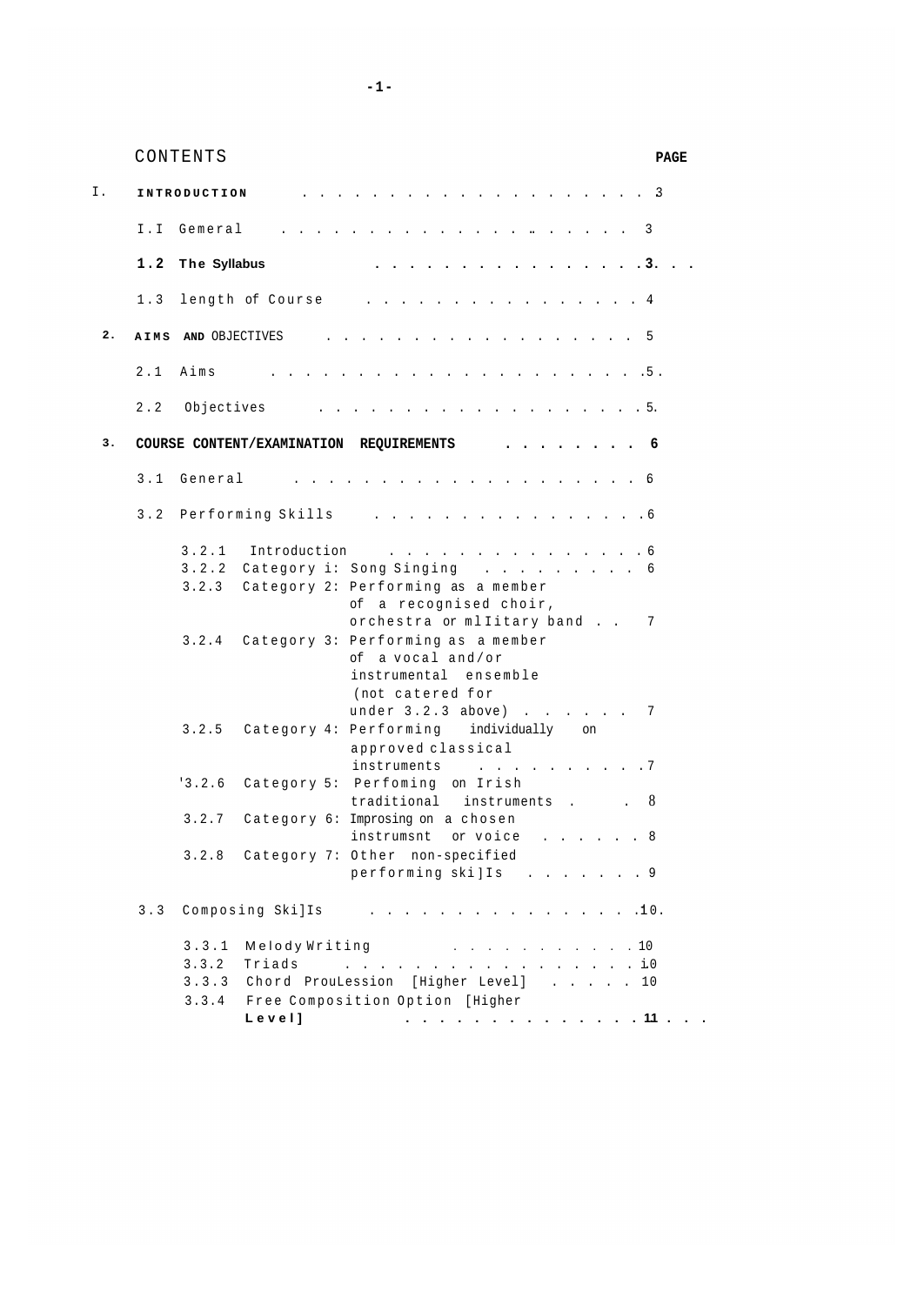CONTENTS **PAGE**

I. 2. AIMS AND OBJECTIVES **3. COURSE CONTENT/EXAMINATION REQUIREMENTS . . . . . . . . 6 INTRODUCTION** . . . . . . . . . . . . . . . . . . 3 I.I Gemeral . . . . . . . . . . . . . . .. . . . . . 3 **1.2 The Syllabus . . . . . . . . . . . . . . . . . . 3 .** 1.3 length of Course . . . . . . . . . . . . . . . 4 **AIMS AND** OBJECTIVES . . . . . . . . . . . . . . . . . . 5 2.1 Aims . . . . . . . . . . . . . . . . . . . . . . . 5 2.2 Objectives . . . . . . . . . . . . . . . . . 5. 3.1 General . . . . . . . . . . . . . . . . . . . . .6 3.2 Performing Skills . . . . . . . . . . . . . . . . 6 3.2.1 Introduction . . . . . . . . . . . . . . . 6 3.2.2 Category i: Song Singing . . . . . . . . . 6 3.2.3 Category 2: Performing as a member of a recognised choir, orchestra or ml I itary band . . 7 3.2.4 Category 3: Performing as a member of a vocal and/or instrumental ensemble (not catered for under 3.2.3 above) . . . . . . 7 3.2.5 Category 4: Performing individually on approved classical instruments . . . . . . . . . . 7 '3.2.6 Category 5: Perfoming on Irish traditional instruments . . 8 3.2.7 Category 6: Improsing on a chosen instrumsnt or voice . . . . . 8 3.2.8 Category 7: Other non-specified performing ski ] Is . . . . . . . 9 3.3 Composing SkilIs . . . . . . . . . . . . . . . . 10. 3.3.1 Melody Writing . . . . . . . . . . . 10 3.3.2 Triads . . . . . . . . . . . . . . . . 10 3.3.3 Chord ProuLession [Higher Level] . . . . . 10 3.3.4 Free Composition Option [Higher

**Level]** . . . . . . . . . . . . . . . 11 . . .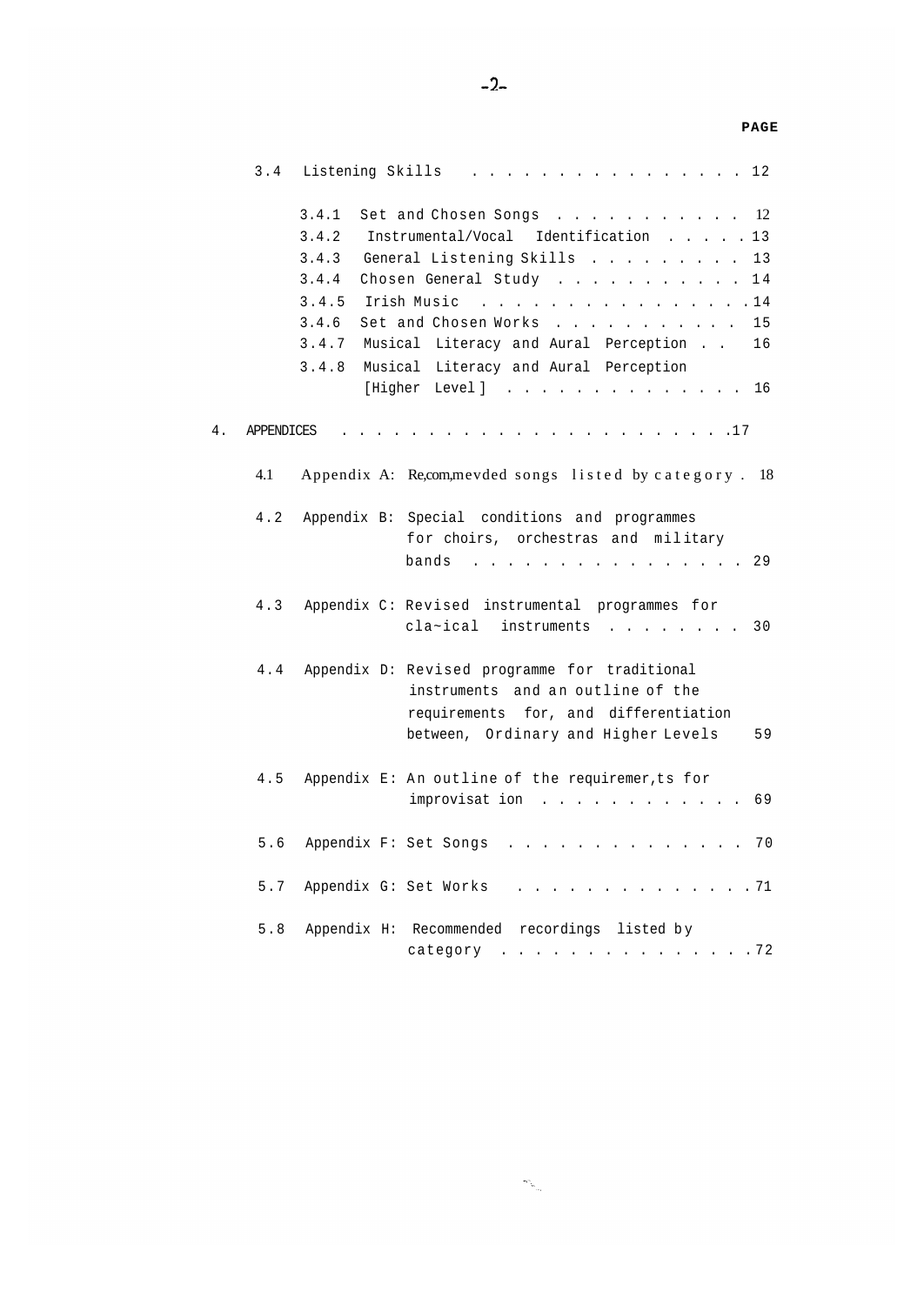# **PAGE**

|    | 3.4        | Listening Skills<br>12<br>$\mathbf{r}$ . The set of the set of the set of the set of the set of the set of the set of the set of the set of the set of the set of the set of the set of the set of the set of the set of the set of the set of the set of t                                                                                                            |
|----|------------|------------------------------------------------------------------------------------------------------------------------------------------------------------------------------------------------------------------------------------------------------------------------------------------------------------------------------------------------------------------------|
|    |            | 3.4.1<br>Set and Chosen Songs 12<br>3.4.2<br>Instrumental/Vocal Identification 13<br>3.4.3<br>General Listening Skills 13<br>3.4.4<br>Chosen General Study<br>14<br>3.4.5<br>Irish Music<br>. 14<br>3.4.6<br>Set and Chosen Works<br>15<br>3.4.7<br>Musical Literacy and Aural Perception<br>16<br>3.4.8<br>Musical Literacy and Aural Perception<br>[Higher Level] 16 |
| 4. | APPENDICES | .17                                                                                                                                                                                                                                                                                                                                                                    |
|    | 4.1        | Appendix A: Re, com, mevded songs listed by category. 18                                                                                                                                                                                                                                                                                                               |
|    | 4.2        | Appendix B: Special conditions and programmes<br>for choirs, orchestras and military<br>bands<br>29                                                                                                                                                                                                                                                                    |
|    |            | 4.3 Appendix C: Revised instrumental programmes for<br>cla~ical instruments<br>30                                                                                                                                                                                                                                                                                      |
|    | 4.4        | Appendix D: Revised programme for traditional<br>instruments and an outline of the<br>requirements for, and differentiation<br>between, Ordinary and Higher Levels<br>59                                                                                                                                                                                               |
|    |            | 4.5 Appendix E: An outline of the requiremer, ts for<br>improvisat ion<br>69                                                                                                                                                                                                                                                                                           |
|    | 5.6        | Appendix F: Set Songs 70                                                                                                                                                                                                                                                                                                                                               |
|    | 5.7        | Appendix G: Set Works<br>. 71                                                                                                                                                                                                                                                                                                                                          |
|    | 5.8        | Appendix H: Recommended recordings listed by<br>category 72                                                                                                                                                                                                                                                                                                            |

 $\left\langle \mathcal{H}^{\mathcal{N}_{\mathcal{M}_{\mathcal{M}_{\mathcal{M}_{\mathcal{M}_{\mathcal{M}}}}}}}\right\rangle _{1}$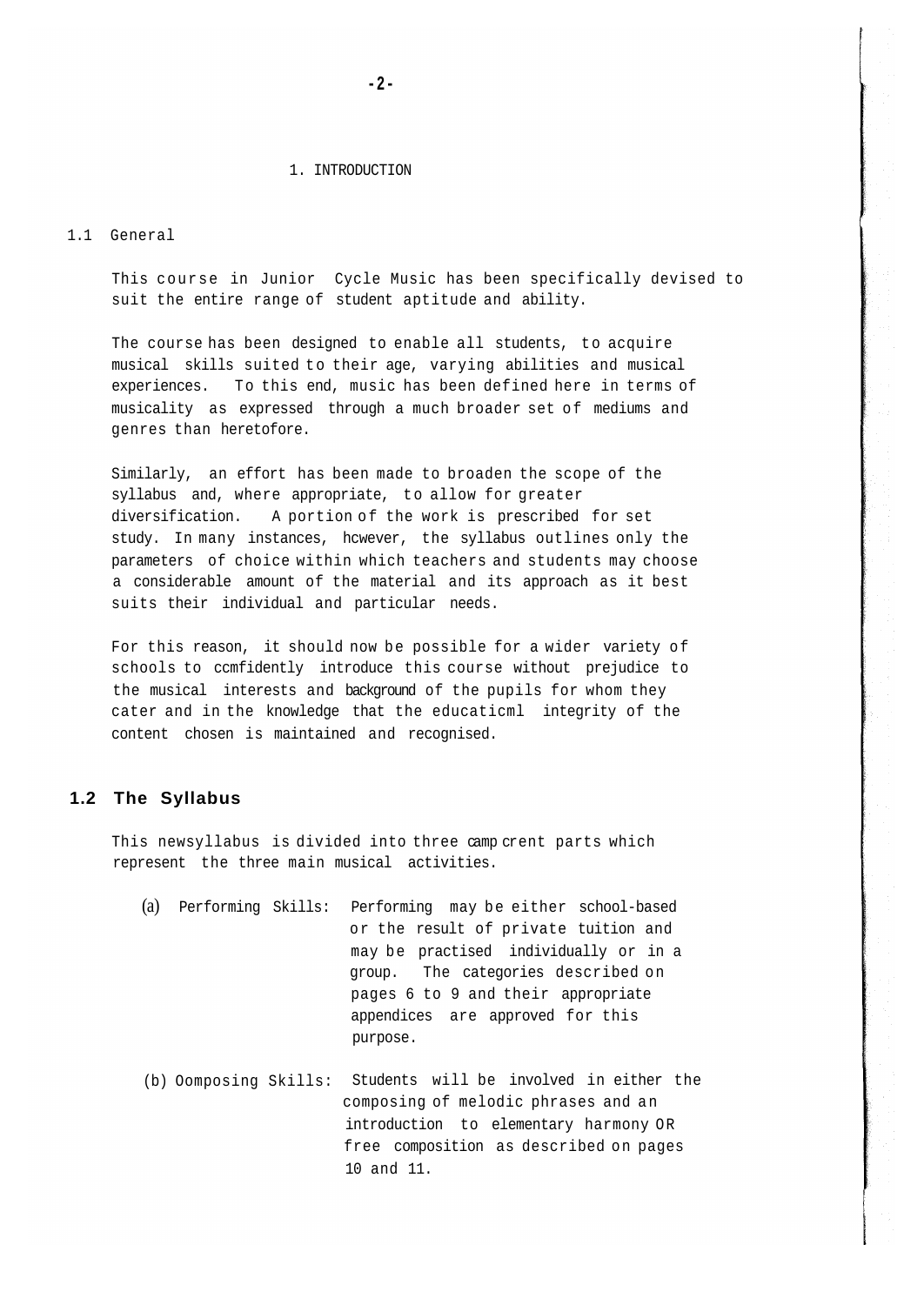#### 1. INTRODUCTION

### 1.1 General

This course in Junior Cycle Music has been specifically devised to suit the entire range of student aptitude and ability.

The course has been designed to enable all students, to acquire musical skills suited to their age, varying abilities and musical experiences. To this end, music has been defined here in terms of musicality as expressed through a much broader set of mediums and genres than heretofore.

Similarly, an effort has been made to broaden the scope of the syllabus and, where appropriate, to allow for greater diversification. A portion of the work is prescribed for set study. In many instances, hcwever, the syllabus outlines only the parameters of choice within which teachers and students may choose a considerable amount of the material and its approach as it best suits their individual and particular needs.

For this reason, it should now be possible for a wider variety of schools to ccmfidently introduce this course without prejudice to the musical interests and background of the pupils for whom they cater and in the knowledge that the educaticml integrity of the content chosen is maintained and recognised.

## **1.2 The Syllabus**

This newsyllabus is divided into three camp crent parts which represent the three main musical activities.

- (a) Performing Skills: Performing may be either school-based or the result of private tuition and may be practised individually or in a group. The categories described on pages 6 to 9 and their appropriate appendices are approved for this purpose.
- (b) Oomposing Skills: Students will be involved in either the composing of melodic phrases and an introduction to elementary harmony OR free composition as described on pages 10 and 11.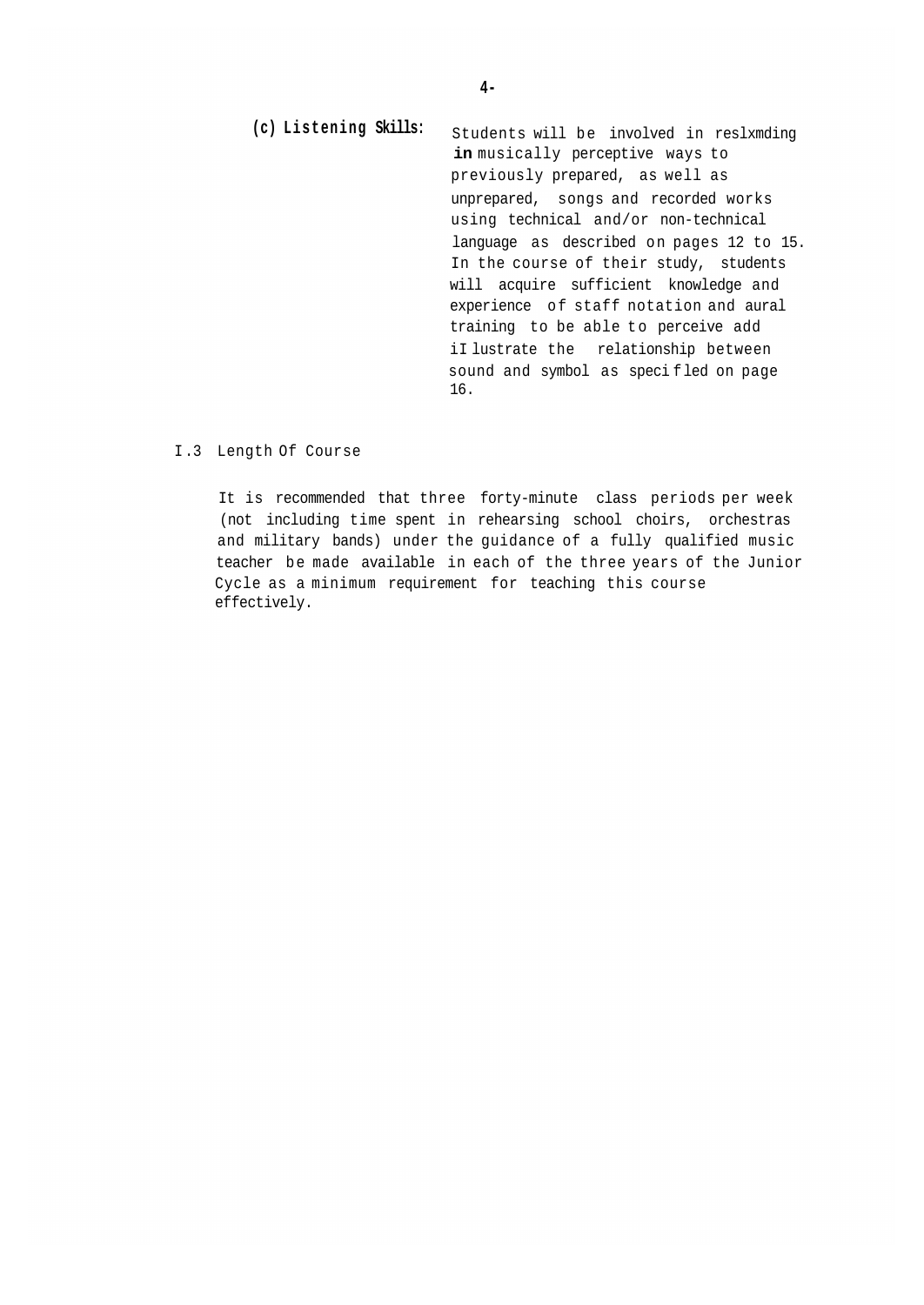# (c) Listening Skills: Students will be involved in reslxmding **in** musically perceptive ways to previously prepared, as well as unprepared, songs and recorded works using technical and/or non-technical language as described on pages 12 to 15. In the course of their study, students will acquire sufficient knowledge and experience of staff notation and aural training to be able to perceive add iI lustrate the relationship between sound and symbol as speci fled on page 16.

### I.3 Length Of Course

It is recommended that three forty-minute class periods per week (not including time spent in rehearsing school choirs, orchestras and military bands) under the guidance of a fully qualified music teacher be made available in each of the three years of the Junior Cycle as a minimum requirement for teaching this course effectively.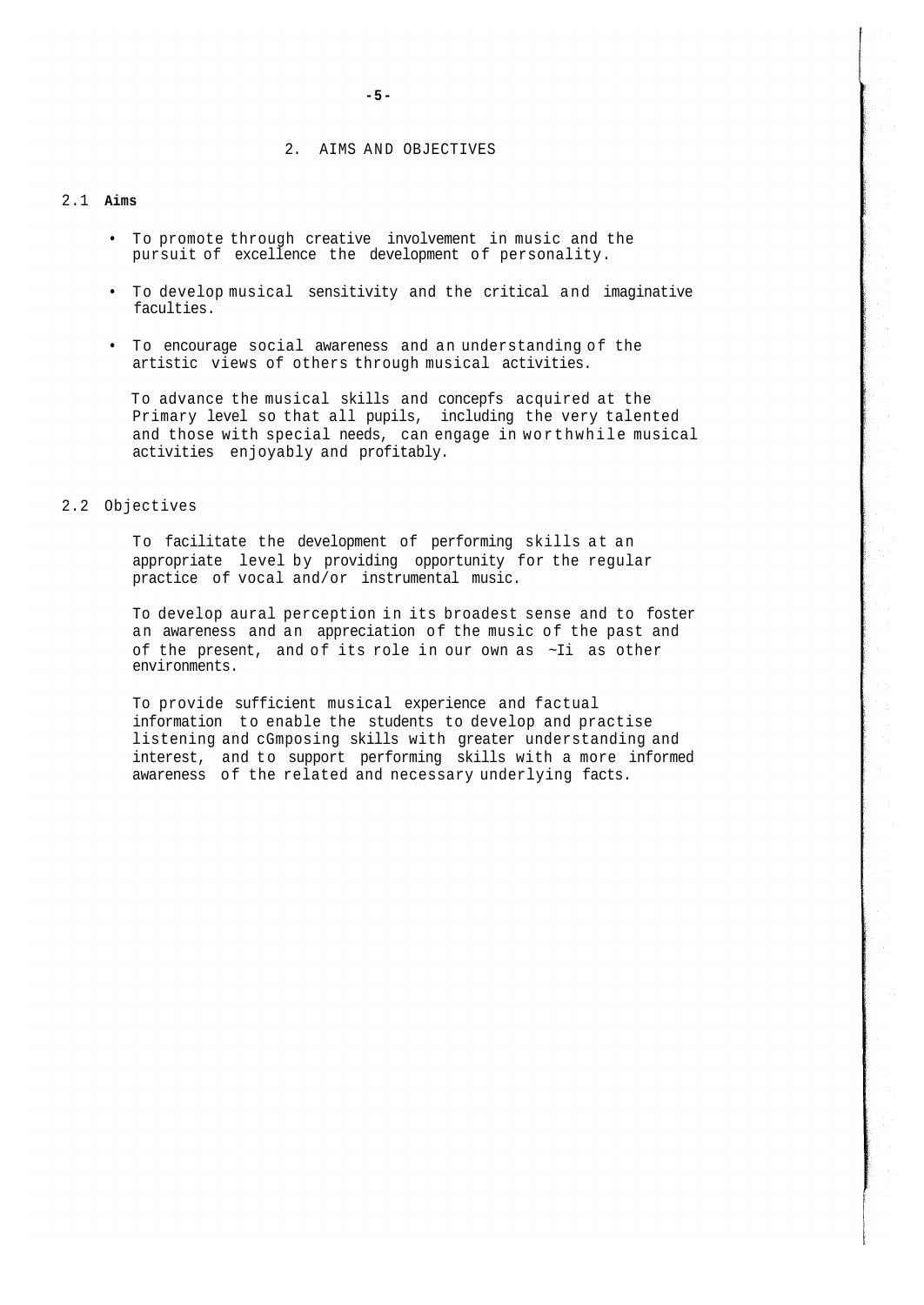#### 2. AIMS AND OBJECTIVES

#### 2.1 **Aims**

- To promote through creative involvement in music and the pursuit of excellence the development of personality.
- To develop musical sensitivity and the critical and imaginative faculties.
- To encourage social awareness and an understanding of the artistic views of others through musical activities.

To advance the musical skills and concepfs acquired at the Primary level so that all pupils, including the very talented and those with special needs, can engage in worthwhile musical activities enjoyably and profitably.

#### 2.2 Objectives

To facilitate the development of performing skills at an appropriate level by providing opportunity for the regular practice of vocal and/or instrumental music.

To develop aural perception in its broadest sense and to foster an awareness and an appreciation of the music of the past and of the present, and of its role in our own as  $\sim$ Ii as other environments.

To provide sufficient musical experience and factual information to enable the students to develop and practise listening and cGmposing skills with greater understanding and interest, and to support performing skills with a more informed awareness of the related and necessary underlying facts.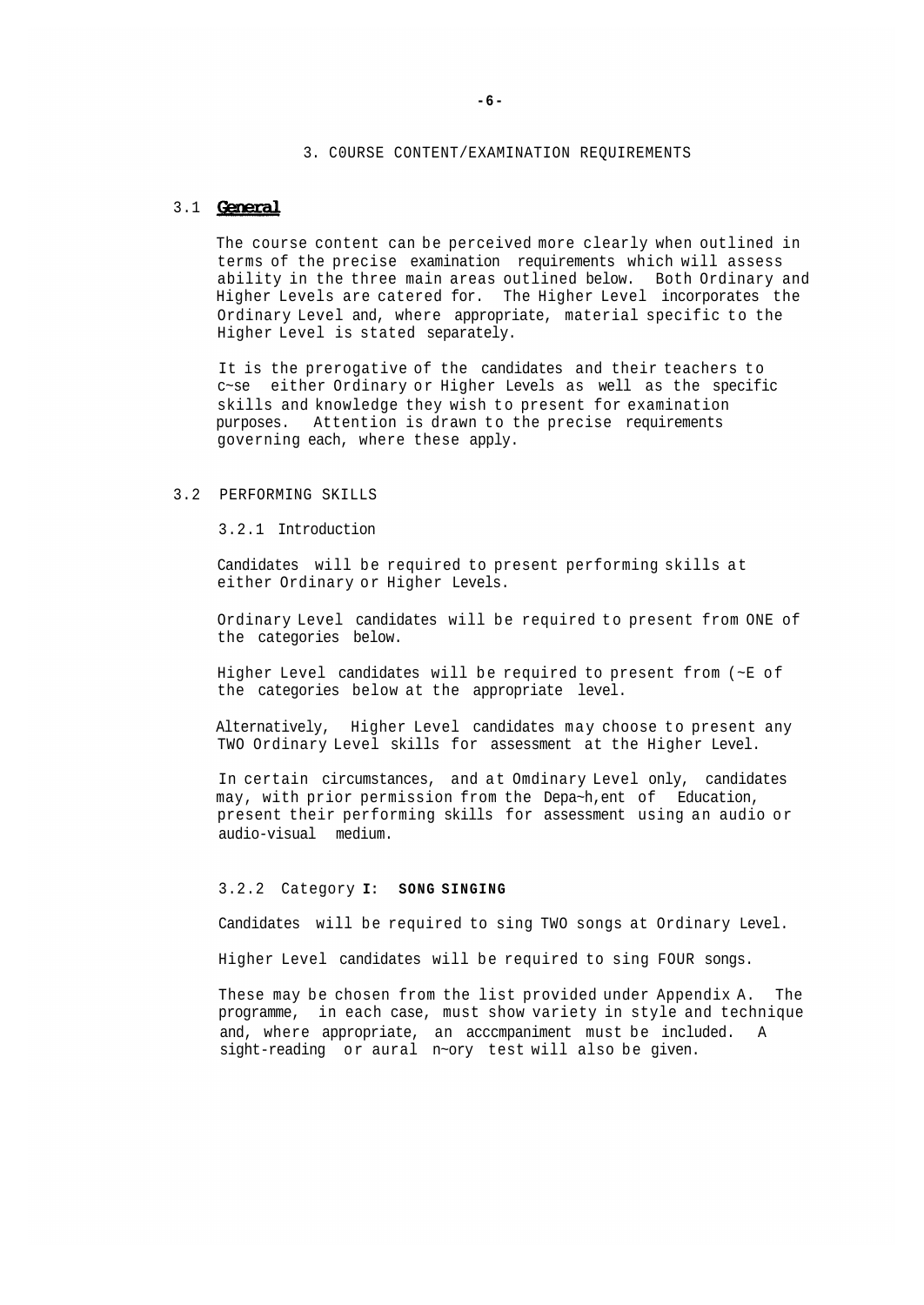#### 3. C0URSE CONTENT/EXAMINATION REQUIREMENTS

### 3.1 General

The course content can be perceived more clearly when outlined in terms of the precise examination requirements which will assess ability in the three main areas outlined below. Both Ordinary and Higher Levels are catered for. The Higher Level incorporates the Ordinary Level and, where appropriate, material specific to the Higher Level is stated separately.

It is the prerogative of the candidates and their teachers to c~se either Ordinary or Higher Levels as well as the specific skills and knowledge they wish to present for examination purposes. Attention is drawn to the precise requirements governing each, where these apply.

## 3.2 PERFORMING SKILLS

#### 3.2.1 Introduction

Candidates will be required to present performing skills at either Ordinary or Higher Levels.

Ordinary Level candidates will be required to present from ONE of the categories below.

Higher Level candidates will be required to present from  $( \sim E )$  of the categories below at the appropriate level.

Alternatively, Higher Level candidates may choose to present any TWO Ordinary Level skills for assessment at the Higher Level.

In certain circumstances, and at Omdinary Level only, candidates may, with prior permission from the Depa~h,ent of Education, present their performing skills for assessment using an audio or audio-visual medium.

#### 3.2.2 Category **I: SONG SINGING**

Candidates will be required to sing TWO songs at Ordinary Level.

Higher Level candidates will be required to sing FOUR songs.

These may be chosen from the list provided under Appendix A. The programme, in each case, must show variety in style and technique and, where appropriate, an acccmpaniment must be included. A sight-reading or aural n~ory test will also be given.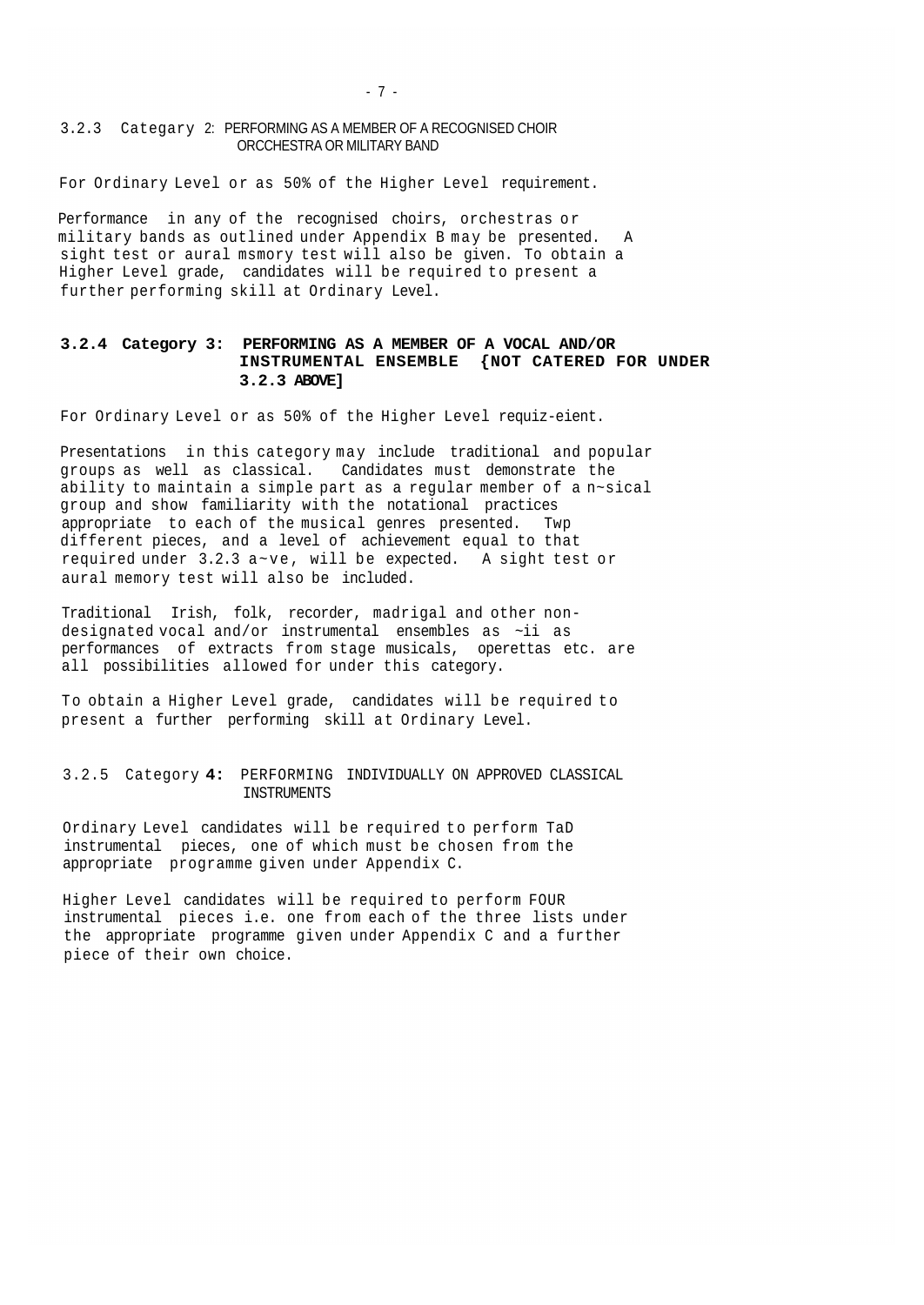### 3.2.3 Categary 2: PERFORMING AS A MEMBER OF A RECOGNISED CHOIR ORCCHESTRA OR MILITARY BAND

For Ordinary Level or as 50% of the Higher Level requirement.

Performance in any of the recognised choirs, orchestras or military bands as outlined under Appendix B may be presented. A sight test or aural msmory test will also be given. To obtain a Higher Level grade, candidates will be required to present a further performing skill at Ordinary Level.

### **3.2.4 Category 3: PERFORMING AS A MEMBER OF A VOCAL AND/OR INSTRUMENTAL ENSEMBLE {NOT CATERED FOR UNDER 3.2.3 ABOVE]**

For Ordinary Level or as 50% of the Higher Level requiz-eient.

Presentations in this category may include traditional and popular groups as well as classical. Candidates must demonstrate the ability to maintain a simple part as a regular member of a n~sical group and show familiarity with the notational practices appropriate to each of the musical genres presented. Twp different pieces, and a level of achievement equal to that required under  $3.2.3$  a~ve, will be expected. A sight test or aural memory test will also be included.

Traditional Irish, folk, recorder, madrigal and other nondesignated vocal and/or instrumental ensembles as ~ii as performances of extracts from stage musicals, operettas etc. are all possibilities allowed for under this category.

To obtain a Higher Level grade, candidates will be required to present a further performing skill at Ordinary Level.

### 3.2.5 Category **4:** PERFORMING INDIVIDUALLY ON APPROVED CLASSICAL INSTRUMENTS

Ordinary Level candidates will be required to perform TaD instrumental pieces, one of which must be chosen from the appropriate programme given under Appendix C.

Higher Level candidates will be required to perform FOUR instrumental pieces i.e. one from each of the three lists under the appropriate programme given under Appendix C and a further piece of their own choice.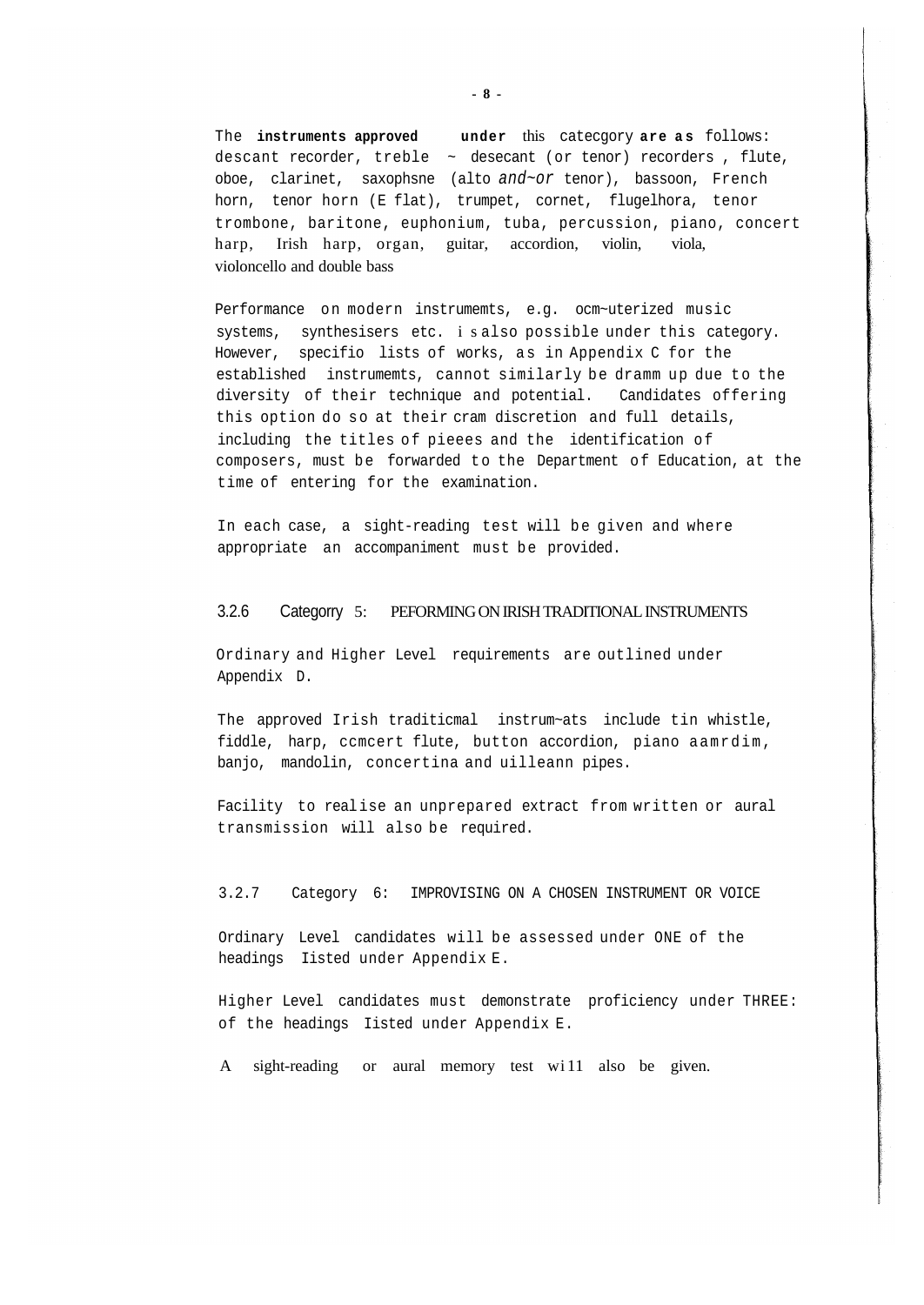The **instruments approved** under this catecgory are as follows: descant recorder, treble  $\sim$  desecant (or tenor) recorders, flute, oboe, clarinet, saxophsne (alto *and~or* tenor), bassoon, French horn, tenor horn (E flat), trumpet, cornet, flugelhora, tenor trombone, baritone, euphonium, tuba, percussion, piano, concert harp, Irish harp, organ, guitar, accordion, violin, viola, violoncello and double bass

Performance on modern instrumemts, e.g. ocm~uterized music systems, synthesisers etc. i s also possible under this category. However, specifio lists of works, as in Appendix C for the established instrumemts, cannot similarly be dramm up due to the diversity of their technique and potential. Candidates offering this option do so at their cram discretion and full details, including the titles of pieees and the identification of composers, must be forwarded to the Department of Education, at the time of entering for the examination.

In each case, a sight-reading test will be given and where appropriate an accompaniment must be provided.

### 3.2.6 Categorry 5: PEFORMING ON IRISH TRADITIONAL INSTRUMENTS

Ordinary and Higher Level requirements are outlined under Appendix D.

The approved Irish traditicmal instrum~ats include tin whistle, fiddle, harp, ccmcert flute, button accordion, piano aamrdim, banjo, mandolin, concertina and uilleann pipes.

Facility to realise an unprepared extract from written or aural transmission will also be required.

3.2.7 Category 6: IMPROVISING ON A CHOSEN INSTRUMENT OR VOICE

Ordinary Level candidates will be assessed under ONE of the headings Iisted under Appendix E.

Higher Level candidates must demonstrate proficiency under THREE: of the headings Iisted under Appendix E.

A sight-reading or aural memory test wi 11 also be given.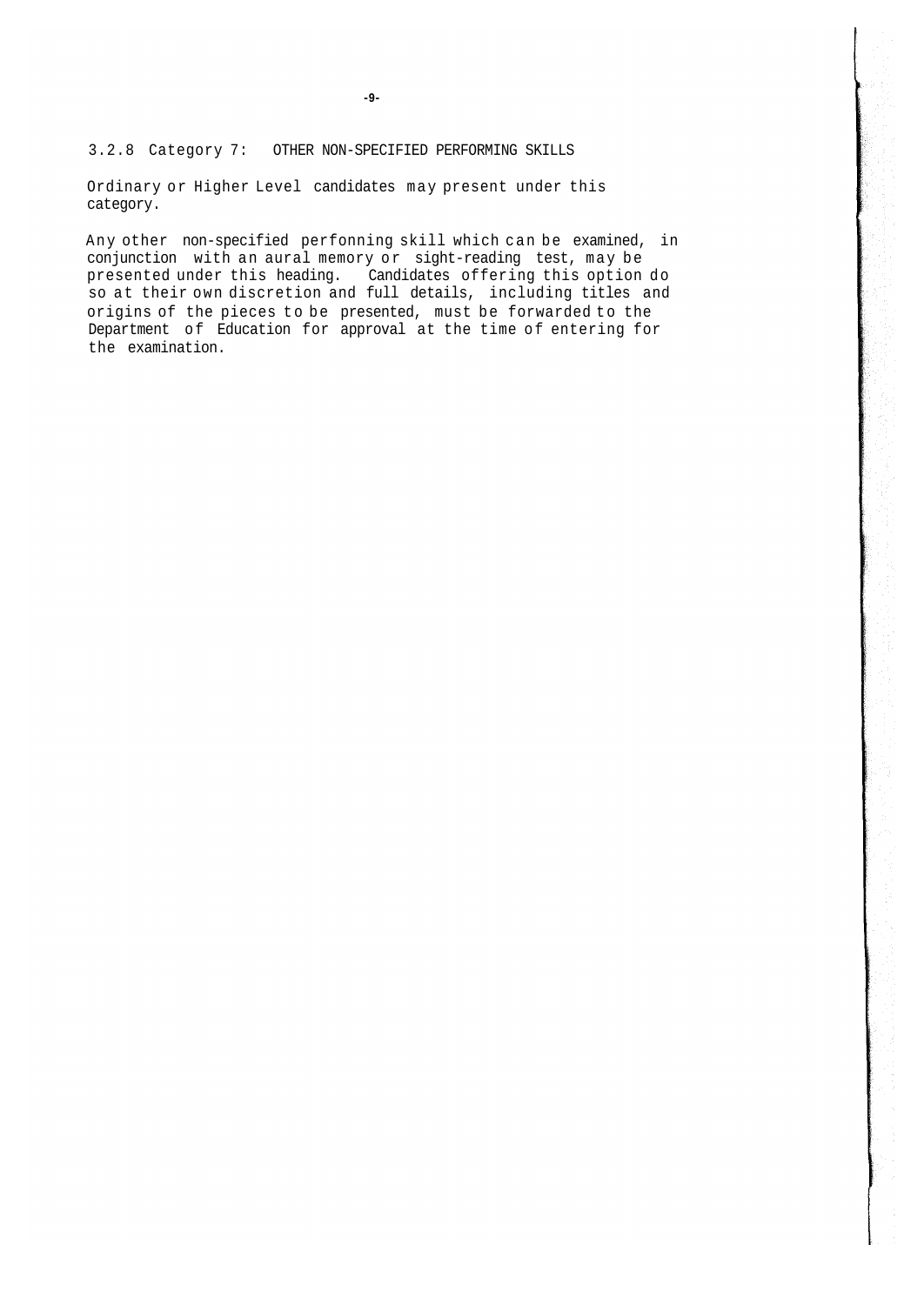Ordinary or Higher Level candidates may present under this category.

Any other non-specified perfonning skill which can be examined, in conjunction with an aural memory or sight-reading test, may be presented under this heading. Candidates offering this option do so at their own discretion and full details, including titles and origins of the pieces to be presented, must be forwarded to the Department of Education for approval at the time of entering for the examination.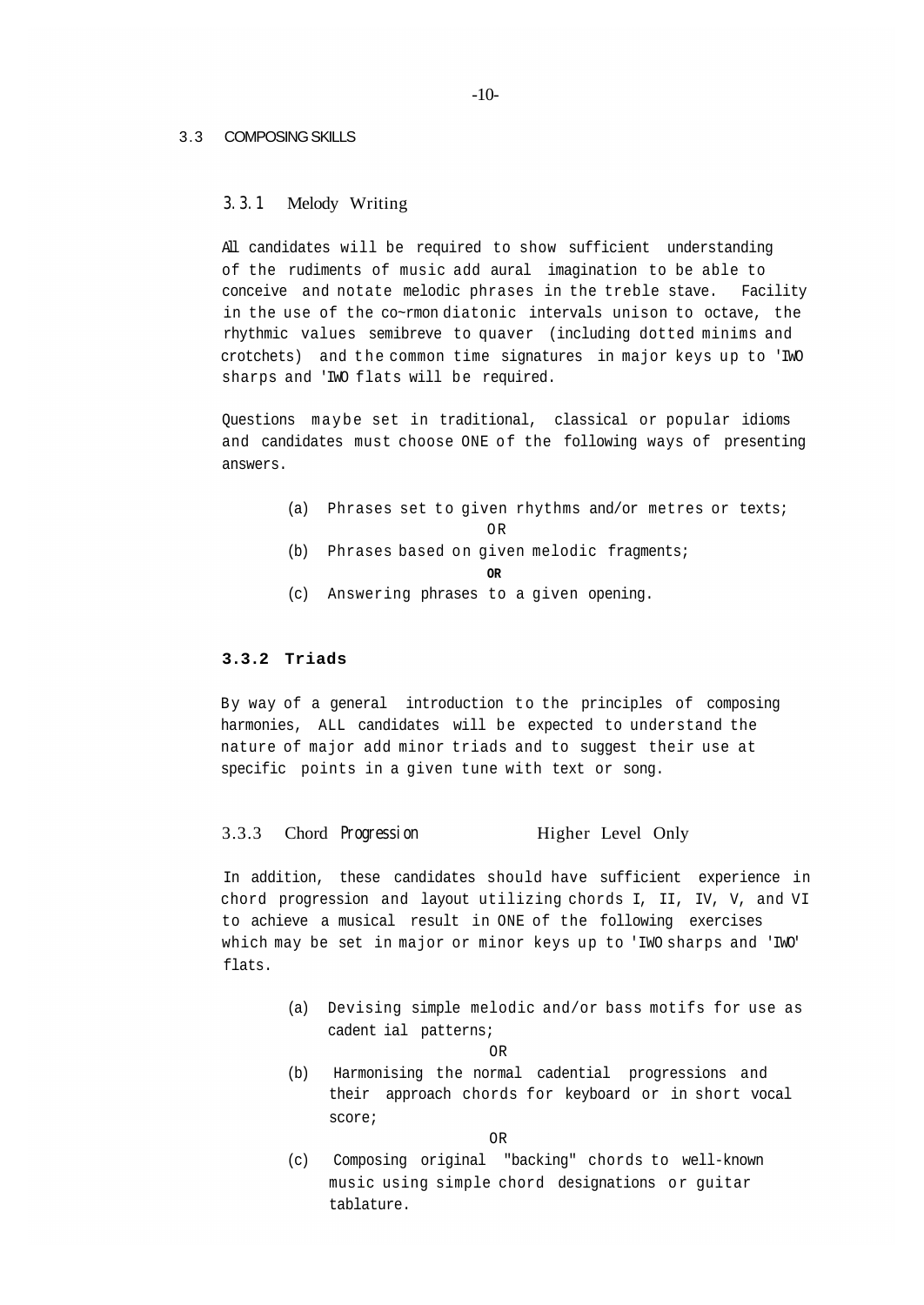#### 3.3 COMPOSING SKILLS

### 3.3.1 Melody Writing

All candidates will be required to show sufficient understanding of the rudiments of music add aural imagination to be able to conceive and notate melodic phrases in the treble stave. Facility in the use of the co~rmon diatonic intervals unison to octave, the rhythmic values semibreve to quaver (including dotted minims and crotchets) and the common time signatures in major keys up to 'IWO sharps and 'IWO flats will be required.

Questions maybe set in traditional, classical or popular idioms and candidates must choose ONE of the following ways of presenting answers.

- (a) Phrases set to given rhythms and/or metres or texts;
	- O R
- (b) Phrases based on given melodic fragments;

**OR**

(c) Answering phrases to a given opening.

# **3.3.2 Triads**

By way of a general introduction to the principles of composing harmonies, ALL candidates will be expected to understand the nature of major add minor triads and to suggest their use at specific points in a given tune with text or song.

### 3.3.3 Chord Progression Higher Level Only

In addition, these candidates should have sufficient experience in chord progression and layout utilizing chords I, II, IV, V, and VI to achieve a musical result in ONE of the following exercises which may be set in major or minor keys up to 'IWO sharps and 'IWO' flats.

> (a) Devising simple melodic and/or bass motifs for use as cadent ial patterns;

> > OR

(b) Harmonising the normal cadential progressions and their approach chords for keyboard or in short vocal score;

OR

(c) Composing original "backing" chords to well-known music using simple chord designations or guitar tablature.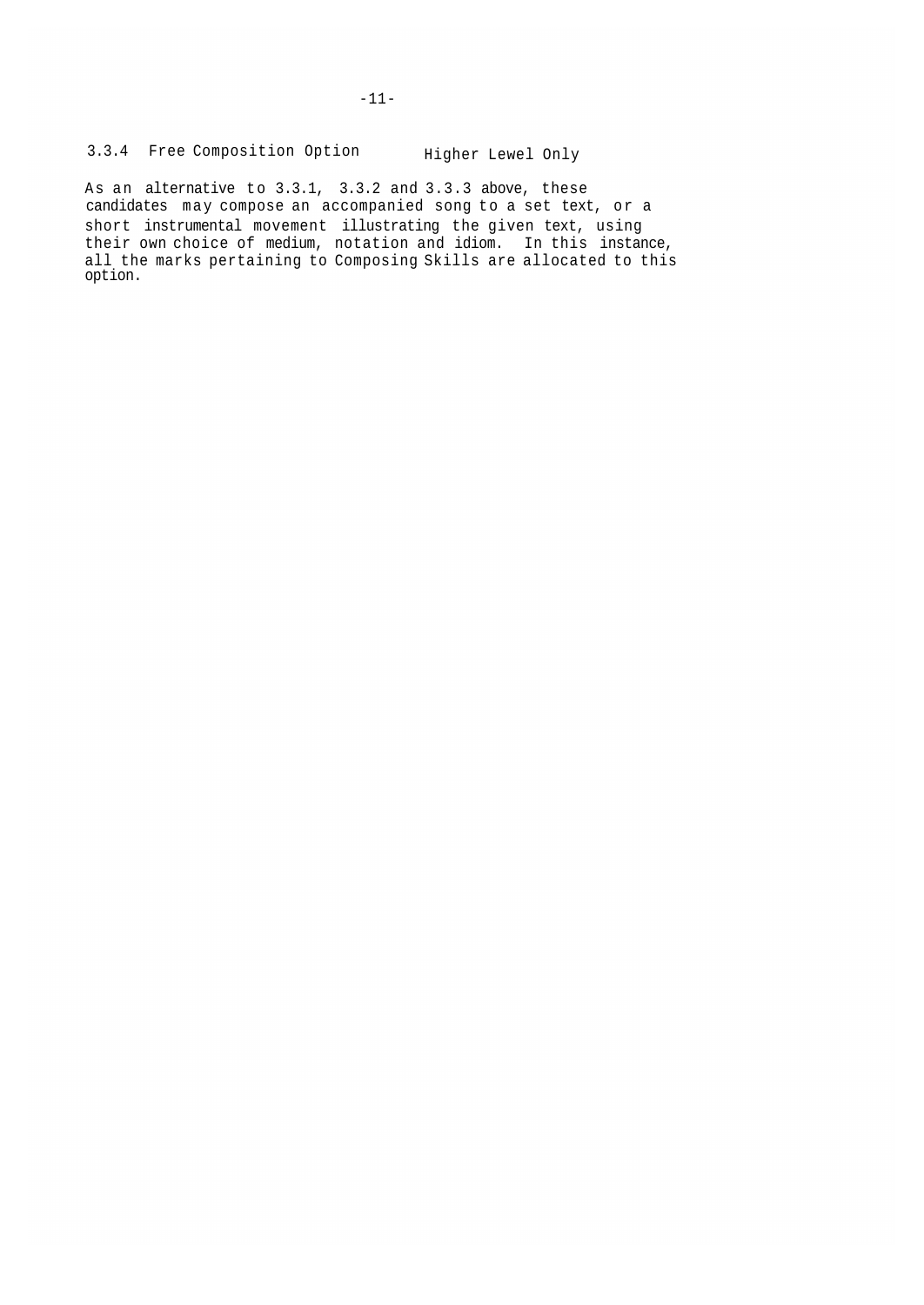As an alternative to  $3.3.1$ ,  $3.3.2$  and  $3.3.3$  above, these candidates may compose an accompanied song to a set text, or a short instrumental movement illustrating the given text, using their own choice of medium, notation and idiom. In this instance, all the marks pertaining to Composing Skills are allocated to this option.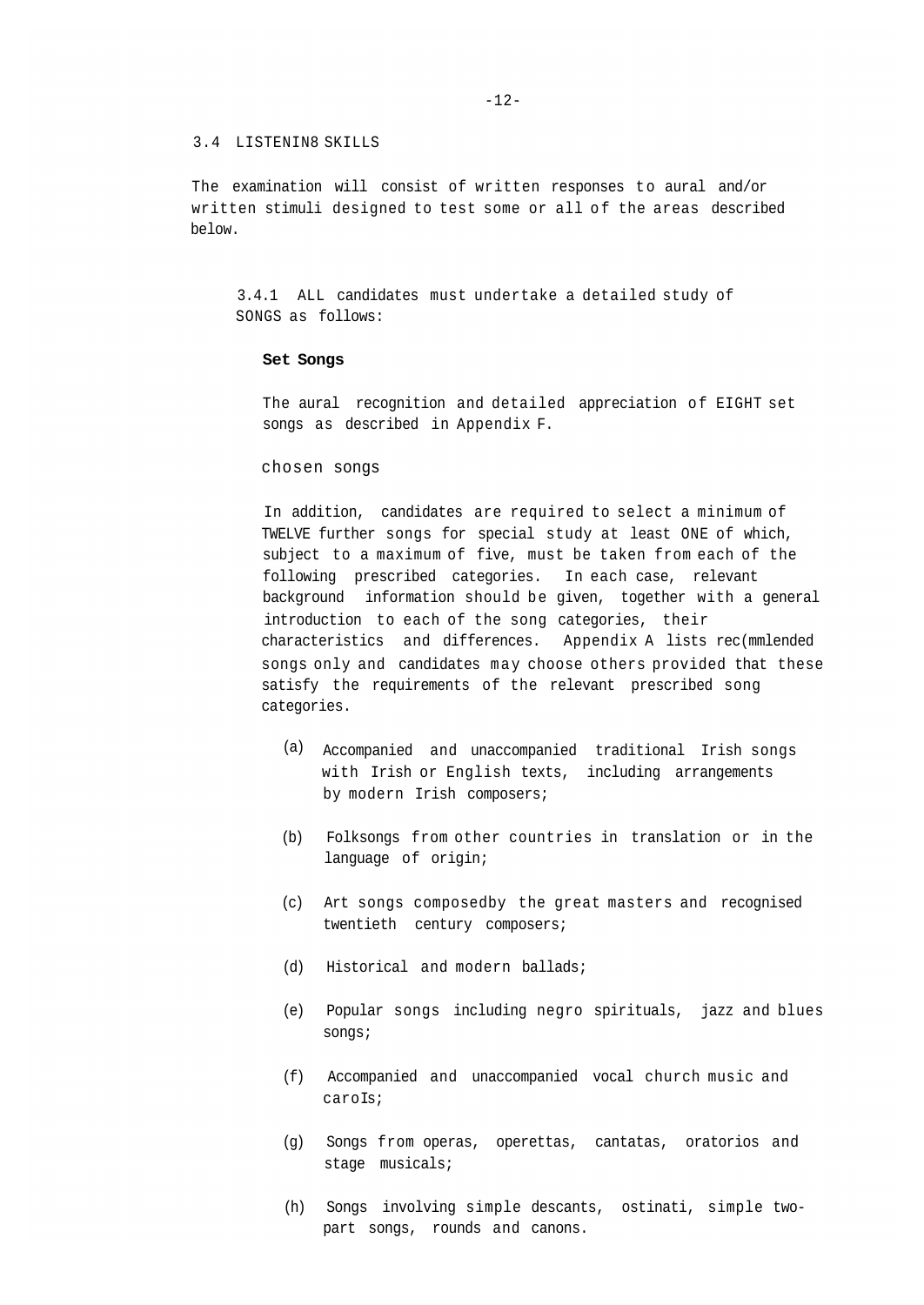#### 3.4 LISTENIN8 SKILLS

The examination will consist of written responses to aural and/or written stimuli designed to test some or all of the areas described below.

3.4.1 ALL candidates must undertake a detailed study of SONGS as follows:

#### **Set Songs**

The aural recognition and detailed appreciation of EIGHT set songs as described in Appendix F.

### chosen songs

In addition, candidates are required to select a minimum of TWELVE further songs for special study at least ONE of which, subject to a maximum of five, must be taken from each of the following prescribed categories. In each case, relevant background information should be given, together with a general introduction to each of the song categories, their characteristics and differences. Appendix A lists rec(mmlended songs only and candidates may choose others provided that these satisfy the requirements of the relevant prescribed song categories.

- (a) Accompanied and unaccompanied traditional Irish songs with Irish or English texts, including arrangements by modern Irish composers;
- (b) Folksongs from other countries in translation or in the language of origin;
- (c) Art songs composedby the great masters and recognised twentieth century composers;
- (d) Historical and modern ballads;
- (e) Popular songs including negro spirituals, jazz and blues songs;
- (f) Accompanied and unaccompanied vocal church music and caroIs;
- (g) Songs from operas, operettas, cantatas, oratorios and stage musicals;
- (h) Songs involving simple descants, ostinati, simple twopart songs, rounds and canons.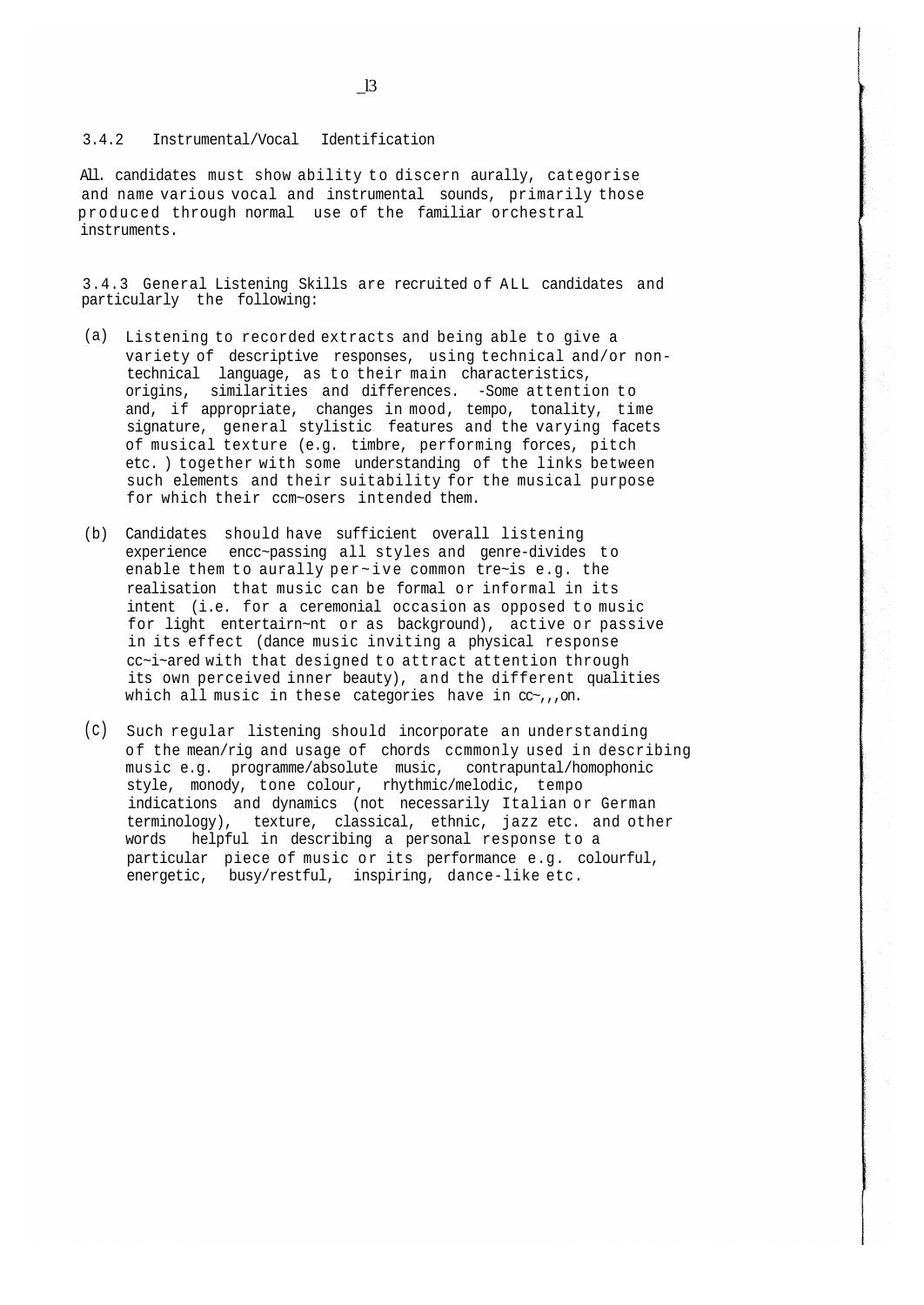#### 3.4.2 Instrumental/Vocal Identification

All. candidates must show ability to discern aurally, categorise and name various vocal and instrumental sounds, primarily those produced through normal use of the familiar orchestral instruments.

3.4.3 General Listening Skills are recruited of ALL candidates and particularly the following:

- (a) Listening to recorded extracts and being able to give a variety of descriptive responses, using technical and/or nontechnical language, as to their main characteristics, origins, similarities and differences. -Some attention to and, if appropriate, changes in mood, tempo, tonality, time signature, general stylistic features and the varying facets of musical texture (e.g. timbre, performing forces, pitch etc. ) together with some understanding of the links between such elements and their suitability for the musical purpose for which their ccm~osers intended them.
- (b) Candidates should have sufficient overall listening experience encc~passing all styles and genre-divides to enable them to aurally per~ive common tre~is e.g. the realisation that music can be formal or informal in its intent (i.e. for a ceremonial occasion as opposed to music for light entertairn~nt or as background), active or passive in its effect (dance music inviting a physical response cc~i~ared with that designed to attract attention through its own perceived inner beauty), and the different qualities which all music in these categories have in  $cc$ ,,,on.
- $(c)$  Such regular listening should incorporate an understanding of the mean/rig and usage of chords commonly used in describing music e.g. programme/absolute music, contrapuntal/homophonic style, monody, tone colour, rhythmic/melodic, tempo indications and dynamics (not necessarily Italian or German terminology), texture, classical, ethnic, jazz etc. and other words helpful in describing a personal response to a particular piece of music or its performance e.g. colourful, energetic, busy/restful, inspiring, dance-like etc.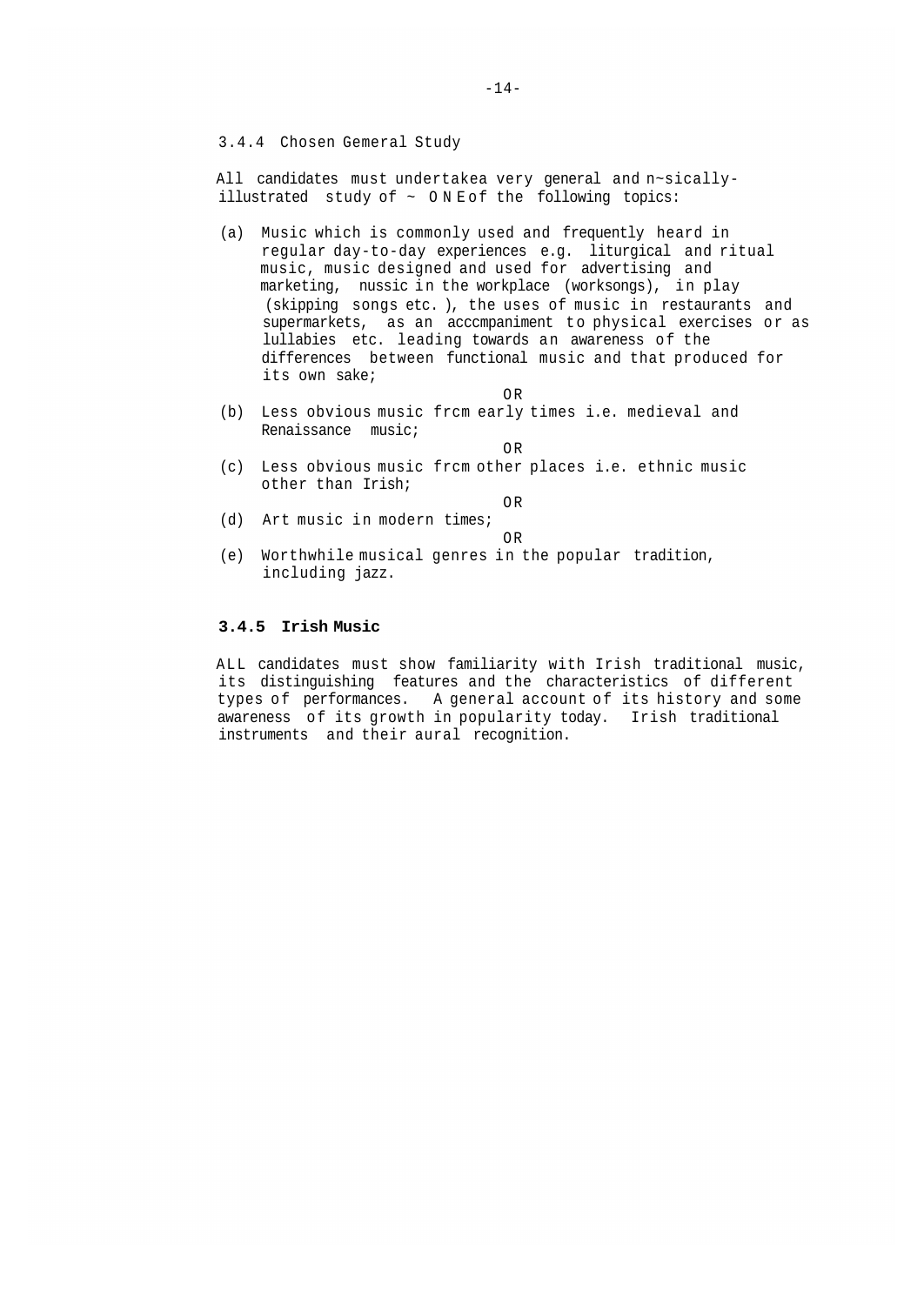3.4.4 Chosen Gemeral Study

All candidates must undertakea very general and n~sicallyillustrated study of  $\sim$  ONE of the following topics:

(a) Music which is commonly used and frequently heard in regular day-to-day experiences e.g. liturgical and ritual music, music designed and used for advertising and marketing, nussic in the workplace (worksongs), in play (skipping songs etc. ), the uses of music in restaurants and supermarkets, as an accompaniment to physical exercises or as lullabies etc. leading towards an awareness of the differences between functional music and that produced for its own sake;

O R

O R

- (b) Less obvious music frcm early times i.e. medieval and Renaissance music;
- (c) Less obvious music frcm other places i.e. ethnic music other than Irish;

O R

O R

- $(d)$  Art music in modern times;
- (e) Worthwhile musical genres in the popular tradition, including jazz.

### **3.4.5 Irish Music**

ALL candidates must show familiarity with Irish traditional music, its distinguishing features and the characteristics of different types of performances. A general account of its history and some awareness of its growth in popularity today. Irish traditional instruments and their aural recognition.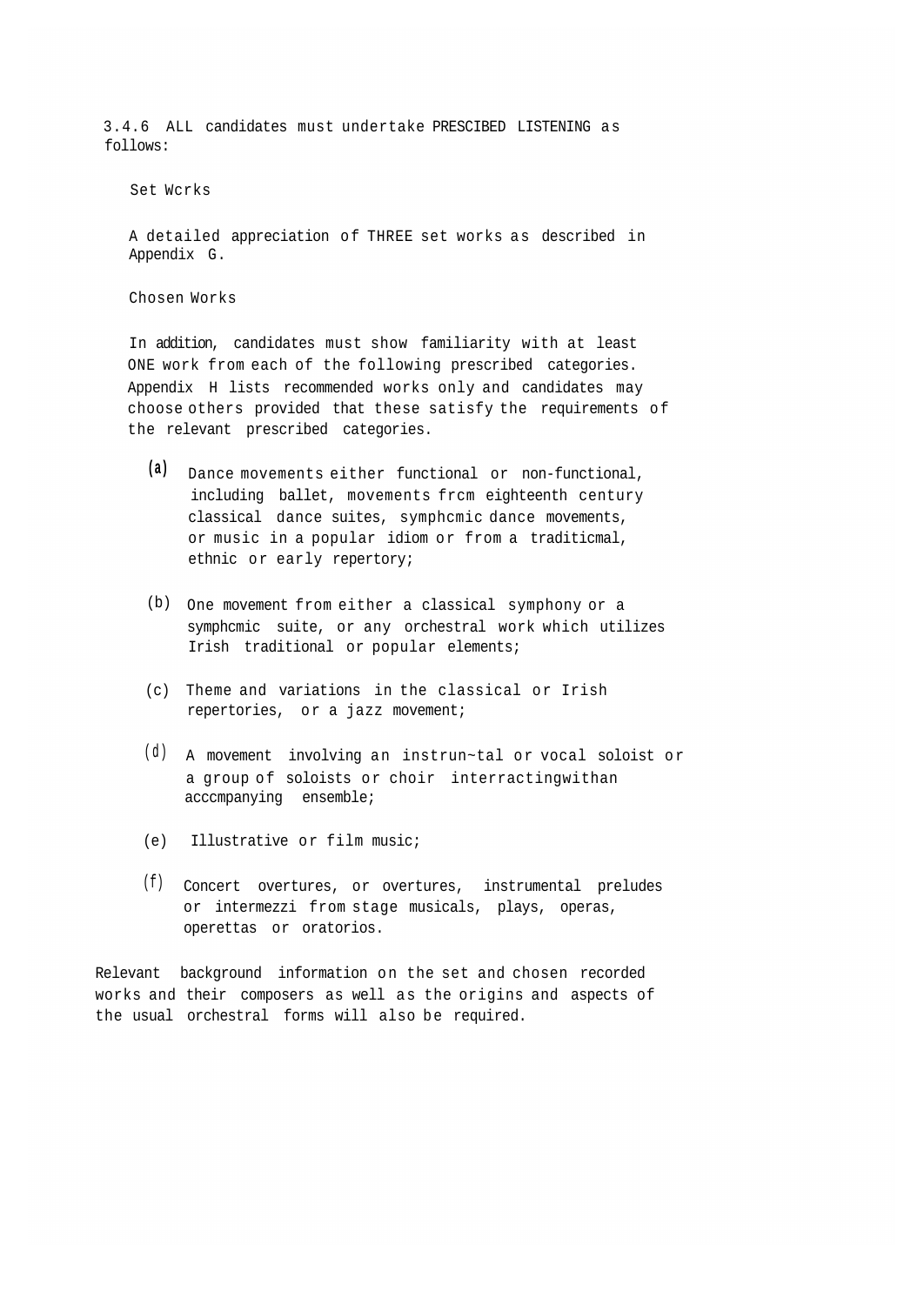3.4.6 ALL candidates must undertake PRESCIBED LISTENING a s follows:

Set Wcrks

A detailed appreciation of THREE set works as described in Appendix G.

Chosen Works

In addition, candidates must show familiarity with at least ONE work from each of the following prescribed categories. Appendix H lists recommended works only and candidates may choose others provided that these satisfy the requirements of the relevant prescribed categories.

- **(a)** Dance movements either functional or non-functional, including ballet, movements frcm eighteenth century classical dance suites, symphcmic dance movements, or music in a popular idiom or from a traditicmal, ethnic or early repertory;
- (b) One movement from either a classical symphony or a symphcmic suite, or any orchestral work which utilizes Irish traditional or popular elements;
- (c) Theme and variations in the classical or Irish repertories, or a jazz movement;
- $(d)$  A movement involving an instrun~tal or vocal soloist or a group of soloists or choir interractingwithan acccmpanying ensemble;
- (e) Illustrative or film music;
- (f) Concert overtures, or overtures, instrumental preludes or intermezzi from stage musicals, plays, operas, operettas or oratorios.

Relevant background information on the set and chosen recorded works and their composers as well as the origins and aspects of the usual orchestral forms will also be required.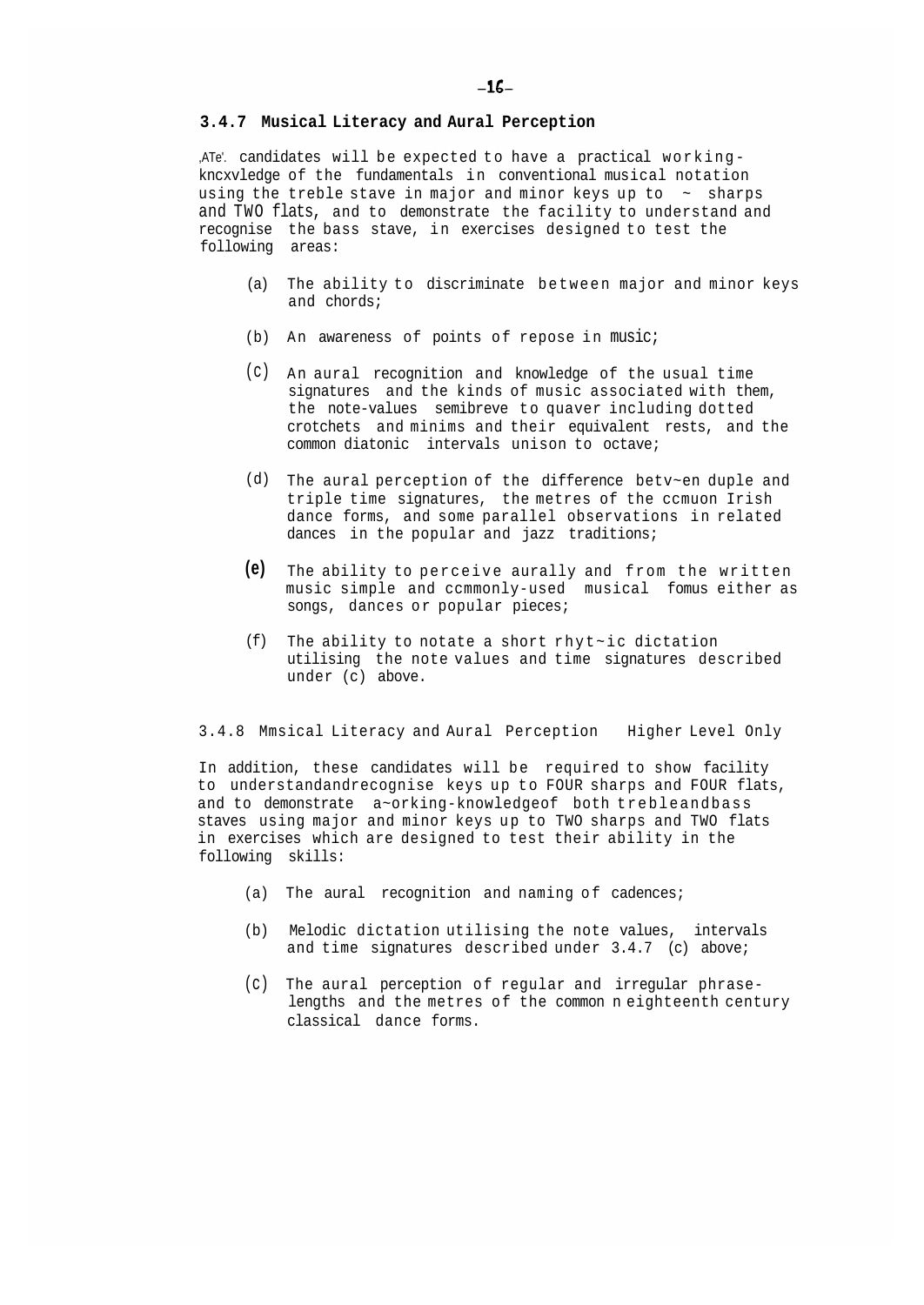#### **3.4.7 Musical Literacy and Aural Perception**

,ATe'. candidates will be expected to have a practical workingkncxvledge of the fundamentals in conventional musical notation using the treble stave in major and minor keys up to  $\sim$  sharps and TWO flats, and to demonstrate the facility to understand and recognise the bass stave, in exercises designed to test the following areas:

- (a) The ability to discriminate between major and minor keys and chords;
- $(b)$  An awareness of points of repose in music;
- $(C)$  An aural recognition and knowledge of the usual time signatures and the kinds of music associated with them, the note-values semibreve to quaver including dotted crotchets and minims and their equivalent rests, and the common diatonic intervals unison to octave;
- (d) The aural perception of the difference betv~en duple and triple time signatures, the metres of the ccmuon Irish dance forms, and some parallel observations in related dances in the popular and jazz traditions;
- **(e)** The ability to perceive aurally and from the written music simple and ccmmonly-used musical fomus either as songs, dances or popular pieces;
- (f) The ability to notate a short rhyt~ic dictation utilising the note values and time signatures described under (c) above.
- 3.4.8 Mmsical Literacy and Aural Perception Higher Level Only

In addition, these candidates will be required to show facility to understandandrecognise keys up to FOUR sharps and FOUR flats, and to demonstrate a~orking-knowledgeof both trebleandbass staves using major and minor keys up to TWO sharps and TWO flats in exercises which are designed to test their ability in the following skills:

- $(a)$  The aural recognition and naming of cadences;
- (b) Melodic dictation utilising the note values, intervals and time signatures described under 3.4.7 (c) above;
- $(c)$  The aural perception of regular and irregular phraselengths and the metres of the common n eighteenth century classical dance forms.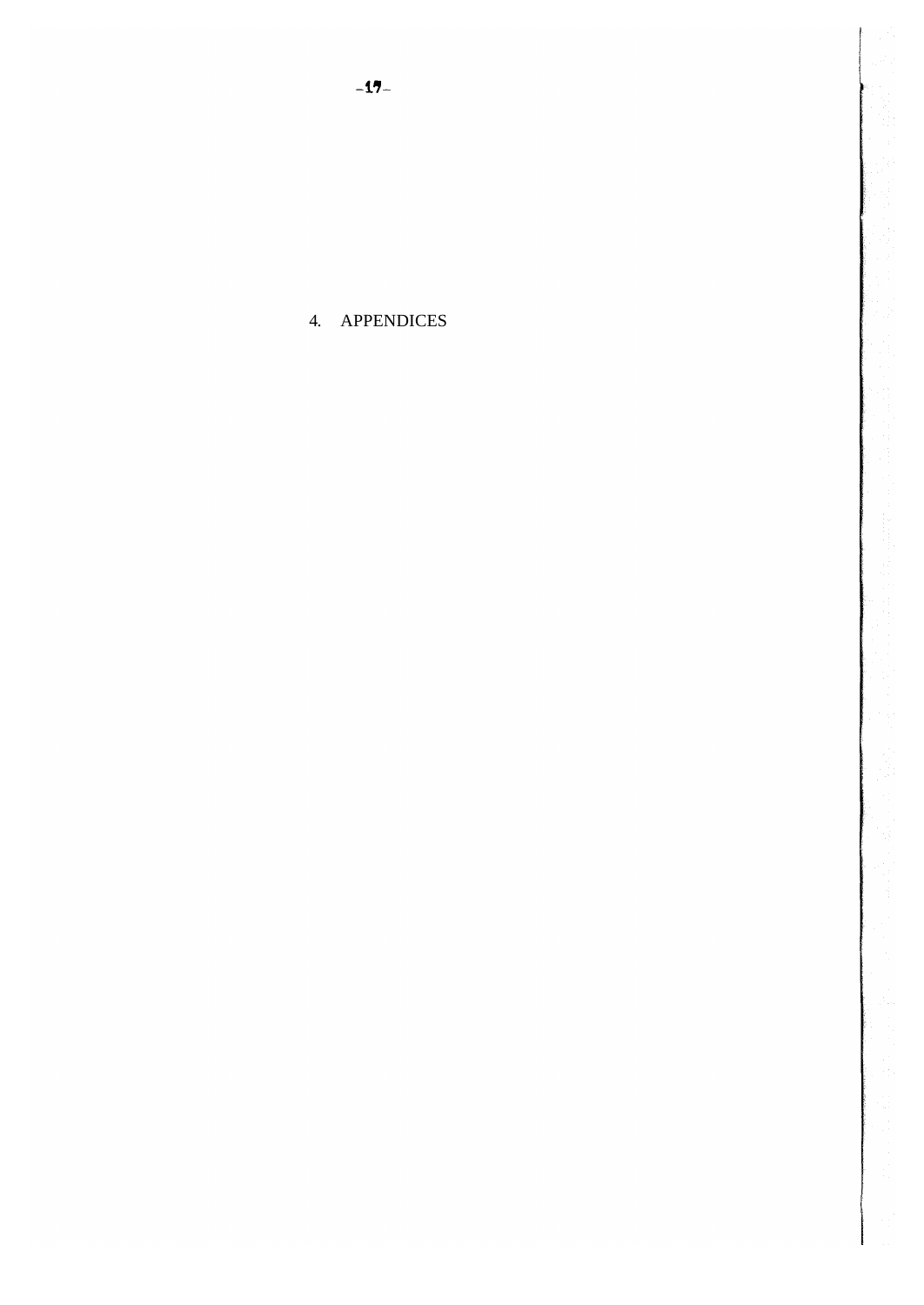4. APPENDICES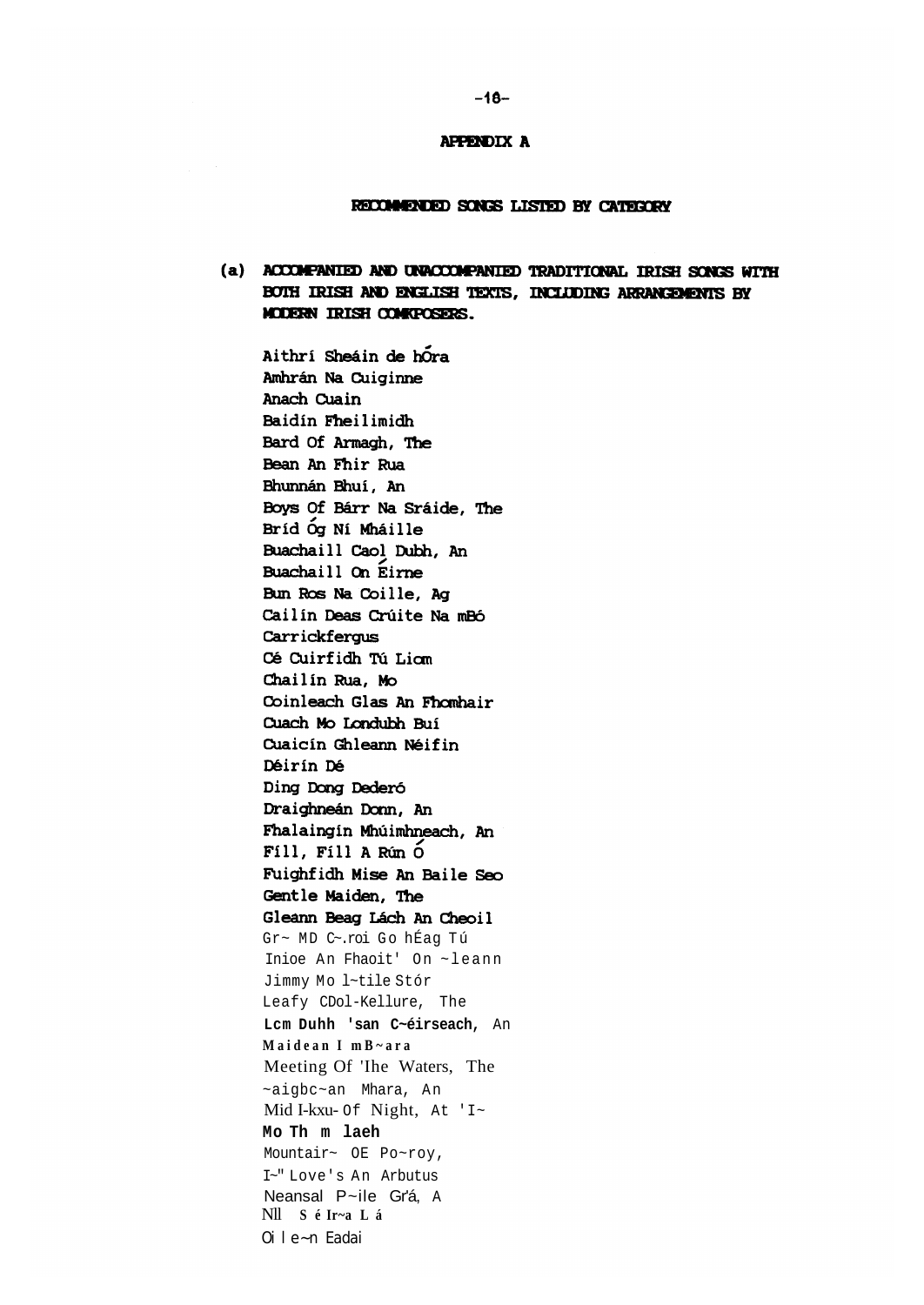#### **APPENDIX A**

### RECOMMENDED SONGS LISTED BY CATEGORY

# (a) ACCOMPANIED AND UNACCOMPANIED TRADITIONAL IRISH SON'S WITH BOTH IRISH AND ENGLISH TEXTS, INCLUDING ARRANGEMENTS BY MODERN IRISH COMKPOSERS.

Aithrí Sheáin de hÓra Amhrán Na Cuiginne Anach Cuain Baidín Fheilimidh Bard Of Armagh, The Bean An Fhir Rua Bhunnán Bhuí, An Boys Of Bárr Na Sráide, The Bríd Óg Ní Mháille Buachaill Caol Dubh, An Buachaill On Eirne Bun Ros Na Coille, Ag Cailín Deas Crúite Na mBó Carrickfergus Cé Cuirfidh Tú Liom Chailín Rua. Mo Coinleach Glas An Fhomhair Cuach Mo Londubh Bui Cuaicín Ghleann Néifin Déirín Dé Ding Dong Dederó Draighneán Donn, An Fhalaingín Mhúimhneach, An Fill, Fill A Rún Ó Fuighfidh Mise An Baile Seo Gentle Maiden, The Gleann Beag Lách An Cheoil Gr~ MD C~.roi Go hÉag Tú Inioe An Fhaoit' On ~leann Jimmy Mo l~tile Stór Leafy CDol-Kellure, The **Lcm Duhh 'san C~éirseach,** An **M a i d e a n I m B ~ a r a** Meeting Of 'Ihe Waters, The ~aigbc~an Mhara, An Mid I-kxu- Of Night, At 'I~ **Mo Th m laeh** Mountair~ OE Po~roy, I~" Love's An Arbutus Neansal P~ile Gr'á, A Nll **S é Ir~a L á** Oile~n Eadai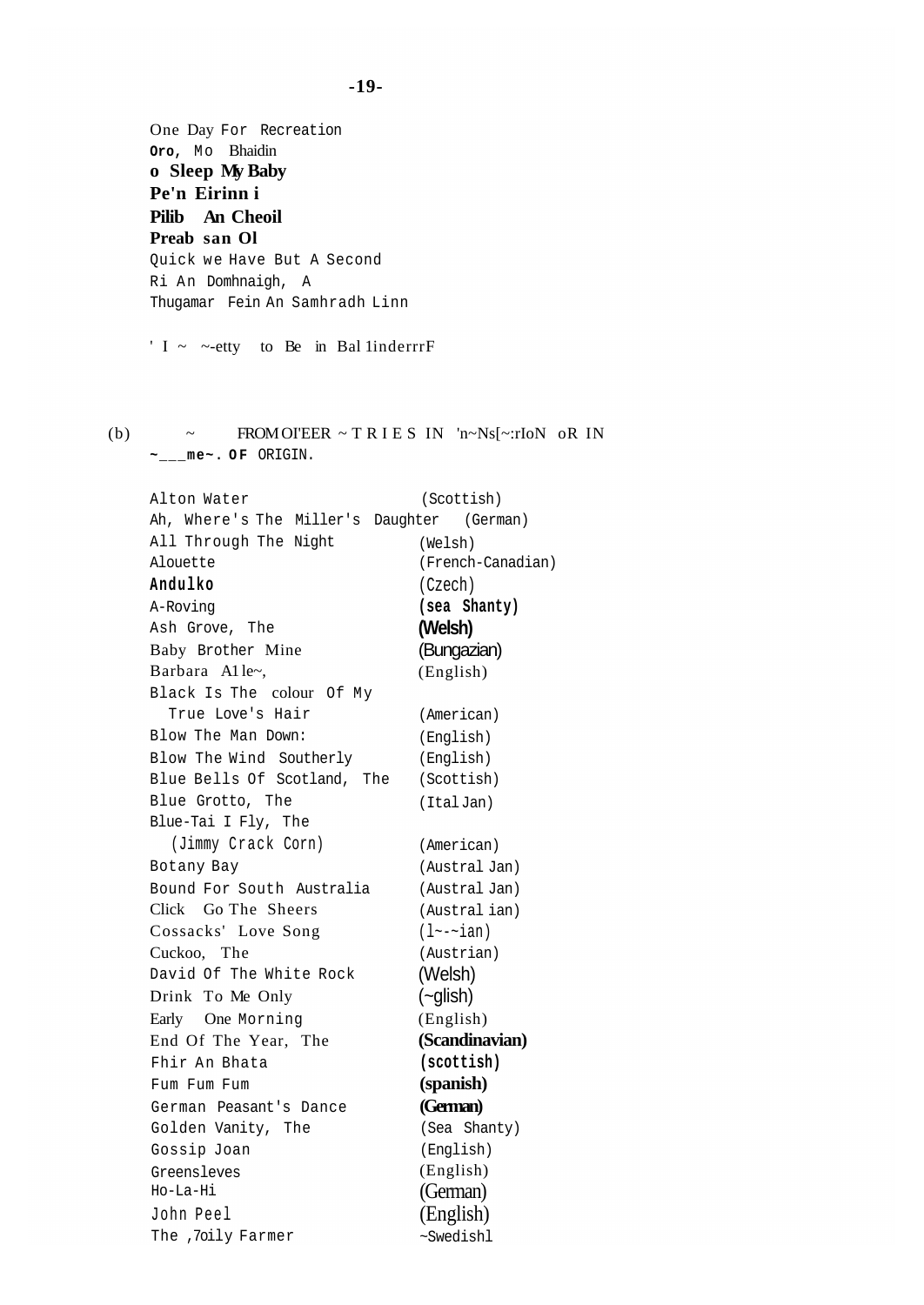One Day For Recreation Oro, Mo Bhaidin **o Sleep My Baby Pe'n Eirinn i Pilib An Cheoil Preab san Ol** Quick we Have But A Second Ri An Domhnaigh, A Thugamar Fein An Samhradh Linn  $' I \sim$  ~-etty to Be in Bal linderrrF (b)  $\sim$  FROMOTEER ~ T R I E S IN 'n~Ns[~:rIoN oR IN **~\_\_\_me~. O F** ORIGIN. Alton Water (Scottish) Ah, Where's The Miller's Daughter (German) All Through The Night Alouette **Andulko** A-Roving Ash Grove, The Baby Brother Mine Barbara A1 le~, Black Is The colour Of My True Love's Hair Blow The Man Down: Blow The Wind Southerly Blue Bells Of Scotland, The Blue Grotto, The Blue-Tai I Fly, The (Jimmy Crack Corn) Botany Bay Bound For South Australia Click Go The Sheers Cossacks' Love Song Cuckoo, The David Of The White Rock Drink To Me Only Early One Morning End Of The Year, The Fhir An Bhata Fum Fum Fum German Peasant's Dance Golden Vanity, The Gossip Joan Greensleves Ho-La-Hi John Peel The ,7oily Farmer (Welsh) (French-Canadian) (Czech) **(sea Shanty) (Welsh)** (Bungazian) (English) (American) (English) (English) (Scottish) (ItalJan) (American) (Austral Jan) (Austral Jan) (Austral ian)  $(l \sim -\sim i$ an) (Austrian) (Welsh) (~glish) (English) **(Scandinavian) (scottish) (spanish) (German)** (Sea Shanty) (English) (English) (German) (English) ~Swedishl

## **-19-**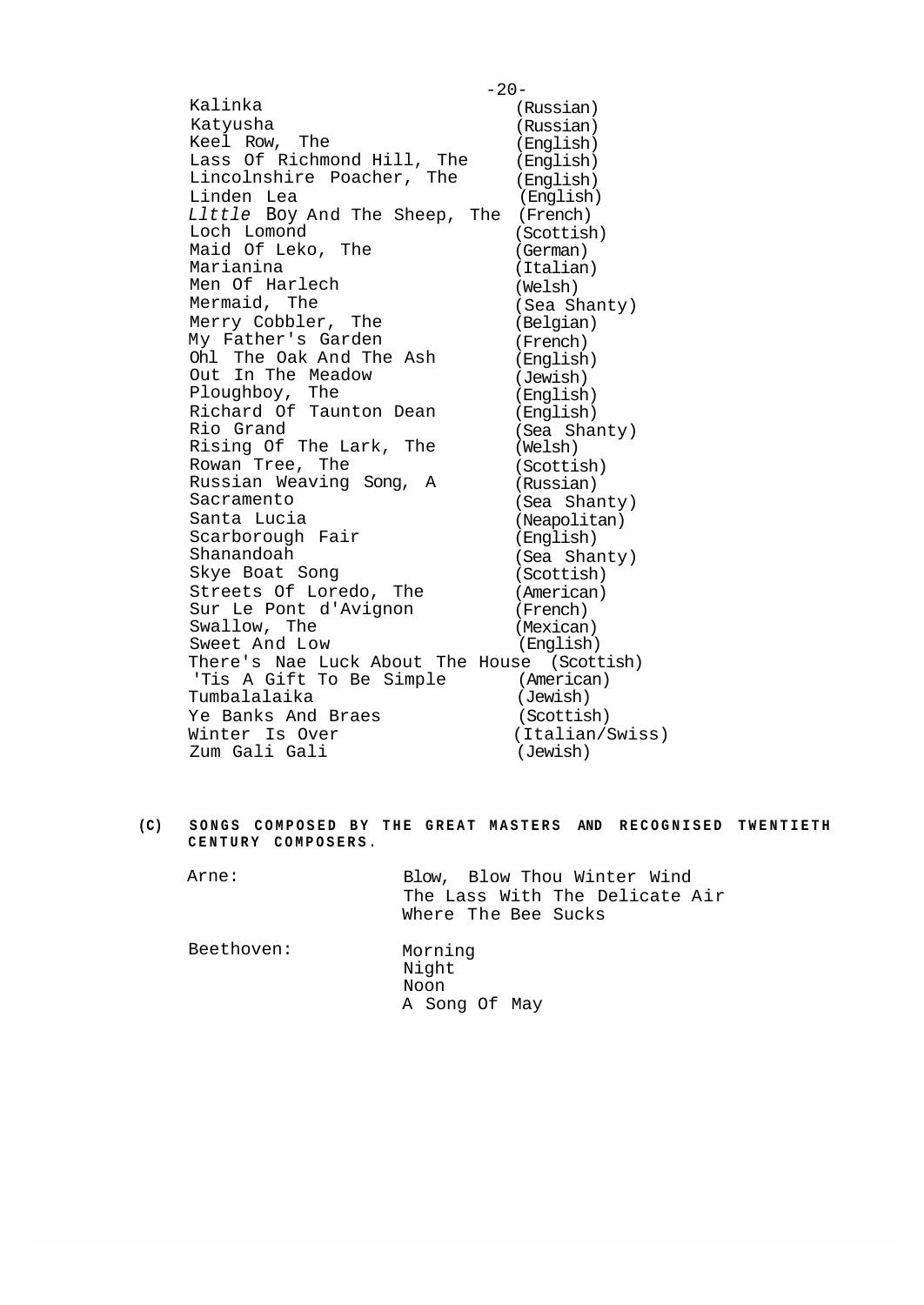Kalinka Katyusha Keel Row, The Lass Of Richmond Hill, The Lincolnshire Poacher, The  $-20-$ (Russian) (Russian) (English) (English) (English)<br>(English) Linden Lea *Llttle* Boy And The Sheep, The (French) Loch Lomond Maid Of Leko, The Marianina Men Of Harlech Mermaid, The Merry Cobbler, The My Father's Garden Ohl The Oak And The Ash Out In The Meadow Ploughboy, The Richard Of Taunton Dean Rio Grand Rising Of The Lark, The Rowan Tree, The Russian Weaving Song, A Sacramento Santa Lucia Scarborough Fair Shanandoah Skye Boat Song Streets Of Loredo, The Sur Le Pont d'Avignon Swallow, The (Scottish) (German) (Italian) (Welsh) (Sea Shanty) (Belgian) (French) (English) (Jewish) (English) (English) (Sea Shanty) (Welsh) (Scottish) (Russian) (Sea Shanty) (Neapolitan) (English) (Sea Shanty) (Scottish) (American) (French) (Mexican)<br>(English) Sweet And Low There's Nae Luck About The House (Scottish) 'Tis A Gift To Be Simple (American)<br>Tumbalalaika (Jewish) Tumbalalaika (Jewish)<br>Ye Banks And Braes (Scottish) Ye Banks And Braes Winter Is Over (Italian/Swiss)<br>Zum Gali Gali (Jewish) Zum Gali Gali

**(C) SONGS COMPOSED B Y THE GREAT MASTERS AND RECOGNISED TWENTIETH CENTURY COMPOSERS.**

Arne: Blow, Blow Thou Winter Wind The Lass With The Delicate Air Where The Bee Sucks Beethoven: Morning Night Noon

A Song Of May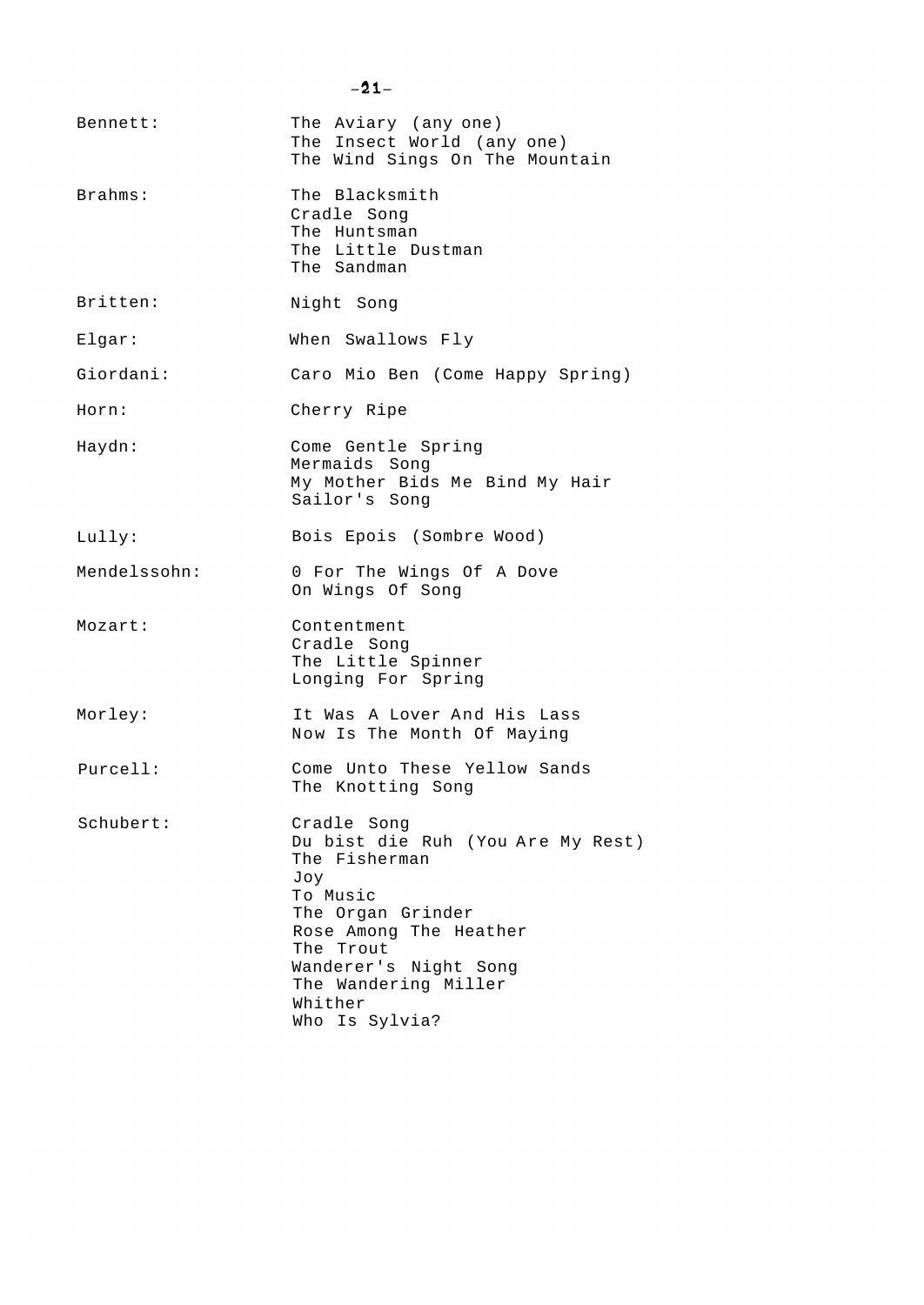| Bennett:     | The Aviary (any one)<br>The Insect World (any one)<br>The Wind Sings On The Mountain                                                                                                                                           |  |  |  |
|--------------|--------------------------------------------------------------------------------------------------------------------------------------------------------------------------------------------------------------------------------|--|--|--|
| $Brahms$ :   | The Blacksmith<br>Cradle Song<br>The Huntsman<br>The Little Dustman<br>The Sandman                                                                                                                                             |  |  |  |
| Britten:     | Night Song                                                                                                                                                                                                                     |  |  |  |
| Elgar:       | When Swallows Fly                                                                                                                                                                                                              |  |  |  |
| Giordani:    | Caro Mio Ben (Come Happy Spring)                                                                                                                                                                                               |  |  |  |
| Horn:        | Cherry Ripe                                                                                                                                                                                                                    |  |  |  |
| Haydn:       | Come Gentle Spring<br>Mermaids Song<br>My Mother Bids Me Bind My Hair<br>Sailor's Song                                                                                                                                         |  |  |  |
| Lully:       | Bois Epois (Sombre Wood)                                                                                                                                                                                                       |  |  |  |
| Mendelssohn: | 0 For The Wings Of A Dove<br>On Wings Of Song                                                                                                                                                                                  |  |  |  |
| Mozart:      | Contentment<br>Cradle Song<br>The Little Spinner<br>Longing For Spring                                                                                                                                                         |  |  |  |
| Morley:      | It Was A Lover And His Lass<br>Now Is The Month Of Maying                                                                                                                                                                      |  |  |  |
| Purcell:     | Come Unto These Yellow Sands<br>The Knotting Song                                                                                                                                                                              |  |  |  |
| Schubert:    | Cradle Song<br>Du bist die Ruh (You Are My Rest)<br>The Fisherman<br>Joy<br>To Music<br>The Organ Grinder<br>Rose Among The Heather<br>The Trout<br>Wanderer's Night Song<br>The Wandering Miller<br>Whither<br>Who Is Sylvia? |  |  |  |

# $-21-$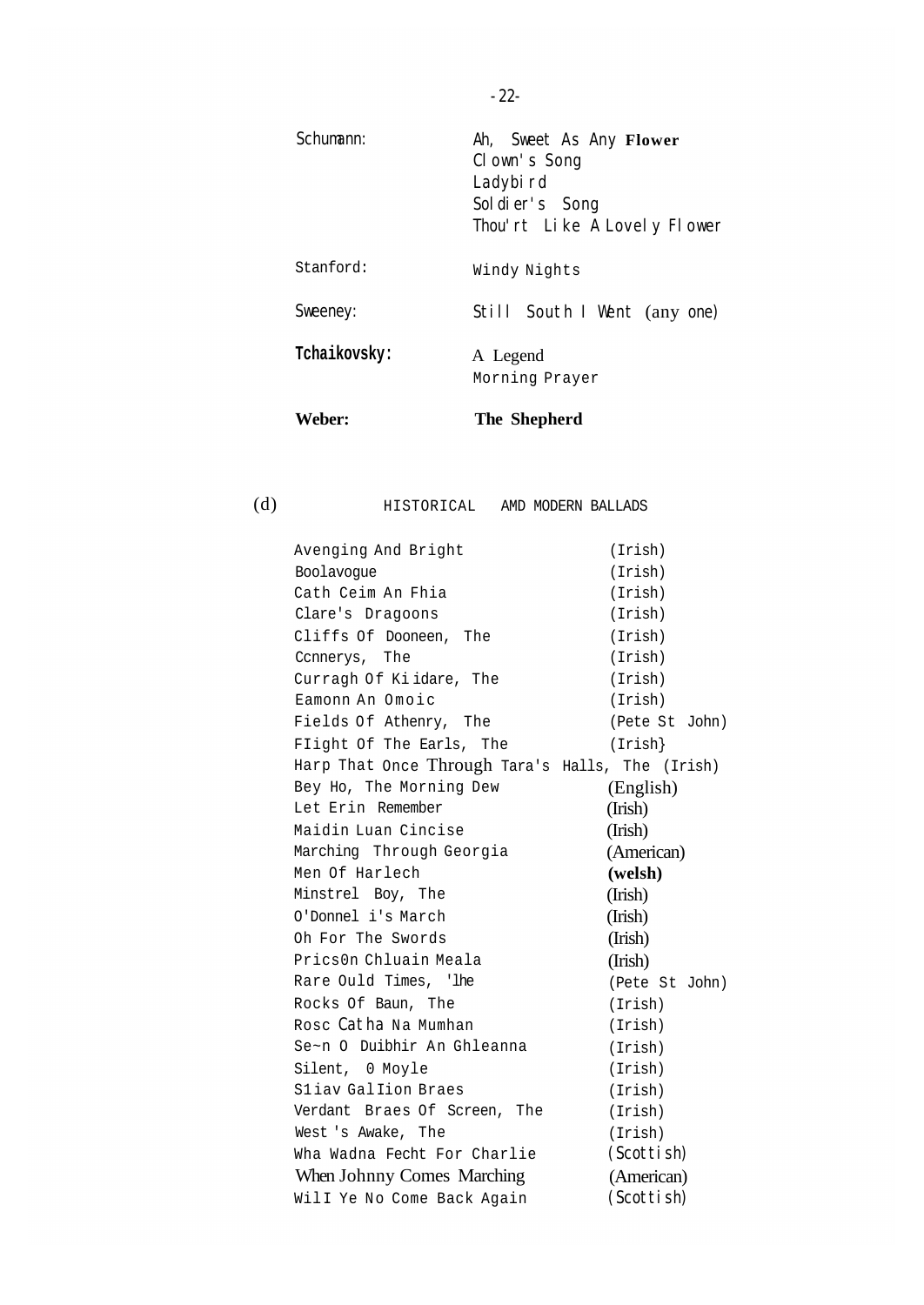| Schumann:    | Ah, Sweet As Any Flower<br>Clown's Song<br>Ladybird<br>Soldier's Song<br>Thou'rt Like A Lovely Flower |
|--------------|-------------------------------------------------------------------------------------------------------|
| Stanford:    | Windy Nights                                                                                          |
| Sweeney:     | Still South I Went (any one)                                                                          |
| Tchaikovsky: | A Legend<br>Morning Prayer                                                                            |
| Weber:       | The Shepherd                                                                                          |

(d) HISTORICAL AMD MODERN BALLADS

| Avenging And Bright                              | (Irish)          |
|--------------------------------------------------|------------------|
| Boolavogue                                       | $(\text{Irish})$ |
| Cath Ceim An Fhia                                | $(\text{Irish})$ |
| Clare's Dragoons                                 | (Irish)          |
| Cliffs Of Dooneen, The                           | $(\text{Irish})$ |
| Connerys, The                                    | (Irish)          |
| Curragh Of Ki idare, The                         | (Irish)          |
| Eamonn An Omoic                                  | (Irish)          |
| Fields Of Athenry, The                           | (Pete St John)   |
| Flight Of The Earls, The                         | $(\text{Irish})$ |
| Harp That Once Through Tara's Halls, The (Irish) |                  |
| Bey Ho, The Morning Dew                          | (English)        |
| Let Erin Remember                                | (Irish)          |
| Maidin Luan Cincise                              | (Irish)          |
| Marching Through Georgia                         | (American)       |
| Men Of Harlech                                   | (welsh)          |
| Minstrel Boy, The                                | (Irish)          |
| O'Donnel i's March                               | (Irish)          |
| Oh For The Swords                                | (Irish)          |
| PricsOn Chluain Meala                            | (Irish)          |
| Rare Ould Times, 'lhe                            | (Pete St John)   |
| Rocks Of Baun, The                               | $(\text{Irish})$ |
| Rosc Catha Na Mumhan                             | (Irish)          |
| Se~n O Duibhir An Ghleanna                       | (Irish)          |
| Silent, 0 Moyle                                  | (Irish)          |
| Sliav Gallion Braes                              | $(\text{Irish})$ |
| Verdant Braes Of Screen, The                     | $(\text{Irish})$ |
| West 's Awake, The                               | $(\text{Irish})$ |
| Wha Wadna Fecht For Charlie                      | (Scottish)       |
| When Johnny Comes Marching                       | (American)       |
| Will Ye No Come Back Again                       | (Scottish)       |

-22-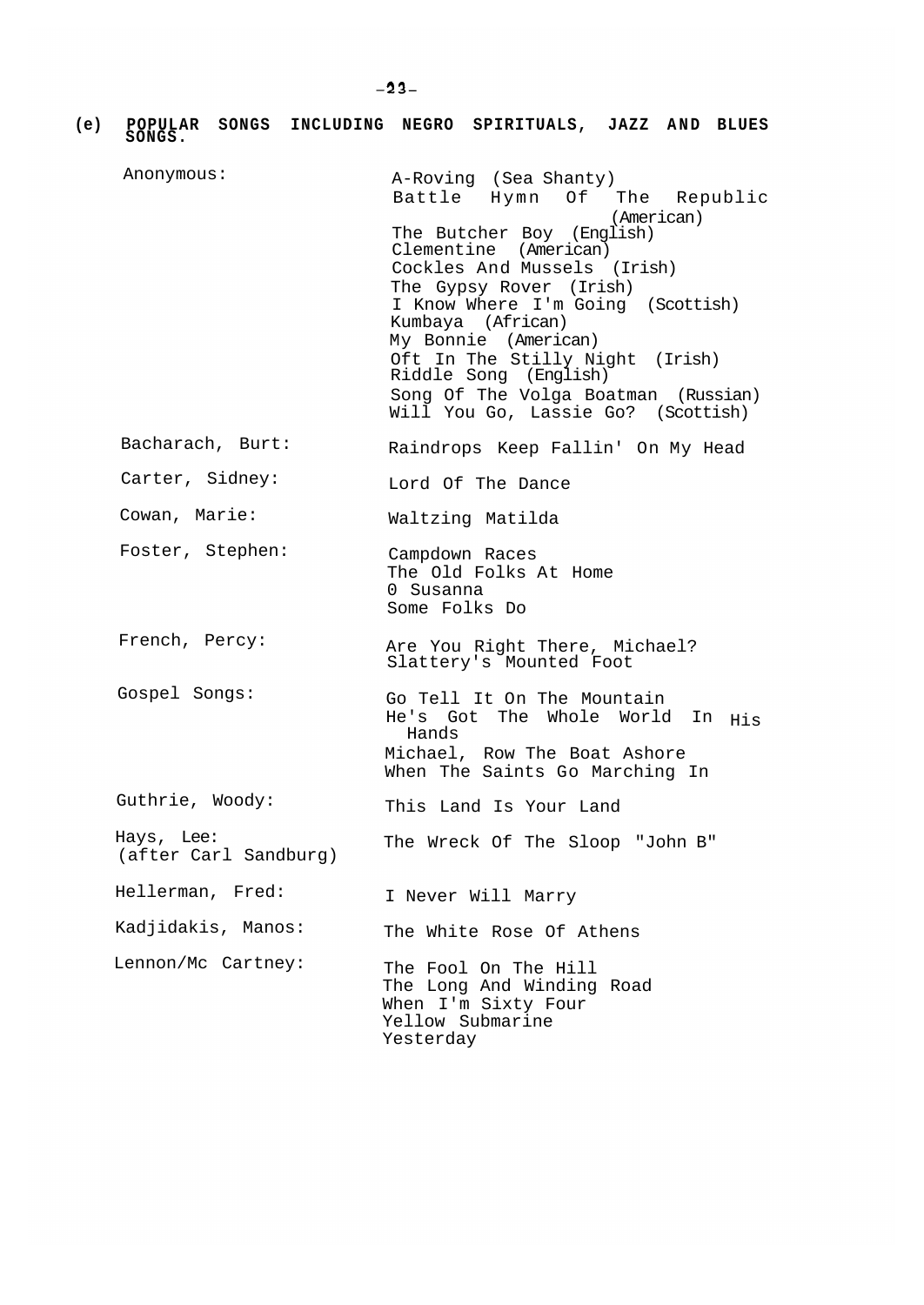| (e) | SONGS.                              | POPULAR SONGS INCLUDING NEGRO SPIRITUALS, JAZZ AND BLUES |                            |                                                                                                                                                                                                                                                                                                                                                                              |            |  |
|-----|-------------------------------------|----------------------------------------------------------|----------------------------|------------------------------------------------------------------------------------------------------------------------------------------------------------------------------------------------------------------------------------------------------------------------------------------------------------------------------------------------------------------------------|------------|--|
|     | Anonymous:                          |                                                          |                            | A-Roving (Sea Shanty)<br>Battle Hymn Of The Republic                                                                                                                                                                                                                                                                                                                         |            |  |
|     | Bacharach, Burt:                    |                                                          |                            | The Butcher Boy (English)<br>Clementine (American)<br>Cockles And Mussels (Irish)<br>The Gypsy Rover (Irish)<br>I Know Where I'm Going (Scottish)<br>Kumbaya (African)<br>My Bonnie (American)<br>Oft In The Stilly Night (Irish)<br>Riddle Song (English)<br>Song Of The Volga Boatman (Russian)<br>Will You Go, Lassie Go? (Scottish)<br>Raindrops Keep Fallin' On My Head | (American) |  |
|     | Carter, Sidney:                     |                                                          |                            | Lord Of The Dance                                                                                                                                                                                                                                                                                                                                                            |            |  |
|     | Cowan, Marie:                       |                                                          |                            | Waltzing Matilda                                                                                                                                                                                                                                                                                                                                                             |            |  |
|     | Foster, Stephen:                    |                                                          | 0 Susanna<br>Some Folks Do | Campdown Races<br>The Old Folks At Home                                                                                                                                                                                                                                                                                                                                      |            |  |
|     | French, Percy:                      |                                                          |                            | Are You Right There, Michael?<br>Slattery's Mounted Foot                                                                                                                                                                                                                                                                                                                     |            |  |
|     | Gospel Songs:                       |                                                          | Hands                      | Go Tell It On The Mountain<br>He's Got The Whole World In His<br>Michael, Row The Boat Ashore<br>When The Saints Go Marching In                                                                                                                                                                                                                                              |            |  |
|     | Guthrie, Woody:                     |                                                          |                            | This Land Is Your Land                                                                                                                                                                                                                                                                                                                                                       |            |  |
|     | Hays, Lee:<br>(after Carl Sandburg) |                                                          |                            | The Wreck Of The Sloop "John B"                                                                                                                                                                                                                                                                                                                                              |            |  |
|     | Hellerman, Fred:                    |                                                          |                            | I Never Will Marry                                                                                                                                                                                                                                                                                                                                                           |            |  |
|     | Kadjidakis, Manos:                  |                                                          |                            | The White Rose Of Athens                                                                                                                                                                                                                                                                                                                                                     |            |  |
|     | Lennon/Mc Cartney:                  |                                                          | Yesterday                  | The Fool On The Hill<br>The Long And Winding Road<br>When I'm Sixty Four<br>Yellow Submarine                                                                                                                                                                                                                                                                                 |            |  |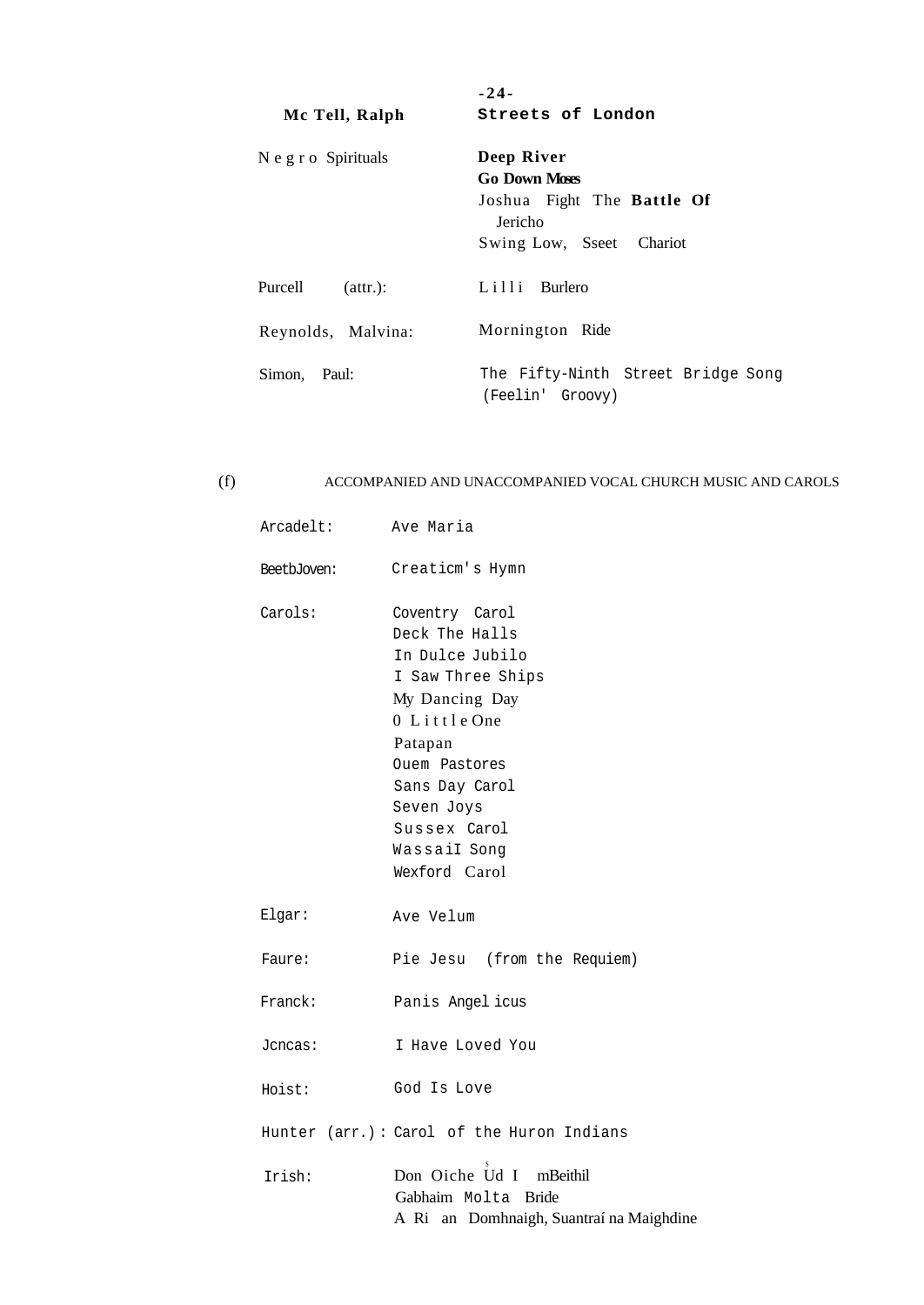| Mc Tell, Ralph      | $-24-$<br>Streets of London                                                                            |
|---------------------|--------------------------------------------------------------------------------------------------------|
| Negro Spirituals    | Deep River<br><b>Go Down Moss</b><br>Joshua Fight The Battle Of<br>Jericho<br>Swing Low, Sseet Chariot |
| Purcell<br>(attr.): | $Li11i$ Burlero                                                                                        |
| Reynolds, Malvina:  | Mornington Ride                                                                                        |
| Simon, Paul:        | The Fifty-Ninth Street Bridge Song<br>(Feelin' Groovy)                                                 |

# (f) ACCOMPANIED AND UNACCOMPANIED VOCAL CHURCH MUSIC AND CAROLS

| Arcadelt:   | Ave Maria                                                                                                                                                                                                               |
|-------------|-------------------------------------------------------------------------------------------------------------------------------------------------------------------------------------------------------------------------|
| BeetbJoven: | Creaticm's Hymn                                                                                                                                                                                                         |
| Carols:     | Coventry Carol<br>Deck The Halls<br>In Dulce Jubilo<br>I Saw Three Ships<br>My Dancing Day<br>0 Little One<br>Patapan<br>Ouem Pastores<br>Sans Day Carol<br>Seven Joys<br>Sussex Carol<br>WassaiI Song<br>Wexford Carol |
| Elgar:      | Ave Velum                                                                                                                                                                                                               |
| Faure:      | Pie Jesu (from the Requiem)                                                                                                                                                                                             |
| Franck:     | Panis Angel icus                                                                                                                                                                                                        |
| Jcncas:     | I Have Loved You                                                                                                                                                                                                        |
| Hoist:      | God Is Love                                                                                                                                                                                                             |
|             | Hunter (arr.): Carol of the Huron Indians                                                                                                                                                                               |
| Irish:      | Don Oiche Ud I mBeithil<br>Gabhaim Molta Bride<br>A Ri an Domhnaigh, Suantraí na Maighdine                                                                                                                              |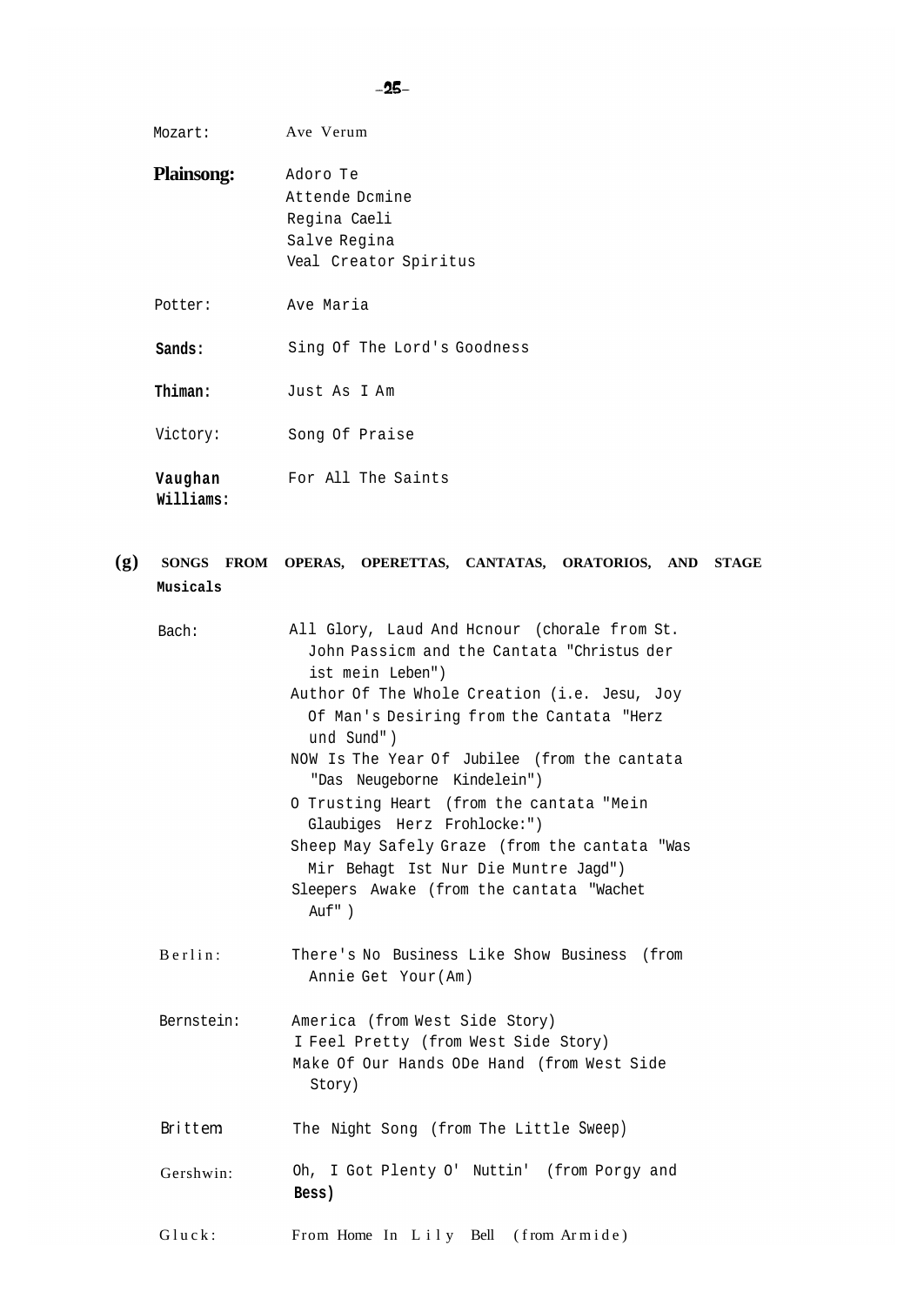$-25-$ 

Mozart: Ave Verum

| <b>Plainsong:</b> | Adoro Te              |
|-------------------|-----------------------|
|                   | Attende Domine        |
|                   | Regina Caeli          |
|                   | Salve Regina          |
|                   | Veal Creator Spiritus |
|                   |                       |
| Potter:           | Ave Maria             |

**Sands:** Sing Of The Lord's Goodness

**Thiman:** Just As I Am

Victory: Song Of Praise

**Vaughan** For All The Saints

**Williams:**

- **(g) SONGS FROM OPERAS, OPERETTAS, CANTATAS, ORATORIOS, AND STAGE Musicals**
	- Bach: All Glory, Laud And Hcnour (chorale from St. John Passicm and the Cantata "Christus der ist mein Leben") Author Of The Whole Creation (i.e. Jesu, Joy Of Man's Desiring from the Cantata "Herz und Sund" ) NOW Is The Year Of Jubilee (from the cantata "Das Neugeborne Kindelein") O Trusting Heart (from the cantata "Mein Glaubiges Herz Frohlocke:") Sheep May Safely Graze (from the cantata "Was Mir Behagt Ist Nur Die Muntre Jagd") Sleepers Awake (from the cantata "Wachet Auf" ) B erlin: There's No Business Like Show Business (from Annie Get Your(Am) Bernstein: America (from West Side Story) I Feel Pretty (from West Side Story) Make Of Our Hands ODe Hand (from West Side Story) Brittem: The Night Song (from The Little Sweep) Gershwin: Oh, I Got Plenty O' Nuttin' (from Porgy and **Bess)**
	- Gluck: From Home In Lily Bell (from Armide)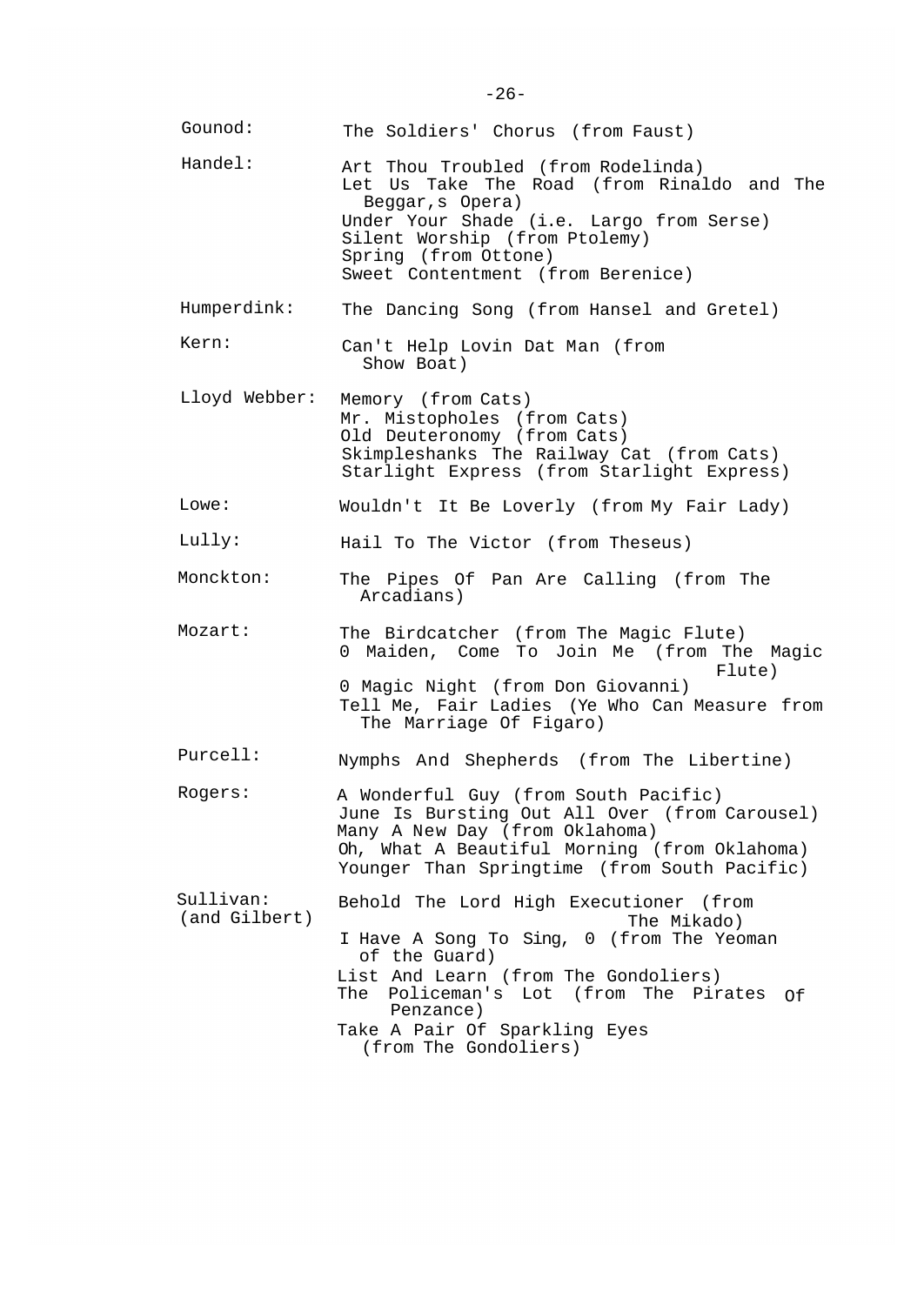Gounod: The Soldiers' Chorus (from Faust)

- Handel: Art Thou Troubled (from Rodelinda) Let Us Take The Road (from Rinaldo and The Beggar,s Opera) Under Your Shade (i.e. Largo from Serse) Silent Worship (from Ptolemy) Spring (from Ottone) Sweet Contentment (from Berenice)
- Humperdink: The Dancing Song (from Hansel and Gretel)

```
Kern:
   Can't Help Lovin Dat Man (from
     Show Boat)
```
Lloyd Webber: Memory (from Cats) Mr. Mistopholes (from Cats) Old Deuteronomy (from Cats) Skimpleshanks The Railway Cat (from Cats) Starlight Express (from Starlight Express)

Lowe: Wouldn't It Be Loverly (from My Fair Lady)

Lully: Hail To The Victor (from Theseus)

- Monckton: The Pipes Of Pan Are Calling (from The Arcadians)
- Mozart: The Birdcatcher (from The Magic Flute) 0 Maiden, Come To Join Me (from The Magic Flute) 0 Magic Night (from Don Giovanni) Tell Me, Fair Ladies (Ye Who Can Measure from The Marriage Of Figaro)
- Purcell: Nymphs And Shepherds (from The Libertine)
- Rogers: Sullivan: (and Gilbert) A Wonderful Guy (from South Pacific) June Is Bursting Out All Over (from Carousel) Many A New Day (from Oklahoma) Oh, What A Beautiful Morning (from Oklahoma) Younger Than Springtime (from South Pacific) Behold The Lord High Executioner (from The Mikado)
	- I Have A Song To Sing, 0 (from The Yeoman of the Guard) List And Learn (from The Gondoliers) The Policeman's Lot (from The Pirates OfPenzance) Take A Pair Of Sparkling Eyes
		- (from The Gondoliers)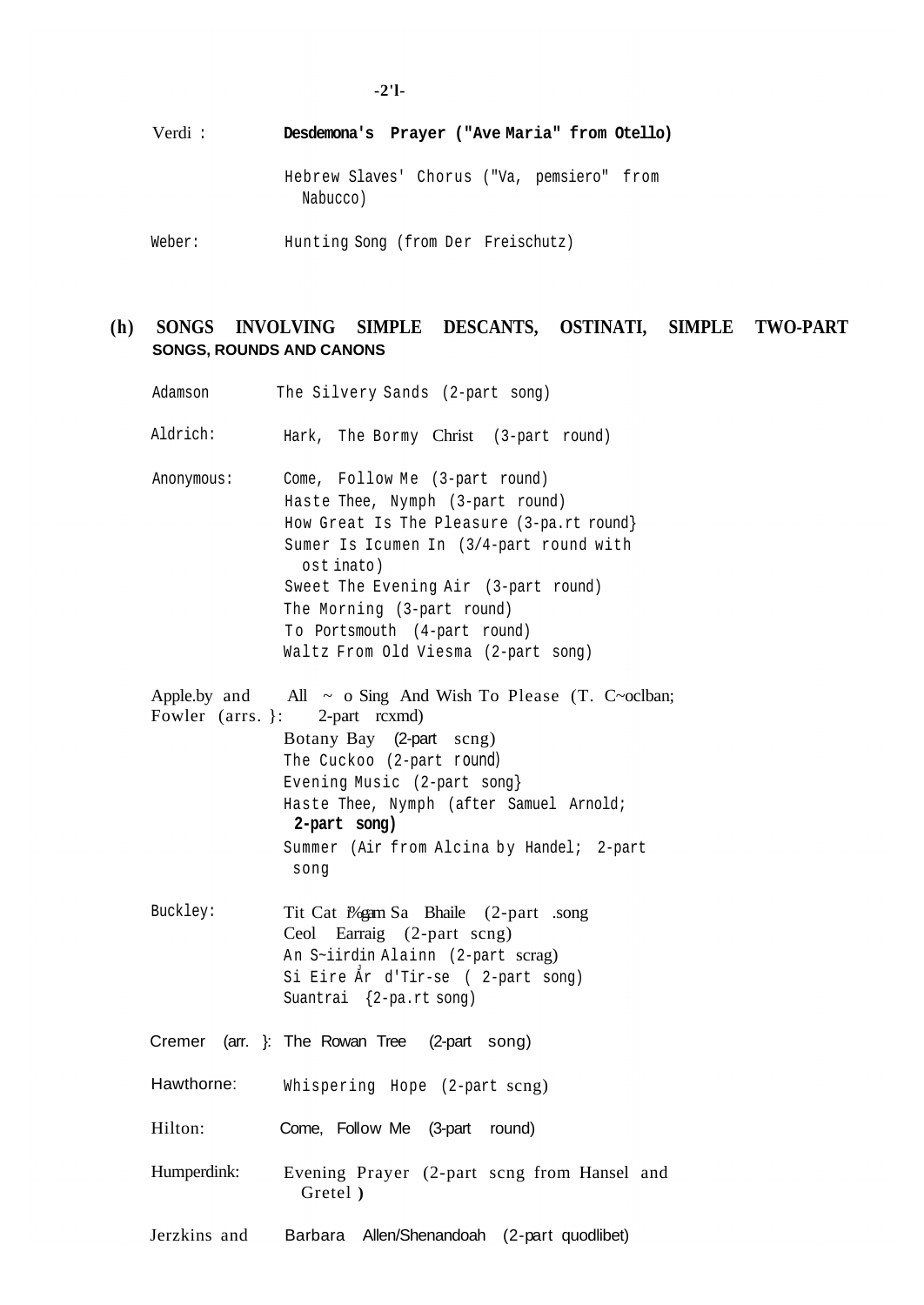Verdi : Weber: **Desdemona's Prayer ("Ave Maria" from Otello)** Hebrew Slaves' Chorus ("Va, pemsiero" from Nabucco) Hunting Song (from Der Freischutz)

# **(h) SONGS INVOLVING SIMPLE DESCANTS, OSTINATI, SIMPLE TWO-PART SONGS, ROUNDS AND CANONS**

Adamson The Silvery Sands (2-part song)

Aldrich: Hark, The Bormy Christ (3-part round)

Anonymous: Come, Follow Me (3-part round) Haste Thee, Nymph (3-part round) How Great Is The Pleasure (3-pa.rt round} Sumer Is Icumen In (3/4-part round with ost inato ) Sweet The Evening Air (3-part round) The Morning (3-part round) To Portsmouth (4-part round) Waltz From Old Viesma (2-part song)

Apple.by and All  $\sim$  o Sing And Wish To Please (T. C $\sim$ oclban; Fowler (arrs. }: 2-part rcxmd) Botany Bay (2-part scng) The Cuckoo (2-part round) Evening Music (2-part song} Haste Thee, Nymph (after Samuel Arnold; **2-part song)** Summer (Air from Alcina by Handel; 2-part song

Buckley: Tit Cat i%gam Sa Bhaile (2-part .song Ceol Earraig (2-part scng) An S~iirdin Alainn (2-part scrag) Si Eire Ar d'Tir-se ( 2-part song) Suantrai {2-pa.rt song)

Cremer (arr. }: The Rowan Tree (2-part song)

Hawthorne: Whispering Hope (2-part scng)

Hilton: Come, Follow Me (3-part round)

- Humperdink: Evening Prayer (2-part scng from Hansel and Gretel **)**
- Jerzkins and Barbara Allen/Shenandoah (2-part quodlibet)

**-2'l-**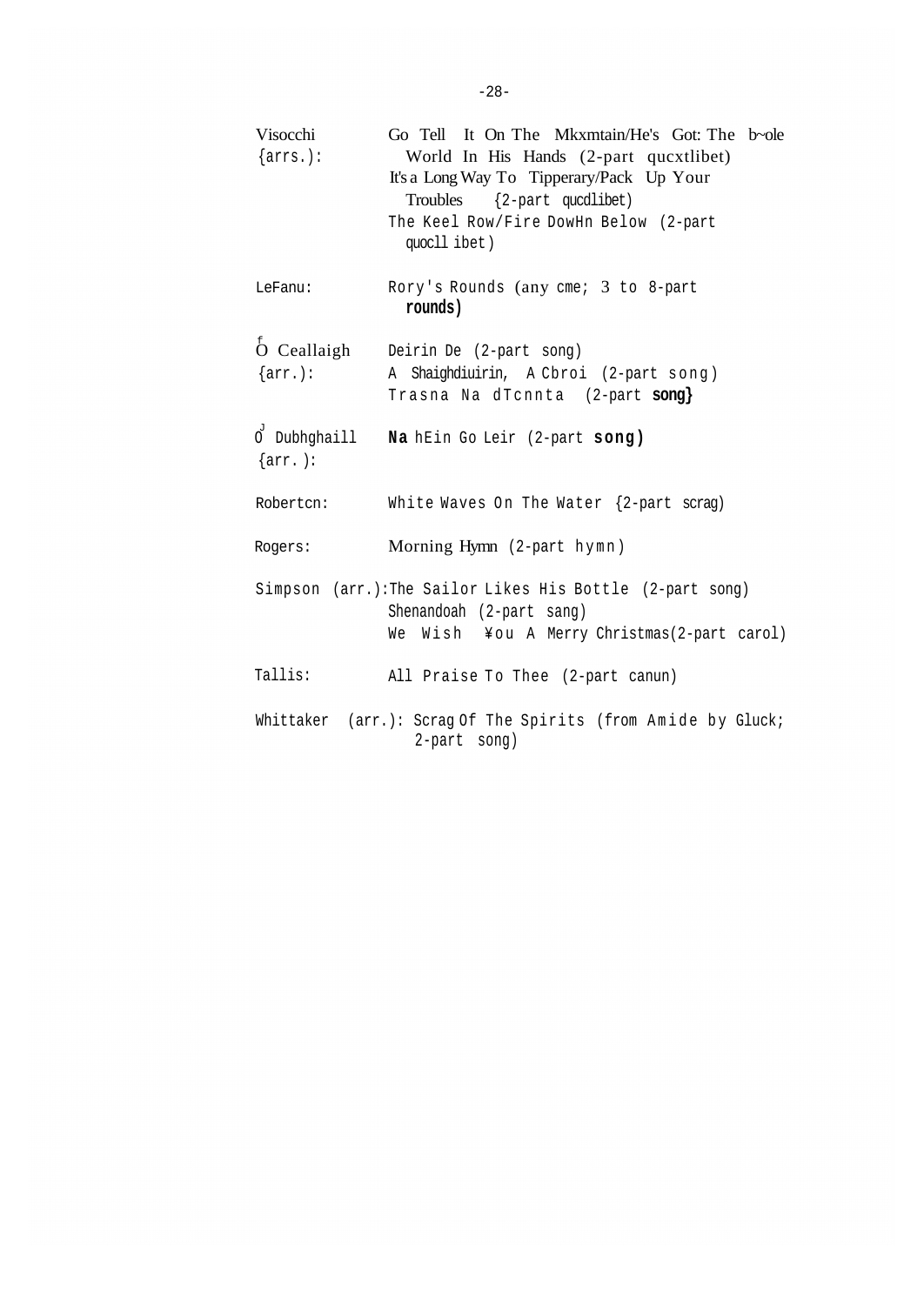| Visocchi<br>$\{arrs.$ ):                                          | Go Tell It On The Mkxmtain/He's Got: The b~ole<br>World In His Hands (2-part quextlibet)<br>It's a Long Way To Tipperary/Pack Up Your<br>Troubles {2-part quodlibet}<br>The Keel Row/Fire DowHn Below (2-part<br>quocll ibet) |
|-------------------------------------------------------------------|-------------------------------------------------------------------------------------------------------------------------------------------------------------------------------------------------------------------------------|
| LeFanu:                                                           | Rory's Rounds (any cme; 3 to 8-part<br>rounds)                                                                                                                                                                                |
| O Ceallaigh<br>$\{arr.$ ):                                        | Deirin De (2-part song)<br>A Shaighdiuirin, A Cbroi (2-part song)<br>Trasna Na dTcnnta (2-part song)                                                                                                                          |
| $\stackrel{\text{\rm J}}{\text{\rm O}}$ Dubhghaill<br>$\{arr.$ ): | Na hEin Go Leir (2-part song)                                                                                                                                                                                                 |
| Robertcn:                                                         | White Waves On The Water {2-part scrag)                                                                                                                                                                                       |
| Rogers:                                                           | Morning Hymn (2-part hymn)                                                                                                                                                                                                    |
|                                                                   | Simpson (arr.): The Sailor Likes His Bottle (2-part song)<br>Shenandoah (2-part sang)<br>We Wish You A Merry Christmas (2-part carol)                                                                                         |
| Tallis:                                                           | All Praise To Thee (2-part canun)                                                                                                                                                                                             |
|                                                                   | Whittaker (arr.): Scrag Of The Spirits (from Amide by Gluck;<br>2-part song)                                                                                                                                                  |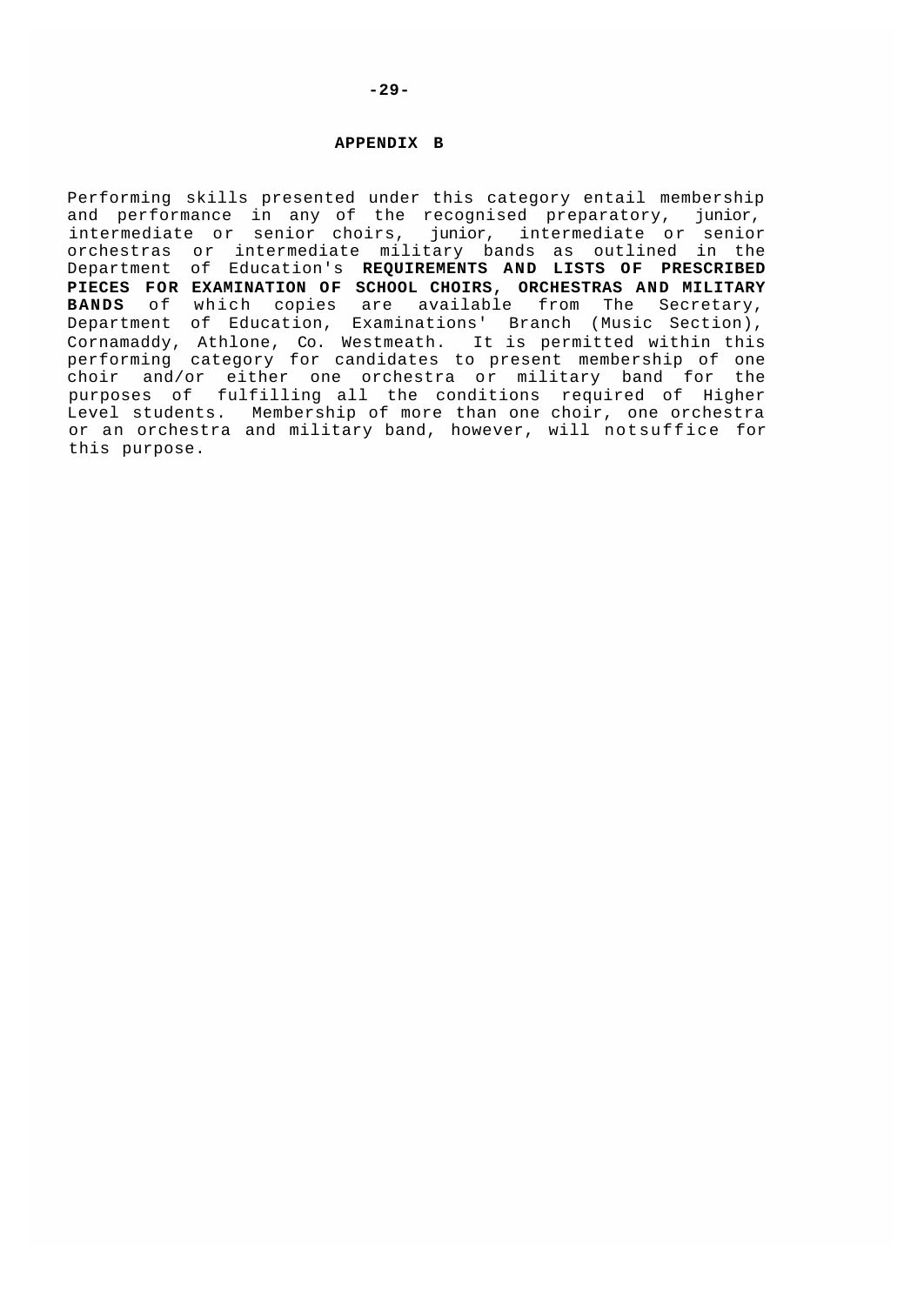#### **APPENDIX B**

Performing skills presented under this category entail membership and performance in any of the recognised preparatory, junior, intermediate or senior choirs, junior, intermediate or senior orchestras or intermediate military bands as outlined in the Department of Education's **REQUIREMENTS AND LISTS OF PRESCRIBED PIECES FOR EXAMINATION OF SCHOOL CHOIRS, ORCHESTRAS AND MILITARY BANDS** of which copies are available from The Secretary, Department of Education, Examinations' Branch (Music Section), Cornamaddy, Athlone, Co. Westmeath. It is permitted within this performing category for candidates to present membership of one choir and/or either one orchestra or military band for the purposes of fulfilling all the conditions required of Higher Level students. Membership of more than one choir, one orchestra or an orchestra and military band, however, will notsuffice for this purpose.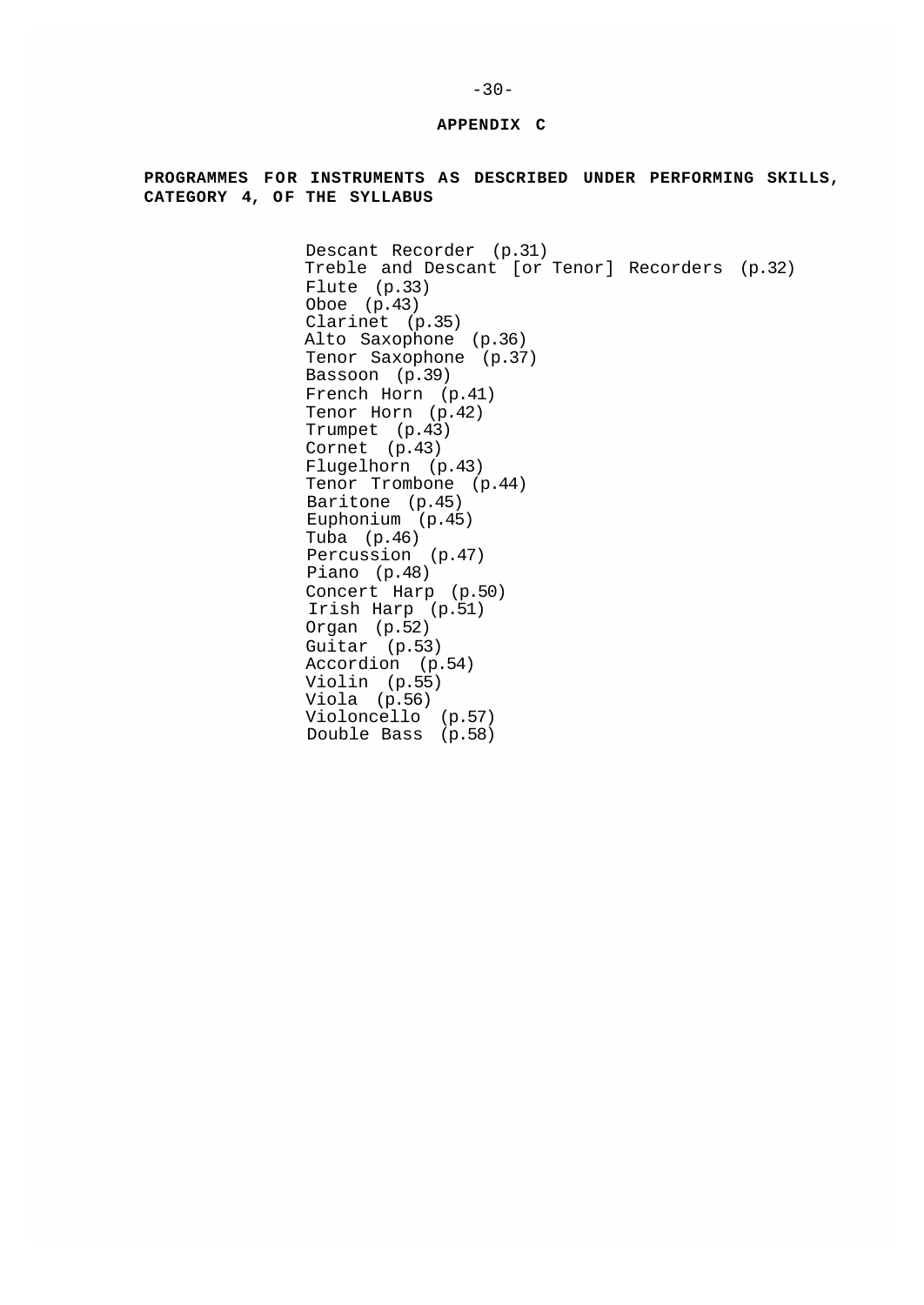#### **APPENDIX C**

**PROGRAMMES FOR INSTRUMENTS AS DESCRIBED UNDER PERFORMING SKILLS, CATEGORY 4, OF THE SYLLABUS**

> Descant Recorder (p.31) Treble and Descant [or Tenor] Recorders (p.32) Flute (p.33) Oboe (p.43) Clarinet (p.35) Alto Saxophone (p.36) Tenor Saxophone (p.37) Bassoon (p.39) French Horn (p.41) Tenor Horn (p.42) Trumpet (p.43) Cornet (p.43) Flugelhorn (p.43) Tenor Trombone (p.44) Baritone (p.45) Euphonium (p.45) Tuba (p.46) Percussion (p.47) Piano (p.48) Concert Harp (p.50) Irish Harp (p.51) Organ (p.52) Guitar (p.53) Accordion (p.54) Violin (p.55) Viola (p.56) Violoncello (p.57) Double Bass (p.58)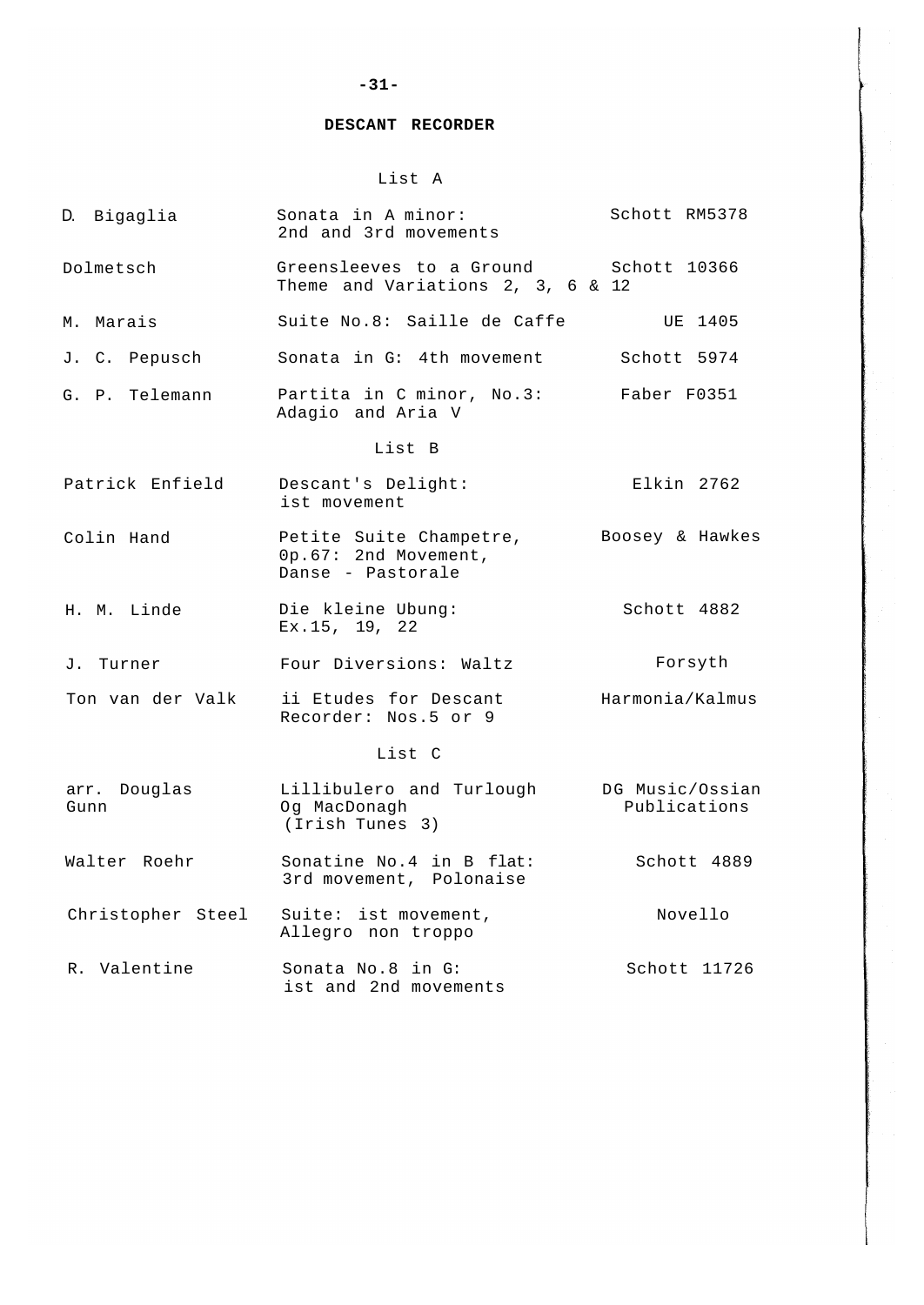# **-31-**

# **DESCANT RECORDER**

| D. Bigaglia          | Sonata in A minor:<br>2nd and 3rd movements                          | Schott RM5378                   |
|----------------------|----------------------------------------------------------------------|---------------------------------|
| Dolmetsch            | Greensleeves to a Ground<br>Theme and Variations 2, 3, 6 & 12        | Schott 10366                    |
| M. Marais            | Suite No.8: Saille de Caffe                                          | UE 1405                         |
| J. C. Pepusch        | Sonata in G: 4th movement                                            | Schott 5974                     |
| G. P. Telemann       | Partita in C minor, No.3:<br>Adagio and Aria V                       | Faber F0351                     |
|                      | List B                                                               |                                 |
| Patrick Enfield      | Descant's Delight:<br>ist movement                                   | Elkin 2762                      |
| Colin Hand           | Petite Suite Champetre,<br>0p.67: 2nd Movement,<br>Danse - Pastorale | Boosey & Hawkes                 |
| H. M. Linde          | Die kleine Ubung:<br>Ex.15, 19, 22                                   | Schott 4882                     |
| J. Turner            | Four Diversions: Waltz                                               | Forsyth                         |
| Ton van der Valk     | ii Etudes for Descant<br>Recorder: Nos.5 or 9                        | Harmonia/Kalmus                 |
|                      | List C                                                               |                                 |
| arr. Douglas<br>Gunn | Lillibulero and Turlough<br>Og MacDonagh<br>(Irish Tunes 3)          | DG Music/Ossian<br>Publications |
| Walter Roehr         | Sonatine No.4 in B flat:<br>3rd movement, Polonaise                  | Schott 4889                     |
| Christopher Steel    | Suite: ist movement,<br>Allegro non troppo                           | Novello                         |
| R. Valentine         | Sonata No.8 in G:<br>ist and 2nd movements                           | Schott 11726                    |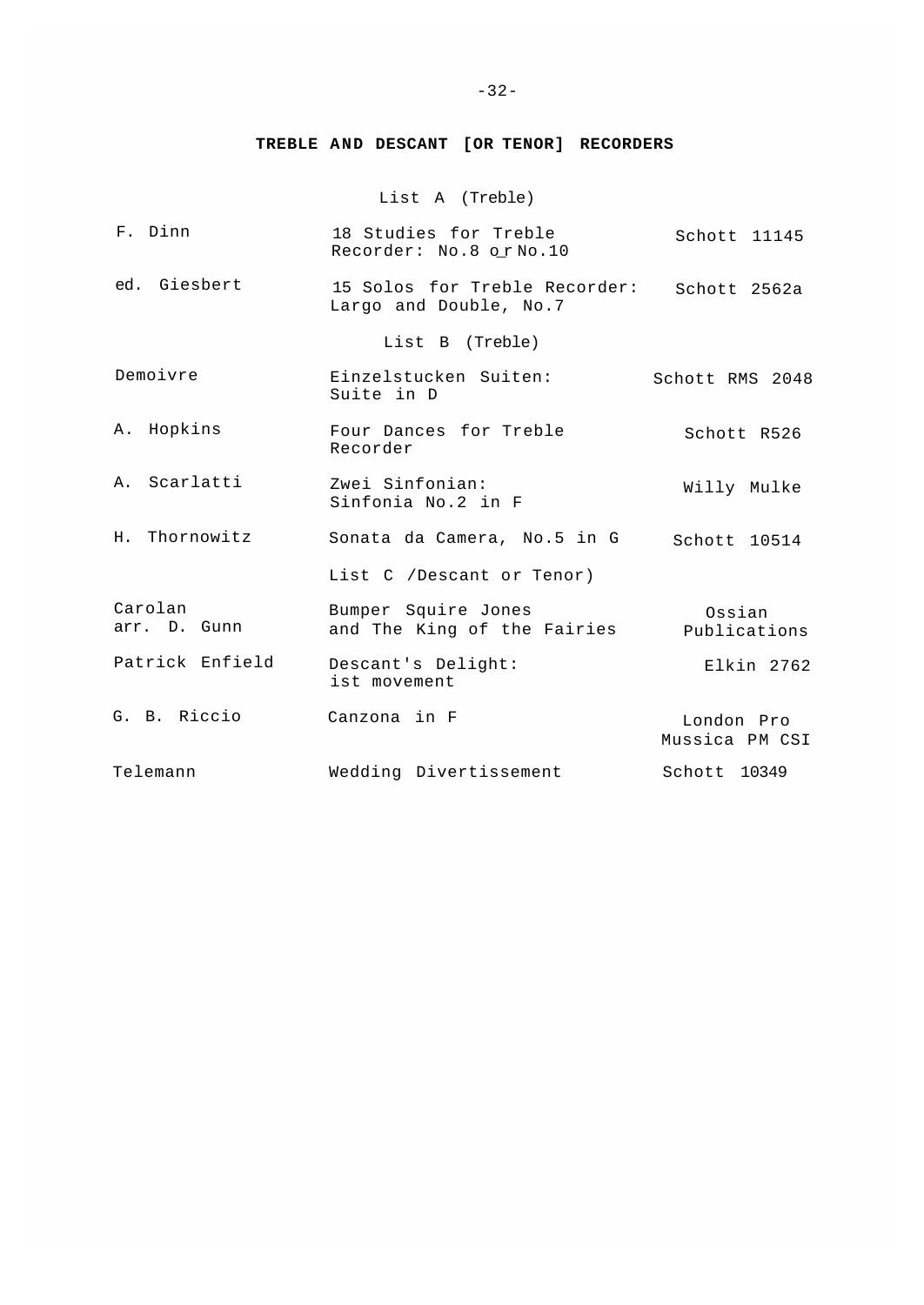**TREBLE AND DESCANT [OR TENOR] RECORDERS**

# List A (Treble)

| F. Dinn                 | 18 Studies for Treble<br>Recorder: No.8 or No.10         | Schott 11145                 |
|-------------------------|----------------------------------------------------------|------------------------------|
| ed. Giesbert            | 15 Solos for Treble Recorder:<br>Largo and Double, No.7  | Schott 2562a                 |
|                         | List B (Treble)                                          |                              |
| Demoivre                | Einzelstucken Suiten:<br>Suite in D                      | Schott RMS 2048              |
| A. Hopkins              | Four Dances for Treble<br>Recorder                       | Schott R526                  |
| A. Scarlatti            | Zwei Sinfonian:<br>Sinfonia No.2 in F                    | Willy Mulke                  |
| H. Thornowitz           | Sonata da Camera, No.5 in G<br>List C /Descant or Tenor) | Schott 10514                 |
| Carolan<br>arr. D. Gunn | Bumper Squire Jones<br>and The King of the Fairies       | Ossian<br>Publications       |
| Patrick Enfield         | Descant's Delight:<br>ist movement                       | Elkin 2762                   |
| G. B. Riccio            | Canzona in F                                             | London Pro<br>Mussica PM CSI |
| Telemann                | Wedding Divertissement                                   | Schott 10349                 |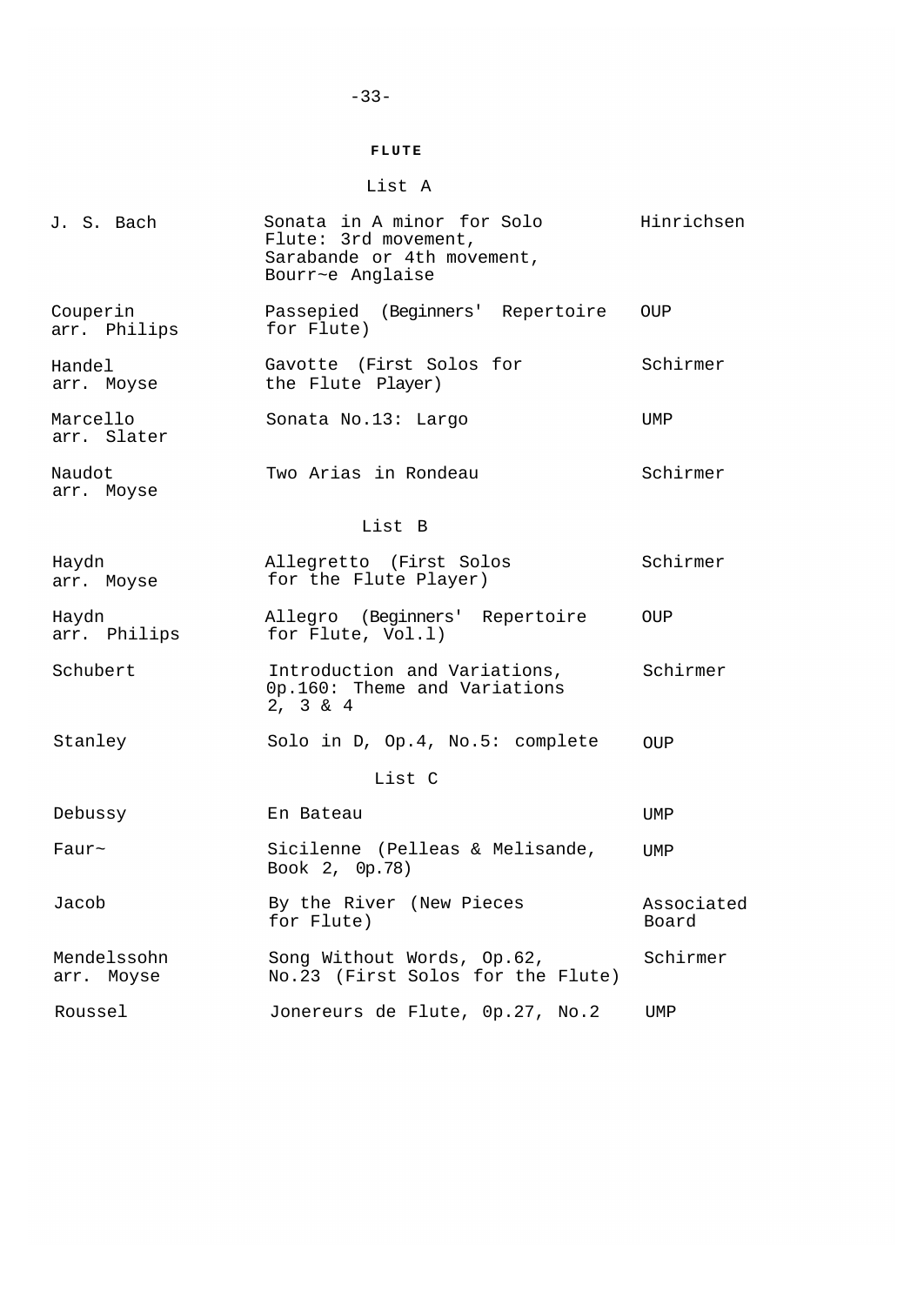# **FLUTE**

| J. S. Bach                | Sonata in A minor for Solo<br>Flute: 3rd movement,<br>Sarabande or 4th movement,<br>Bourr~e Anglaise | Hinrichsen          |
|---------------------------|------------------------------------------------------------------------------------------------------|---------------------|
| Couperin<br>arr. Philips  | Passepied (Beginners' Repertoire<br>for Flute)                                                       | 0UP                 |
| Handel<br>arr. Moyse      | Gavotte (First Solos for<br>the Flute Player)                                                        | Schirmer            |
| Marcello<br>arr. Slater   | Sonata No.13: Largo                                                                                  | UMP                 |
| Naudot<br>arr. Moyse      | Two Arias in Rondeau                                                                                 | Schirmer            |
|                           | List B                                                                                               |                     |
| Haydn<br>arr. Moyse       | Allegretto (First Solos<br>for the Flute Player)                                                     | Schirmer            |
| Haydn<br>arr. Philips     | Allegro (Beginners' Repertoire<br>for Flute, Vol.1)                                                  | 0UP                 |
| Schubert                  | Introduction and Variations,<br>Op.160: Theme and Variations<br>$2, 3 \& 4$                          | Schirmer            |
| Stanley                   | Solo in D, Op.4, No.5: complete                                                                      | 0UP                 |
|                           | List C                                                                                               |                     |
| Debussy                   | En Bateau                                                                                            | UMP                 |
| Faur~                     | Sicilenne (Pelleas & Melisande,<br>Book 2, 0p.78)                                                    | UMP                 |
| Jacob                     | By the River (New Pieces<br>for Flute)                                                               | Associated<br>Board |
| Mendelssohn<br>arr. Moyse | Song Without Words, Op.62,<br>No.23 (First Solos for the Flute)                                      | Schirmer            |
| Roussel                   | Jonereurs de Flute, 0p.27, No.2                                                                      | UMP                 |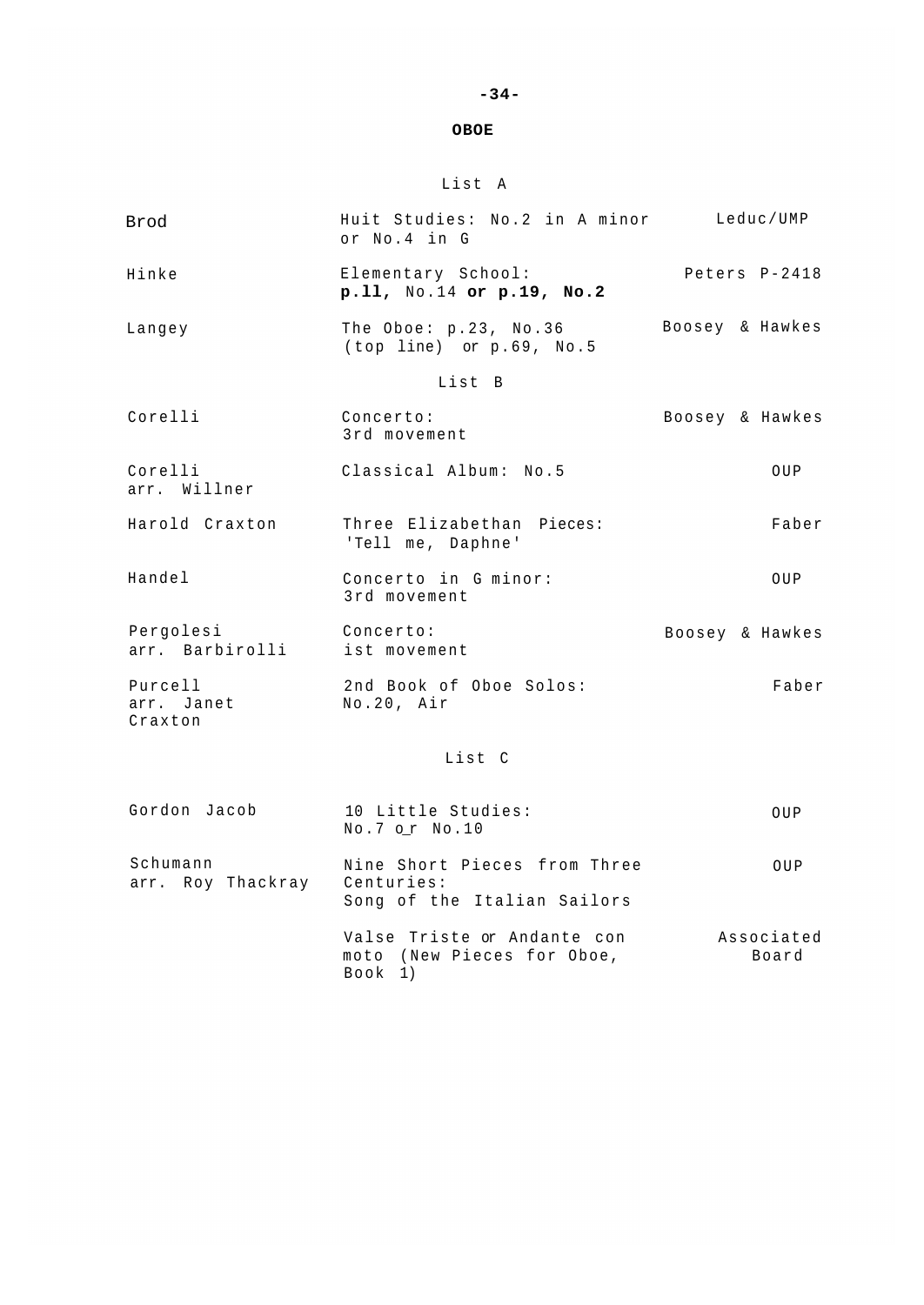# **OBOE**

| Brod                                     | Huit Studies: No.2 in A minor Leduc/UMP<br>or No.4 in G              |                 |                     |  |  |
|------------------------------------------|----------------------------------------------------------------------|-----------------|---------------------|--|--|
| Hinke                                    | Elementary School:<br>p.11, No.14 or p.19, No.2                      |                 | Peters P-2418       |  |  |
| Langey                                   | The Oboe: p.23, No.36<br>(top line) or p.69, No.5                    | Boosey & Hawkes |                     |  |  |
| List B                                   |                                                                      |                 |                     |  |  |
| Corelli                                  | Concerto:<br>3rd movement                                            | Boosey & Hawkes |                     |  |  |
| Corelli<br>arr. Willner                  | Classical Album: No.5                                                |                 | OUP                 |  |  |
| Harold Craxton                           | Three Elizabethan Pieces:<br>'Tell me, Daphne'                       |                 | Faber               |  |  |
| Handel                                   | Concerto in G minor:<br>3rd movement                                 |                 | OUP                 |  |  |
| Pergolesi<br>arr. Barbirolli             | Concerto:<br>ist movement                                            | Boosey & Hawkes |                     |  |  |
| Purcell<br>arr. Janet<br>Craxton         | 2nd Book of Oboe Solos:<br>No.20, Air                                |                 | Faber               |  |  |
|                                          | List C                                                               |                 |                     |  |  |
| Gordon Jacob                             | 10 Little Studies:<br>No.7 or No.10                                  |                 | 0UP                 |  |  |
| Schumann<br>arr. Roy Thackray Centuries: | Nine Short Pieces from Three<br>Song of the Italian Sailors          |                 | 0UP                 |  |  |
|                                          | Valse Triste or Andante con<br>moto (New Pieces for Oboe,<br>Book 1) |                 | Associated<br>Board |  |  |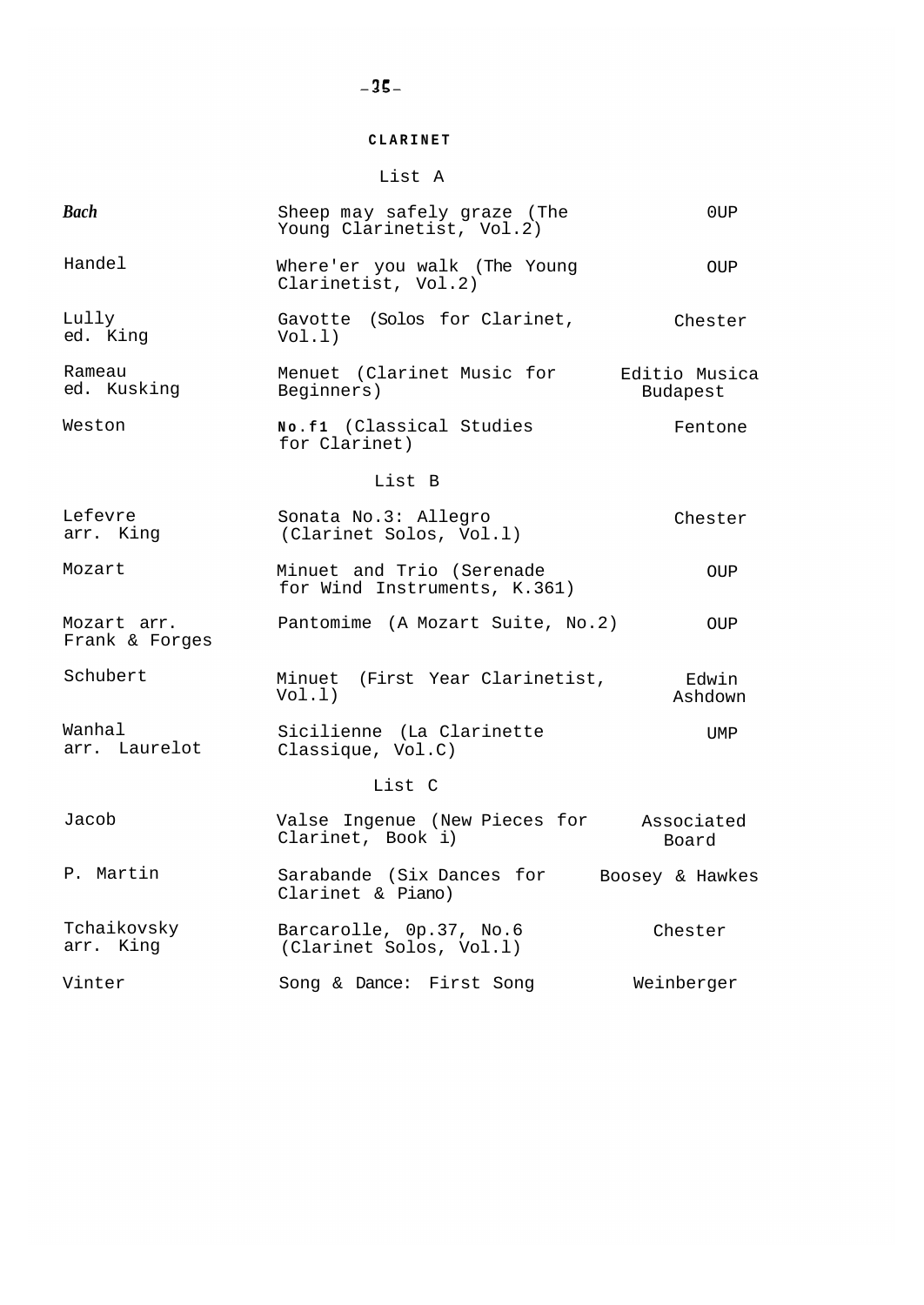# $-35-$

# **CLARINET**

| Bach                          | Sheep may safely graze (The<br>Young Clarinetist, Vol.2)      | 0UP                       |  |
|-------------------------------|---------------------------------------------------------------|---------------------------|--|
| Handel                        | Where'er you walk (The Young<br>Clarinetist, Vol.2)           | 0UP                       |  |
| Lully<br>ed. King             | Gavotte (Solos for Clarinet,<br>Vol.1)                        | Chester                   |  |
| Rameau<br>ed. Kusking         | Menuet (Clarinet Music for<br>Beginners)                      | Editio Musica<br>Budapest |  |
| Weston                        | No.f1 (Classical Studies<br>for Clarinet)                     | Fentone                   |  |
|                               | List B                                                        |                           |  |
| Lefevre<br>arr. King          | Sonata No.3: Allegro<br>(Clarinet Solos, Vol.1)               | Chester                   |  |
| Mozart                        | Minuet and Trio (Serenade<br>for Wind Instruments, K.361)     | 0UP                       |  |
| Mozart arr.<br>Frank & Forges | Pantomime (A Mozart Suite, No.2)                              | 0UP                       |  |
| Schubert                      | Minuet (First Year Clarinetist,<br>Vol.1)                     | Edwin<br>Ashdown          |  |
| Wanhal<br>arr. Laurelot       | Sicilienne (La Clarinette<br>Classique, Vol.C)                | UMP                       |  |
|                               | List C                                                        |                           |  |
| Jacob                         | Valse Ingenue (New Pieces for Associated<br>Clarinet, Book i) | Board                     |  |
| P. Martin                     | Sarabande (Six Dances for<br>Clarinet & Piano)                | Boosey & Hawkes           |  |
| Tchaikovsky<br>arr. King      | Barcarolle, 0p.37, No.6<br>(Clarinet Solos, Vol.1)            | Chester                   |  |
| Vinter                        | Song & Dance: First Song                                      | Weinberger                |  |
|                               |                                                               |                           |  |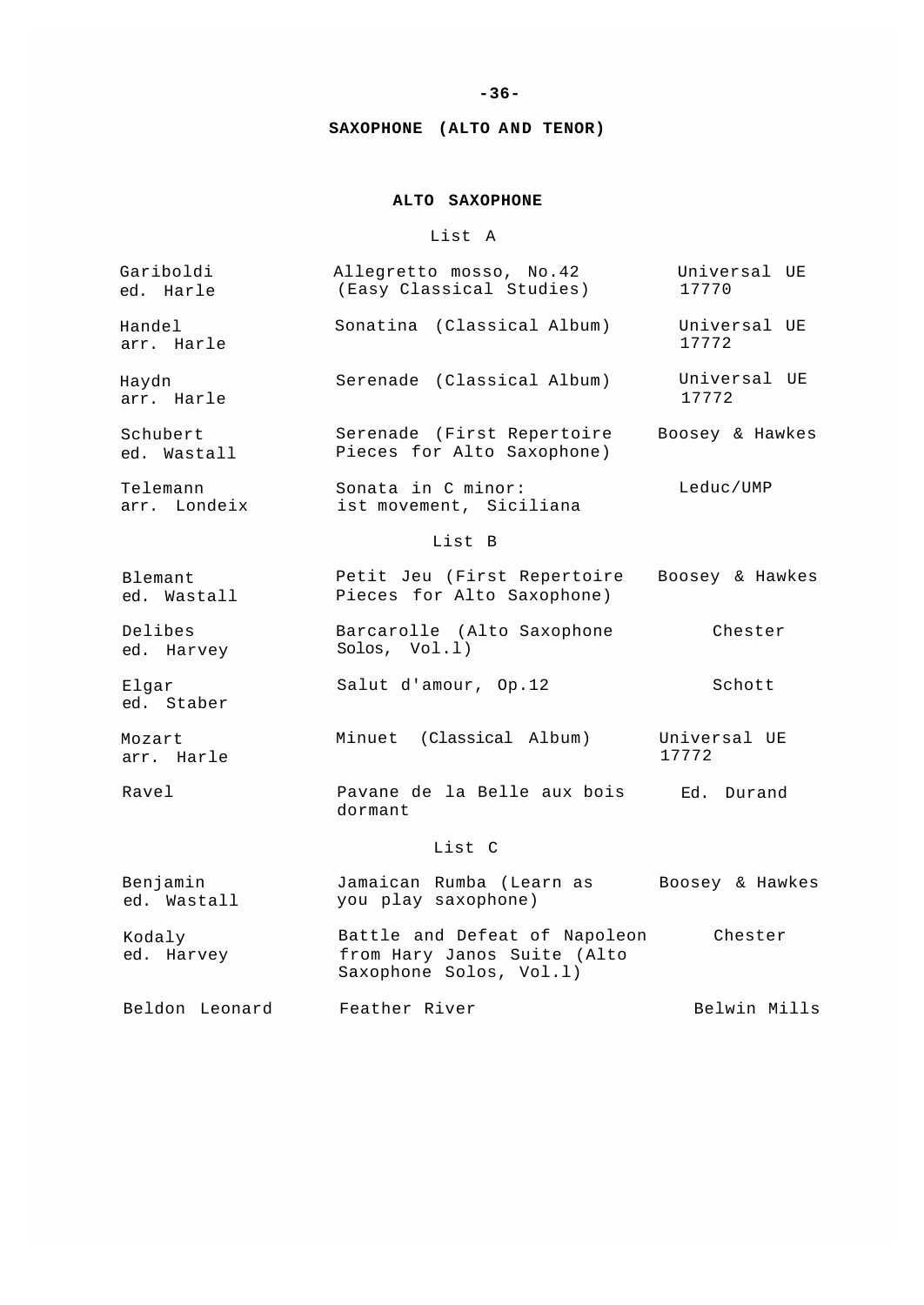# **SAXOPHONE (ALTO AND TENOR)**

# **ALTO SAXOPHONE**

| Gariboldi<br>ed. Harle   | Allegretto mosso, No. 42<br>(Easy Classical Studies)                                    | Universal UE<br>17770 |  |
|--------------------------|-----------------------------------------------------------------------------------------|-----------------------|--|
| Handel<br>arr. Harle     | Sonatina (Classical Album)                                                              | Universal UE<br>17772 |  |
| Haydn<br>arr. Harle      | Serenade (Classical Album)                                                              | Universal UE<br>17772 |  |
| Schubert<br>ed. Wastall  | Serenade (First Repertoire<br>Pieces for Alto Saxophone)                                | Boosey & Hawkes       |  |
| Telemann<br>arr. Londeix | Sonata in C minor:<br>ist movement, Siciliana                                           | Leduc/UMP             |  |
|                          | List B                                                                                  |                       |  |
| Blemant<br>ed. Wastall   | Petit Jeu (First Repertoire<br>Pieces for Alto Saxophone)                               | Boosey & Hawkes       |  |
| Delibes<br>ed. Harvey    | Barcarolle (Alto Saxophone<br>Solos, Vol.1)                                             | Chester               |  |
| Elgar<br>ed. Staber      | Salut d'amour, Op.12                                                                    | Schott                |  |
| Mozart<br>arr. Harle     | Minuet (Classical Album)                                                                | Universal UE<br>17772 |  |
| Ravel                    | Pavane de la Belle aux bois<br>dormant                                                  | Ed. Durand            |  |
|                          | List C                                                                                  |                       |  |
| Benjamin<br>ed. Wastall  | Jamaican Rumba (Learn as<br>you play saxophone)                                         | Boosey & Hawkes       |  |
| Kodaly<br>ed. Harvey     | Battle and Defeat of Napoleon<br>from Hary Janos Suite (Alto<br>Saxophone Solos, Vol.1) | Chester               |  |
| Beldon Leonard           | Feather River                                                                           | Belwin Mills          |  |
|                          |                                                                                         |                       |  |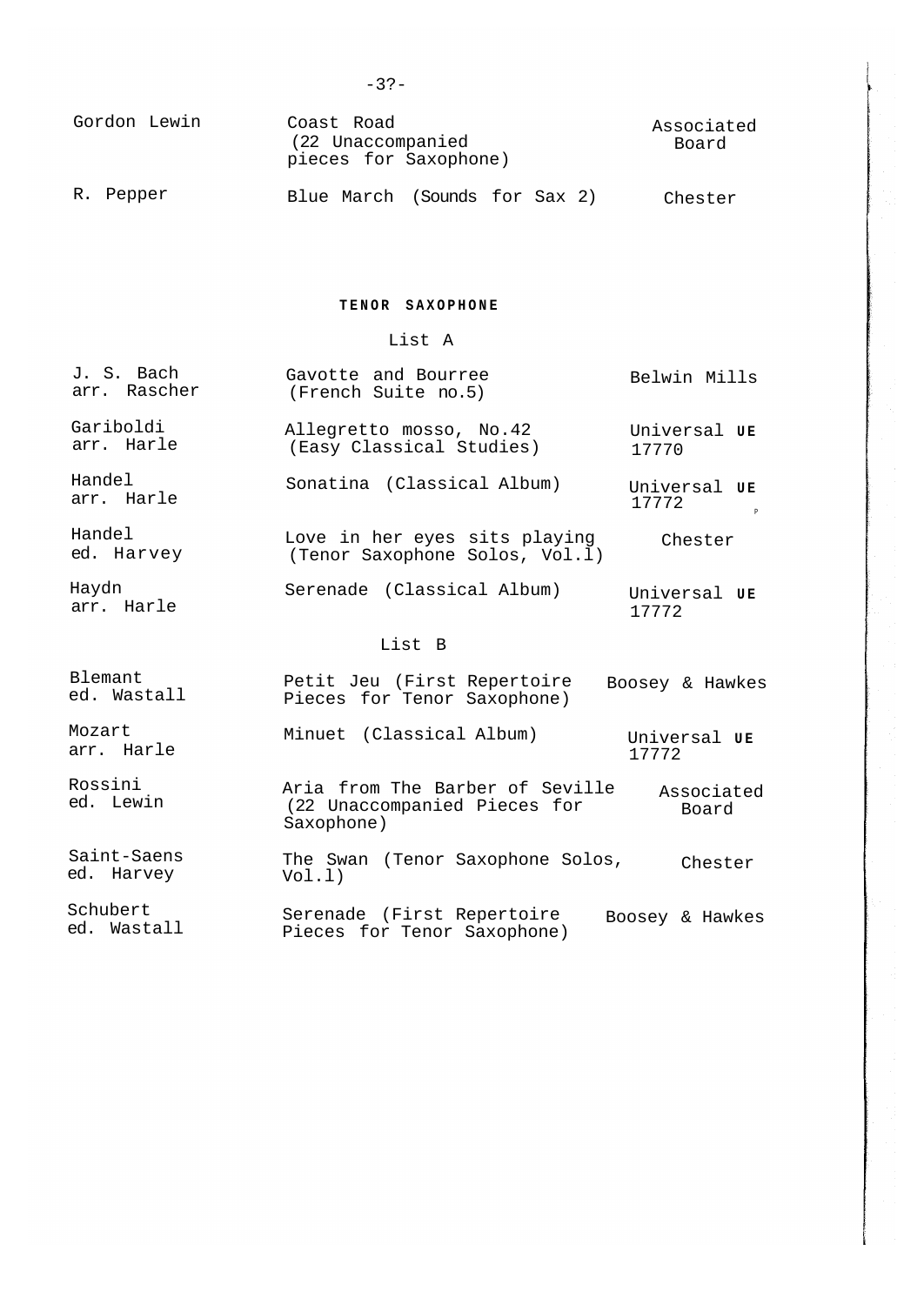#### **TENOR SAXOPHONE**

| J. S. Bach<br>arr. Rascher | Gavotte and Bourree<br>(French Suite no.5)                                    | Belwin Mills                |
|----------------------------|-------------------------------------------------------------------------------|-----------------------------|
| Gariboldi<br>arr. Harle    | Allegretto mosso, No.42<br>(Easy Classical Studies)                           | Universal UE<br>17770       |
| Handel<br>arr. Harle       | Sonatina (Classical Album)                                                    | Universal UE<br>17772<br>P. |
| Handel<br>ed. Harvey       | Love in her eyes sits playing<br>(Tenor Saxophone Solos, Vol.1)               | Chester                     |
| Haydn<br>arr. Harle        | Serenade (Classical Album)                                                    | Universal UE<br>17772       |
|                            | List B                                                                        |                             |
| Blemant<br>ed. Wastall     | Petit Jeu (First Repertoire<br>Pieces for Tenor Saxophone)                    | Boosey & Hawkes             |
| Mozart<br>arr. Harle       | Minuet (Classical Album)                                                      | Universal UE<br>17772       |
| Rossini<br>ed. Lewin       | Aria from The Barber of Seville<br>(22 Unaccompanied Pieces for<br>Saxophone) | Associated<br>Board         |
| Saint-Saens<br>ed. Harvey  | (Tenor Saxophone Solos,<br>The Swan<br>Vol.1)                                 | Chester                     |
| Schubert<br>ed. Wastall    | Serenade (First Repertoire<br>Pieces for Tenor Saxophone)                     | Boosey & Hawkes             |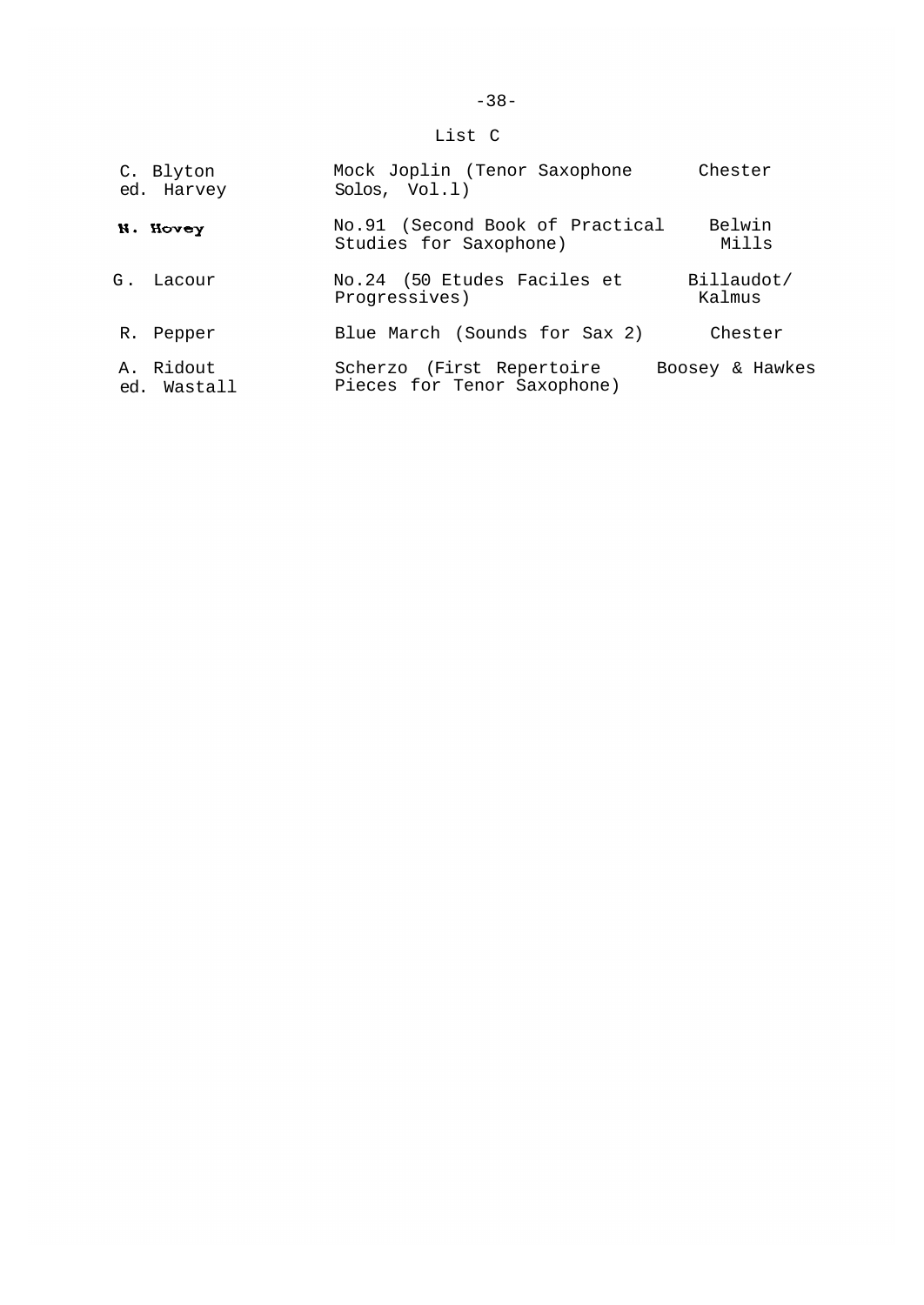| C. Blyton<br>ed. Harvey  | Mock Joplin (Tenor Saxophone<br>Solos, $Vol.1)$           | Chester              |
|--------------------------|-----------------------------------------------------------|----------------------|
| N. Hovey                 | No.91 (Second Book of Practical<br>Studies for Saxophone) | Belwin<br>Mills      |
| G. Lacour                | No.24 (50 Etudes Faciles et<br>Progressives)              | Billaudot/<br>Kalmus |
| R. Pepper                | Blue March (Sounds for Sax 2)                             | Chester              |
| A. Ridout<br>ed. Wastall | Scherzo (First Repertoire<br>Pieces for Tenor Saxophone)  | Boosey & Hawkes      |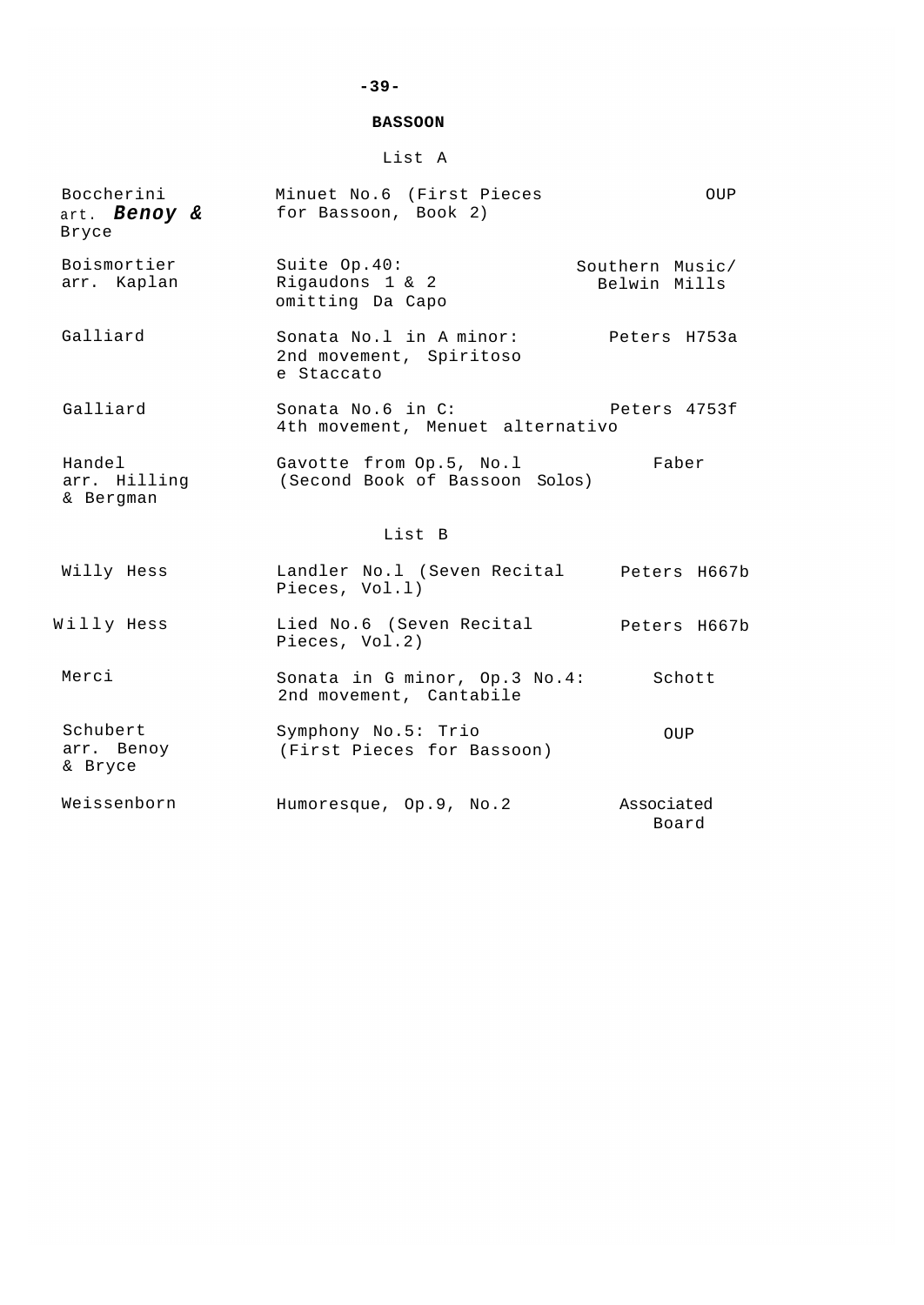# **-39-**

#### **BASSOON**

| Boccherini<br>art. Benoy &<br>Bryce | Minuet No.6 (First Pieces<br>for Bassoon, Book 2)                | <b>OUP</b>                      |  |  |
|-------------------------------------|------------------------------------------------------------------|---------------------------------|--|--|
| Boismortier<br>arr. Kaplan          | Suite Op. 40:<br>Rigaudons 1 & 2<br>omitting Da Capo             | Southern Music/<br>Belwin Mills |  |  |
| Galliard                            | Sonata No.1 in A minor:<br>2nd movement, Spiritoso<br>e Staccato | Peters H753a                    |  |  |
| Galliard                            | Sonata No.6 in C:<br>4th movement, Menuet alternativo            | Peters 4753f                    |  |  |
| Handel<br>arr. Hilling<br>& Bergman | Gavotte from Op.5, No.1<br>(Second Book of Bassoon Solos)        | Faber                           |  |  |
| List B                              |                                                                  |                                 |  |  |
| Willy Hess                          | Landler No.1 (Seven Recital Peters H667b<br>Pieces, Vol.1)       |                                 |  |  |
| Willy Hess                          | Lied No.6 (Seven Recital<br>Pieces, Vol.2)                       | Peters H667b                    |  |  |
| Merci                               | Sonata in G minor, Op.3 No.4:<br>2nd movement, Cantabile         | Schott                          |  |  |
| Schubert<br>arr. Benoy<br>& Bryce   | Symphony No.5: Trio<br>(First Pieces for Bassoon)                | 0UP                             |  |  |
| Weissenborn                         | Humoresque, Op.9, No.2                                           | Associated<br>Board             |  |  |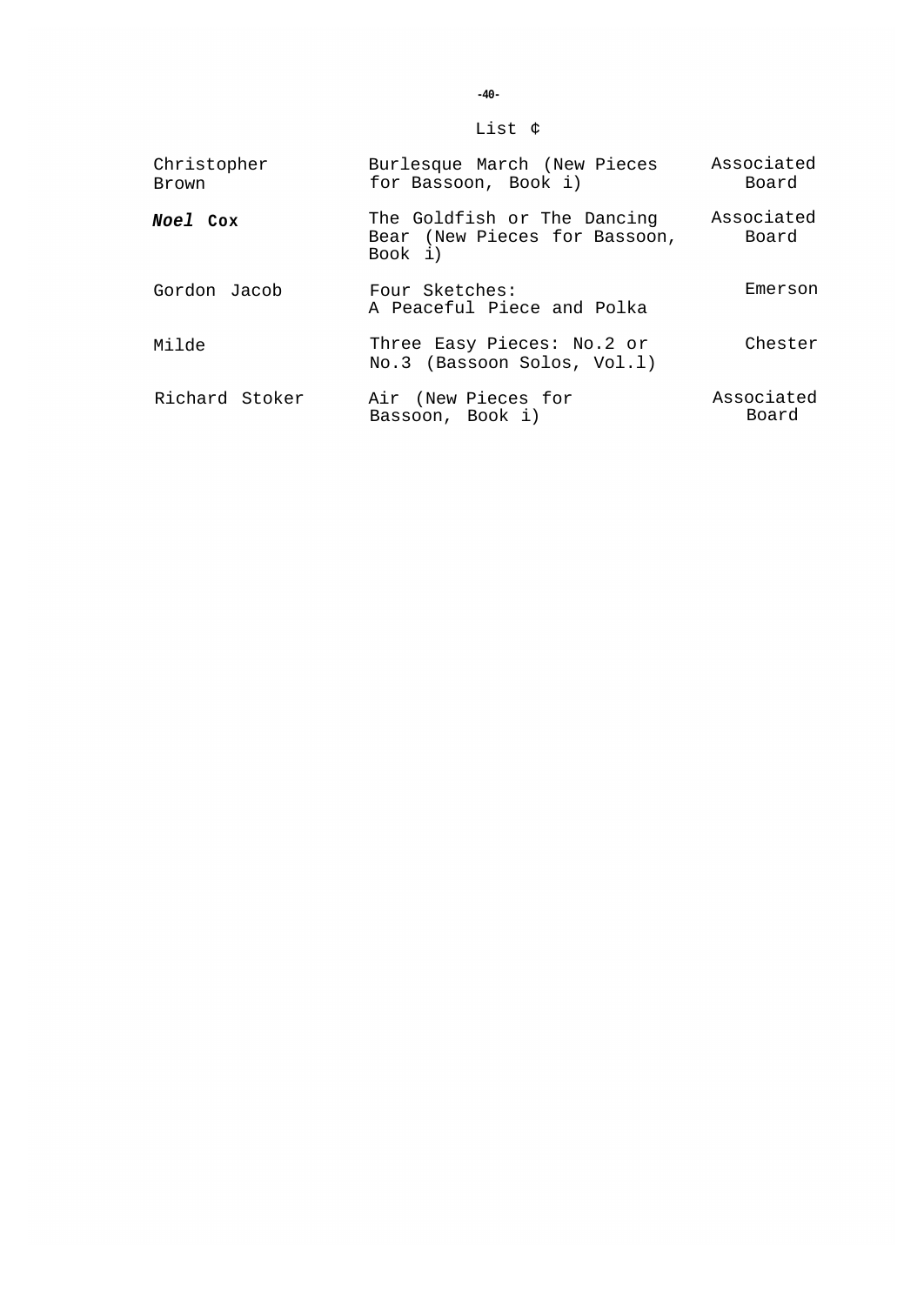List ¢

| Christopher<br>Brown | Burlesque March (New Pieces<br>for Bassoon, Book i)                     | Associated<br>Board |
|----------------------|-------------------------------------------------------------------------|---------------------|
| Noel Cox             | The Goldfish or The Dancing<br>Bear (New Pieces for Bassoon,<br>Book i) | Associated<br>Board |
| Gordon Jacob         | Four Sketches:<br>A Peaceful Piece and Polka                            | Emerson             |
| Milde                | Three Easy Pieces: No.2 or<br>No.3 (Bassoon Solos, Vol.1)               | Chester             |
| Richard Stoker       | Air (New Pieces for<br>Bassoon, Book i)                                 | Associated<br>Board |

**-40-**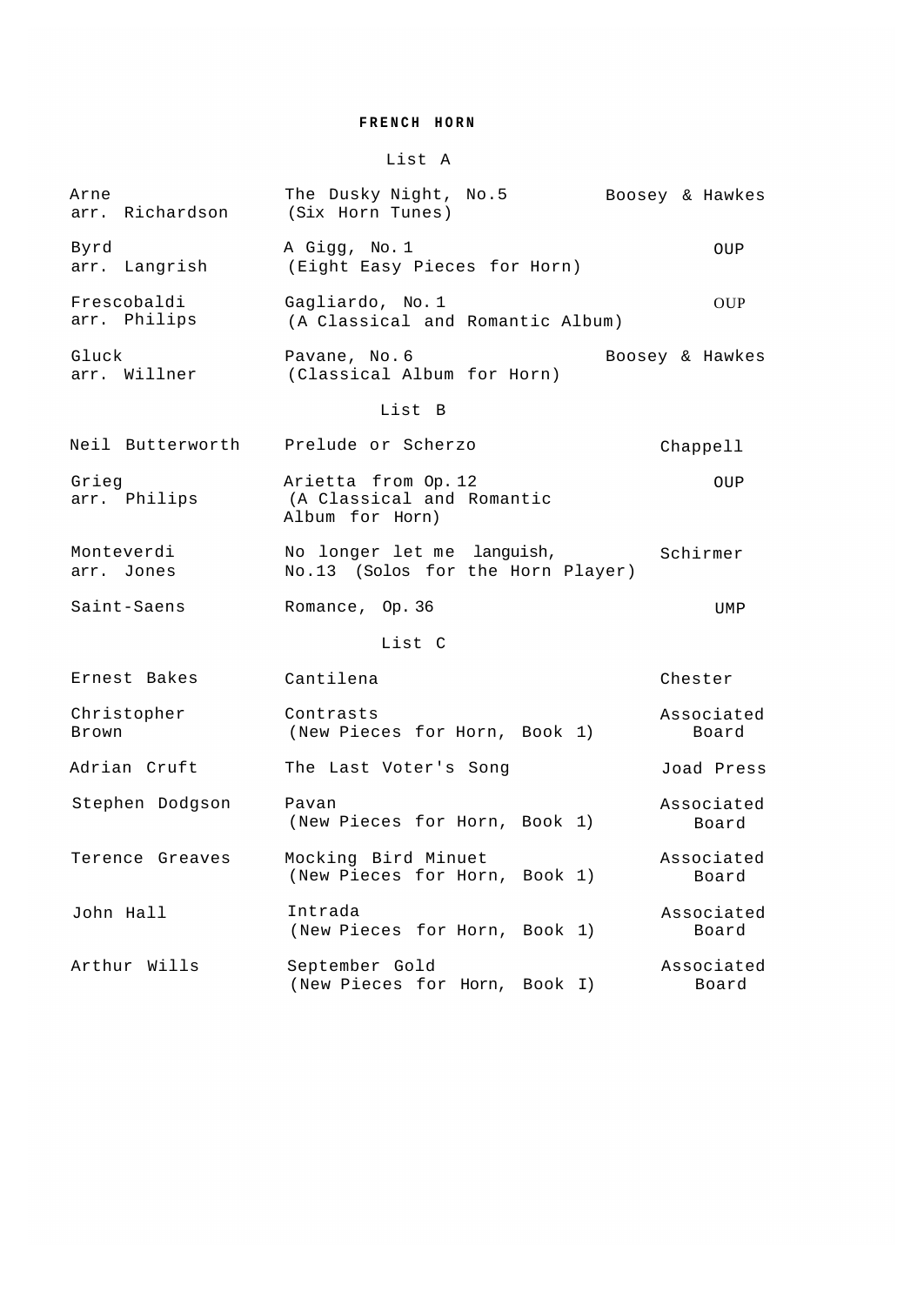# **FRENCH HORN**

| Arne<br>arr. Richardson     | The Dusky Night, No.5<br>(Six Horn Tunes)                           | Boosey & Hawkes     |
|-----------------------------|---------------------------------------------------------------------|---------------------|
| Byrd<br>arr. Langrish       | A Gigg, No. 1<br>(Eight Easy Pieces for Horn)                       | OUP                 |
| Frescobaldi<br>arr. Philips | Gagliardo, No. 1<br>(A Classical and Romantic Album)                | <b>OUP</b>          |
| Gluck<br>arr. Willner       | Pavane, No. 6<br>(Classical Album for Horn)                         | Boosey & Hawkes     |
|                             | List B                                                              |                     |
| Neil Butterworth            | Prelude or Scherzo                                                  | Chappell            |
| Grieg<br>arr. Philips       | Arietta from Op. 12<br>(A Classical and Romantic<br>Album for Horn) | OUP                 |
| Monteverdi<br>arr. Jones    | No longer let me languish,<br>No.13 (Solos for the Horn Player)     | Schirmer            |
| Saint-Saens                 | Romance, Op. 36                                                     | UMP                 |
|                             | List C                                                              |                     |
| Ernest Bakes                | Cantilena                                                           | Chester             |
| Christopher<br>Brown        | Contrasts<br>(New Pieces for Horn, Book 1)                          | Associated<br>Board |
| Adrian Cruft                | The Last Voter's Song                                               | Joad Press          |
| Stephen Dodgson             | Pavan<br>(New Pieces for Horn, Book 1)                              | Associated<br>Board |
| Terence Greaves             | Mocking Bird Minuet<br>(New Pieces for Horn, Book 1)                | Associated<br>Board |
| John Hall                   | Intrada<br>(New Pieces for Horn, Book 1)                            | Associated<br>Board |
| Arthur Wills                | September Gold<br>(New Pieces for Horn, Book I)                     | Associated<br>Board |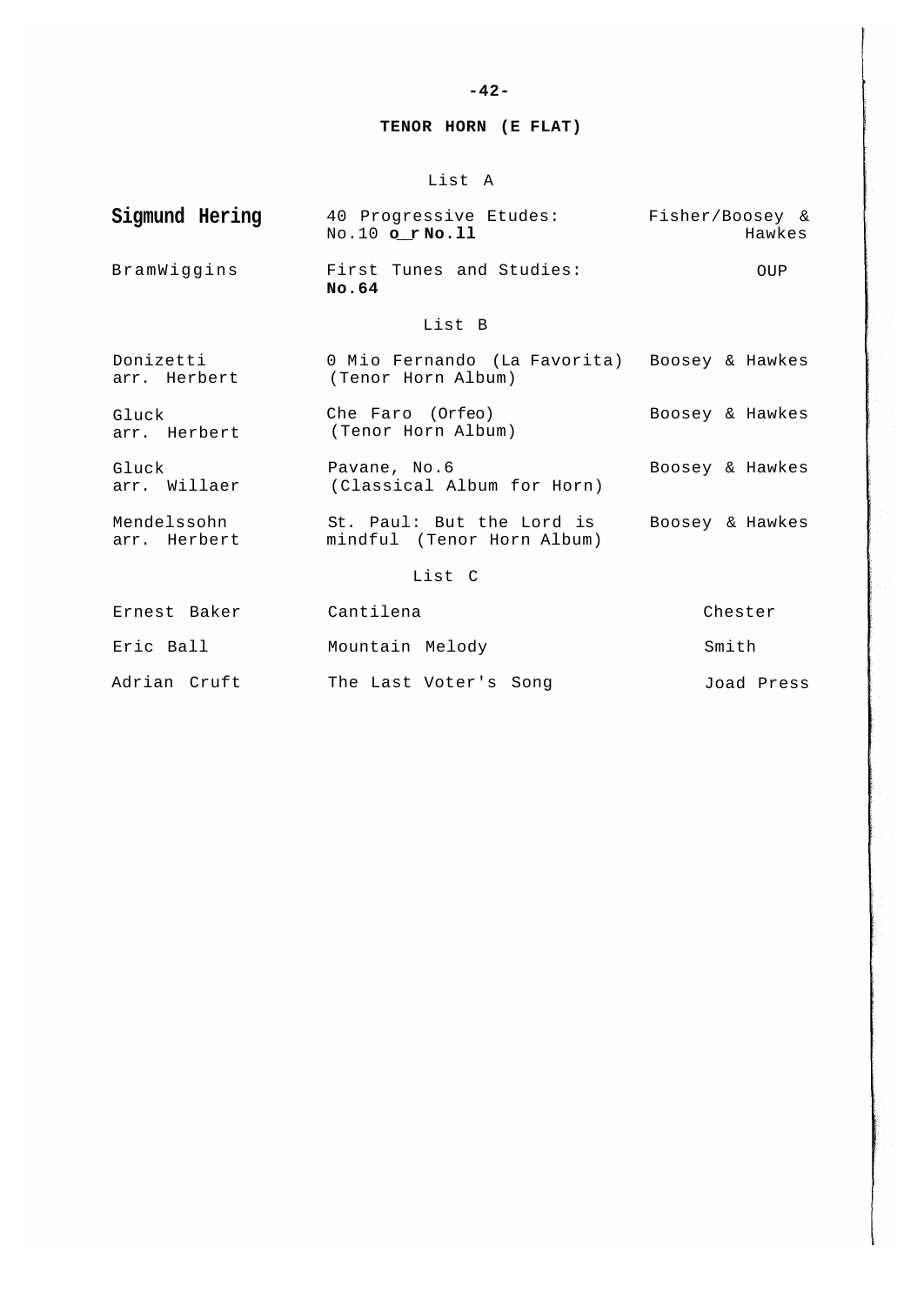**TENOR HORN (E FLAT)**

| Sigmund Hering              | 40 Progressive Etudes:<br>$No.10$ o $rNo.11$                       | Fisher/Boosey &<br>Hawkes |
|-----------------------------|--------------------------------------------------------------------|---------------------------|
| BramWiggins                 | First Tunes and Studies:<br>No.64                                  | <b>OUP</b>                |
|                             | List B                                                             |                           |
| Donizetti<br>arr. Herbert   | 0 Mio Fernando (La Favorita) Boosey & Hawkes<br>(Tenor Horn Album) |                           |
| Gluck<br>arr. Herbert       | Che Faro (Orfeo)<br>(Tenor Horn Album)                             | Boosey & Hawkes           |
| Gluck<br>arr. Willaer       | Pavane, No.6<br>(Classical Album for Horn)                         | Boosey & Hawkes           |
| Mendelssohn<br>arr. Herbert | St. Paul: But the Lord is<br>mindful (Tenor Horn Album)            | Boosey & Hawkes           |
|                             | List C                                                             |                           |
| Ernest Baker                | Cantilena                                                          | Chester                   |
| Eric Ball                   | Mountain Melody                                                    | Smith                     |
| Adrian Cruft                | The Last Voter's Song                                              | Joad Press                |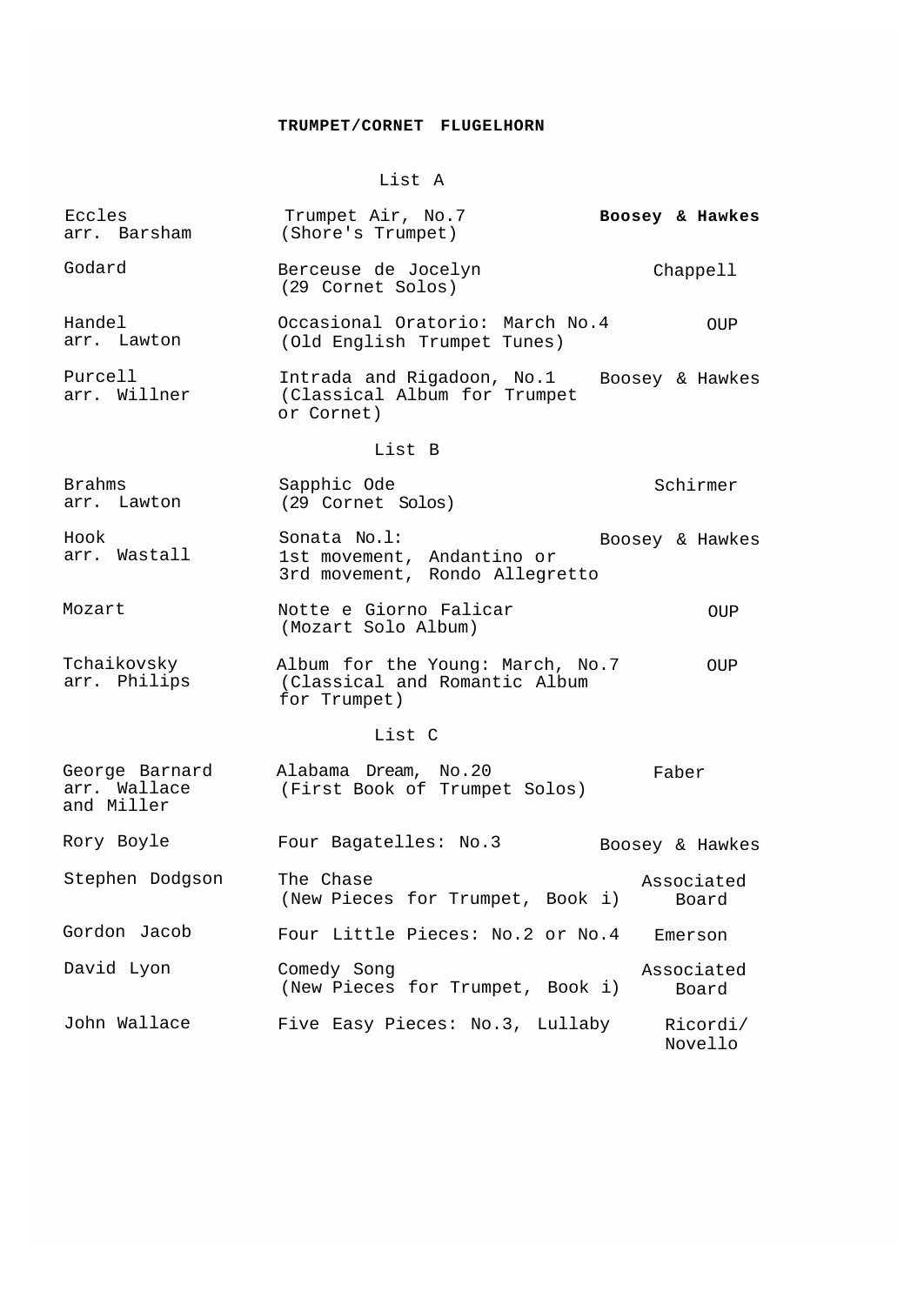#### **TRUMPET/CORNET FLUGELHORN**

| Eccles<br>arr. Barsham                       | Trumpet Air, No.7<br>(Shore's Trumpet)                                            | Boosey & Hawkes     |
|----------------------------------------------|-----------------------------------------------------------------------------------|---------------------|
| Godard                                       | Berceuse de Jocelyn<br>(29 Cornet Solos)                                          | Chappell            |
| Handel<br>arr. Lawton                        | Occasional Oratorio: March No.4<br>(Old English Trumpet Tunes)                    | 0UP                 |
| Purcell<br>arr. Willner                      | Intrada and Rigadoon, No.1<br>(Classical Album for Trumpet<br>or Cornet)          | Boosey & Hawkes     |
|                                              | List B                                                                            |                     |
| Brahms<br>arr. Lawton                        | Sapphic Ode<br>(29 Cornet Solos)                                                  | Schirmer            |
| Hook<br>arr. Wastall                         | Sonata No.l:<br>1st movement, Andantino or<br>3rd movement, Rondo Allegretto      | Boosey & Hawkes     |
| Mozart                                       | Notte e Giorno Falicar<br>(Mozart Solo Album)                                     | <b>OUP</b>          |
| Tchaikovsky<br>arr. Philips                  | Album for the Young: March, No.7<br>(Classical and Romantic Album<br>for Trumpet) | 0UP                 |
|                                              | List C                                                                            |                     |
| George Barnard<br>arr. Wallace<br>and Miller | Alabama Dream, No.20<br>(First Book of Trumpet Solos)                             | Faber               |
| Rory Boyle                                   | Four Bagatelles: No.3                                                             | Boosey & Hawkes     |
| Stephen Dodgson                              | The Chase<br>(New Pieces for Trumpet, Book i)                                     | Associated<br>Board |
| Gordon Jacob                                 | Four Little Pieces: No.2 or No.4                                                  | Emerson             |
| David Lyon                                   | Comedy Song<br>(New Pieces for Trumpet, Book i)                                   | Associated<br>Board |
| John Wallace                                 | Five Easy Pieces: No.3, Lullaby                                                   | Ricordi/<br>Novello |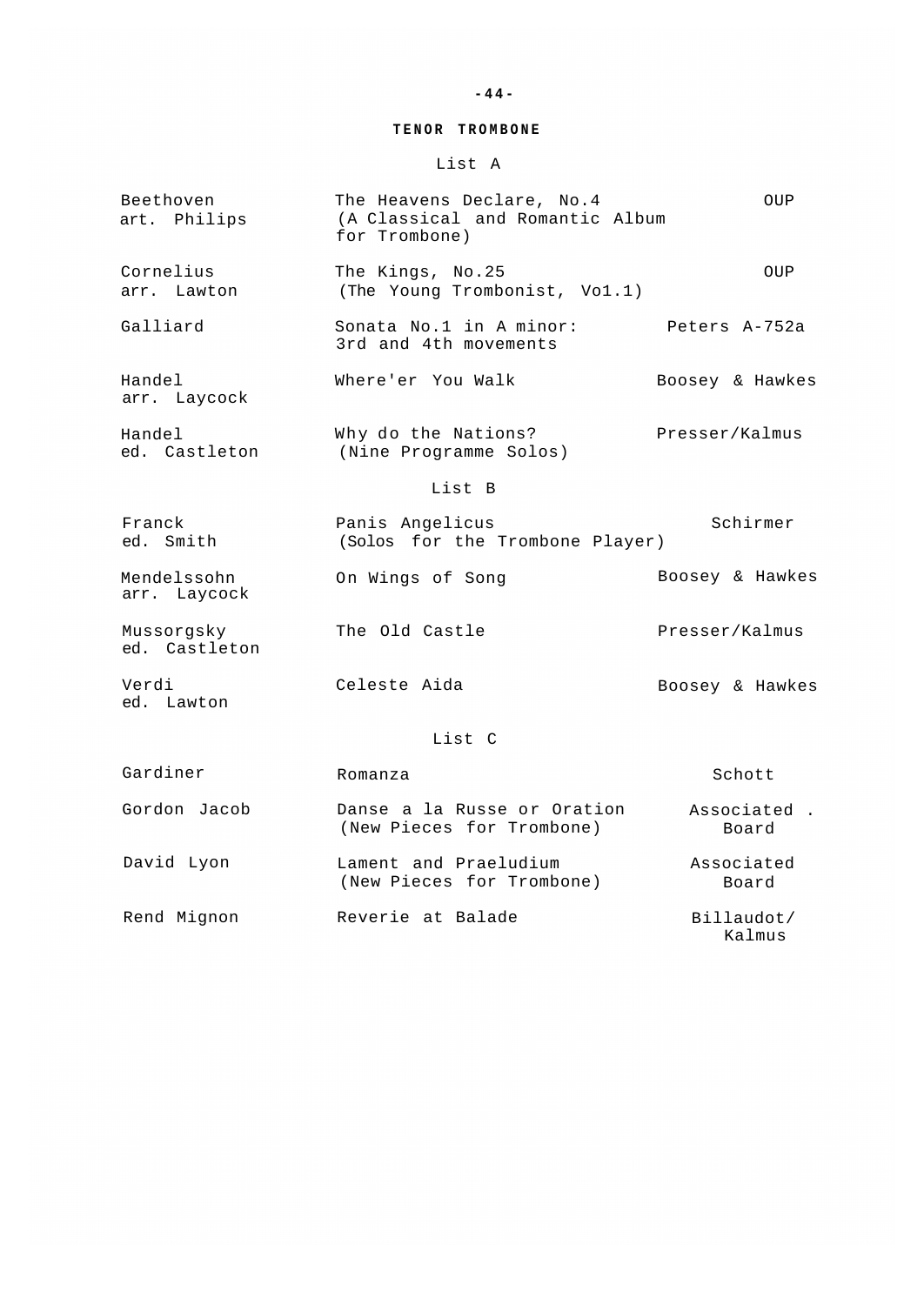# **TENOR TROMBONE**

| Beethoven<br>art. Philips   | The Heavens Declare, No. 4<br>(A Classical and Romantic Album<br>for Trombone) | OUP                   |
|-----------------------------|--------------------------------------------------------------------------------|-----------------------|
| Cornelius<br>arr. Lawton    | The Kings, No.25<br>(The Young Trombonist, Vol.1)                              | <b>OUP</b>            |
| Galliard                    | Sonata No.1 in A minor:<br>3rd and 4th movements                               | Peters A-752a         |
| Handel<br>arr. Laycock      | Where'er You Walk                                                              | Boosey & Hawkes       |
| Handel<br>ed. Castleton     | Why do the Nations?<br>(Nine Programme Solos)                                  | Presser/Kalmus        |
|                             | List B                                                                         |                       |
| Franck<br>ed. Smith         | Panis Angelicus<br>(Solos for the Trombone Player)                             | Schirmer              |
| Mendelssohn<br>arr. Laycock | On Wings of Song                                                               | Boosey & Hawkes       |
| Mussorgsky<br>ed. Castleton | The Old Castle                                                                 | Presser/Kalmus        |
| Verdi<br>ed. Lawton         | Celeste Aida                                                                   | Boosey & Hawkes       |
|                             | List C                                                                         |                       |
| Gardiner                    | Romanza                                                                        | Schott                |
| Gordon Jacob                | Danse a la Russe or Oration<br>(New Pieces for Trombone)                       | Associated .<br>Board |
| David Lyon                  | Lament and Praeludium<br>(New Pieces for Trombone)                             | Associated<br>Board   |
| Rend Mignon                 | Reverie at Balade                                                              | Billaudot/<br>Kalmus  |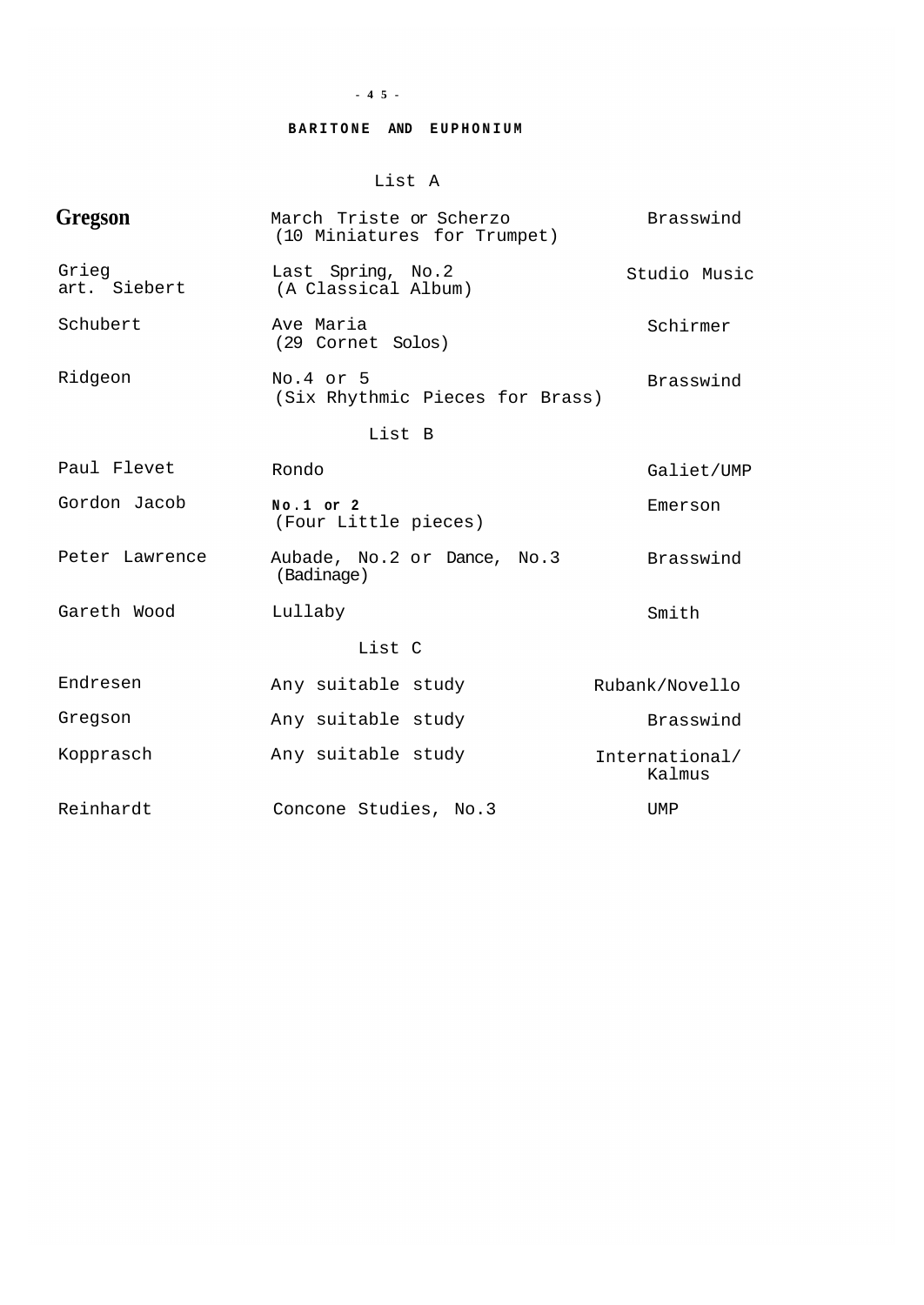#### **- 4 5 -**

#### **BARITONE AND EUPHONIUM**

| Gregson               | March Triste or Scherzo<br>(10 Miniatures for Trumpet) | Brasswind                |
|-----------------------|--------------------------------------------------------|--------------------------|
| Grieg<br>art. Siebert | Last Spring, No.2<br>(A Classical Album)               | Studio Music             |
| Schubert              | Ave Maria<br>(29 Cornet Solos)                         | Schirmer                 |
| Ridgeon               | $No.4$ or $5$<br>(Six Rhythmic Pieces for Brass)       | Brasswind                |
|                       | List B                                                 |                          |
| Paul Flevet           | Rondo                                                  | Galiet/UMP               |
| Gordon Jacob          | $No.1$ or $2$<br>(Four Little pieces)                  | Emerson                  |
| Peter Lawrence        | Aubade, No.2 or Dance, No.3<br>(Badinage)              | Brasswind                |
| Gareth Wood           | Lullaby                                                | Smith                    |
|                       | List C                                                 |                          |
| Endresen              | Any suitable study                                     | Rubank/Novello           |
| Gregson               | Any suitable study                                     | Brasswind                |
| Kopprasch             | Any suitable study                                     | International/<br>Kalmus |
| Reinhardt             | Concone Studies, No.3                                  | <b>UMP</b>               |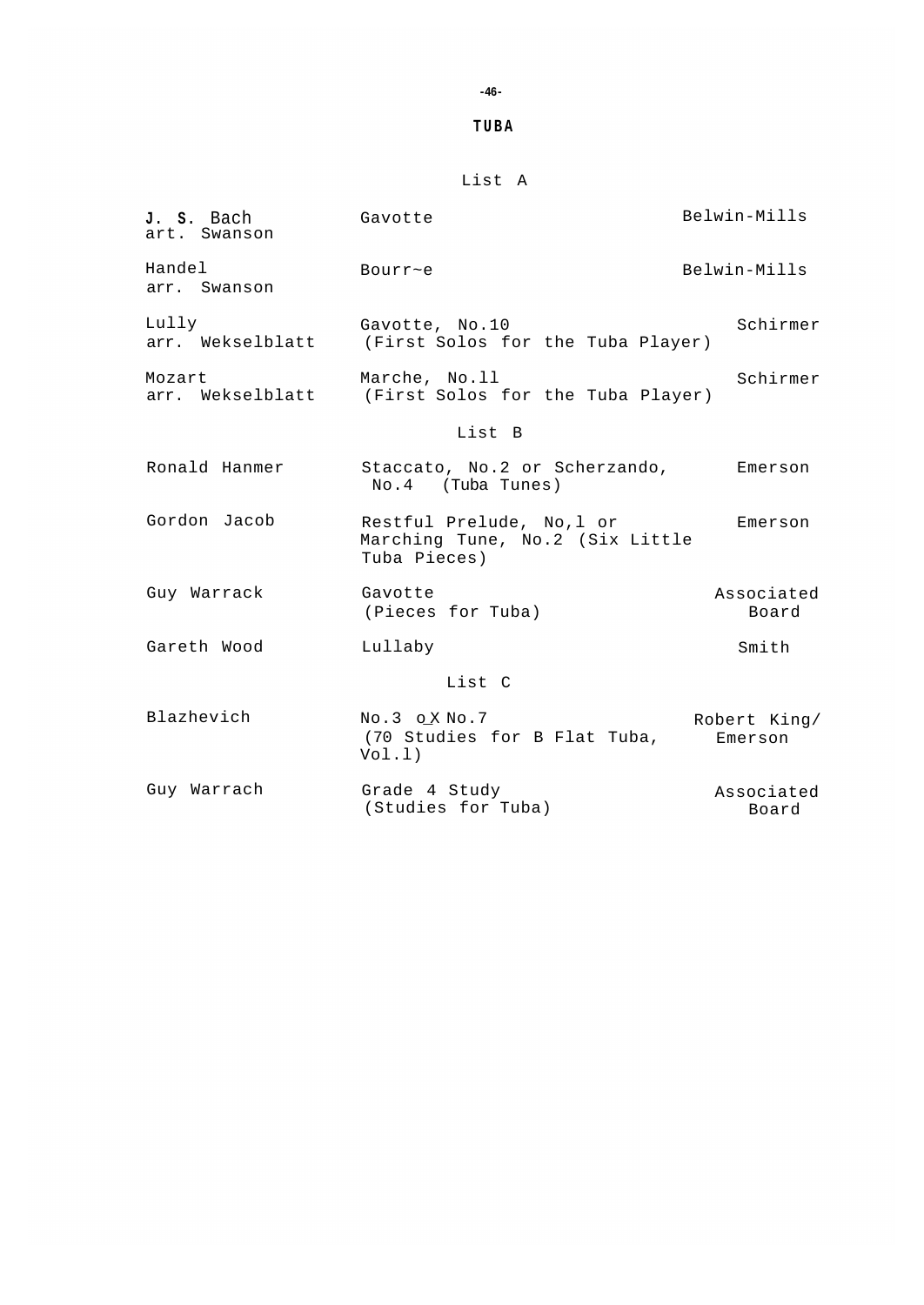# **-46-**

# **TUBA**

| J. S. Bach<br>art. Swanson | Gavotte                                                                      | Belwin-Mills            |
|----------------------------|------------------------------------------------------------------------------|-------------------------|
| Handel<br>arr. Swanson     | Bourr~e                                                                      | Belwin-Mills            |
| Lully                      | Gavotte, No.10<br>arr. Wekselblatt (First Solos for the Tuba Player)         | Schirmer                |
| Mozart                     | Marche, No.11<br>arr. Wekselblatt (First Solos for the Tuba Player)          | Schirmer                |
|                            | List B                                                                       |                         |
| Ronald Hanmer              | Staccato, No.2 or Scherzando, Emerson<br>No.4 (Tuba Tunes)                   |                         |
| Gordon Jacob               | Restful Prelude, No, 1 or<br>Marching Tune, No.2 (Six Little<br>Tuba Pieces) | Emerson                 |
| Guy Warrack                | Gavotte<br>(Pieces for Tuba)                                                 | Associated<br>Board     |
| Gareth Wood                | Lullaby                                                                      | Smith                   |
|                            | List C                                                                       |                         |
| Blazhevich                 | $No.3$ $O.X No.7$<br>(70 Studies for B Flat Tuba,<br>Vol.1)                  | Robert King/<br>Emerson |
| Guy Warrach                | Grade 4 Study<br>(Studies for Tuba)                                          | Associated<br>Board     |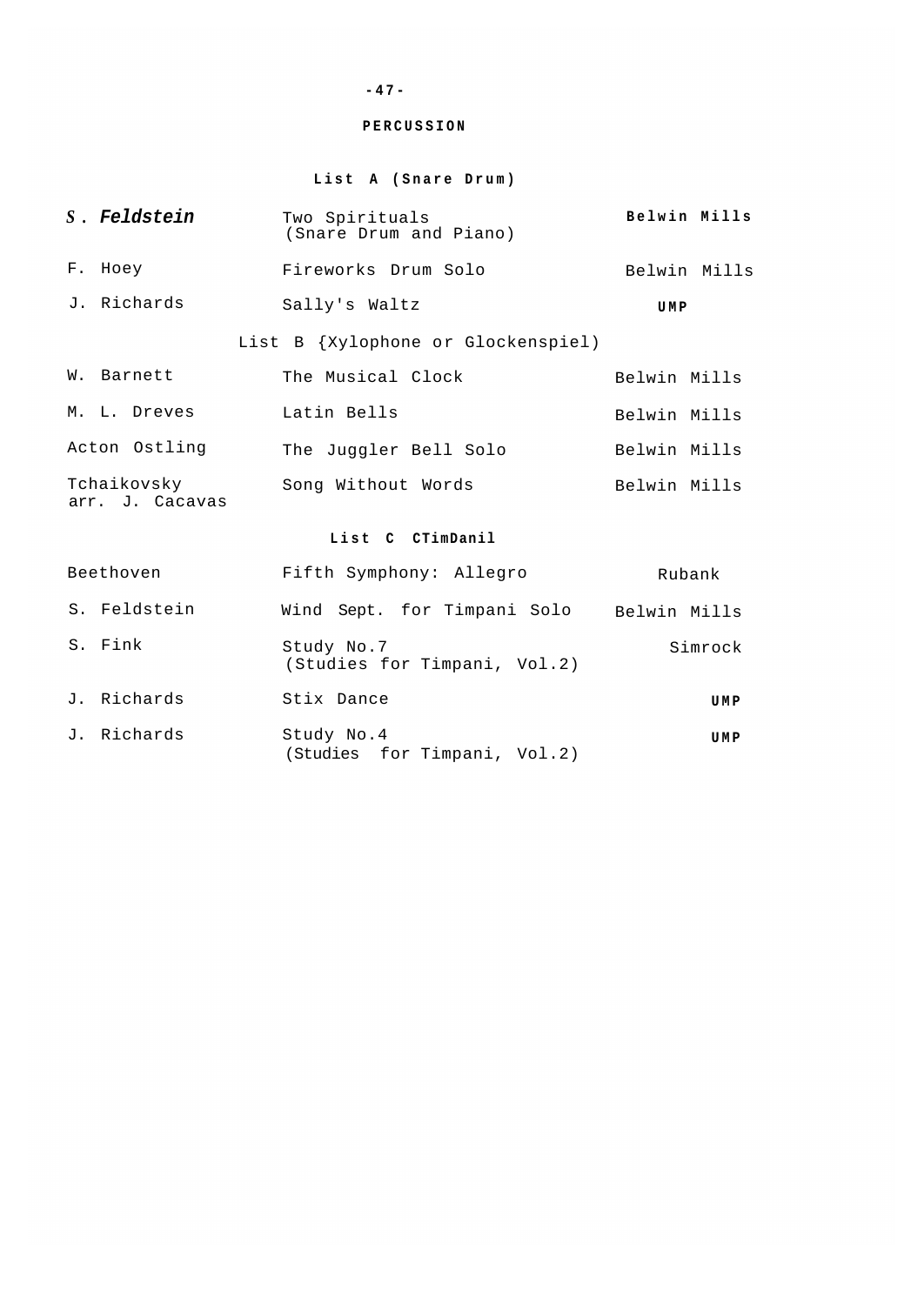# **-47-**

#### **PERCUSSION**

# **List A (Snare Drum)**

| S. Feldstein                   | Two Spirituals<br>(Snare Drum and Piano)   | Belwin Mills |  |
|--------------------------------|--------------------------------------------|--------------|--|
| F. Hoey                        | Fireworks Drum Solo                        | Belwin Mills |  |
| J. Richards                    | Sally's Waltz                              | UMP          |  |
|                                | List B {Xylophone or Glockenspiel)         |              |  |
| W. Barnett                     | The Musical Clock                          | Belwin Mills |  |
| M. L. Dreves                   | Latin Bells                                | Belwin Mills |  |
| Acton Ostling                  | The Juggler Bell Solo                      | Belwin Mills |  |
| Tchaikovsky<br>arr. J. Cacavas | Song Without Words                         | Belwin Mills |  |
|                                | List C CTimDanil                           |              |  |
| Beethoven                      | Fifth Symphony: Allegro                    | Rubank       |  |
| S. Feldstein                   | Wind Sept. for Timpani Solo Belwin Mills   |              |  |
| S. Fink                        | Study No.7<br>(Studies for Timpani, Vol.2) | Simrock      |  |
| J. Richards                    | Stix Dance                                 | UMP          |  |
| J. Richards                    | Study No.4                                 | UMP          |  |

(Studies for Timpani, Vol.2)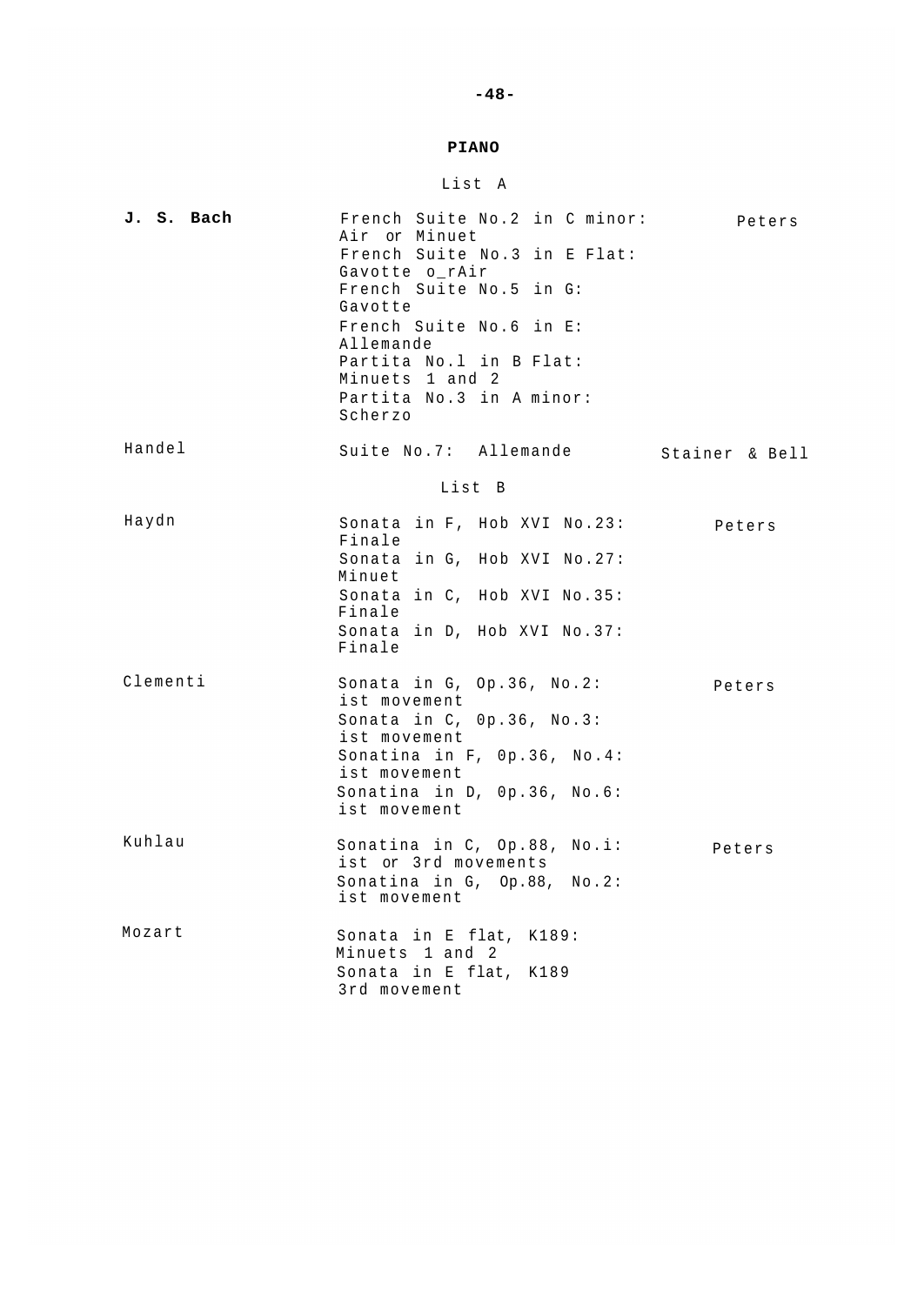#### **PIANO**

| J. S. Bach | French Suite No.2 in C minor:<br>Air or Minuet<br>French Suite No.3 in E Flat:<br>Gavotte o_rAir<br>French Suite No.5 in G:<br>Gavotte<br>French Suite No.6 in E:<br>Allemande<br>Partita No.1 in B Flat:<br>Minuets 1 and 2<br>Partita No.3 in A minor:<br>Scherzo | Peters         |
|------------|---------------------------------------------------------------------------------------------------------------------------------------------------------------------------------------------------------------------------------------------------------------------|----------------|
| Handel     | Suite No.7: Allemande                                                                                                                                                                                                                                               | Stainer & Bell |
|            | List B                                                                                                                                                                                                                                                              |                |
| Haydn      | Sonata in F, Hob XVI No.23:<br>Finale<br>Sonata in G, Hob XVI No.27:<br>Minuet<br>Sonata in C, Hob XVI No.35:                                                                                                                                                       | Peters         |
|            | Finale<br>Sonata in D, Hob XVI No.37:<br>Finale                                                                                                                                                                                                                     |                |
| Clementi   | Sonata in G, Op.36, No.2:<br>ist movement<br>Sonata in C, 0p.36, No.3:<br>ist movement<br>Sonatina in F, 0p.36, No.4:<br>ist movement<br>Sonatina in D, 0p.36, No.6:<br>ist movement                                                                                | Peters         |
| Kuhlau     | Sonatina in C, Op.88, No.i:<br>ist or 3rd movements<br>Sonatina in G, Op.88, No.2:<br>ist movement                                                                                                                                                                  | Peters         |
| Mozart     | Sonata in E flat, K189:<br>Minuets 1 and 2<br>Sonata in E flat, K189<br>3rd movement                                                                                                                                                                                |                |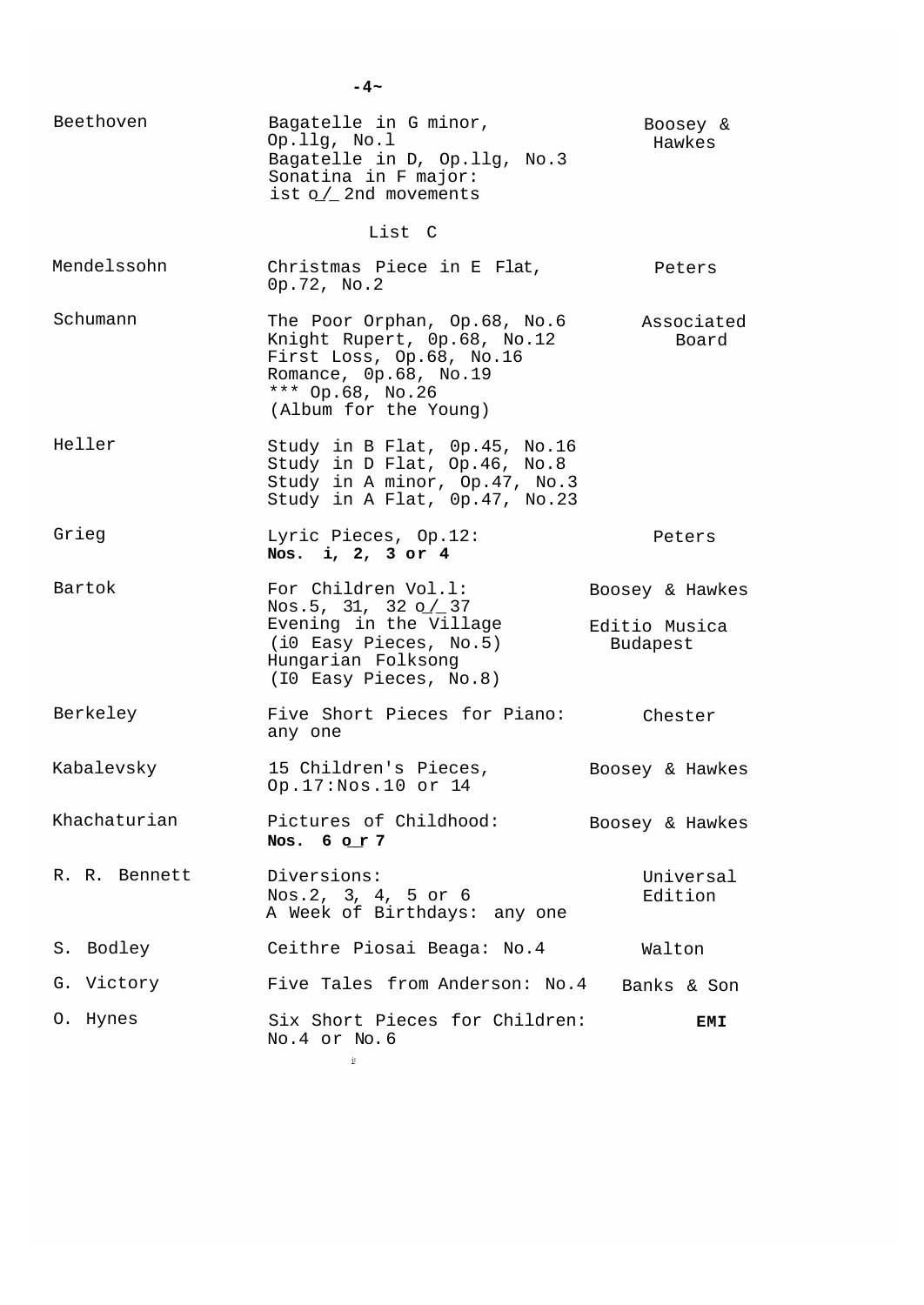| Beethoven     | Bagatelle in G minor,<br>Op.llg, No.l<br>Bagatelle in D, Op.11g, No.3<br>Sonatina in F major:<br>ist o <sub>/</sub> 2nd movements                             | Boosey &<br>Hawkes                           |
|---------------|---------------------------------------------------------------------------------------------------------------------------------------------------------------|----------------------------------------------|
|               | List C                                                                                                                                                        |                                              |
| Mendelssohn   | Christmas Piece in E Flat,<br>0p.72, No.2                                                                                                                     | Peters                                       |
| Schumann      | The Poor Orphan, Op.68, No.6<br>Knight Rupert, 0p.68, No.12<br>First Loss, Op.68, No.16<br>Romance, 0p.68, No.19<br>*** Op.68, No.26<br>(Album for the Young) | Associated<br>Board                          |
| Heller        | Study in B Flat, 0p.45, No.16<br>Study in D Flat, Op. 46, No. 8<br>Study in A minor, Op. 47, No. 3<br>Study in A Flat, 0p.47, No.23                           |                                              |
| Grieg         | Lyric Pieces, Op.12:<br>Nos. i, 2, 3 or 4                                                                                                                     | Peters                                       |
| Bartok        | For Children Vol.1:<br>Nos.5, 31, 32 $Q/$ 37<br>Evening in the Village<br>(i0 Easy Pieces, No.5)<br>Hungarian Folksong<br>(IO Easy Pieces, No.8)              | Boosey & Hawkes<br>Editio Musica<br>Budapest |
| Berkeley      | Five Short Pieces for Piano:<br>any one                                                                                                                       | Chester                                      |
| Kabalevsky    | 15 Children's Pieces,<br>Op.17:Nos.10 or 14                                                                                                                   | Boosey & Hawkes                              |
| Khachaturian  | Pictures of Childhood:<br>Nos. 6 or 7                                                                                                                         | Boosey & Hawkes                              |
| R. R. Bennett | Diversions:<br>Nos.2, 3, 4, 5 or 6<br>A Week of Birthdays: any one                                                                                            | Universal<br>Edition                         |
| S. Bodley     | Ceithre Piosai Beaga: No.4                                                                                                                                    | Walton                                       |
| G. Victory    | Five Tales from Anderson: No.4 Banks & Son                                                                                                                    |                                              |
| 0. Hynes      | Six Short Pieces for Children:<br>No.4 or No.6<br>i!                                                                                                          | EMI                                          |

**-4~**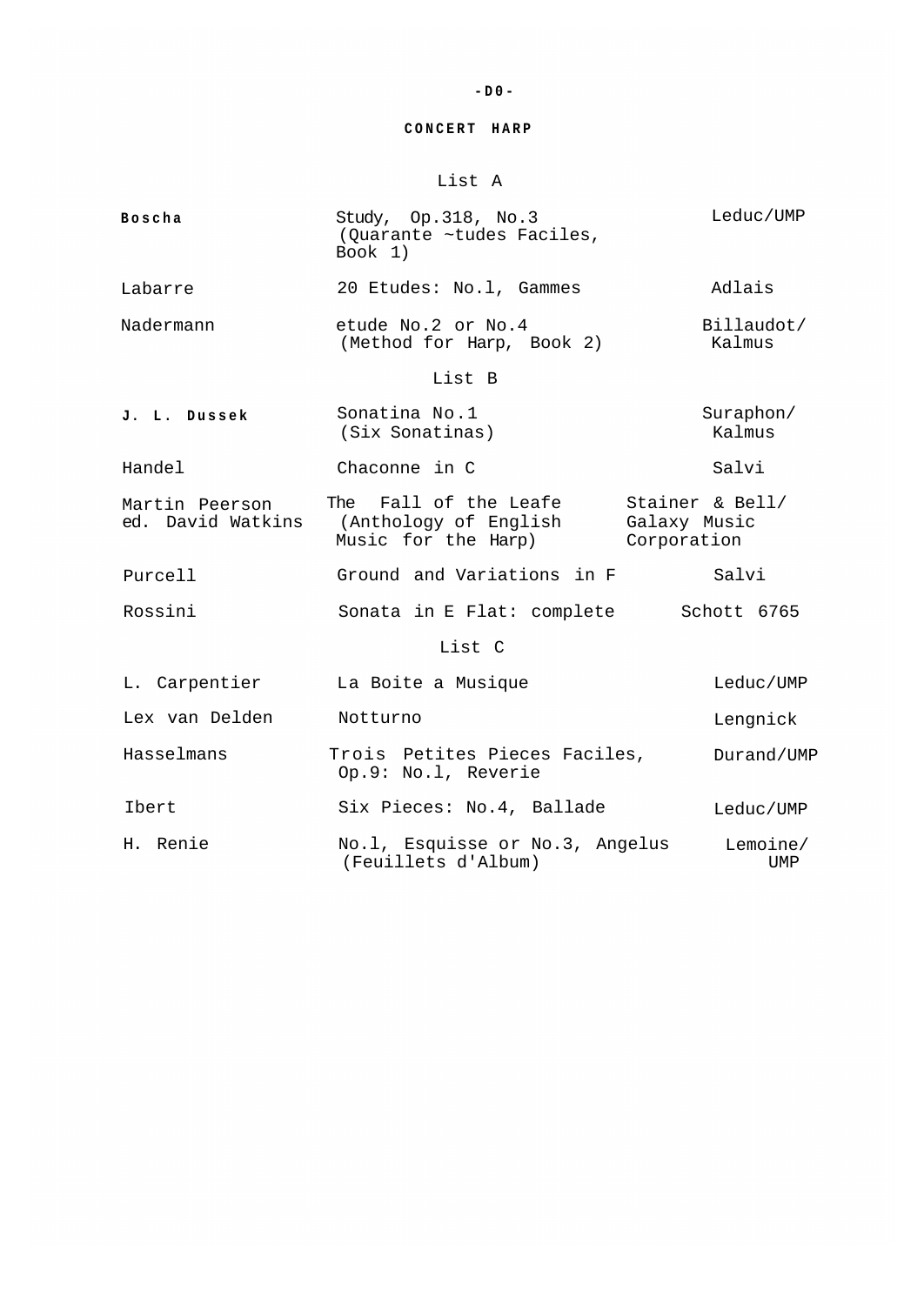#### **CONCERT HARP**

| <b>Boscha</b>                       | Study, $Op.318$ , $No.3$<br>(Quarante ~tudes Faciles,<br>Book 1)                                        | Leduc/UMP            |
|-------------------------------------|---------------------------------------------------------------------------------------------------------|----------------------|
| Labarre                             | 20 Etudes: No.1, Gammes                                                                                 | Adlais               |
| Nadermann                           | etude No.2 or No.4<br>(Method for Harp, Book 2)                                                         | Billaudot/<br>Kalmus |
|                                     | List B                                                                                                  |                      |
| J. L. Dussek                        | Sonatina No.1<br>(Six Sonatinas)                                                                        | Suraphon/<br>Kalmus  |
| Handel                              | Chaconne in C                                                                                           | Salvi                |
| Martin Peerson<br>ed. David Watkins | Fall of the Leafe<br>The<br>(Anthology of English<br>Galaxy Music<br>Music for the Harp)<br>Corporation | Stainer & Bell/      |
| Purcell                             | Ground and Variations in F                                                                              | Salvi                |
| Rossini                             | Sonata in E Flat: complete                                                                              | Schott 6765          |
|                                     | List C                                                                                                  |                      |
| L. Carpentier                       | La Boite a Musique                                                                                      | Leduc/UMP            |
| Lex van Delden                      | Notturno                                                                                                | Lengnick             |
| Hasselmans                          | Trois Petites Pieces Faciles,<br>Op.9: No.1, Reverie                                                    | Durand/UMP           |
| Ibert                               | Six Pieces: No.4, Ballade                                                                               | Leduc/UMP            |
| H. Renie                            | No.1, Esquisse or No.3, Angelus<br>(Feuillets d'Album)                                                  | Lemoine/<br>UMP      |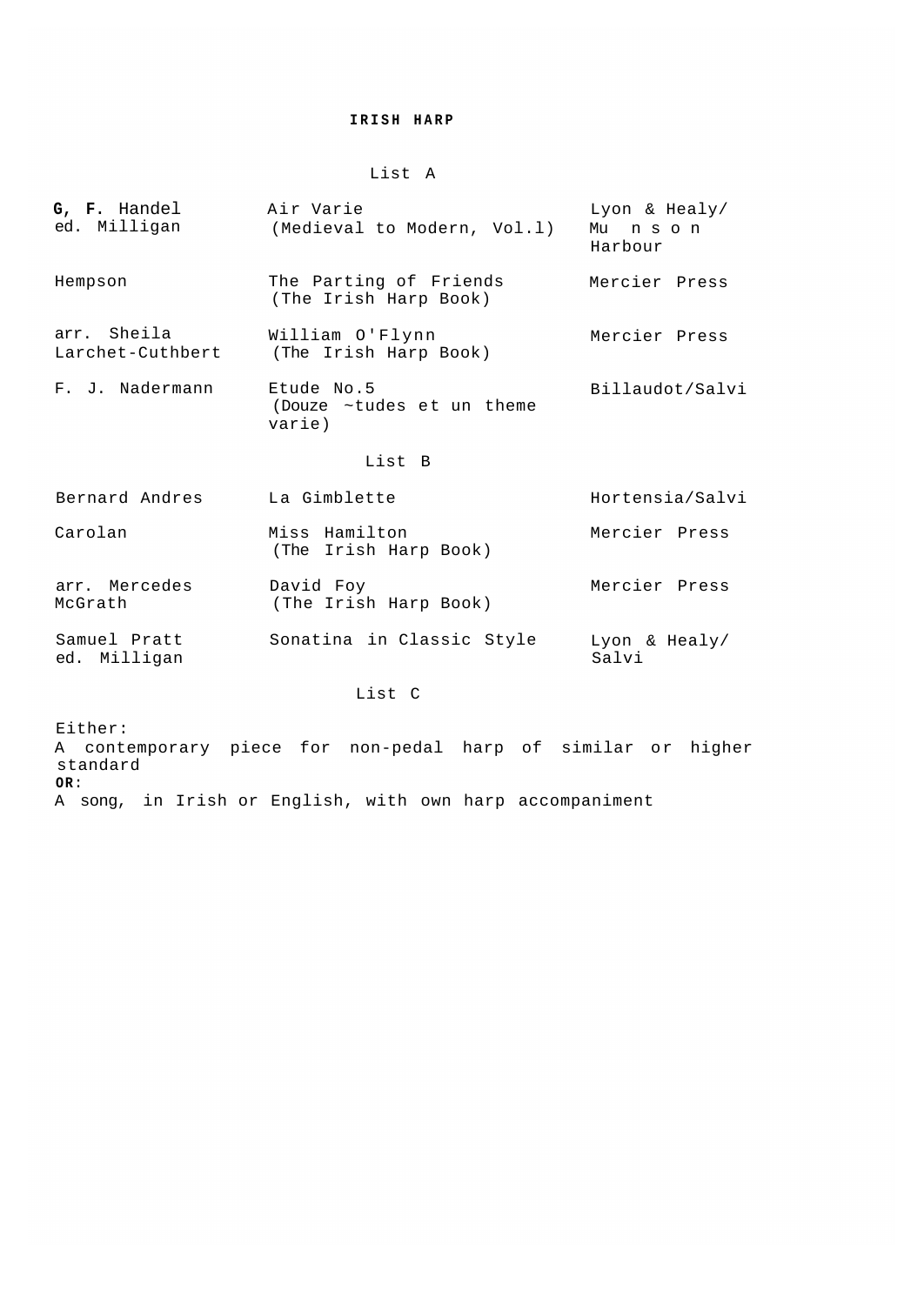#### **IRISH HARP**

#### List A

| G, F. Handel<br>ed. Milligan    | Air Varie<br>(Medieval to Modern, Vol.l)          | Lyon & Healy/<br>Mu n s o n<br>Harbour |
|---------------------------------|---------------------------------------------------|----------------------------------------|
| Hempson                         | The Parting of Friends<br>(The Irish Harp Book)   | Mercier Press                          |
| arr. Sheila<br>Larchet-Cuthbert | William O'Flynn<br>(The Irish Harp Book)          | Mercier Press                          |
| F. J. Nadermann                 | Etude No.5<br>(Douze ~tudes et un theme<br>varie) | Billaudot/Salvi                        |
|                                 | List B                                            |                                        |
| Bernard Andres                  | La Gimblette                                      | Hortensia/Salvi                        |
| Carolan                         | Miss Hamilton<br>(The Irish Harp Book)            | Mercier Press                          |
| arr. Mercedes<br>McGrath        | David Foy<br>(The Irish Harp Book)                | Mercier Press                          |
| Samuel Pratt<br>ed. Milligan    | Sonatina in Classic Style                         | Lyon & Healy/<br>Salvi                 |
|                                 | List C                                            |                                        |

Either: A contemporary piece for non-pedal harp of similar or higher standard **OR:** A song, in Irish or English, with own harp accompaniment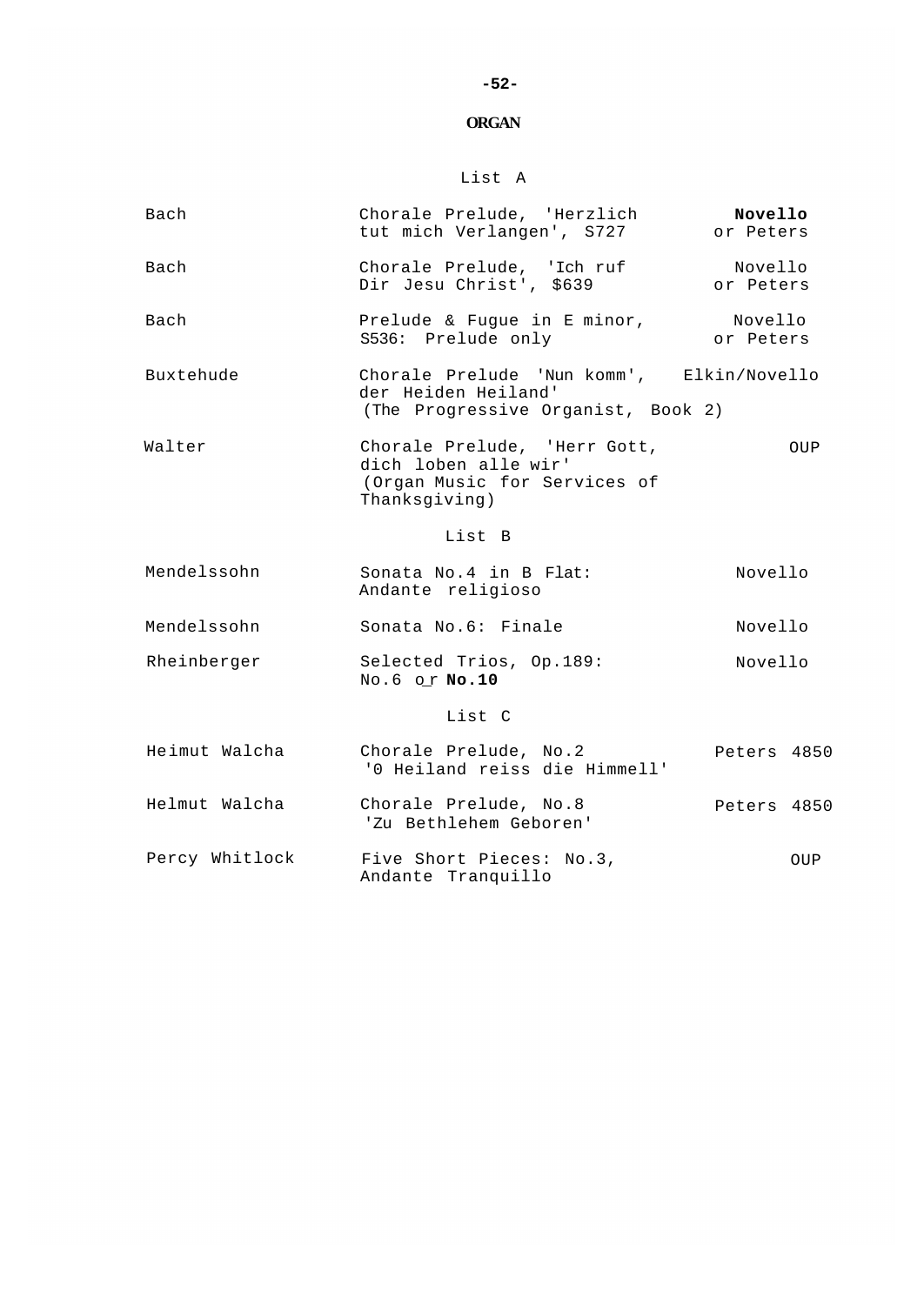# **ORGAN**

| Bach           | Chorale Prelude, 'Herzlich<br>tut mich Verlangen', S727                                                | Novello<br>or Peters |     |
|----------------|--------------------------------------------------------------------------------------------------------|----------------------|-----|
| Bach           | Chorale Prelude, 'Ich ruf<br>Dir Jesu Christ', \$639                                                   | Novello<br>or Peters |     |
| Bach           | Prelude & Fugue in E minor,<br>S536: Prelude only                                                      | Novello<br>or Peters |     |
| Buxtehude      | Chorale Prelude 'Nun komm', Elkin/Novello<br>der Heiden Heiland'<br>(The Progressive Organist, Book 2) |                      |     |
| Walter         | Chorale Prelude, 'Herr Gott,<br>dich loben alle wir'<br>(Organ Music for Services of<br>Thanksgiving)  |                      | 0UP |
|                | List B                                                                                                 |                      |     |
| Mendelssohn    | Sonata No.4 in B Flat:<br>Andante religioso                                                            | Novello              |     |
| Mendelssohn    | Sonata No.6: Finale                                                                                    | Novello              |     |
| Rheinberger    | Selected Trios, Op.189:<br>No.6 or No.10                                                               | Novello              |     |
|                | List C                                                                                                 |                      |     |
| Heimut Walcha  | Chorale Prelude, No.2<br>'O Heiland reiss die Himmell'                                                 | Peters 4850          |     |
| Helmut Walcha  | Chorale Prelude, No.8<br>'Zu Bethlehem Geboren'                                                        | Peters 4850          |     |
| Percy Whitlock | Five Short Pieces: No.3,<br>Andante Tranquillo                                                         |                      | OUP |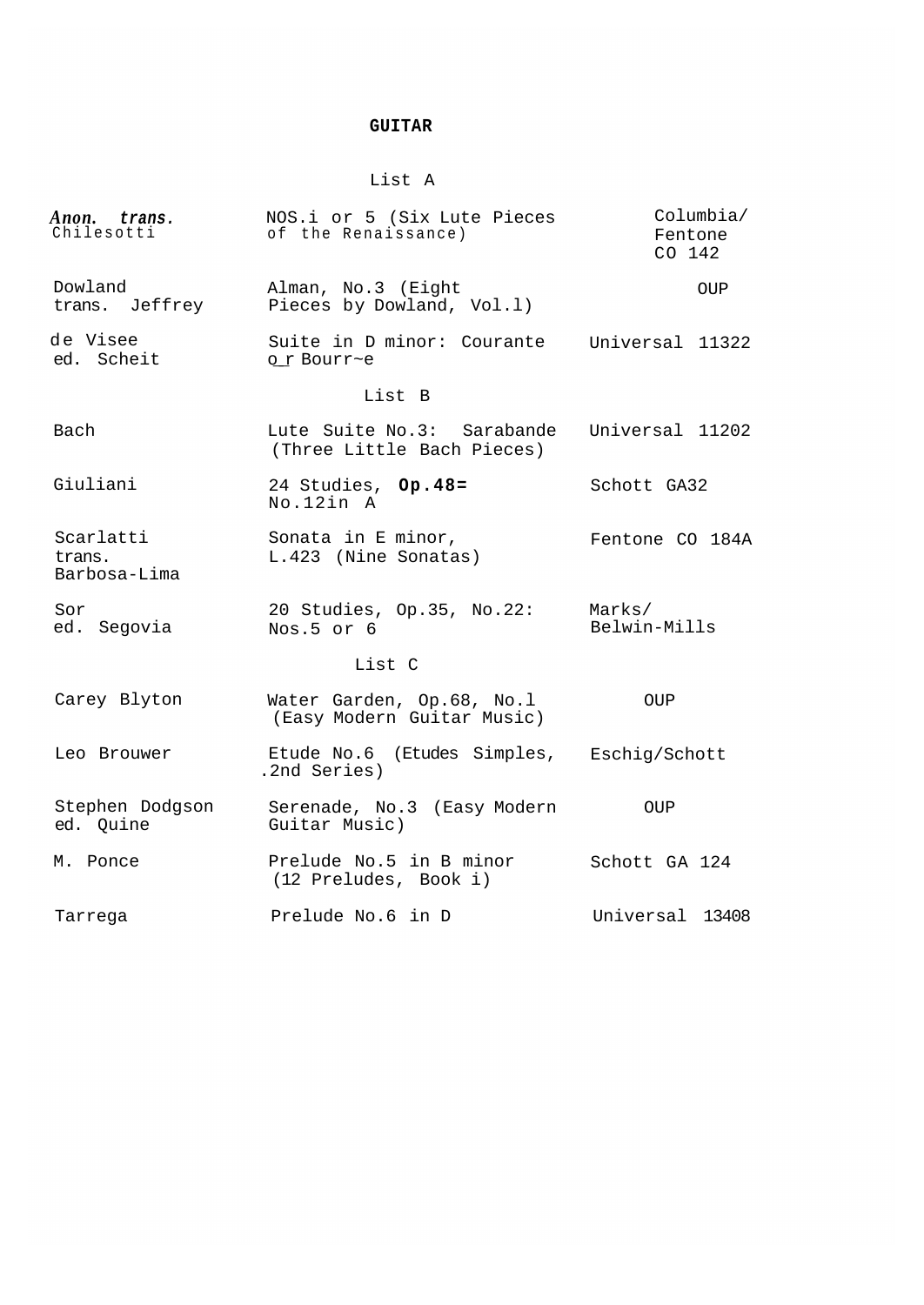#### **GUITAR**

| $Anon.$ trans.<br>Chilesotti        | NOS.i or 5 (Six Lute Pieces<br>of the Renaissance)       | Columbia/<br>Fentone<br>CO 142 |
|-------------------------------------|----------------------------------------------------------|--------------------------------|
| Dowland<br>trans. Jeffrey           | Alman, No.3 (Eight<br>Pieces by Dowland, Vol.1)          | OUP                            |
| de Visee<br>ed. Scheit              | Suite in D minor: Courante<br>or Bourr~e                 | Universal 11322                |
|                                     | List B                                                   |                                |
| Bach                                | Lute Suite No.3: Sarabande<br>(Three Little Bach Pieces) | Universal 11202                |
| Giuliani                            | 24 Studies, Op. 48=<br>No.12in A                         | Schott GA32                    |
| Scarlatti<br>trans.<br>Barbosa-Lima | Sonata in E minor,<br>L.423 (Nine Sonatas)               | Fentone CO 184A                |
| Sor<br>ed. Segovia                  | 20 Studies, Op.35, No.22:<br>Nos.5 or 6                  | Marks/<br>Belwin-Mills         |
|                                     | List C                                                   |                                |
| Carey Blyton                        | Water Garden, Op.68, No.1<br>(Easy Modern Guitar Music)  | OUP                            |
| Leo Brouwer                         | Etude No.6 (Etudes Simples,<br>.2nd Series)              | Eschig/Schott                  |
| Stephen Dodgson<br>ed. Quine        | Serenade, No.3 (Easy Modern<br>Guitar Music)             | OUP                            |
| M. Ponce                            | Prelude No.5 in B minor<br>(12 Preludes, Book i)         | Schott GA 124                  |
| Tarrega                             | Prelude No.6 in D                                        | Universal<br>13408             |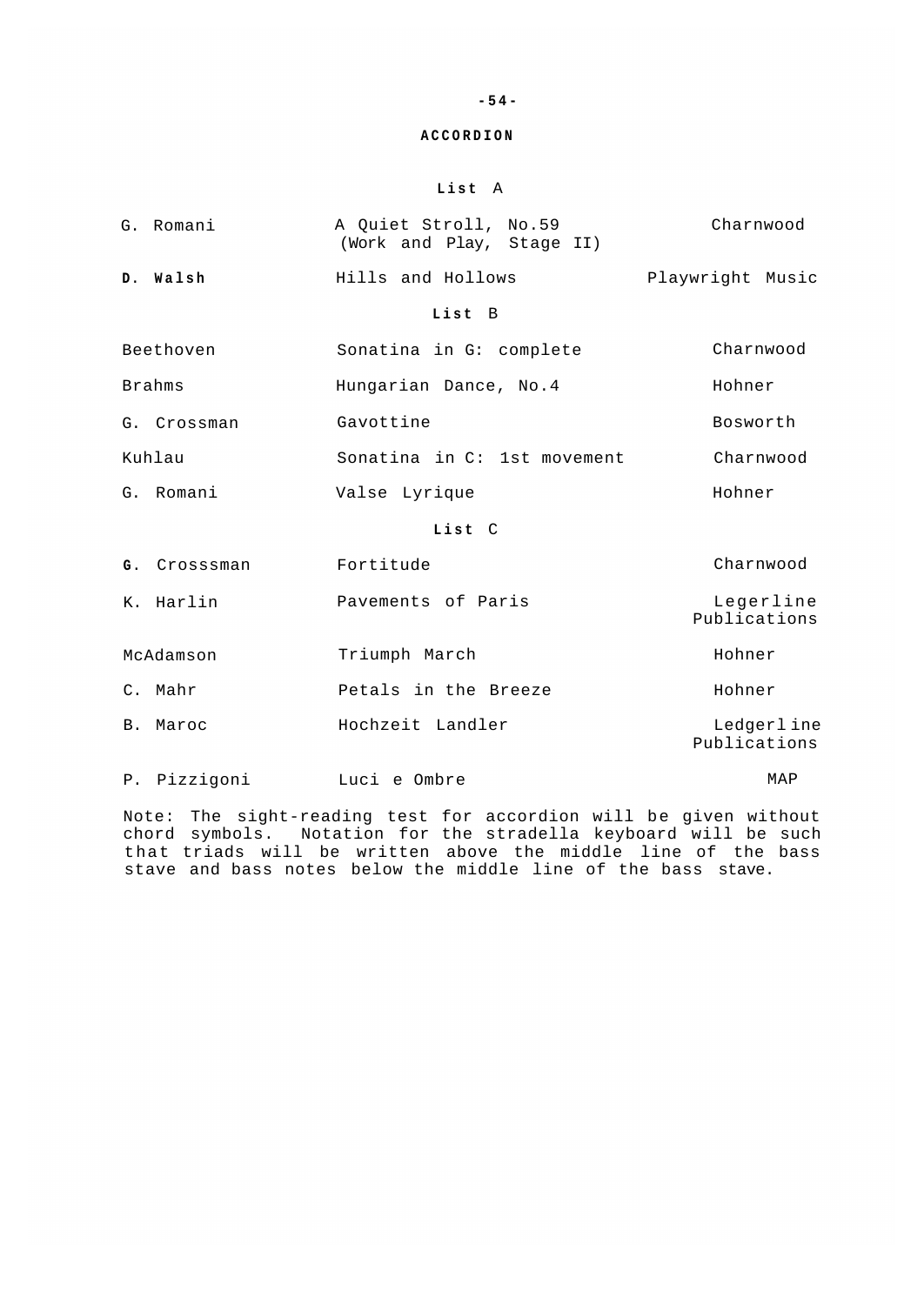#### **ACCORDION**

#### **List** A

| G. Romani     | A Quiet Stroll, No.59<br>(Work and Play, Stage II) | Charnwood                   |
|---------------|----------------------------------------------------|-----------------------------|
| D. Walsh      | Hills and Hollows                                  | Playwright Music            |
|               | List B                                             |                             |
| Beethoven     | Sonatina in G: complete                            | Charnwood                   |
| <b>Brahms</b> | Hungarian Dance, No.4                              | Hohner                      |
| G. Crossman   | Gavottine                                          | Bosworth                    |
| Kuhlau        | Sonatina in C: 1st movement                        | Charnwood                   |
| G. Romani     | Valse Lyrique                                      | Hohner                      |
|               | List C                                             |                             |
| G. Crosssman  | Fortitude                                          | Charnwood                   |
| K. Harlin     | Pavements of Paris                                 | Legerline<br>Publications   |
| McAdamson     | Triumph March                                      | Hohner                      |
| C. Mahr       | Petals in the Breeze                               | Hohner                      |
| B. Maroc      | Hochzeit Landler                                   | Ledgerl ine<br>Publications |
| P. Pizzigoni  | Luci e Ombre                                       | MAP                         |

Note: The sight-reading test for accordion will be given without chord symbols. Notation for the stradella keyboard will be such that triads will be written above the middle line of the bass stave and bass notes below the middle line of the bass stave.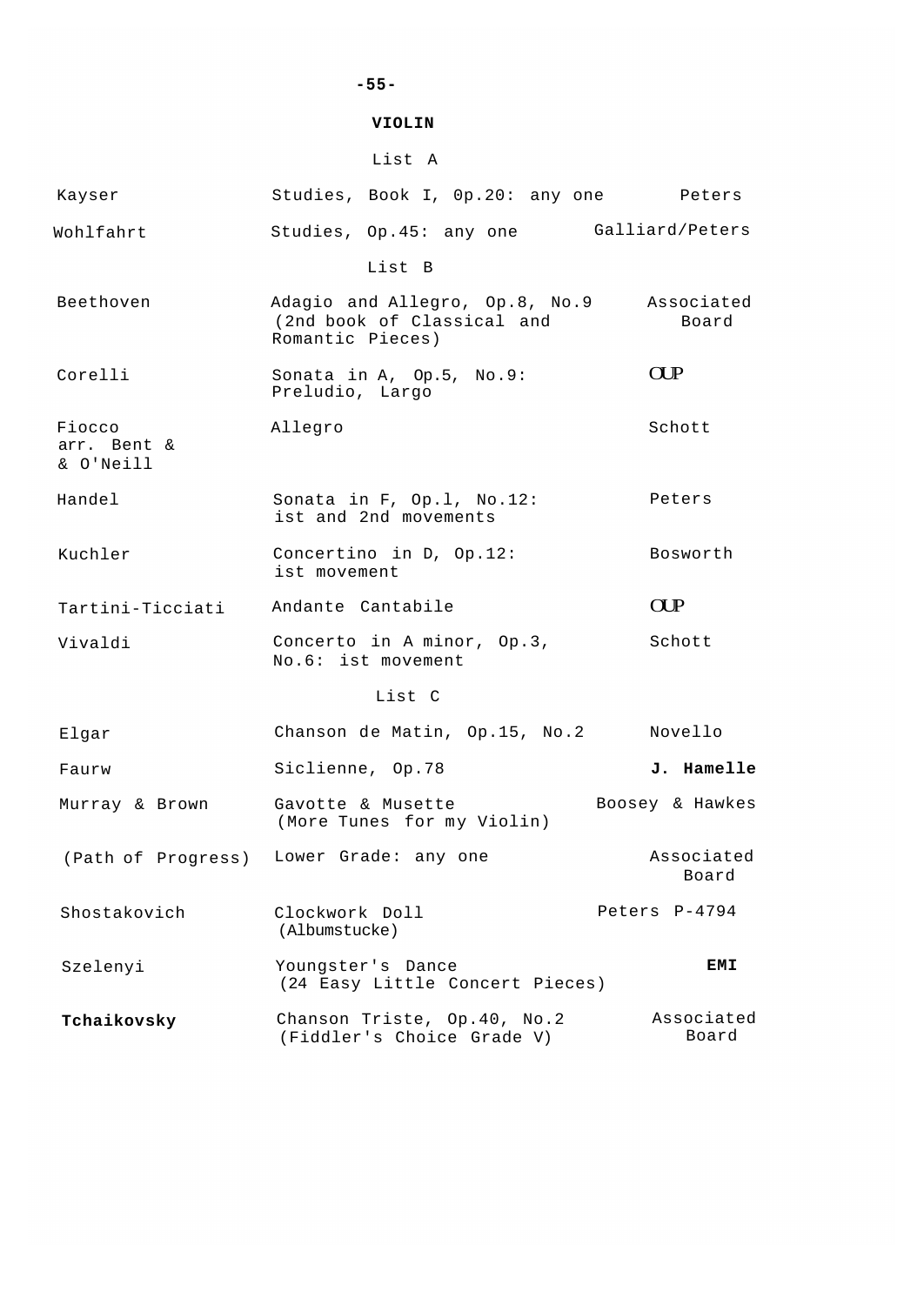# **-55-**

#### **VIOLIN**

| Kayser                             | Studies, Book I, 0p.20: any one Peters                                                      |                     |
|------------------------------------|---------------------------------------------------------------------------------------------|---------------------|
| Wohlfahrt                          | Studies, Op. 45: any one Galliard/Peters                                                    |                     |
|                                    | List B                                                                                      |                     |
| Beethoven                          | Adagio and Allegro, Op.8, No.9 Associated<br>(2nd book of Classical and<br>Romantic Pieces) | Board               |
| Corelli                            | Sonata in A, Op.5, No.9:<br>Preludio, Largo                                                 | OUP                 |
| Fiocco<br>arr. Bent &<br>& O'Neill | Allegro                                                                                     | Schott              |
| Handel                             | Sonata in F, Op.1, No.12:<br>ist and 2nd movements                                          | Peters              |
| Kuchler                            | Concertino in D, Op.12:<br>ist movement                                                     | Bosworth            |
| Tartini-Ticciati                   | Andante Cantabile                                                                           | $\alpha$            |
| Vivaldi                            | Concerto in A minor, Op.3,<br>No.6: ist movement                                            | Schott              |
|                                    | List C                                                                                      |                     |
| Elgar                              | Chanson de Matin, Op.15, No.2                                                               | Novello             |
| Faurw                              | Siclienne, Op.78                                                                            | J. Hamelle          |
| Murray & Brown                     | Gavotte & Musette<br>(More Tunes for my Violin)                                             | Boosey & Hawkes     |
|                                    | (Path of Progress) Lower Grade: any one                                                     | Associated<br>Board |
| Shostakovich                       | Clockwork Doll<br>(Albumstucke)                                                             | Peters P-4794       |
| Szelenyi                           | Youngster's Dance<br>(24 Easy Little Concert Pieces)                                        | EMI                 |
| Tchaikovsky                        | Chanson Triste, Op. 40, No. 2<br>(Fiddler's Choice Grade V)                                 | Associated<br>Board |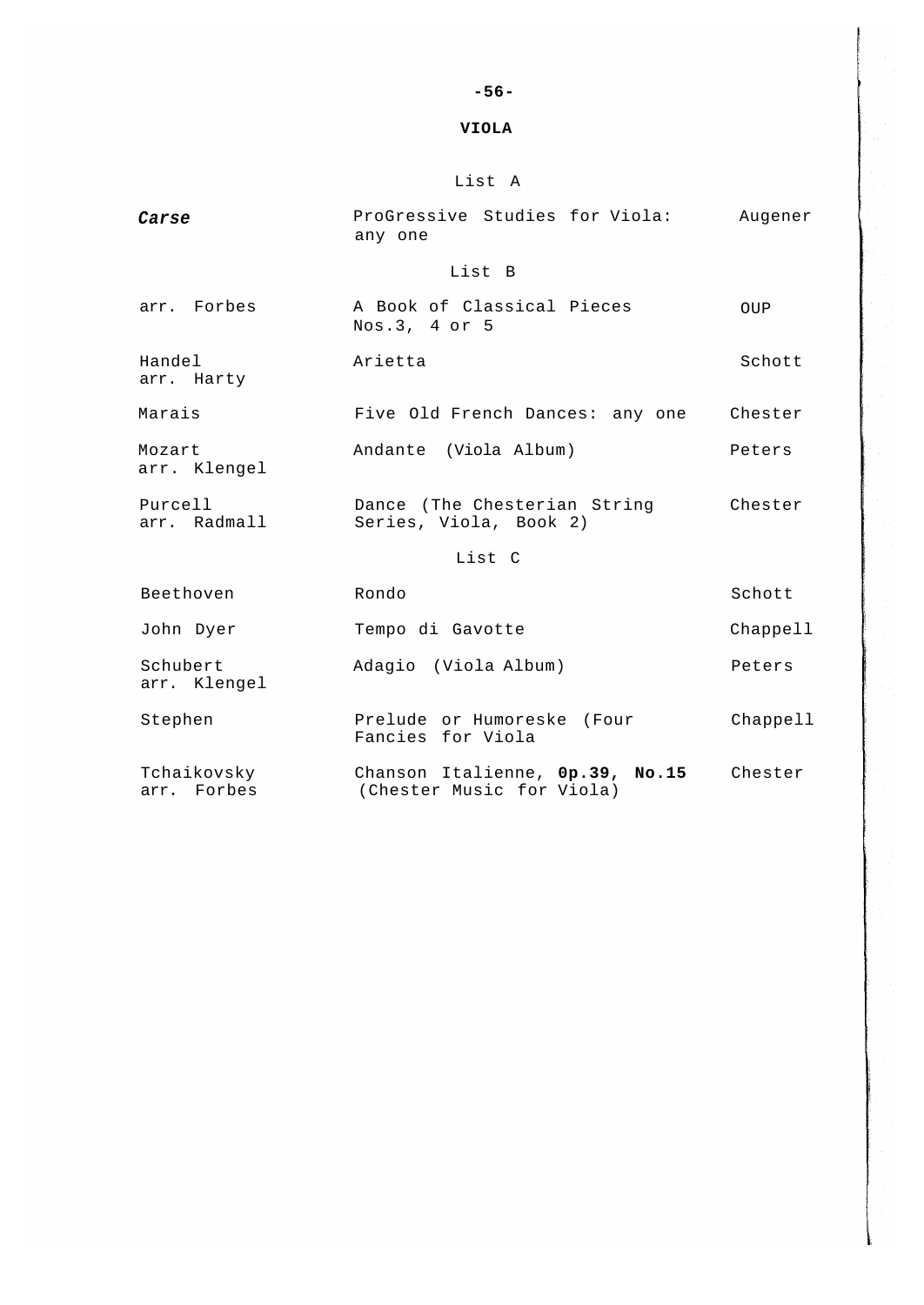#### **VIOLA**

**-56-**

| Carse                      | ProGressive Studies for Viola:<br>any one                    | Augener  |
|----------------------------|--------------------------------------------------------------|----------|
|                            | List B                                                       |          |
| arr. Forbes                | A Book of Classical Pieces<br>Nos.3, 4 or 5                  | 0UP      |
| Handel<br>arr. Harty       | Arietta                                                      | Schott   |
| Marais                     | Five Old French Dances: any one                              | Chester  |
| Mozart<br>arr. Klengel     | Andante (Viola Album)                                        | Peters   |
| Purcell<br>arr. Radmall    | Dance (The Chesterian String<br>Series, Viola, Book 2)       | Chester  |
|                            | List C                                                       |          |
| Beethoven                  | Rondo                                                        | Schott   |
| John Dyer                  | Tempo di Gavotte                                             | Chappell |
| Schubert<br>arr. Klengel   | Adagio (Viola Album)                                         | Peters   |
| Stephen                    | Prelude or Humoreske (Four<br>Fancies for Viola              | Chappell |
| Tchaikovsky<br>arr. Forbes | Chanson Italienne, 0p.39, No.15<br>(Chester Music for Viola) | Chester  |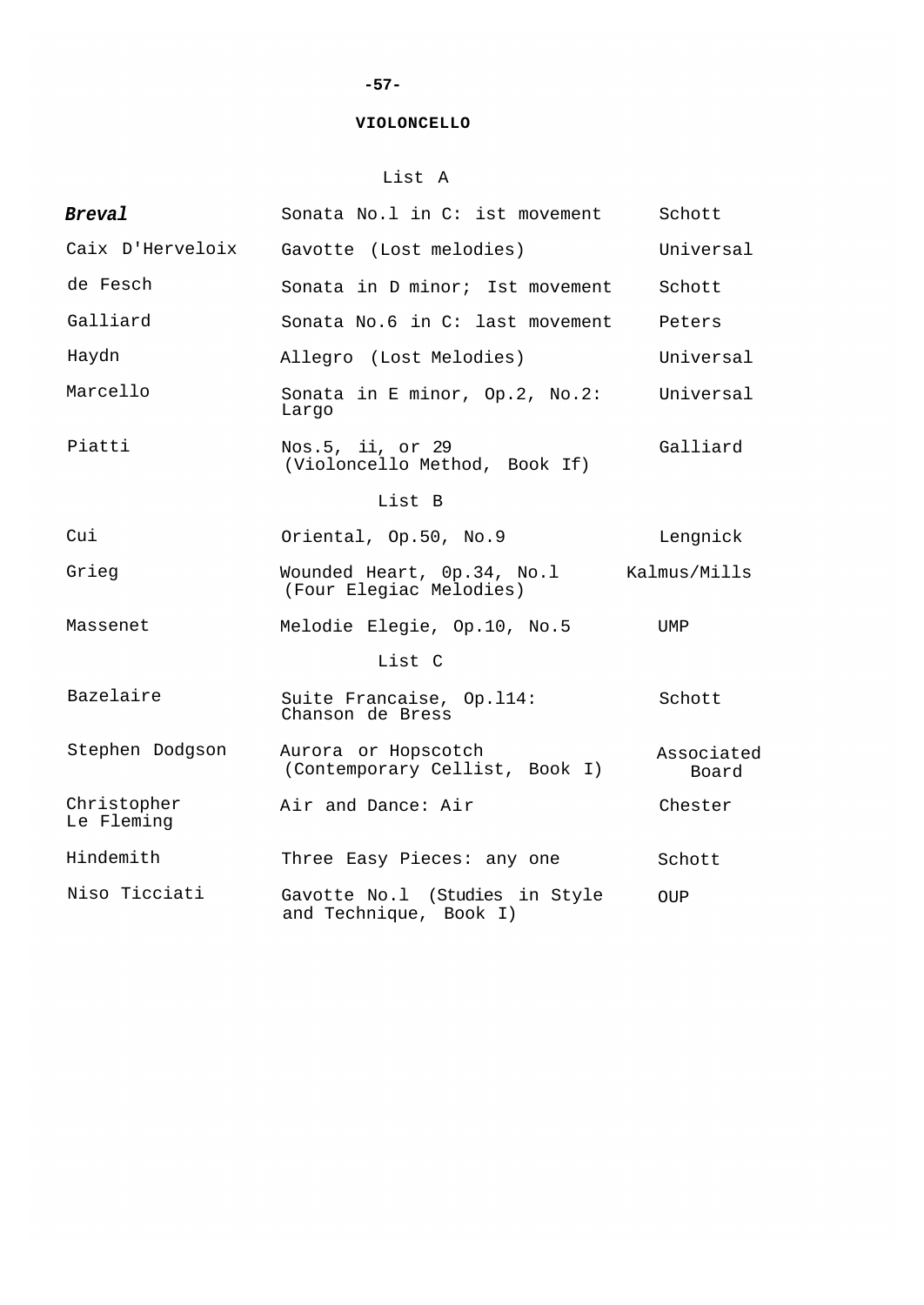# **-57-**

#### **VIOLONCELLO**

| Breval                    | Sonata No.1 in C: ist movement                                     | Schott              |
|---------------------------|--------------------------------------------------------------------|---------------------|
| Caix D'Herveloix          | Gavotte (Lost melodies)                                            | Universal           |
| de Fesch                  | Sonata in D minor; Ist movement                                    | Schott              |
| Galliard                  | Sonata No.6 in C: last movement                                    | Peters              |
| Haydn                     | Allegro (Lost Melodies)                                            | Universal           |
| Marcello                  | Sonata in E minor, Op.2, No.2:<br>Largo                            | Universal           |
| Piatti                    | Nos.5, ii, or 29<br>(Violoncello Method, Book If)                  | Galliard            |
|                           | List B                                                             |                     |
| Cui                       | Oriental, Op.50, No.9                                              | Lengnick            |
| Grieg                     | Wounded Heart, 0p.34, No.1 Kalmus/Mills<br>(Four Elegiac Melodies) |                     |
| Massenet                  | Melodie Elegie, Op.10, No.5                                        | UMP                 |
|                           | List C                                                             |                     |
| Bazelaire                 | Suite Francaise, Op.114:<br>Chanson de Bress                       | Schott              |
| Stephen Dodgson           | Aurora or Hopscotch<br>(Contemporary Cellist, Book I)              | Associated<br>Board |
| Christopher<br>Le Fleming | Air and Dance: Air                                                 | Chester             |
| Hindemith                 | Three Easy Pieces: any one                                         | Schott              |
| Niso Ticciati             | Gavotte No.1 (Studies in Style<br>and Technique, Book I)           | OUP.                |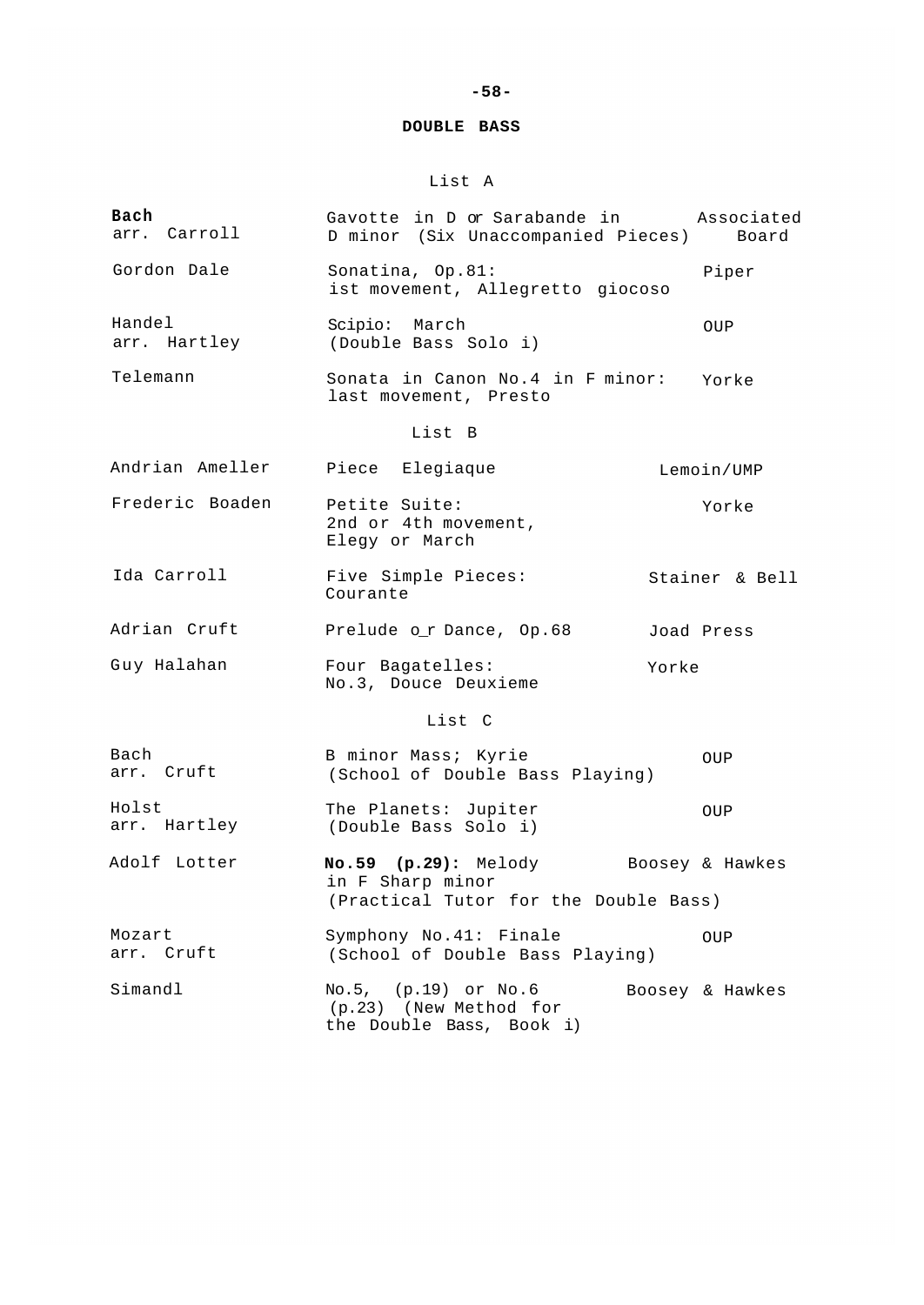#### **DOUBLE BASS**

| Bach<br>arr. Carroll   | Gavotte in D or Sarabande in Associated<br>D minor (Six Unaccompanied Pieces) Board                    |                 |
|------------------------|--------------------------------------------------------------------------------------------------------|-----------------|
| Gordon Dale            | Sonatina, Op.81:<br>ist movement, Allegretto giocoso                                                   | Piper           |
| Handel<br>arr. Hartley | Scipio: March<br>(Double Bass Solo i)                                                                  | OUP             |
| Telemann               | Sonata in Canon No.4 in F minor: Yorke<br>last movement, Presto                                        |                 |
|                        | List B                                                                                                 |                 |
| Andrian Ameller        | Piece Elegiaque                                                                                        | Lemoin/UMP      |
| Frederic Boaden        | Petite Suite:<br>2nd or 4th movement,<br>Elegy or March                                                | Yorke           |
| Ida Carroll            | Five Simple Pieces:<br>Courante                                                                        | Stainer & Bell  |
| Adrian Cruft           | Prelude or Dance, Op.68                                                                                | Joad Press      |
| Guy Halahan            | Four Bagatelles:<br>Yorke<br>No.3, Douce Deuxieme                                                      |                 |
|                        | List C                                                                                                 |                 |
| Bach<br>arr. Cruft     | B minor Mass; Kyrie<br>(School of Double Bass Playing)                                                 | OUP             |
| Holst<br>arr. Hartley  | The Planets: Jupiter<br>(Double Bass Solo i)                                                           | 0UP             |
| Adolf Lotter           | $No.59$ (p.29): Melody<br>Boosey & Hawkes<br>in F Sharp minor<br>(Practical Tutor for the Double Bass) |                 |
| Mozart<br>arr. Cruft   | Symphony No.41: Finale<br>(School of Double Bass Playing)                                              | OUP             |
| Simandl                | No.5, (p.19) or No.6<br>(p.23) (New Method for<br>the Double Bass, Book i)                             | Boosey & Hawkes |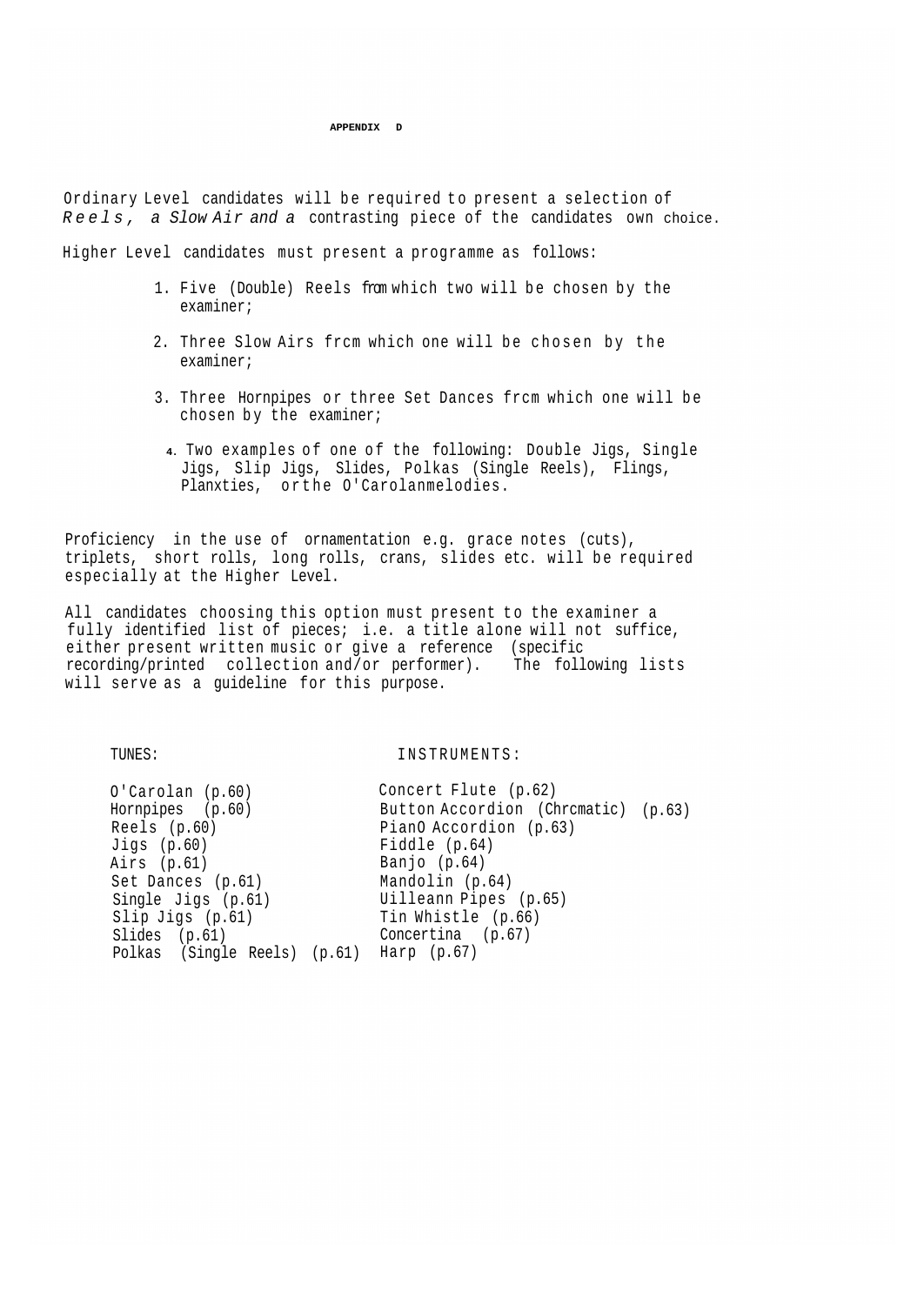#### **APPENDIX D**

Ordinary Level candidates will be required to present a selection of *Reels, a Slow Air and a* contrasting piece of the candidates own choice.

Higher Level candidates must present a programme as follows:

- 1. Five (Double) Reels from which two will be chosen by the examiner;
- 2. Three Slow Airs frcm which one will be chosen by the examiner;
- 3. Three Hornpipes or three Set Dances frcm which one will be chosen by the examiner;
	- 4. Two examples of one of the following: Double Jigs, Single Jigs, Slip Jigs, Slides, Polkas (Single Reels), Flings, Planxties, orthe O'Carolanmelodies.

Proficiency in the use of ornamentation e.g. grace notes (cuts), triplets, short rolls, long rolls, crans, slides etc. will be required especially at the Higher Level.

All candidates choosing this option must present to the examiner a fully identified list of pieces; i.e. a title alone will not suffice, either present written music or give a reference (specific recording/printed collection and/or performer). The following lists will serve as a guideline for this purpose.

#### TUNES: INSTRUMENTS:

| $0'$ Carolan $(p.60)$                    | Concert Flute (p.62)                |
|------------------------------------------|-------------------------------------|
| Hornpipes $(p.60)$                       | Button Accordion (Chromatic) (p.63) |
| Reels $(p.60)$                           | PianO Accordion (p.63)              |
| Jigs (p.60)                              | Fiddle $(p.64)$                     |
| Airs (p.61)                              | Banjo (p.64)                        |
| Set Dances (p.61)                        | Mandolin (p.64)                     |
| Single Jigs (p.61)                       | Uilleann Pipes (p.65)               |
| Slip Jigs (p.61)                         | Tin Whistle (p.66)                  |
| Slides (p.61)                            | Concertina $(p.67)$                 |
| Polkas (Single Reels) (p.61) Harp (p.67) |                                     |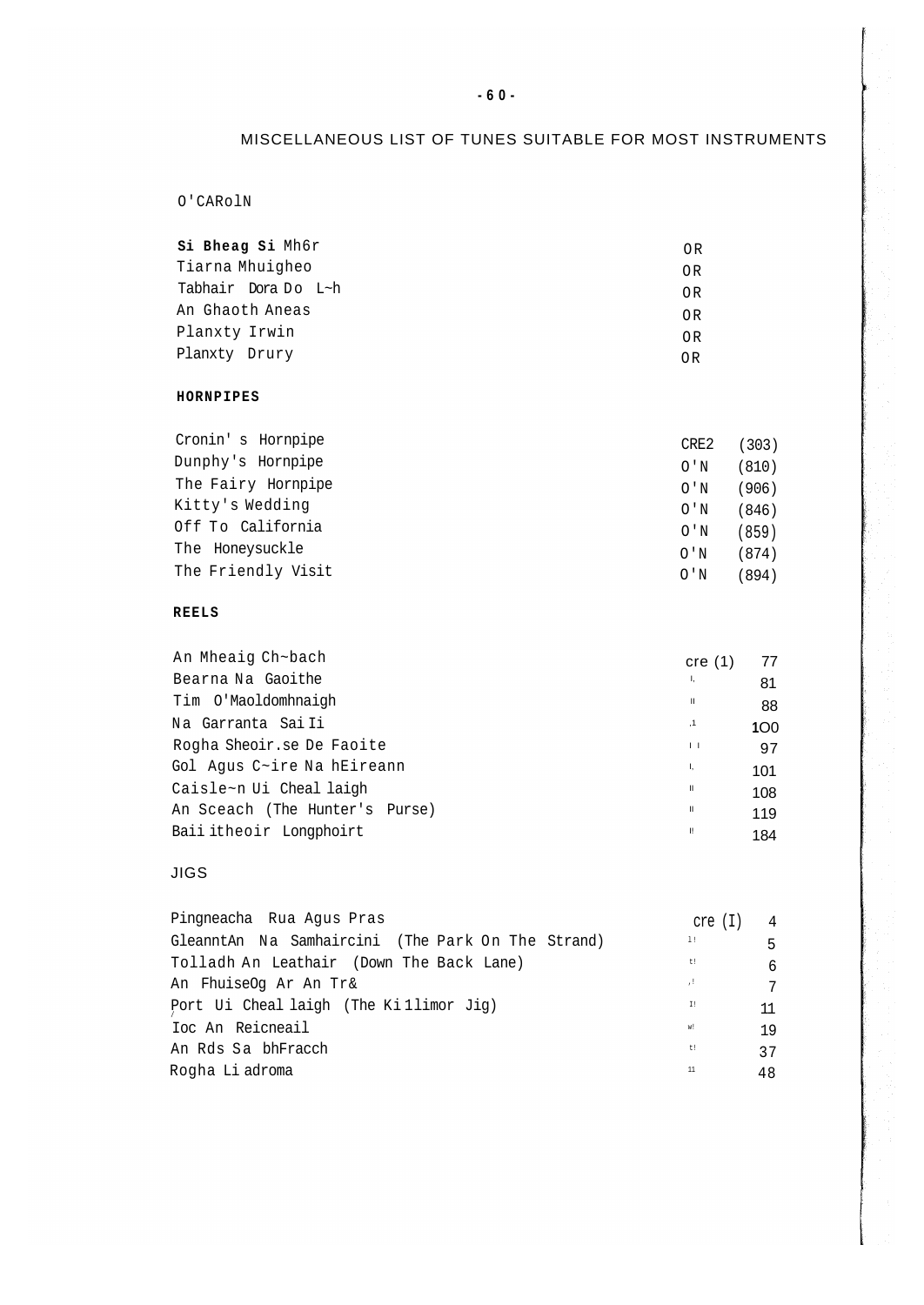# MISCELLANEOUS LIST OF TUNES SUITABLE FOR MOST INSTRUMENTS

#### O'CARolN

| Si Bheag Si Mh6r    | OR             |
|---------------------|----------------|
| Tiarna Mhuigheo     | 0 <sub>R</sub> |
| Tabhair Dora Do L~h | 0 <sub>R</sub> |
| An Ghaoth Aneas     | 0 <sub>R</sub> |
| Planxty Irwin       | 0 <sub>R</sub> |
| Planxty Drury       | OR.            |
|                     |                |

#### **HORNPIPES**

| CRE2 | (303) |
|------|-------|
| O' N | (810) |
| O' N | (906) |
| O' N | (846) |
| O' N | (859) |
| O' N | (874) |
| O' N | (894) |
|      |       |

#### **REELS**

| An Mheaig Ch~bach              | cre(1)  | - 77             |
|--------------------------------|---------|------------------|
| Bearna Na Gaoithe              |         | 81               |
| Tim O'Maoldomhnaigh            | Ш       | 88               |
| Na Garranta Saili              | ,1      | 100 <sub>o</sub> |
| Rogha Sheoir.se De Faoite      | $\perp$ | 97               |
| Gol Aqus C~ire Na hEireann     |         | 101              |
| Caisle~n Ui Cheal laigh        | Ш       | 108              |
| An Sceach (The Hunter's Purse) | Ш       | 119              |
| Baii itheoir Longphoirt        | II.     | 184              |

# JIGS

| Pingneacha Rua Agus Pras                          | cre(1) | 4  |
|---------------------------------------------------|--------|----|
| GleanntAn Na Samhaircini (The Park On The Strand) | -11    | 5. |
| Tolladh An Leathair (Down The Back Lane)          | t!     | 6  |
| An FhuiseOq Ar An Tr&                             |        | 7  |
| Port Ui Cheal laigh (The Killimor Jig)            | I!     | 11 |
| Ioc An Reicneail                                  | w!     | 19 |
| An Rds Sa bhFracch                                | t!     | 37 |
| Rogha Li adroma                                   | 11     | 48 |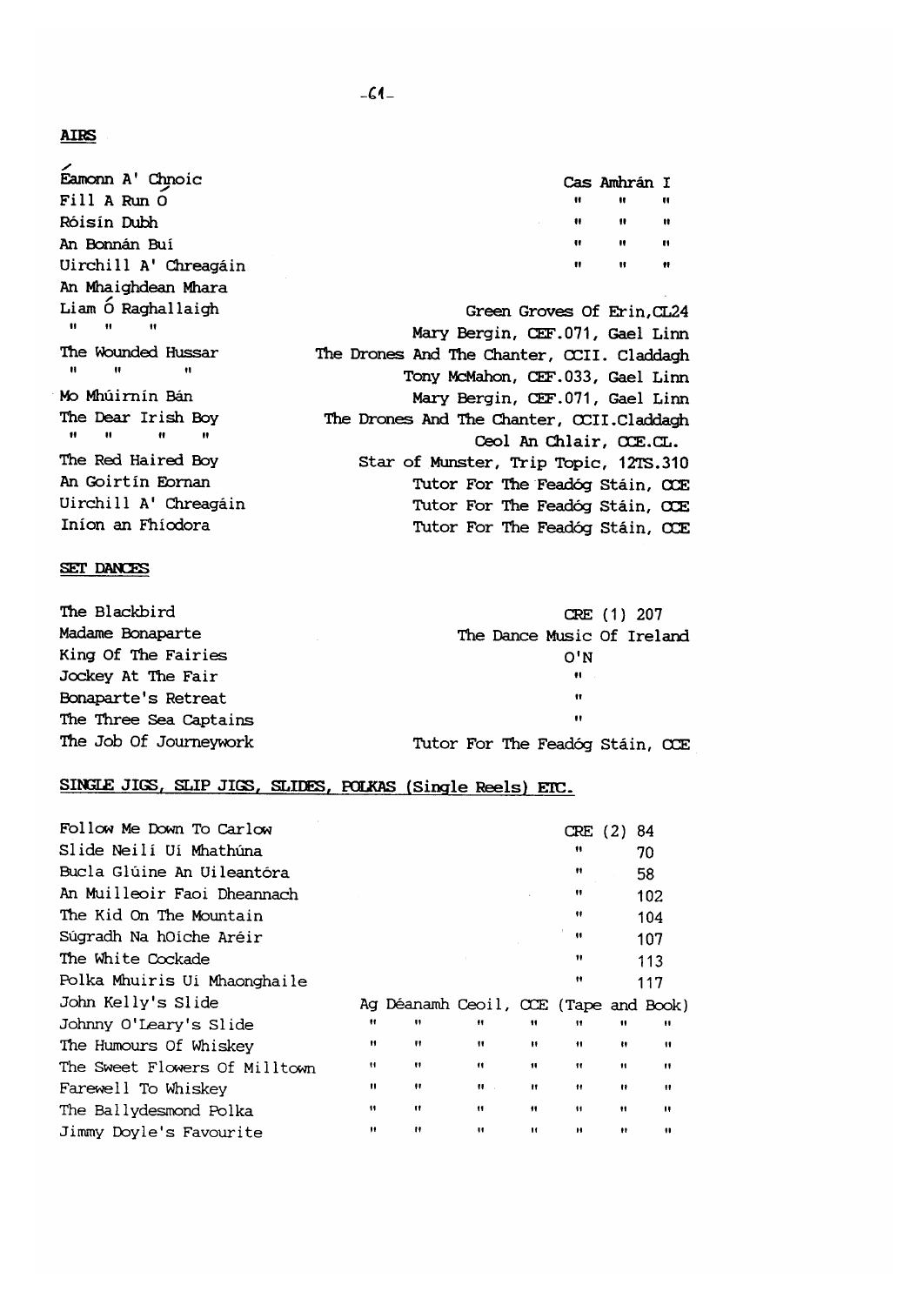**AIRS** 

Eamonn A' Chnoic  $Fill A Run 0$ Róisín Dubh An Bonnán Bui Uirchill A' Chreagáin An Mhaighdean Mhara Liam O Raghallaigh Green Groves Of Erin, CL24  $\mathbf{H}^{\prime}=\mathbf{H}^{\prime}$  and  $\mathbf{H}^{\prime}$ Mary Bergin, CEF.071, Gael Linn The Wounded Hussar The Drones And The Chanter, CCII. Claddagh  $\mathbf{H}^{\text{max}}$  and  $\mathbf{H}^{\text{max}}$  $\mathbf{H}$ Tony McMahon, CEF.033, Gael Linn Mo Mhúirnín Bán Mary Bergin, CEF.071, Gael Linn The Dear Irish Boy The Drones And The Chanter, CCII.Claddagh  $\mathbf{H} = \mathbf{H} \qquad \qquad \mathbf{H} = \mathbf{H} \qquad \qquad \mathbf{H}$ Ceol An Chlair, CCE.CL. The Red Haired Boy Star of Munster, Trip Topic, 12TS.310 An Goirtín Eornan Tutor For The Feadóg Stáin, CCE Uirchill A' Chreagáin Tutor For The Feadóg Stáin, CCE Iníon an Fhiodora Tutor For The Feadóg Stáin, CCE

#### SET DANCES

| The Blackbird          | CRE (1) 207                     |
|------------------------|---------------------------------|
| Madame Bonaparte       | The Dance Music Of Ireland      |
| King Of The Fairies    | O'N                             |
| Jockey At The Fair     | <b>CONTRACTOR</b>               |
| Bonaparte's Retreat    | Ħ                               |
| The Three Sea Captains | $^{\bullet}$                    |
| The Job Of Journeywork | Tutor For The Feadóg Stáin, CCE |

# SINGLE JIGS, SLIP JIGS, SLIDES, POLKAS (Single Reels) ETC.

| Follow Me Down To Carlow      |              |                                       |                           |                  | <b>CRE</b>           |                      | 84                |
|-------------------------------|--------------|---------------------------------------|---------------------------|------------------|----------------------|----------------------|-------------------|
| Slide Neilí Uí Mhathúna       |              |                                       |                           |                  | 11                   |                      | 70                |
| Bucla Glúine An Uileantóra    |              |                                       |                           |                  | $\mathbf{H}$         |                      | 58                |
| An Muilleoir Faoi Dheannach   |              |                                       |                           |                  | $\mathbf{H}$         |                      | 102               |
| The Kid On The Mountain       |              |                                       |                           |                  | $\bullet$            |                      | 104               |
| Súgradh Na hOiche Aréir       |              |                                       |                           |                  | $\mathbf{u}$         |                      | 107               |
| The White Cockade             |              |                                       |                           |                  | "                    |                      | 113               |
| Polka Mhuiris Uí Mhaonghaile  |              |                                       |                           |                  | 11                   |                      | 117               |
| John Kelly's Slide            |              | Ag Déanamh Ceoil, CCE (Tape and Book) |                           |                  |                      |                      |                   |
| Johnny O'Leary's Slide        | 11           | $\bullet$                             | Ħ                         | $\mathbf{H}$     | $^{\prime\prime}$    | $\mathbf{u}$         | 41                |
| The Humours Of Whiskey        | 11           | w                                     | 11                        | Ħ                | $^{\bullet}$         | $\ddot{\phantom{1}}$ | $^{\bullet}$      |
| The Sweet Flowers Of Milltown | 11           | 11                                    | $\mathbf{H}$              | $\bullet$        | $\mathbf{H}$         | $\ddot{\phantom{1}}$ | $^{\bullet}$      |
| Farewell To Whiskey           | 11           | $\mathbf{H}$                          | $\mathbf{H} = \mathbf{0}$ | $^{\ast\ast}$    | $^{\dagger \dagger}$ | $\bullet$            | $^{\prime\prime}$ |
| The Ballydesmond Polka        | 11           | $\blacksquare$                        | Ħ                         | $\bullet\bullet$ | $\mathbf{H}$         | 11                   | w                 |
| Jimmy Doyle's Favourite       | $\mathbf{H}$ | $^{\prime}$                           | $\mathbf{H}$              | $\mathbf{H}$     | $\mathbf{H}$         | $\bullet$            | $\mathbf{H}$      |

Cas Amhrán I

 $\mathbf{u}$  .

 $\mathbf{u}$ 

 $\mathbf{u}$ 

 $\mathbf{u}$ 

 $\mathbf{u}$ 

 $\ddot{\phantom{a}}$ 

 $\alpha$ 

 $\bullet$ 

 $\mathbf{H}^{\pm}$ 

 $\alpha$ 

 $\bullet$ 

 $\bullet\bullet$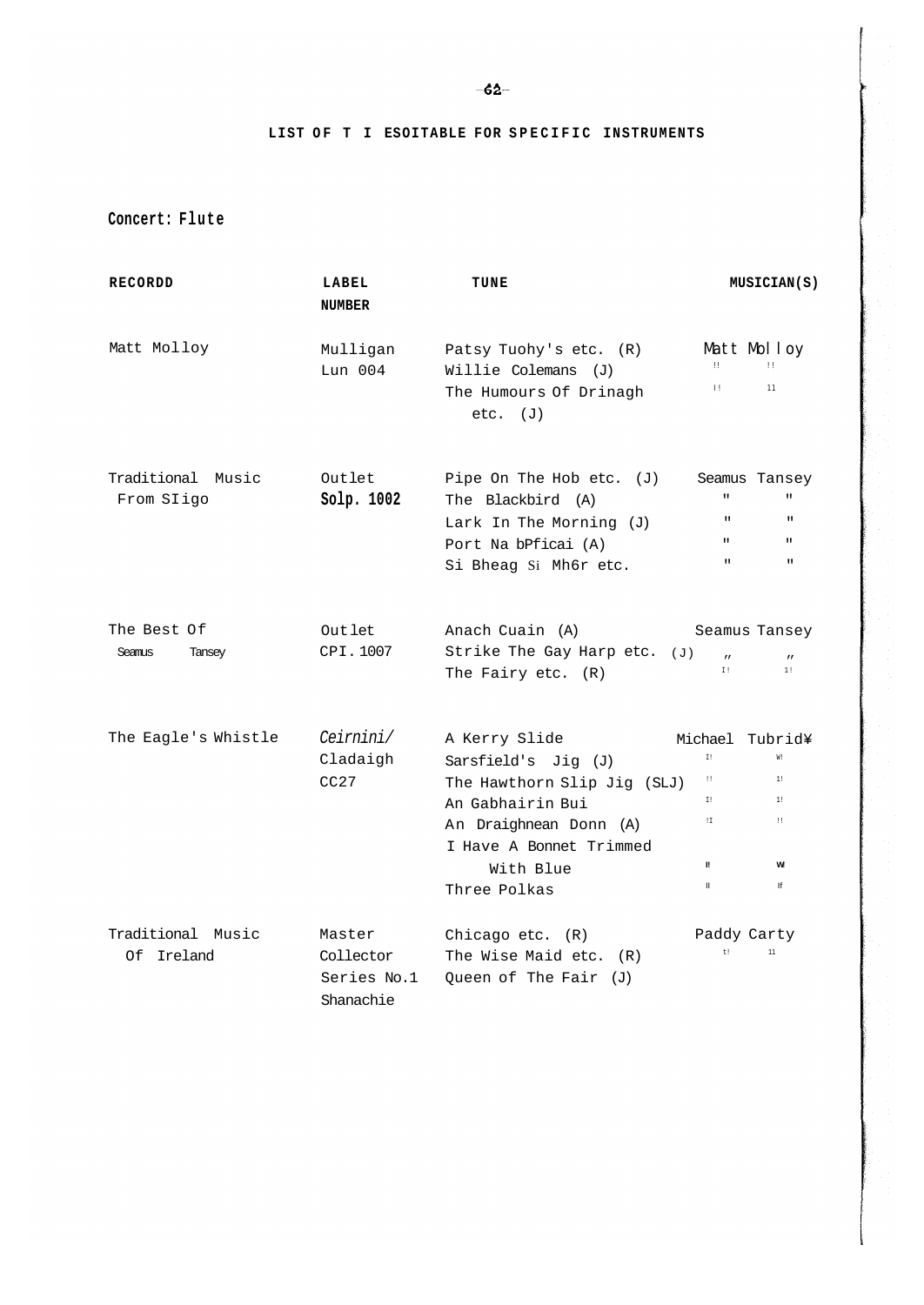**LIST O F T I ESOITABLE FOR SPECIFIC INSTRUMENTS**

#### **Concert: Flute**

| RECORDD                         | LABEL<br><b>NUMBER</b>                          | TUNE                                                                                                                                                                      |                                                                                                  | MUSICIAN(S)                                                                   |
|---------------------------------|-------------------------------------------------|---------------------------------------------------------------------------------------------------------------------------------------------------------------------------|--------------------------------------------------------------------------------------------------|-------------------------------------------------------------------------------|
| Matt Molloy                     | Mulligan<br>Lun 004                             | Patsy Tuohy's etc. (R)<br>Willie Colemans (J)<br>The Humours Of Drinagh<br>$etc.$ $(J)$                                                                                   | $\mathop{\rm H}\nolimits$<br>$\mathbbm{I}\,$ !                                                   | Matt Molloy<br>Ħ<br>11                                                        |
| Traditional Music<br>From SIigo | Outlet<br>Solp. 1002                            | Pipe On The Hob etc. $(J)$<br>The Blackbird (A)<br>Lark In The Morning (J)<br>Port Na bPficai (A)<br>Si Bheag Si Mh6r etc.                                                | $\mathbf{u}$<br>$\mathbf{u}$<br>$\mathbf{u}$<br>$\mathbf{u}$                                     | Seamus Tansey<br>$\mathbf{u}$<br>$\mathbf{u}$<br>$\mathbf{u}$<br>$\mathbf{u}$ |
| The Best Of<br>Seamus<br>Tansey | Outlet<br>CPI.1007                              | Anach Cuain (A)<br>Strike The Gay Harp etc. $(J)$<br>The Fairy etc. (R)                                                                                                   | $\mathbf{u}$<br>I <sub>1</sub>                                                                   | Seamus Tansey<br>$^{\prime}$<br>11                                            |
| The Eagle's Whistle             | Ceirnini/<br>Cladaigh<br>CC27                   | A Kerry Slide<br>Sarsfield's Jig (J)<br>The Hawthorn Slip Jig (SLJ)<br>An Gabhairin Bui<br>An Draighnean Donn (A)<br>I Have A Bonnet Trimmed<br>With Blue<br>Three Polkas | I <sub>1</sub><br>$\mathbb{H}$<br>TI.<br>$\mathbb{I} \mathbb{T}$<br>$\mathbf{H}$<br>$\mathbf{H}$ | Michael Tubrid¥<br>W!<br>1!<br>11<br>$\pm 1$<br>W.<br>If                      |
| Traditional Music<br>Of Ireland | Master<br>Collector<br>Series No.1<br>Shanachie | Chicago etc. (R)<br>The Wise Maid etc.<br>(R)<br>Queen of The Fair (J)                                                                                                    | t!                                                                                               | Paddy Carty<br>$11\,$                                                         |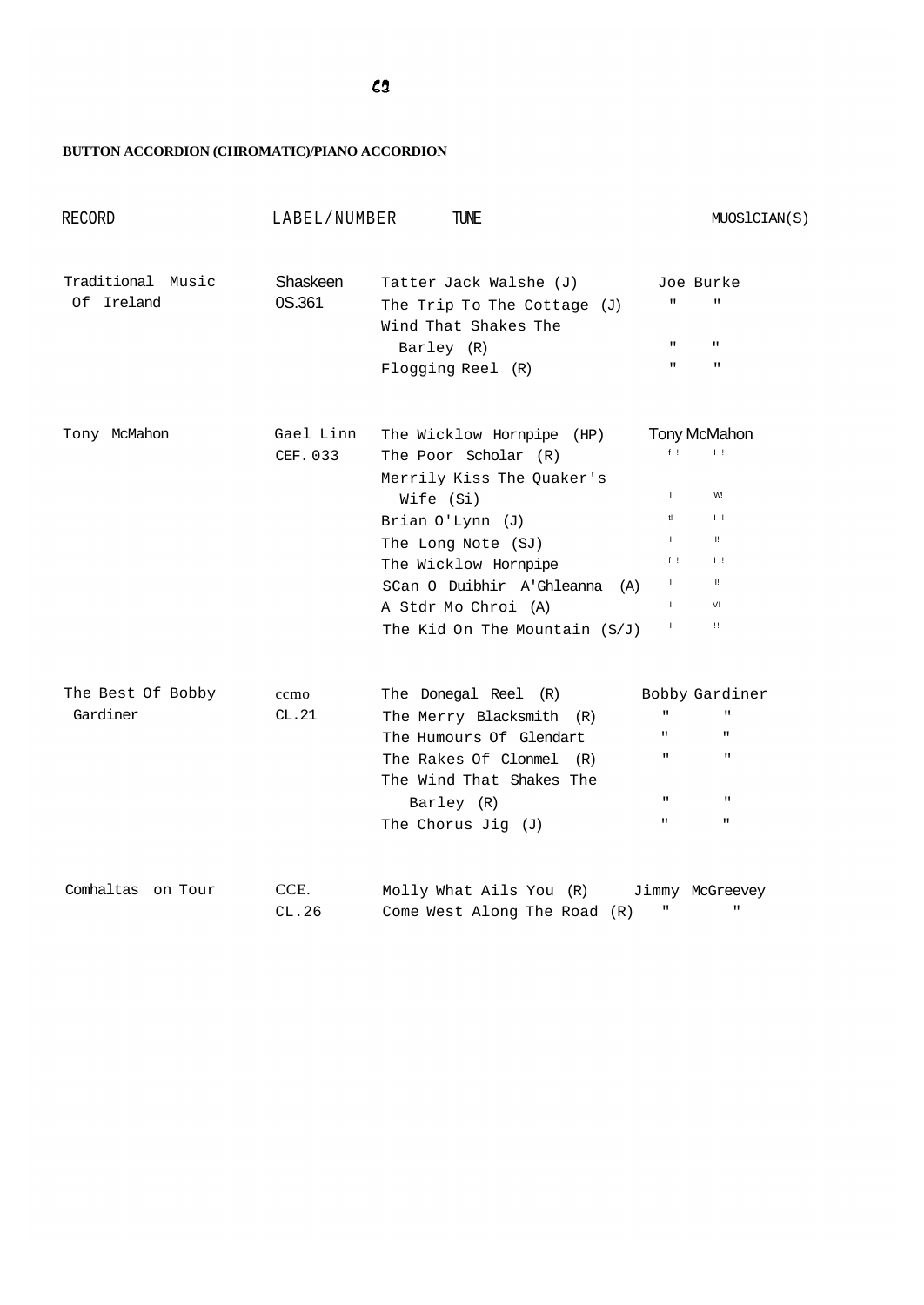# **BUTTON ACCORDION (CHROMATIC)/PIANO ACCORDION**

| RECORD                          | LABEL/NUMBER       | TUNE                                                  |              | MUOSICIAN(S)          |
|---------------------------------|--------------------|-------------------------------------------------------|--------------|-----------------------|
| Traditional Music<br>Of Ireland | Shaskeen<br>0S.361 | Tatter Jack Walshe (J)<br>The Trip To The Cottage (J) | $\mathbf{u}$ | Joe Burke<br>Ĩ.       |
|                                 |                    | Wind That Shakes The                                  |              |                       |
|                                 |                    | Barley (R)                                            | $\mathbf{u}$ | $\mathbf{u}$          |
|                                 |                    | Flogging Reel (R)                                     | $\mathbf{H}$ | $\mathbf{u}$          |
| Tony McMahon                    | Gael Linn          | The Wicklow Hornpipe (HP)                             |              | Tony McMahon          |
|                                 | CEF. 033           | The Poor Scholar (R)                                  | $f \quad I$  | $\Box$                |
|                                 |                    | Merrily Kiss The Quaker's                             |              |                       |
|                                 |                    | Wife (Si)                                             | $\mathbf{H}$ | W!                    |
|                                 |                    | Brian O'Lynn (J)                                      | t!           | $\Box$                |
|                                 |                    | The Long Note (SJ)                                    | Ш.           | $\mathbf{H}$          |
|                                 |                    | The Wicklow Hornpipe                                  | $f$ !        | $\perp$               |
|                                 |                    | SCan O Duibhir A'Ghleanna<br>(A)                      | Ш            | $\mathbf{H}$          |
|                                 |                    | A Stdr Mo Chroi (A)                                   | $\mathbf{H}$ | V!                    |
|                                 |                    | The Kid On The Mountain $(S/J)$                       | Ш.           | $\mathop{\mathrm{H}}$ |
| The Best Of Bobby               | ccmo               | The Donegal Reel (R)                                  |              | Bobby Gardiner        |
| Gardiner                        | CL.21              | The Merry Blacksmith<br>(R)                           | $\mathbf{u}$ | $\mathbf{u}$          |
|                                 |                    | The Humours Of Glendart                               | $\mathbf{u}$ | п.                    |
|                                 |                    | The Rakes Of Clonmel<br>(R)                           | $\mathbf{u}$ | п                     |
|                                 |                    | The Wind That Shakes The                              |              |                       |
|                                 |                    | Barley (R)                                            | $\mathbf{H}$ | $\mathbf u$           |
|                                 |                    | The Chorus Jig (J)                                    | $\mathbf{u}$ | п.                    |
| Comhaltas on Tour               | CCE.               | Molly What Ails You (R)                               |              | Jimmy McGreevey       |
|                                 | CL.26              | Come West Along The Road (R)                          | H            | Ħ                     |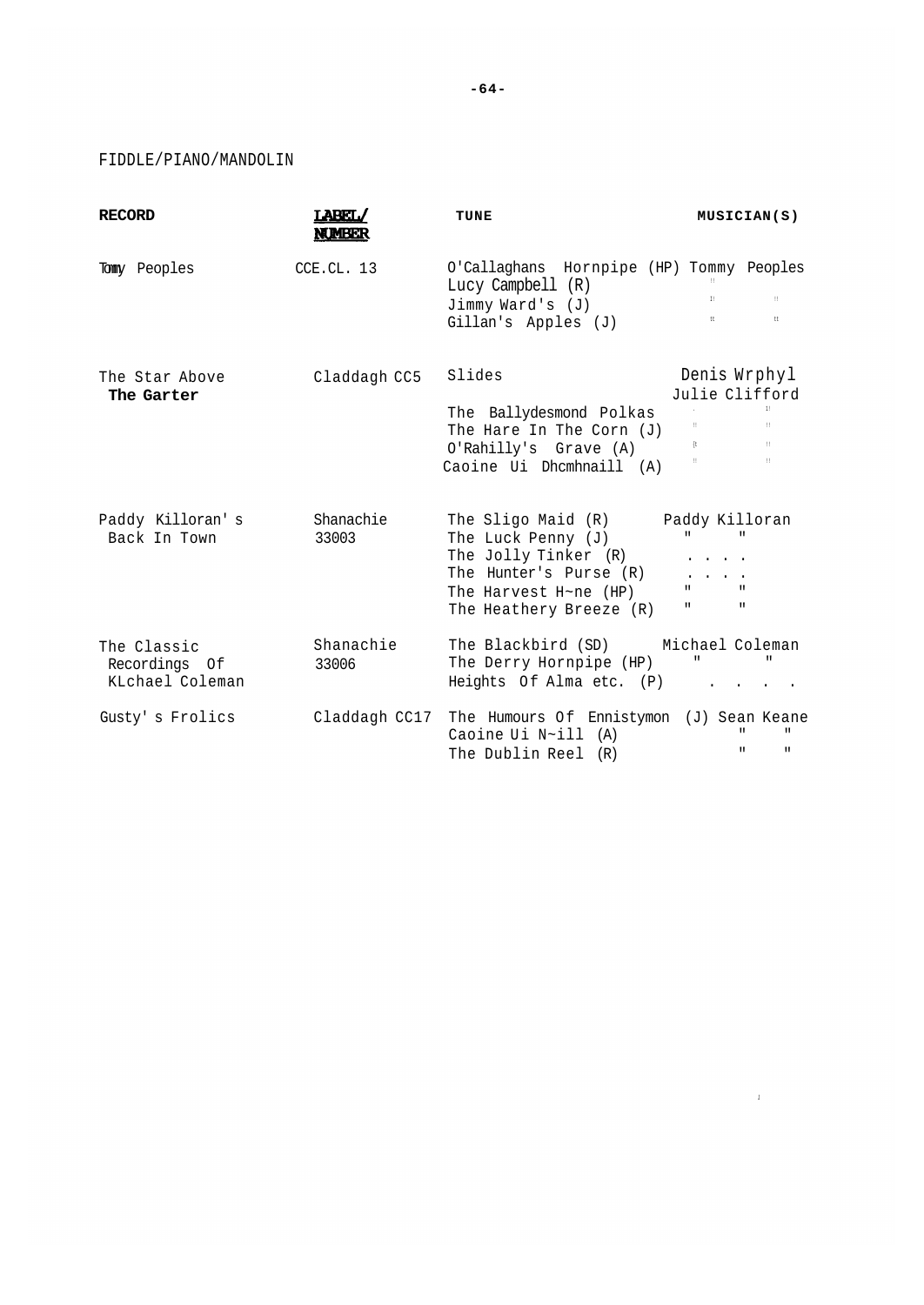#### FIDDLE/PIANO/MANDOLIN

| <b>RECORD</b>                                   | <b>LABEL</b><br>NUMBR | TUNE                                                                                                                                           | MUSICIAN(S)                                                                                                                   |
|-------------------------------------------------|-----------------------|------------------------------------------------------------------------------------------------------------------------------------------------|-------------------------------------------------------------------------------------------------------------------------------|
| Tomy Peoples                                    | CCE.CL. 13            | O'Callaghans Hornpipe (HP) Tommy Peoples<br>Lucy Campbell (R)<br>Jimmy Ward's (J)<br>Gillan's Apples (J)                                       | H.<br>$\mathbb{H}$<br>$\mathbb{H}^+$<br>tt.<br>tt                                                                             |
| The Star Above<br>The Garter                    | Claddagh CC5          | Slides<br>The Ballydesmond Polkas<br>The Hare In The Corn (J)<br>O'Rahilly's Grave (A)<br>Caoine Ui Dhomhnaill (A)                             | Denis Wrphyl<br>Julie Clifford<br>11<br>$\mathbb{R}$<br>$\mathbb{R}$<br>ít.<br>$\mathbb{H}$<br>$\mathbb{H}^+$<br>$\mathbb{R}$ |
| Paddy Killoran's<br>Back In Town                | Shanachie<br>33003    | The Sligo Maid (R)<br>The Luck Penny (J)<br>The Jolly Tinker (R)<br>The Hunter's Purse (R)<br>The Harvest H~ne (HP)<br>The Heathery Breeze (R) | Paddy Killoran<br>$\mathbf{H}$<br>П<br>$\mathbf{H}$<br>$\mathbf{H}$                                                           |
| The Classic<br>Recordings Of<br>KLchael Coleman | Shanachie<br>33006    | The Blackbird (SD)<br>The Derry Hornpipe (HP)<br>Heights Of Alma etc. (P)                                                                      | Michael Coleman<br>$\mathbf{H}$                                                                                               |
| Gusty's Frolics                                 | Claddagh CC17         | The Humours Of Ennistymon (J) Sean Keane<br>Caoine Ui N~ill<br>(A)<br>The Dublin Reel<br>(R)                                                   | $\mathbf{H}$<br>Ш                                                                                                             |

 $J$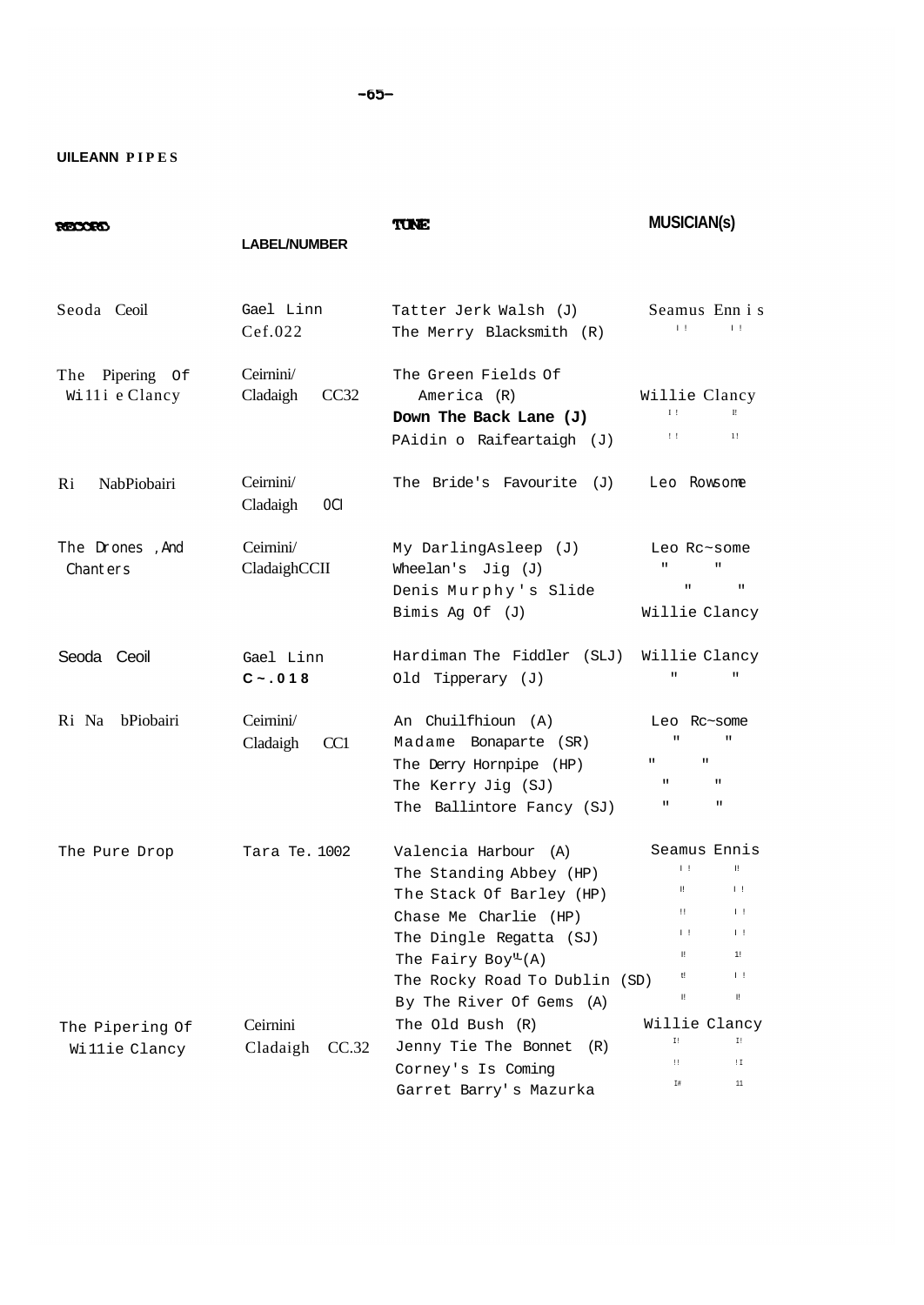#### **UILEANN P I P E S**

| <b>RECORD</b>                    | <b>LABEL/NUMBER</b>                       | TUNE                                                                                                                                                                                                                                             | <b>MUSICIAN(s)</b>                                                                                                                                                     |
|----------------------------------|-------------------------------------------|--------------------------------------------------------------------------------------------------------------------------------------------------------------------------------------------------------------------------------------------------|------------------------------------------------------------------------------------------------------------------------------------------------------------------------|
| Seoda Ceoil                      | Gael Linn<br>Cef.022                      | Tatter Jerk Walsh (J)<br>The Merry Blacksmith (R)                                                                                                                                                                                                | Seamus Enn i s<br>$\mathbf{L}$<br>$\perp$                                                                                                                              |
| The Pipering Of<br>Willie Clancy | Ceirnini/<br>Cladaigh<br>CC <sub>32</sub> | The Green Fields Of<br>America (R)<br>Down The Back Lane (J)<br>PAidin o Raifeartaigh (J)                                                                                                                                                        | Willie Clancy<br>$\mathbf{I}$ !<br>$\mathbf{I}$<br>$+ +$<br>1!                                                                                                         |
| Ri<br>NabPiobairi                | Ceirnini/<br>Cladaigh<br>0CI              | The Bride's Favourite (J)                                                                                                                                                                                                                        | Leo Rowsome                                                                                                                                                            |
| The Drones, And<br>Chanters      | Ceirnini/<br>CladaighCCII                 | My DarlingAsleep (J)<br>Wheelan's Jig (J)<br>Denis Murphy's Slide<br>Bimis Ag Of (J)                                                                                                                                                             | Leo Rc~some<br>$\mathbf{u}$<br>п<br>П.<br>$\mathbf{H}$<br>Willie Clancy                                                                                                |
| Seoda Ceoil                      | Gael Linn<br>$C - 018$                    | Hardiman The Fiddler (SLJ)<br>Old Tipperary (J)                                                                                                                                                                                                  | Willie Clancy<br>$\mathbf H$<br>$\mathbf{u}$                                                                                                                           |
| Ri Na<br>bPiobairi               | Ceirnini/<br>Cladaigh<br>CC <sub>1</sub>  | An Chuilfhioun (A)<br>Madame Bonaparte (SR)<br>The Derry Hornpipe (HP)<br>The Kerry Jig (SJ)<br>The Ballintore Fancy (SJ)                                                                                                                        | Leo Rc~some<br>$\mathbf{u}$<br>$\mathbf H$<br>п<br>$\mathbf{H}$<br>п<br>$\mathbf{H}$<br>$\mathbf{H}$                                                                   |
| The Pure Drop                    | Tara Te. 1002                             | Valencia Harbour<br>(A)<br>The Standing Abbey (HP)<br>The Stack Of Barley (HP)<br>Chase Me Charlie (HP)<br>The Dingle Regatta (SJ)<br>The Fairy Boy <sup><math>\mu</math></sup> (A)<br>The Rocky Road To Dublin (SD)<br>By The River Of Gems (A) | Seamus Ennis<br>$\perp$<br>$\mathbf{H}$<br>Ш.<br>$\perp$<br>П<br>$\mathbf{L}$<br>$\vert \ \ \vert$<br>$\mathbf{L}$<br>Π.<br>1!<br>$\perp$<br>t!<br>II.<br>Ш.           |
| The Pipering Of<br>Willie Clancy | Ceirnini<br>Cladaigh<br>CC.32             | The Old Bush (R)<br>Jenny Tie The Bonnet<br>(R)<br>Corney's Is Coming<br>Garret Barry's Mazurka                                                                                                                                                  | Willie Clancy<br>$\mathbbm{I}\, !$<br>$\mathbbm{I}\, !$<br>$\mathop{\mathop{\mathrm{I\,{\scriptstyle\hspace{-.8pt}{\rm I}}}}$<br>$\perp$ I<br>$11\,$<br>$\mathbb{I}\#$ |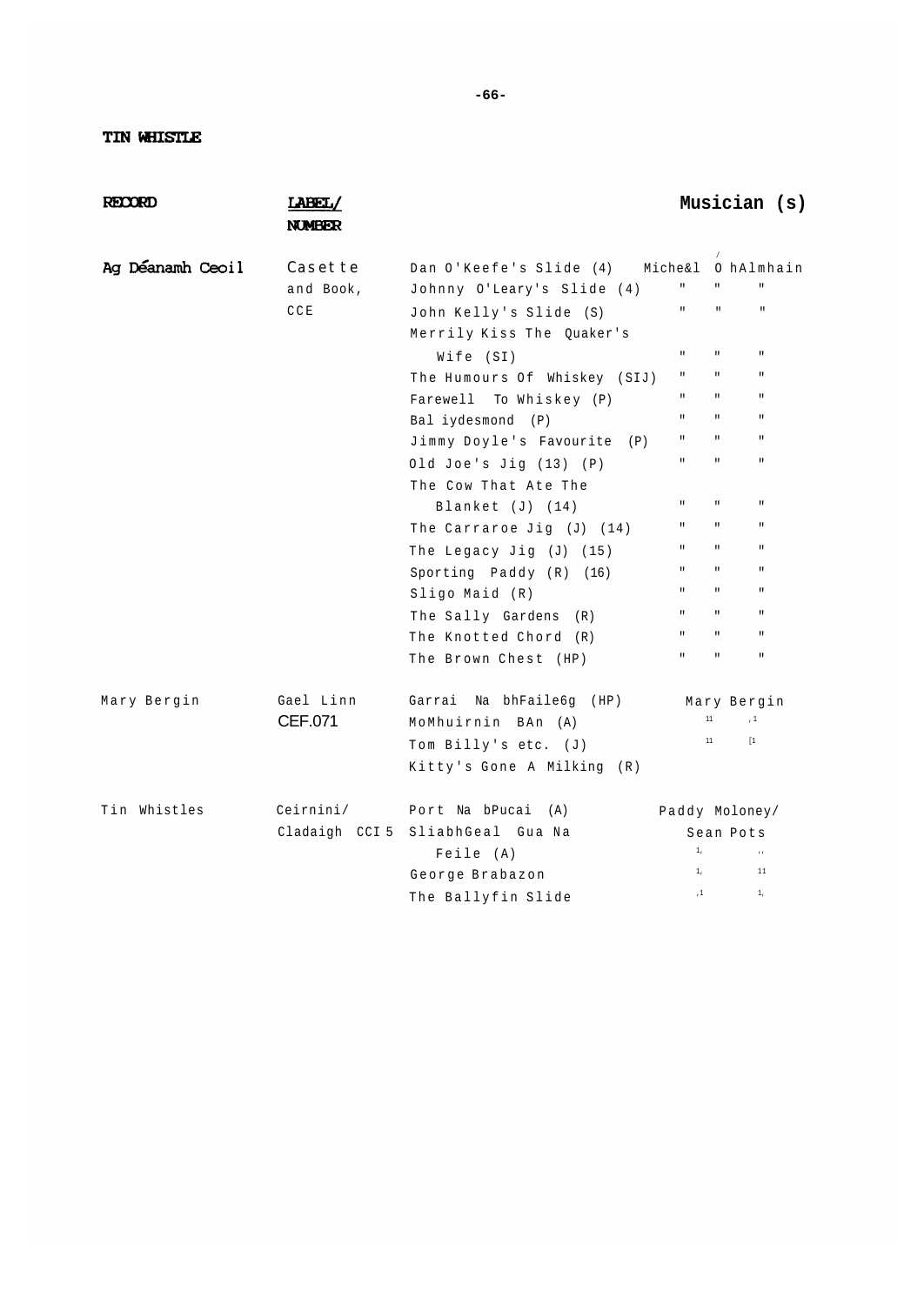#### TIN WHISTLE

| RECORD           | LABET<br><b>NUMBER</b> |                                 |                | Musician (s)                   |  |
|------------------|------------------------|---------------------------------|----------------|--------------------------------|--|
| Ag Déanamh Ceoil | Casette                | Dan O'Keefe's Slide (4)         | Miche&l        | O hAlmhain                     |  |
|                  | and Book,              | Johnny O'Leary's Slide (4)      | H              | H                              |  |
|                  | CCE                    | John Kelly's Slide (S)          | $\mathbf{u}$   | $\mathbf{u}$<br>$\blacksquare$ |  |
|                  |                        | Merrily Kiss The Quaker's       |                |                                |  |
|                  |                        | Wife (SI)                       | $\mathbf{u}$   | $\mathbf{u}$<br>$\mathbf{u}$   |  |
|                  |                        | The Humours Of Whiskey (SIJ)    | $\mathbf{H}$   | $\mathbf{u}$<br>$\mathbf{u}$   |  |
|                  |                        | Farewell<br>To Whiskey (P)      | $\mathbf{u}$   | $\mathbf{u}$<br>$\mathbf{u}$   |  |
|                  |                        | Bal iydesmond<br>(P)            |                | $\mathbf{u}$<br>$\mathbf{u}$   |  |
|                  |                        | Jimmy Doyle's Favourite<br>(P)  |                | $\mathbf{u}$<br>П              |  |
|                  |                        | Old Joe's Jig (13) (P)          | $\mathbf{u}$   | $\mathbf{u}$<br>$\mathbf{H}$   |  |
|                  |                        | The Cow That Ate The            |                |                                |  |
|                  |                        | Blanket (J) (14)                | $\mathbf{u}$   | $\mathbf{u}$<br>$\mathbf{u}$   |  |
|                  |                        | The Carraroe Jiq $(J)$ $(14)$   |                | $\mathbf{u}$<br>H              |  |
|                  |                        | The Legacy Jig (J) (15)         |                | П<br>П                         |  |
|                  |                        | Sporting Paddy (R) (16)         |                | $\mathbf{u}$<br>$\mathbf{u}$   |  |
|                  |                        | Sligo Maid (R)                  |                | $\mathbf{u}$<br>$\mathbf{u}$   |  |
|                  |                        | The Sally Gardens<br>(R)        |                | $\mathbf{u}$<br>П              |  |
|                  |                        | The Knotted Chord (R)           |                | $\mathbf{u}$<br>$\mathbf{u}$   |  |
|                  |                        | The Brown Chest (HP)            | $\mathbf{u}$   | $\mathbf{u}$<br>$\mathsf{H}$   |  |
| Mary Bergin      | Gael Linn              | Garrai Na bhFaile6g (HP)        |                | Mary Bergin                    |  |
|                  | CEF.071                | MoMhuirnin BAn (A)              |                | $11\,$<br>,1                   |  |
|                  |                        | Tom Billy's etc. (J)            |                | $\lceil 1 \rceil$<br>11        |  |
|                  |                        | Kitty's Gone A Milking (R)      |                |                                |  |
| Tin Whistles     | Ceirnini/              | Port Na bPucai<br>(A)           |                | Paddy Moloney/                 |  |
|                  |                        | Cladaigh CCI5 SliabhGeal Gua Na |                | Sean Pots                      |  |
|                  |                        | Feile (A)                       | 1 <sub>r</sub> | $\bar{r}$ $\bar{r}$            |  |
|                  |                        | George Brabazon                 | 1,             | $1\,1$                         |  |
|                  |                        | The Ballyfin Slide              | ,1             | 1,                             |  |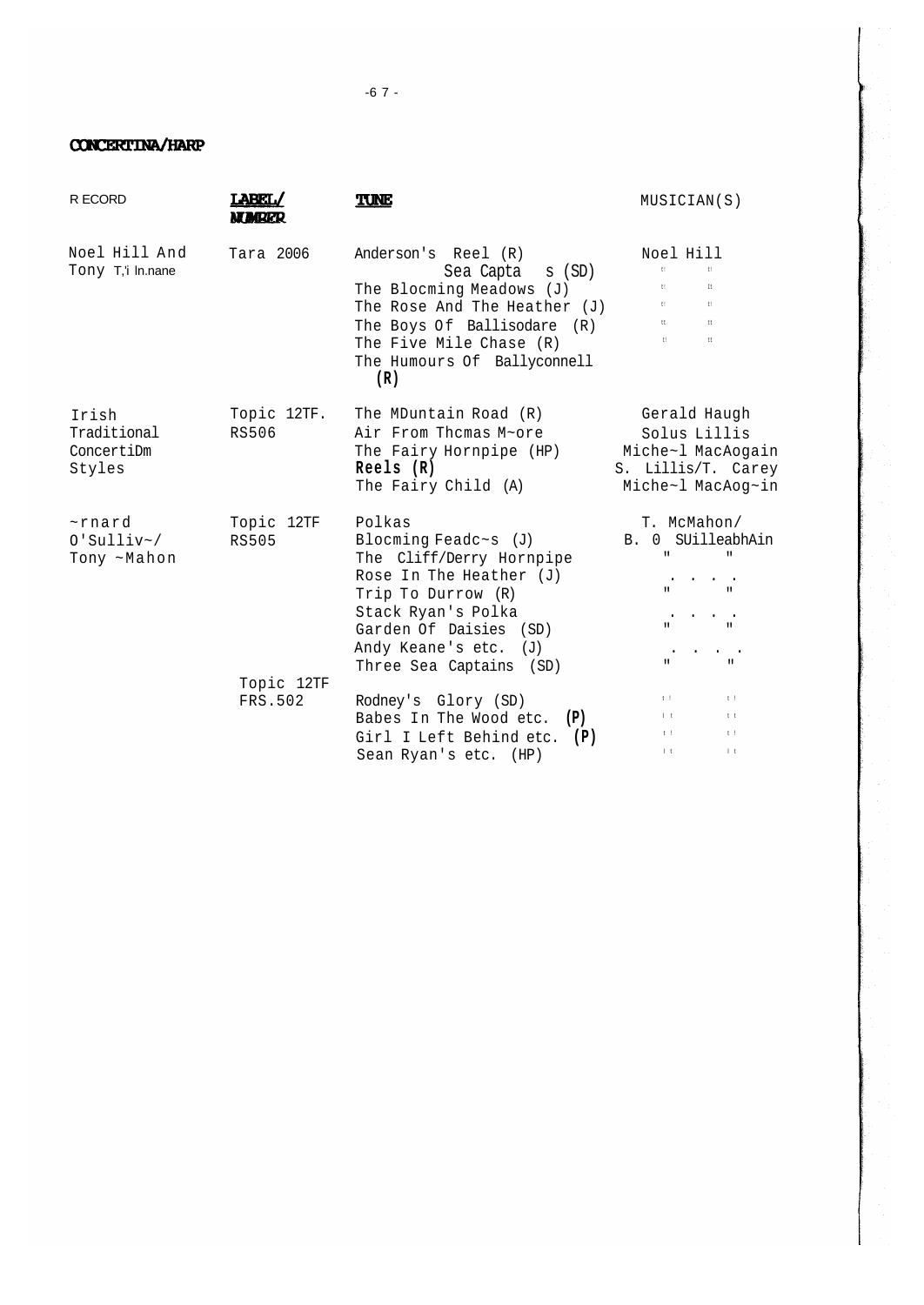#### **CONCERTINA/HARP**

| R ECORD                                      | <b>LABEL</b><br><b>M MPFR</b> | <b>TUNE</b>                                                                                                                                                                                                                 | MUSICIAN(S)                                                                                                                                                                        |
|----------------------------------------------|-------------------------------|-----------------------------------------------------------------------------------------------------------------------------------------------------------------------------------------------------------------------------|------------------------------------------------------------------------------------------------------------------------------------------------------------------------------------|
| Noel Hill And<br>Tony T,'i In.nane           | Tara 2006                     | Anderson's Reel (R)<br>Sea Capta<br>S(SD)<br>The Blocming Meadows (J)<br>The Rose And The Heather (J)<br>The Boys Of Ballisodare (R)<br>The Five Mile Chase (R)<br>The Humours Of Ballyconnell<br>(R)                       | Noel Hill<br>$t$ !<br>$t$ !<br>$\mathbb{H}$<br>t!<br>$t$ !<br>t!<br>tt.<br>tt.<br>tt<br>t!                                                                                         |
| Irish<br>Traditional<br>ConcertiDm<br>Styles | Topic 12TF.<br>RS506          | The MDuntain Road (R)<br>Air From Thomas M~ore<br>The Fairy Hornpipe (HP)<br>$Reels$ $(R)$<br>The Fairy Child (A)                                                                                                           | Gerald Haugh<br>Solus Lillis<br>Miche~l MacAogain<br>S. Lillis/T. Carey<br>Miche~l MacAog~in                                                                                       |
| $~\sim$ rnard<br>$0'Sulliv*/$<br>Tony ~Mahon | Topic 12TF<br><b>RS505</b>    | Polkas<br>Blocming Feadc $\sim$ s (J)<br>The Cliff/Derry Hornpipe<br>Rose In The Heather $(J)$<br>Trip To Durrow (R)<br>Stack Ryan's Polka<br>Garden Of Daisies (SD)<br>Andy Keane's etc.<br>(J)<br>Three Sea Captains (SD) | T. McMahon/<br>B. 0 SUilleabhAin<br>$\mathbf{H}$<br>п<br>$\mathbf{u}$<br><b>Contract Manager</b><br>$\mathbf{H}$<br>$\bullet$ .<br><br>$\bullet$<br>$\mathbf{H}$<br>$\mathbf{H}$ . |
|                                              | Topic 12TF<br><b>FRS.502</b>  | Rodney's Glory (SD)<br>Babes In The Wood etc.<br>(P)<br>Girl I Left Behind etc. (P)<br>Sean Ryan's etc. (HP)                                                                                                                | $t +$<br>$+$ $+$<br>$1-t$<br>$t$ t<br>$t$ !<br>$+ +$<br>$+$<br>$+$                                                                                                                 |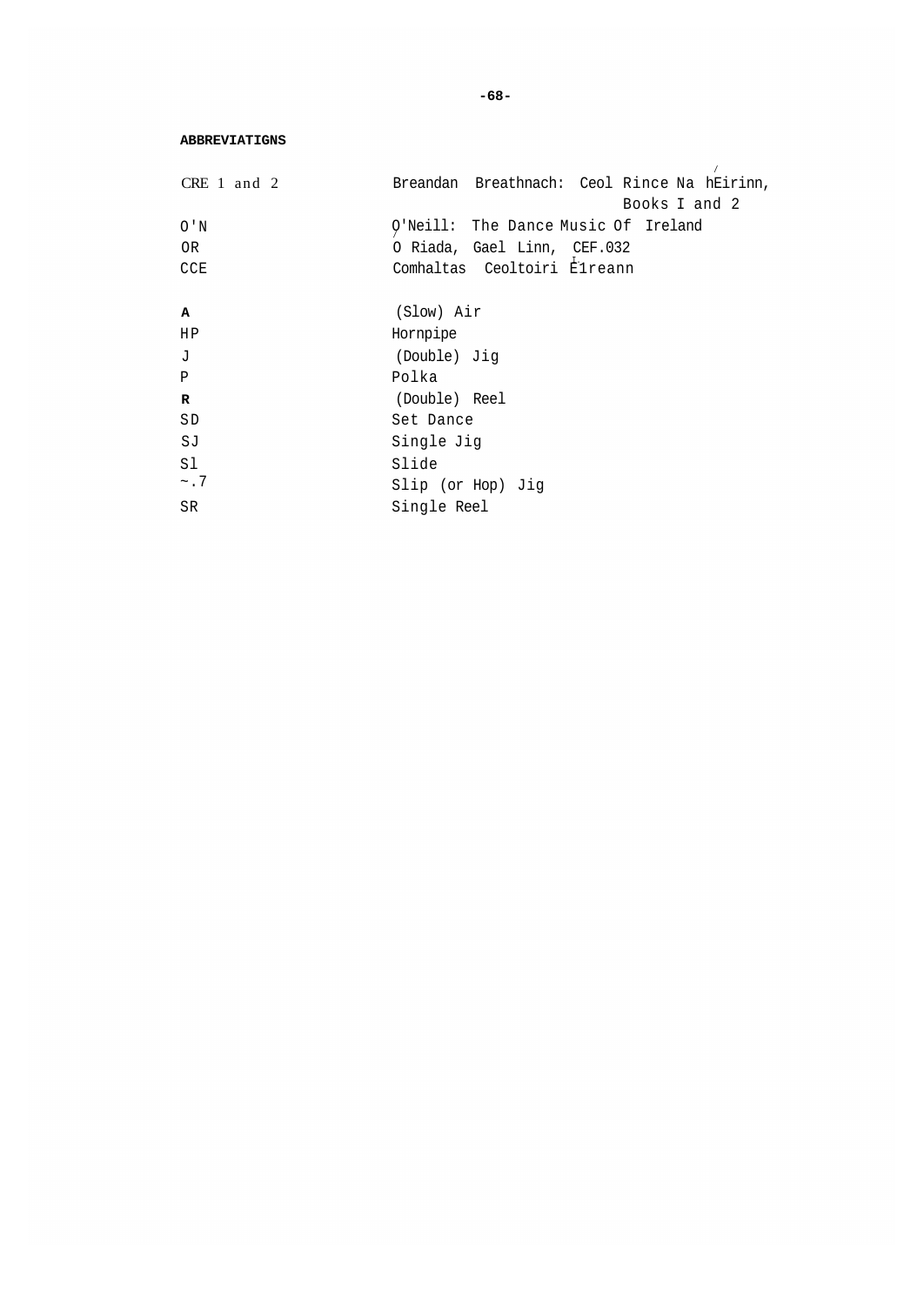#### **ABBREVIATIGNS**

| CRE 1 and 2  | Breandan Breathnach: Ceol Rince Na hEirinn,<br>Books I and 2 |
|--------------|--------------------------------------------------------------|
| O' N         | O'Neill: The Dance Music Of Ireland                          |
| 0R           | O Riada, Gael Linn, CEF.032                                  |
| CCE          | Comhaltas Ceoltoiri Elreann                                  |
| A            | (Slow) Air                                                   |
| ΗP           | Hornpipe                                                     |
| J            | (Double) Jig                                                 |
| $\, {\bf P}$ | Polka                                                        |
| $\mathbf R$  | (Double) Reel                                                |
| SD           | Set Dance                                                    |
| SJ           | Single Jig                                                   |
| S1           | Slide                                                        |
| $\sim$ .7    | Slip (or Hop) Jig                                            |
| <b>SR</b>    | Single Reel                                                  |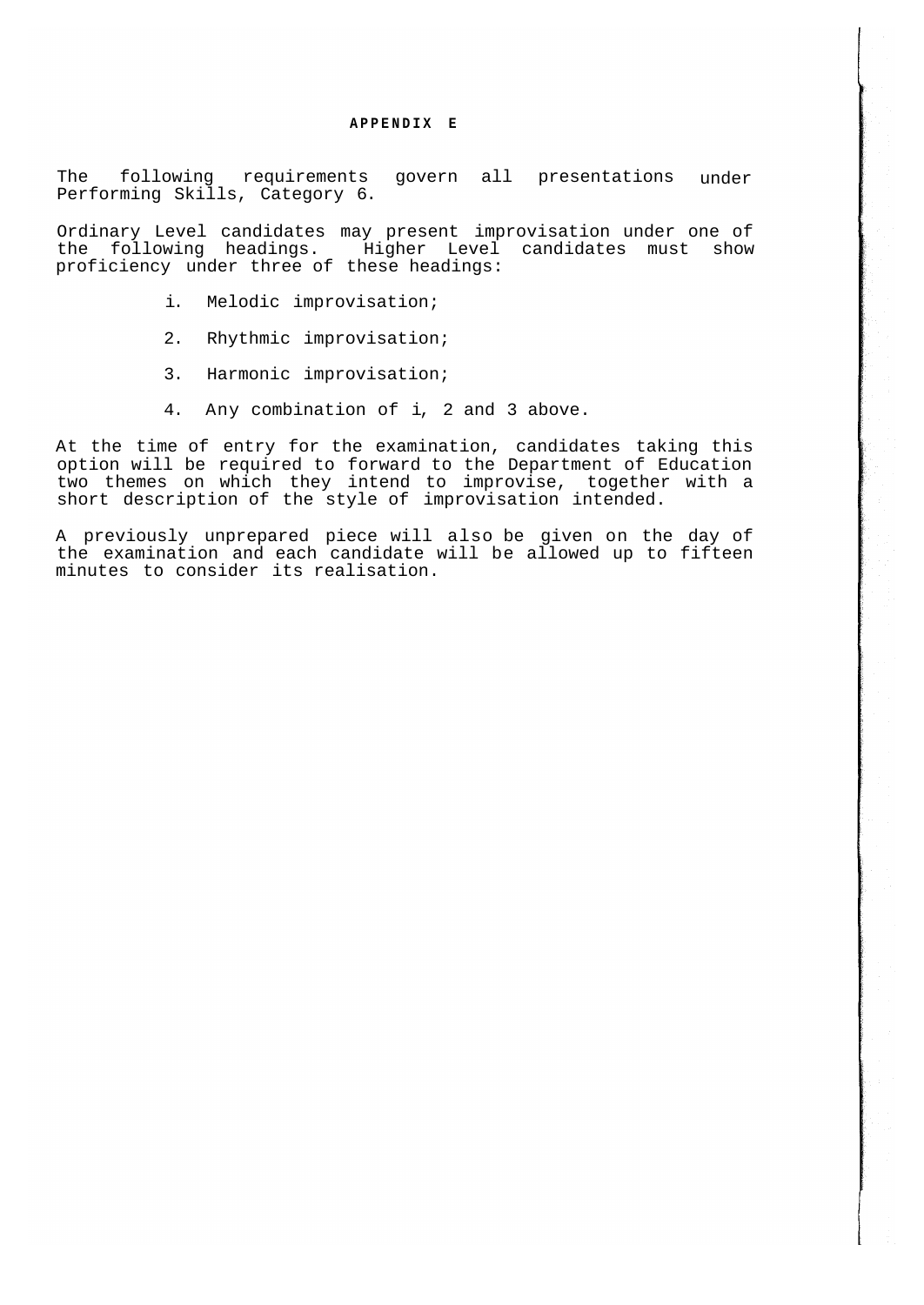#### **APPENDIX E**

The following requirements govern all presentations under Performing Skills, Category 6.

Ordinary Level candidates may present improvisation under one of the following headings. Higher Level candidates must show proficiency under three of these headings:

- i. Melodic improvisation;
- 2. Rhythmic improvisation;
- 3. Harmonic improvisation;
- 4. Any combination of i, 2 and 3 above.

At the time of entry for the examination, candidates taking this option will be required to forward to the Department of Education two themes on which they intend to improvise, together with a short description of the style of improvisation intended.

A previously unprepared piece will also be given on the day of the examination and each candidate will be allowed up to fifteen minutes to consider its realisation.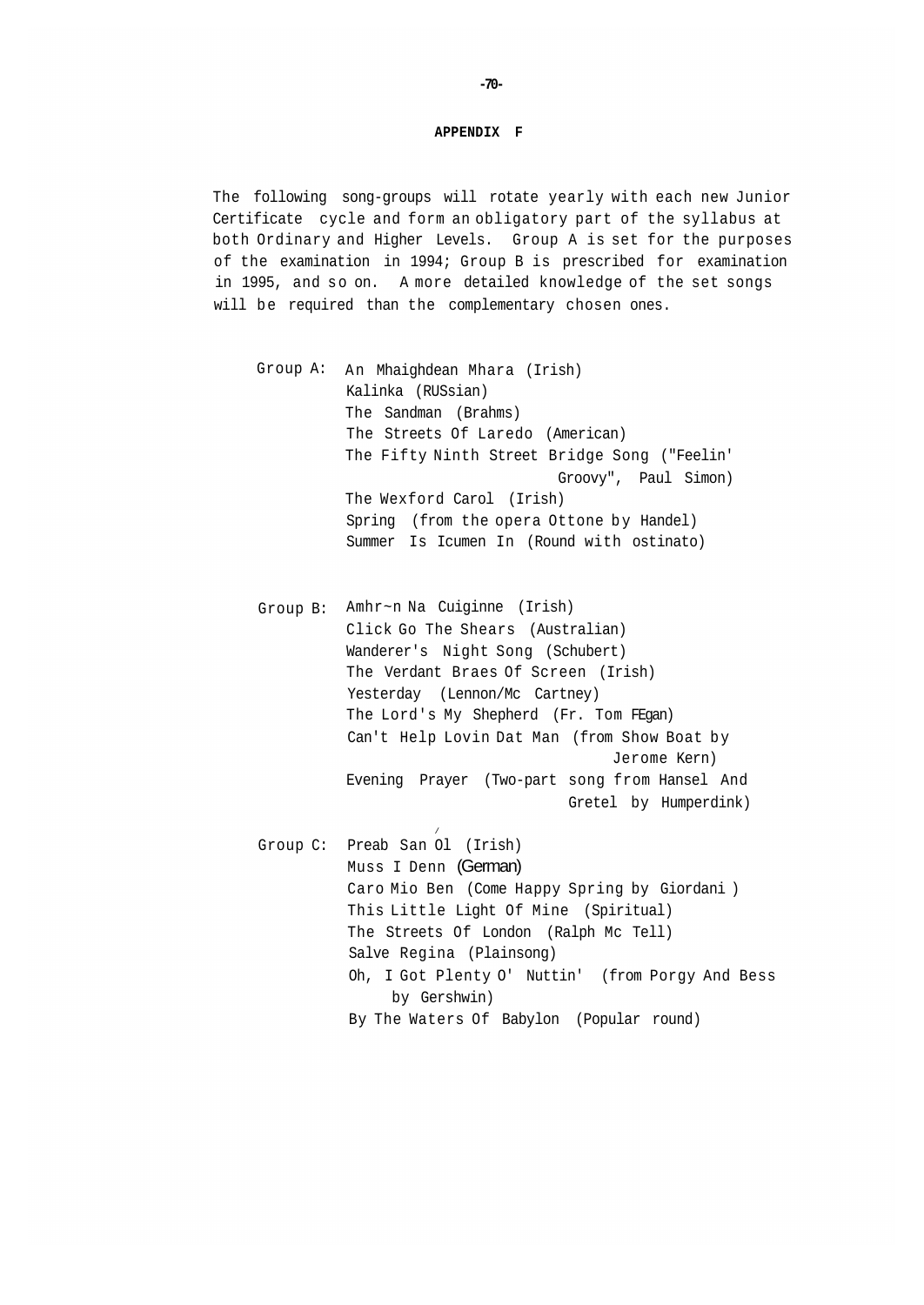#### **APPENDIX F**

The following song-groups will rotate yearly with each new Junior Certificate cycle and form an obligatory part of the syllabus at both Ordinary and Higher Levels. Group A is set for the purposes of the examination in 1994; Group B is prescribed for examination in 1995, and so on. A more detailed knowledge of the set songs will be required than the complementary chosen ones.

```
Group A: An Mhaighdean Mhara (Irish)
          Kalinka (RUSsian)
          The Sandman (Brahms)
          The Streets Of Laredo (American)
          The Fifty Ninth Street Bridge Song ("Feelin'
                                  Groovy", Paul Simon)
          The Wexford Carol (Irish)
          Spring (from the opera Ottone by Handel)
          Summer Is Icumen In (Round with ostinato)
```

```
Group B:
Amhr~n Na Cuiginne (Irish)
         Click Go The Shears (Australian)
         Wanderer's Night Song (Schubert)
         The Verdant Braes Of Screen (Irish)
         Yesterday (Lennon/Mc Cartney)
         The Lord's My Shepherd (Fr. Tom FEgan)
         Can't Help Lovin Dat Man (from Show Boat by
                                        Jerome Kern)
         Evening Prayer (Two-part song from Hansel And
                                   Gretel by Humperdink)
```
Group C: / Preab San Ol (Irish) Muss I Denn (German) Caro Mio Ben (Come Happy Spring by Giordani ) This Little Light Of Mine (Spiritual) The Streets Of London (Ralph Mc Tell) Salve Regina (Plainsong) Oh, I Got Plenty O' Nuttin' (from Porgy And Bess by Gershwin) By The Waters Of Babylon (Popular round)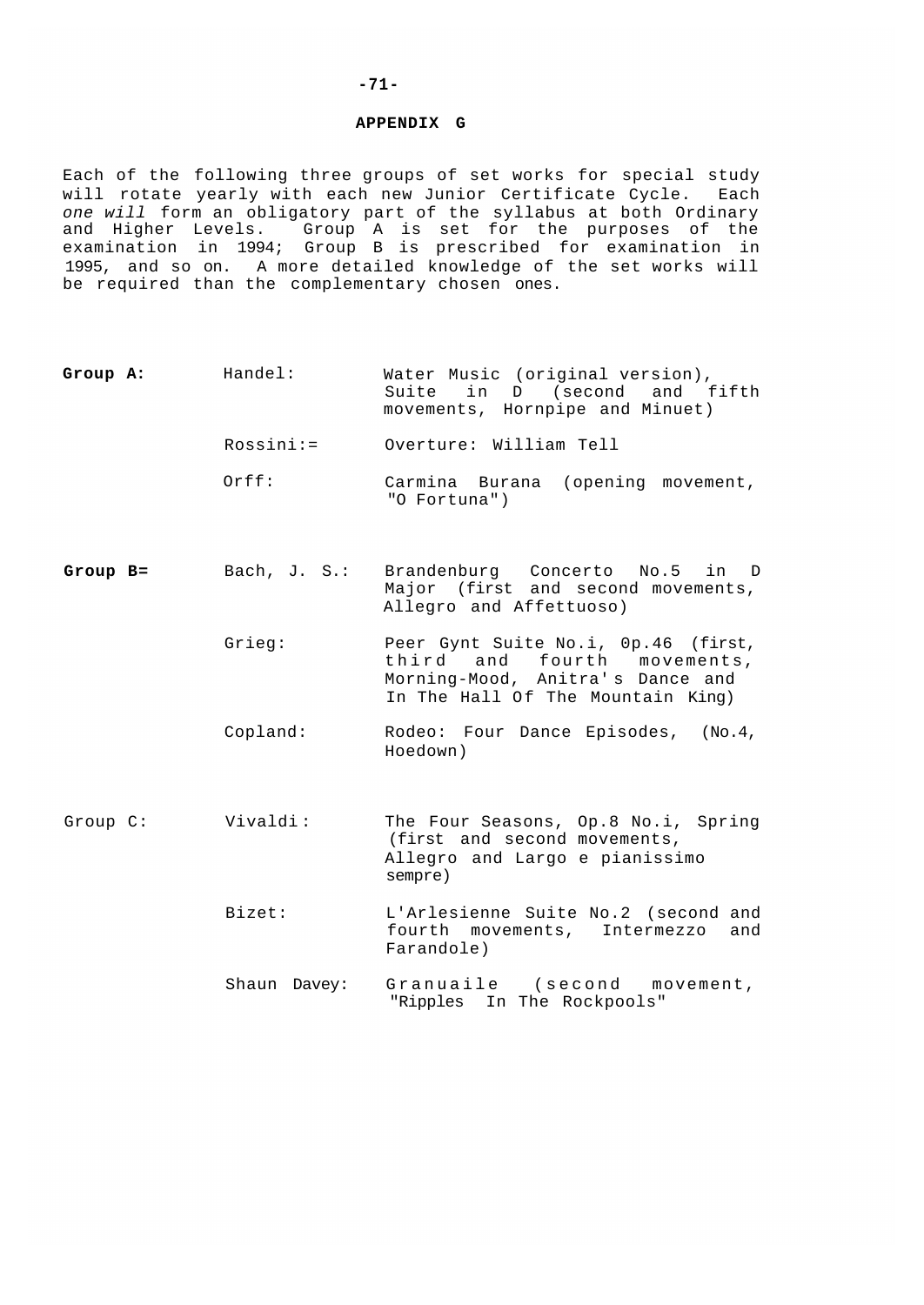#### **-71-**

#### **APPENDIX G**

Each of the following three groups of set works for special study will rotate yearly with each new Junior Certificate Cycle. Each *one will* form an obligatory part of the syllabus at both Ordinary and Higher Levels. Group A is set for the purposes of the examination in 1994; Group B is prescribed for examination in 1995, and so on. A more detailed knowledge of the set works will be required than the complementary chosen ones.

| Group A: | Handel:      | Water Music (original version),<br>Suite in D (second and fifth<br>movements, Hornpipe and Minuet)                                          |
|----------|--------------|---------------------------------------------------------------------------------------------------------------------------------------------|
|          | $Rossini :=$ | Overture: William Tell                                                                                                                      |
|          | Orff:        | Carmina Burana (opening movement,<br>"O Fortuna")                                                                                           |
| Group B= | Bach, J. S.: | Brandenburg Concerto No.5<br>in D<br>Major (first and second movements,<br>Allegro and Affettuoso)                                          |
|          | Grieg:       | Peer Gynt Suite No.i, 0p.46 (first,<br>third and fourth movements,<br>Morning-Mood, Anitra's Dance and<br>In The Hall Of The Mountain King) |
|          | Copland:     | Rodeo: Four Dance Episodes, (No.4,<br>Hoedown)                                                                                              |
| Group C: | Vivaldi:     | The Four Seasons, Op.8 No.i, Spring<br>(first and second movements,<br>Allegro and Largo e pianissimo<br>sempre)                            |
|          | Bizet:       | L'Arlesienne Suite No.2 (second and<br>fourth movements, Intermezzo<br>and<br>Farandole)                                                    |
|          | Shaun Davey: | Granuaile (second<br>movement,<br>"Ripples In The Rockpools"                                                                                |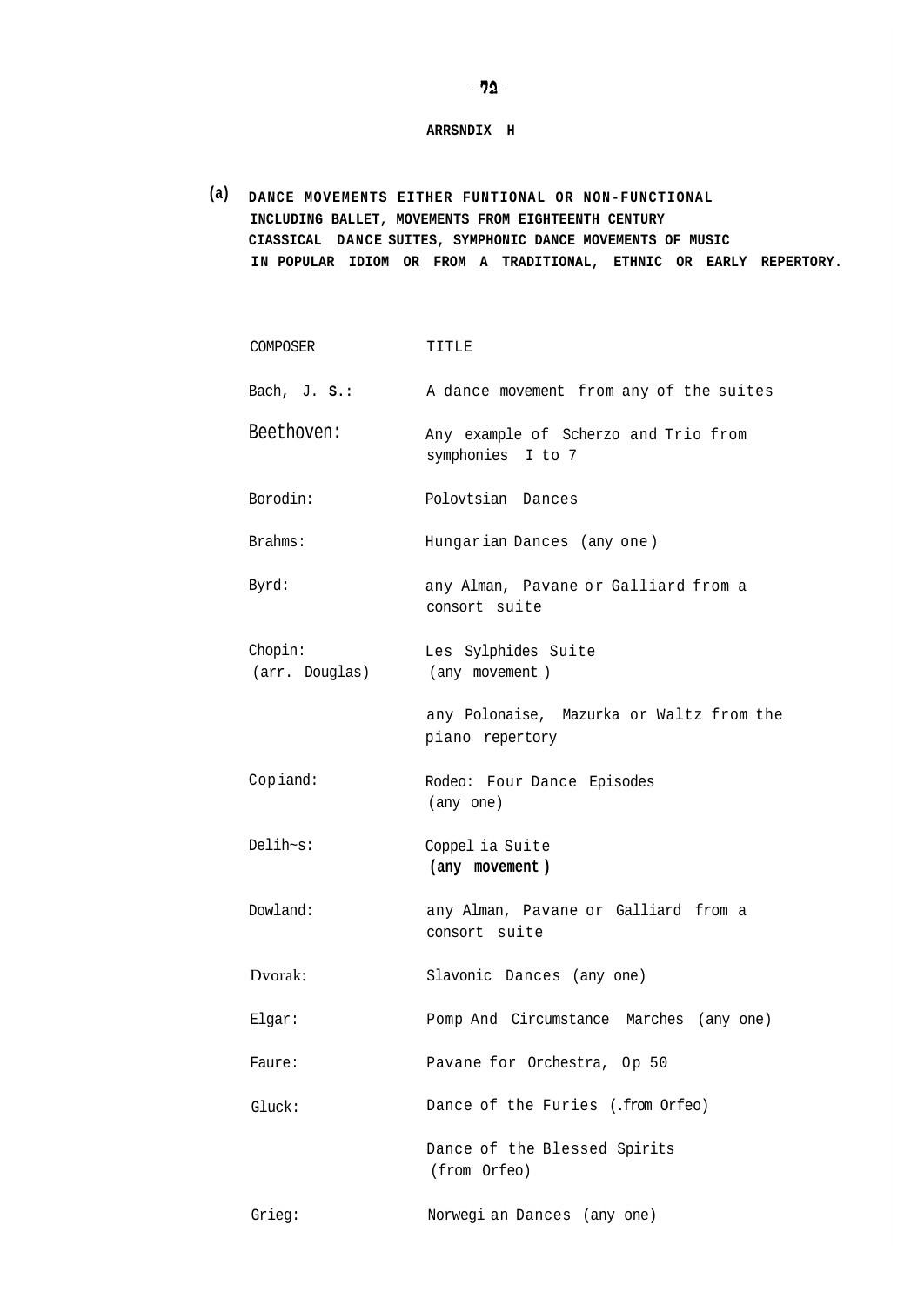**ARRSNDIX H**

**(a) DANCE MOVEMENTS EITHER FUNTIONAL OR NON-FUNCTIONAL INCLUDING BALLET, MOVEMENTS FROM EIGHTEENTH CENTURY CIASSICAL DANCE SUITES, SYMPHONIC DANCE MOVEMENTS OF MUSIC IN POPULAR IDIOM OR FROM A TRADITIONAL, ETHNIC OR EARLY REPERTORY.**

| COMPOSER                  | TITLE                                                       |  |
|---------------------------|-------------------------------------------------------------|--|
| Bach, $J. S.:$            | A dance movement from any of the suites                     |  |
| Beethoven:                | Any example of Scherzo and Trio from<br>symphonies I to 7   |  |
| Borodin:                  | Polovtsian Dances                                           |  |
| Brahms:                   | Hungarian Dances (any one)                                  |  |
| Byrd:                     | any Alman, Pavane or Galliard from a<br>consort suite       |  |
| Chopin:<br>(arr. Douglas) | Les Sylphides Suite<br>(any movement)                       |  |
|                           | any Polonaise, Mazurka or Waltz from the<br>piano repertory |  |
| Copiand:                  | Rodeo: Four Dance Episodes<br>(any one)                     |  |
| $Delih\sim s$ :           | Coppel ia Suite<br>(any movement)                           |  |
| Dowland:                  | any Alman, Pavane or Galliard from a<br>consort suite       |  |
| Dvorak:                   | Slavonic Dances (any one)                                   |  |
| Elgar:                    | Pomp And Circumstance Marches (any one)                     |  |
| Faure:                    | Pavane for Orchestra, Op 50                                 |  |
| Gluck:                    | Dance of the Furies (.from Orfeo)                           |  |
|                           | Dance of the Blessed Spirits<br>(from Orfeo)                |  |
| Grieg:                    | Norwegi an Dances (any one)                                 |  |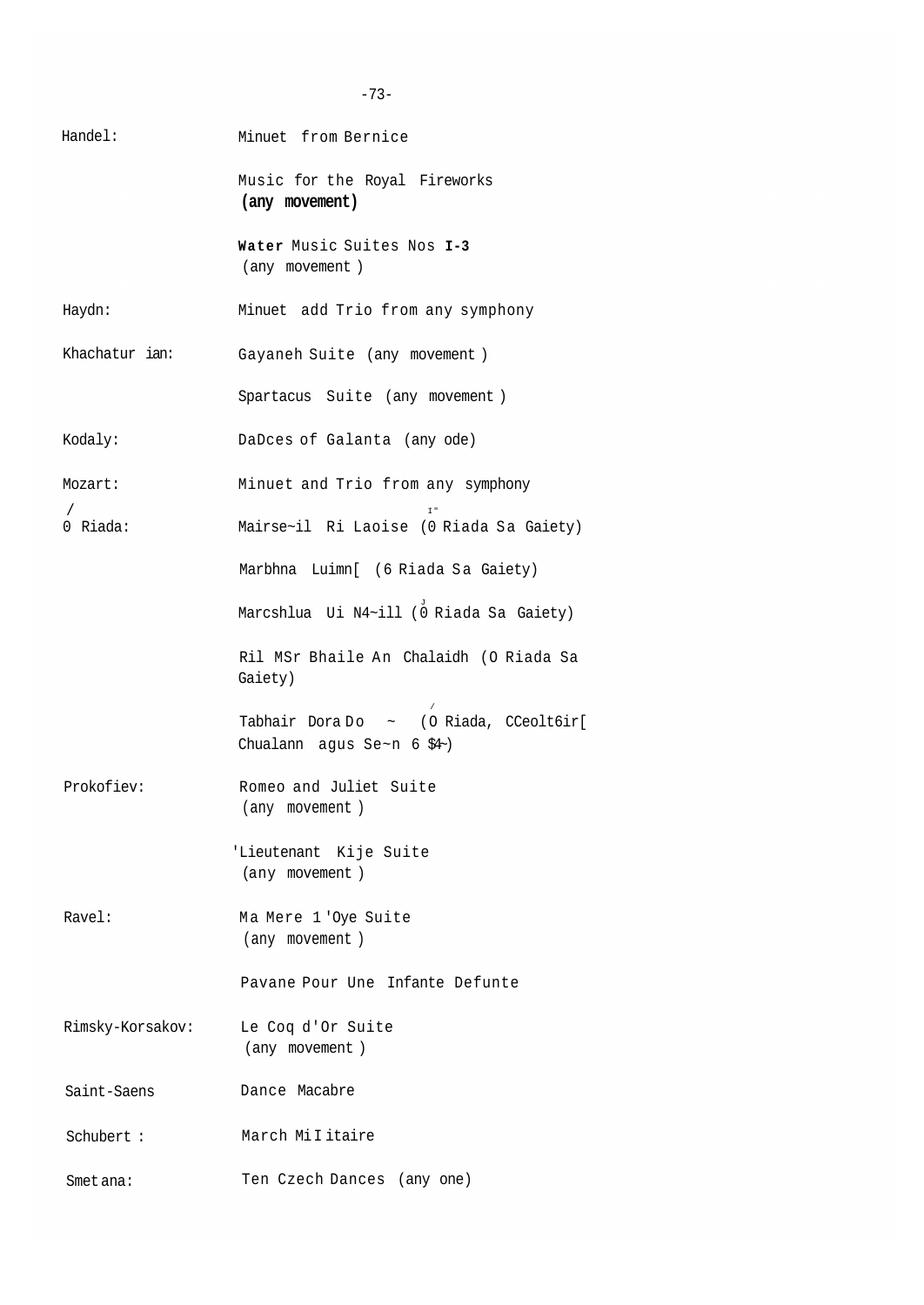| Handel:          | Minuet from Bernice                                                  |
|------------------|----------------------------------------------------------------------|
|                  | Music for the Royal Fireworks<br>(any movement)                      |
|                  | Water Music Suites Nos I-3<br>(any movement)                         |
| Haydn:           | Minuet add Trio from any symphony                                    |
| Khachatur ian:   | Gayaneh Suite (any movement)                                         |
|                  | Spartacus Suite (any movement)                                       |
| Kodaly:          | DaDces of Galanta (any ode)                                          |
| Mozart:          | Minuet and Trio from any symphony                                    |
| $0$ Riada:       | Mairse~il Ri Laoise (0 Riada Sa Gaiety)                              |
|                  | Marbhna Luimn[ (6 Riada Sa Gaiety)                                   |
|                  | Marcshlua Ui N4~ill (0 Riada Sa Gaiety)                              |
|                  | Ril MSr Bhaile An Chalaidh (O Riada Sa<br>Gaiety)                    |
|                  | Tabhair Dora Do ~ (O Riada, CCeolt6ir[<br>Chualann agus Se~n 6 \$4~) |
| Prokofiev:       | Romeo and Juliet Suite<br>(any movement)                             |
|                  | 'Lieutenant Kije Suite<br>(any movement)                             |
| Ravel:           | Ma Mere 1 'Oye Suite<br>(any movement)                               |
|                  | Pavane Pour Une Infante Defunte                                      |
| Rimsky-Korsakov: | Le Coq d'Or Suite<br>(any movement)                                  |
| Saint-Saens      | Dance Macabre                                                        |
| Schubert:        | March Militaire                                                      |
| Smet ana:        | Ten Czech Dances (any one)                                           |

-73-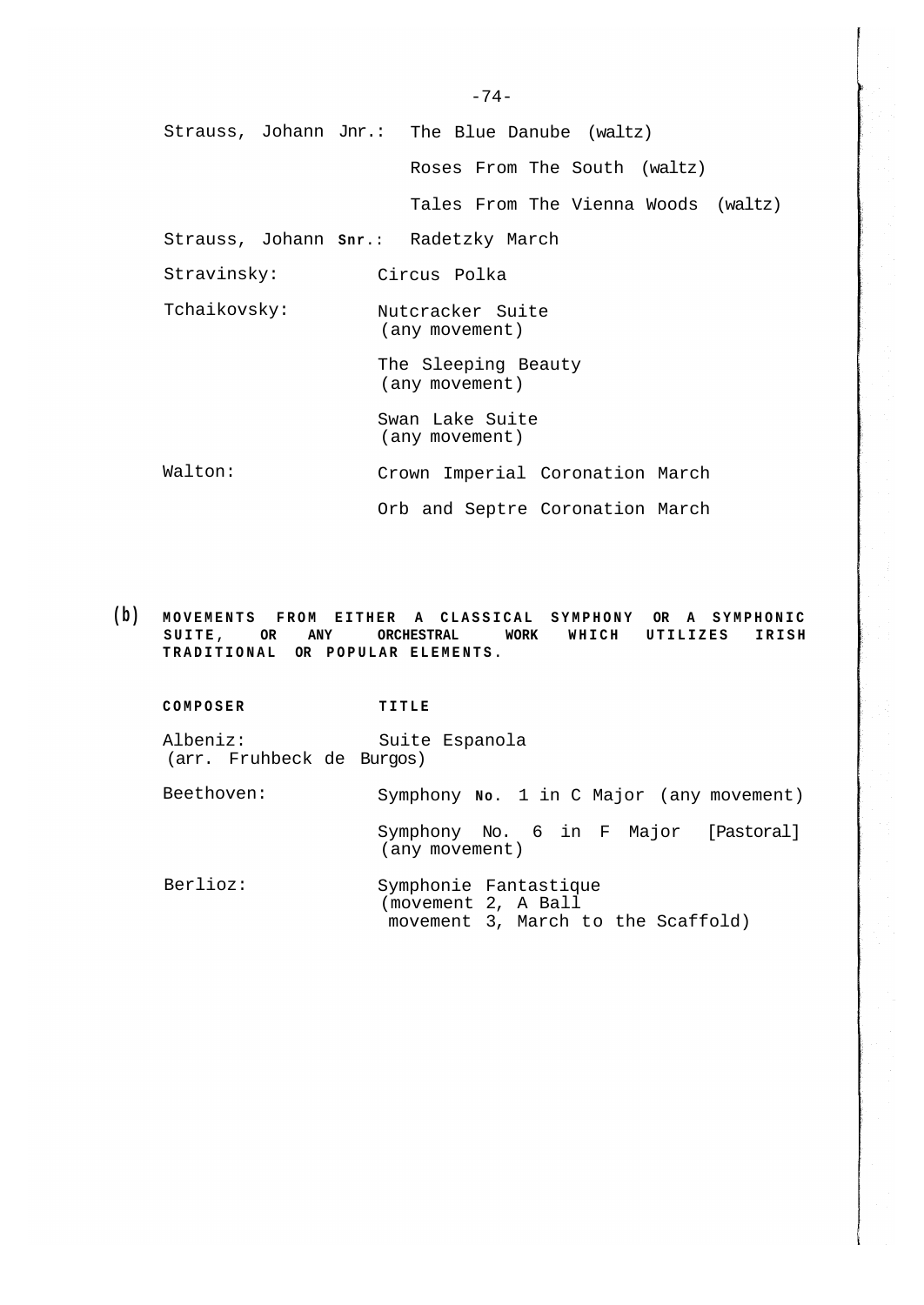Strauss, Johann Jnr.: The Blue Danube (waltz)

Roses From The South (waltz)

Tales From The Vienna Woods (waltz)

Strauss, Johann **Snr.:** Radetzky March

Stravinsky: Circus Polka

Tchaikovsky: Nutcracker Suite (any movement)

> The Sleeping Beauty (any movement)

Swan Lake Suite (any movement)

Walton: Crown Imperial Coronation March

Orb and Septre Coronation March

**(b) MOVEMENTS FROM EITHER A CLASSICAL SYMPHONY OR A SYMPHONIC SUITE, OR ANY ORCHESTRAL WORK WHICH UTILIZES IRISH TRADITIONAL OR POPULAR ELEMENTS.**

**COMPOSER TITLE**

Albeniz: Suite Espanola (arr. Fruhbeck de Burgos)

Beethoven: Symphony **No.** 1 in C Major (any movement)

Symphony No. 6 in F Major [Pastoral] (any movement)

Berlioz: Symphonie Fantastique (movement 2, A Ball movement 3, March to the Scaffold)

 $-74-$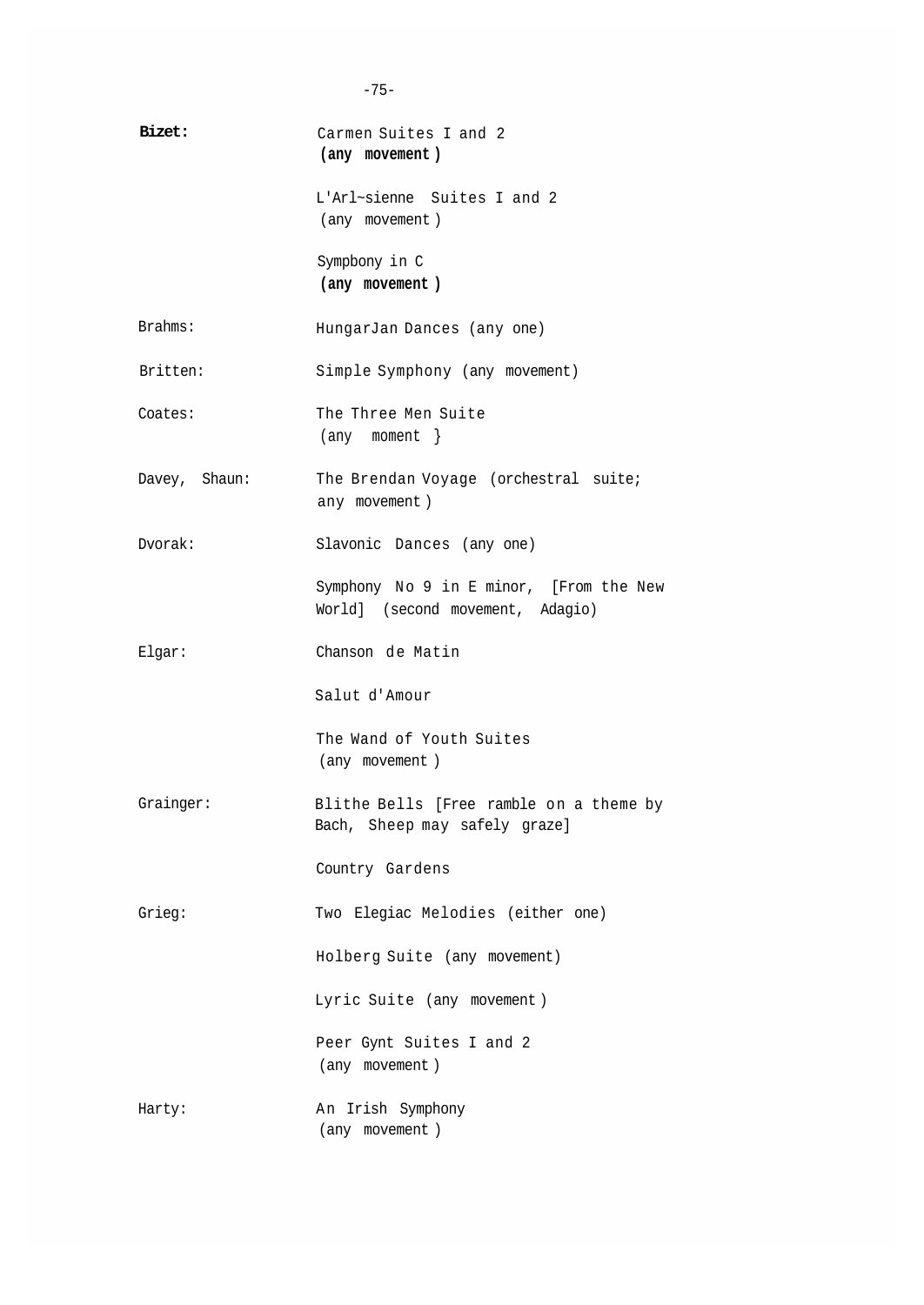|               | $-75-$                                                                      |
|---------------|-----------------------------------------------------------------------------|
| Bizet:        | Carmen Suites I and 2<br>(any movement)                                     |
|               | L'Arl~sienne Suites I and 2<br>(any movement)                               |
|               | Sympbony in C<br>(any movement)                                             |
| Brahms:       | HungarJan Dances (any one)                                                  |
| Britten:      | Simple Symphony (any movement)                                              |
| Coates:       | The Three Men Suite<br>$\{\text{any} \text{ moment }\}$                     |
| Davey, Shaun: | The Brendan Voyage (orchestral suite;<br>any movement)                      |
| Dvorak:       | Slavonic Dances (any one)                                                   |
|               | Symphony No 9 in E minor, [From the New<br>World] (second movement, Adagio) |
| Elgar:        | Chanson de Matin                                                            |
|               | Salut d'Amour                                                               |
|               | The Wand of Youth Suites<br>(any movement)                                  |
| Grainger:     | Blithe Bells [Free ramble on a theme by<br>Bach, Sheep may safely graze]    |
|               | Country Gardens                                                             |
| Grieg:        | Two Elegiac Melodies (either one)                                           |
|               | Holberg Suite (any movement)                                                |
|               | Lyric Suite (any movement)                                                  |
|               | Peer Gynt Suites I and 2<br>(any movement)                                  |
| Harty:        | An Irish Symphony<br>(any movement)                                         |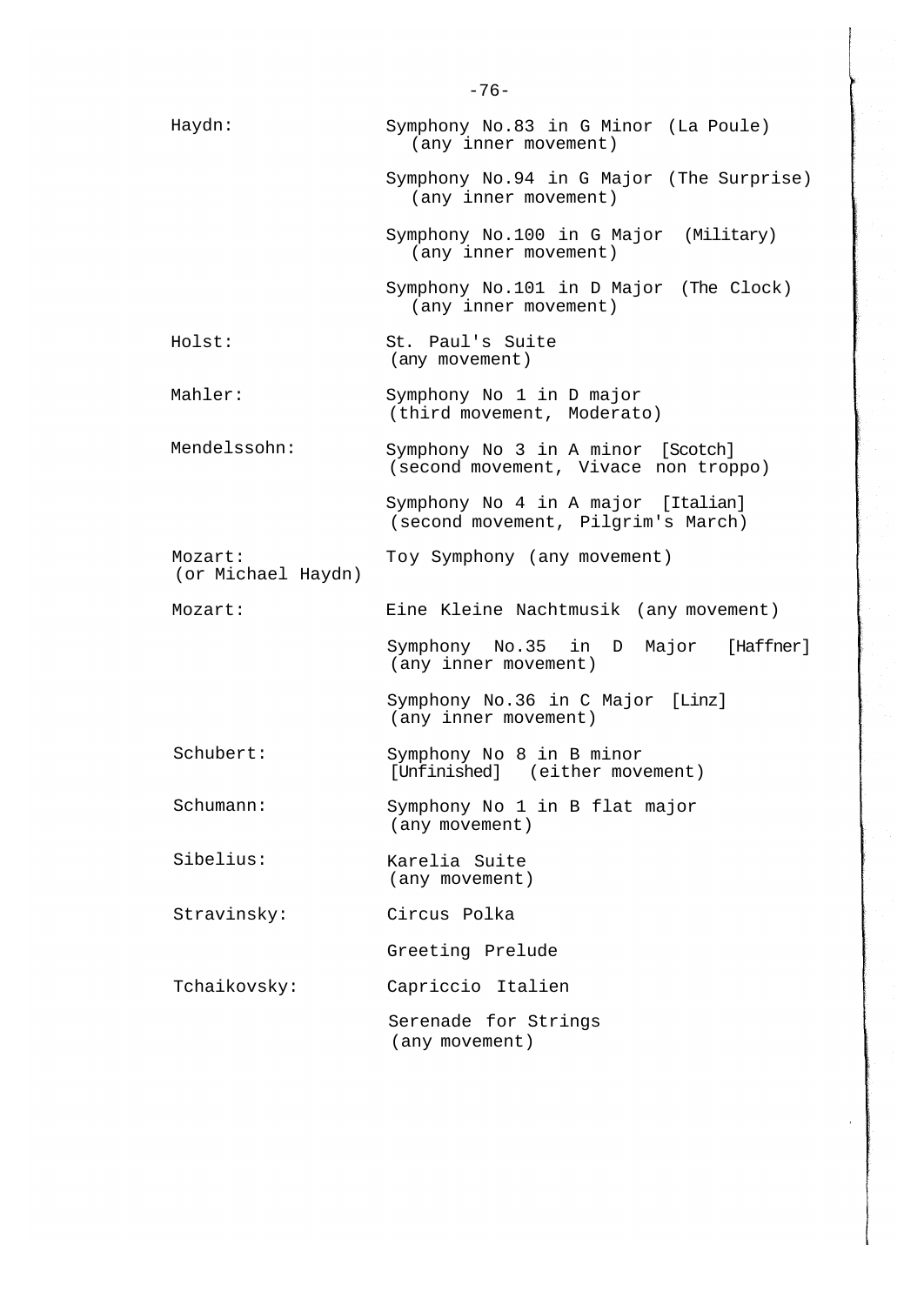| Haydn:                        | Symphony No.83 in G Minor (La Poule)<br>(any inner movement)              |
|-------------------------------|---------------------------------------------------------------------------|
|                               | Symphony No.94 in G Major (The Surprise)<br>(any inner movement)          |
|                               | Symphony No.100 in G Major (Military)<br>(any inner movement)             |
|                               | Symphony No.101 in D Major (The Clock)<br>(any inner movement)            |
| Holst:                        | St. Paul's Suite<br>(any movement)                                        |
| Mahler:                       | Symphony No 1 in D major<br>(third movement, Moderato)                    |
| Mendelssohn:                  | Symphony No 3 in A minor [Scotch]<br>(second movement, Vivace non troppo) |
|                               | Symphony No 4 in A major [Italian]<br>(second movement, Pilgrim's March)  |
| Mozart:<br>(or Michael Haydn) | Toy Symphony (any movement)                                               |
|                               |                                                                           |
| Mozart:                       | Eine Kleine Nachtmusik (any movement)                                     |
|                               | Symphony No.35 in D Major [Haffner]<br>(any inner movement)               |
|                               | Symphony No.36 in C Major [Linz]<br>(any inner movement)                  |
| Schubert:                     | Symphony No 8 in B minor<br>[Unfinished] (either movement)                |
| Schumann:                     | Symphony No 1 in B flat major<br>(any movement)                           |
| Sibelius:                     | Karelia Suite<br>(any movement)                                           |
| Stravinsky:                   | Circus Polka                                                              |
|                               | Greeting Prelude                                                          |
| Tchaikovsky:                  | Capriccio Italien                                                         |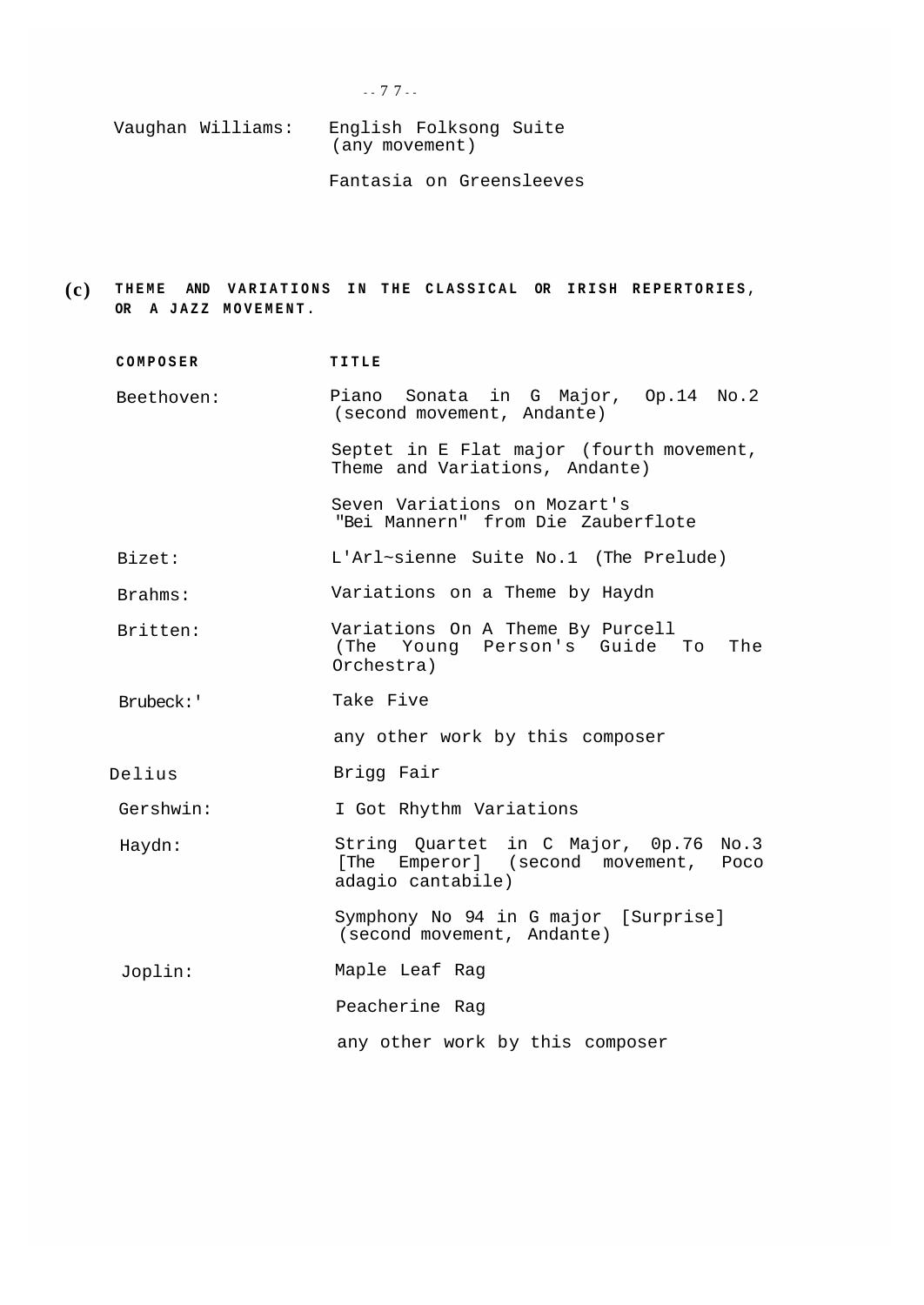Vaughan Williams: English Folksong Suite (any movement)

Fantasia on Greensleeves

- **(c) THEME AND VARIATIONS I N THE CLASSICAL OR IRISH REPERTORIES, OR A JAZZ MOVEMENT.**
	- **COMPOSER** Beethoven: Bizet: Brahms: Britten: Brubeck:' Delius Gershwin: Haydn: Joplin: **TITLE** Piano Sonata in G Major, Op.14 No.2 (second movement, Andante) Septet in E Flat major (fourth movement, Theme and Variations, Andante) Seven Variations on Mozart's "Bei Mannern" from Die Zauberflote L'Arl~sienne Suite No.1 (The Prelude) Variations on a Theme by Haydn Variations On A Theme By Purcell (The Young Person's Guide To The Orchestra) Take Five any other work by this composer Brigg Fair I Got Rhythm Variations String Quartet in C Major, 0p.76 No.3 [The Emperor] (second movement, Poco adagio cantabile) Symphony No 94 in G major [Surprise] (second movement, Andante) Maple Leaf Rag Peacherine Rag any other work by this composer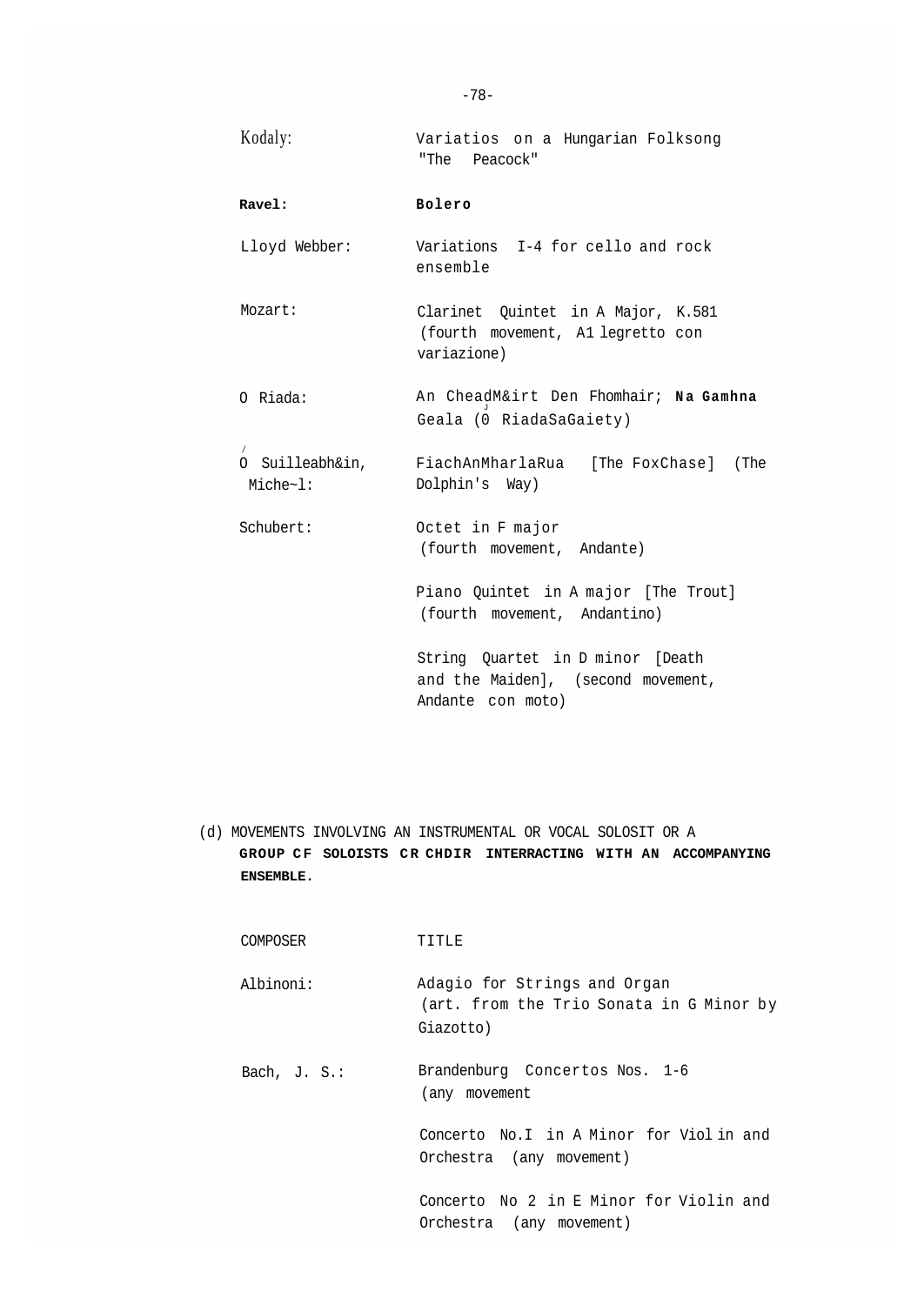| Kodaly:                   | Variatios on a Hungarian Folksong<br>"The Peacock"                                          |
|---------------------------|---------------------------------------------------------------------------------------------|
| Ravel:                    | Bolero                                                                                      |
| Lloyd Webber:             | Variations I-4 for cello and rock<br>ensemble                                               |
| Mozart:                   | Clarinet Quintet in A Major, K.581<br>(fourth movement, Al legretto con<br>variazione)      |
| $O$ Riada:                | An CheadM&irt Den Fhomhair; Na Gamhna<br>Geala (0 RiadaSaGaiety)                            |
| O Suilleabh∈,<br>Miche~1: | FiachAnMharlaRua [The FoxChase] (The<br>Dolphin's Way)                                      |
| Schubert:                 | Octet in F major<br>(fourth movement, Andante)                                              |
|                           | Piano Quintet in A major [The Trout]<br>(fourth movement, Andantino)                        |
|                           | String Quartet in D minor [Death<br>and the Maiden], (second movement,<br>Andante con moto) |

(d) MOVEMENTS INVOLVING AN INSTRUMENTAL OR VOCAL SOLOSIT OR A **GROUP C F SOLOISTS C R CHDIR INTERRACTING WITH AN ACCOMPANYING ENSEMBLE.**

| COMPOSER      | TTTLE                                                                                 |
|---------------|---------------------------------------------------------------------------------------|
| Albinoni:     | Adagio for Strings and Organ<br>(art. from the Trio Sonata in G Minor by<br>Giazotto) |
| Bach, $J.S.:$ | Brandenburg Concertos Nos. 1-6<br>(any movement                                       |
|               | Concerto No. I in A Minor for Viol in and<br>Orchestra (any movement)                 |
|               | Concerto No 2 in E Minor for Violin and<br>Orchestra (any movement)                   |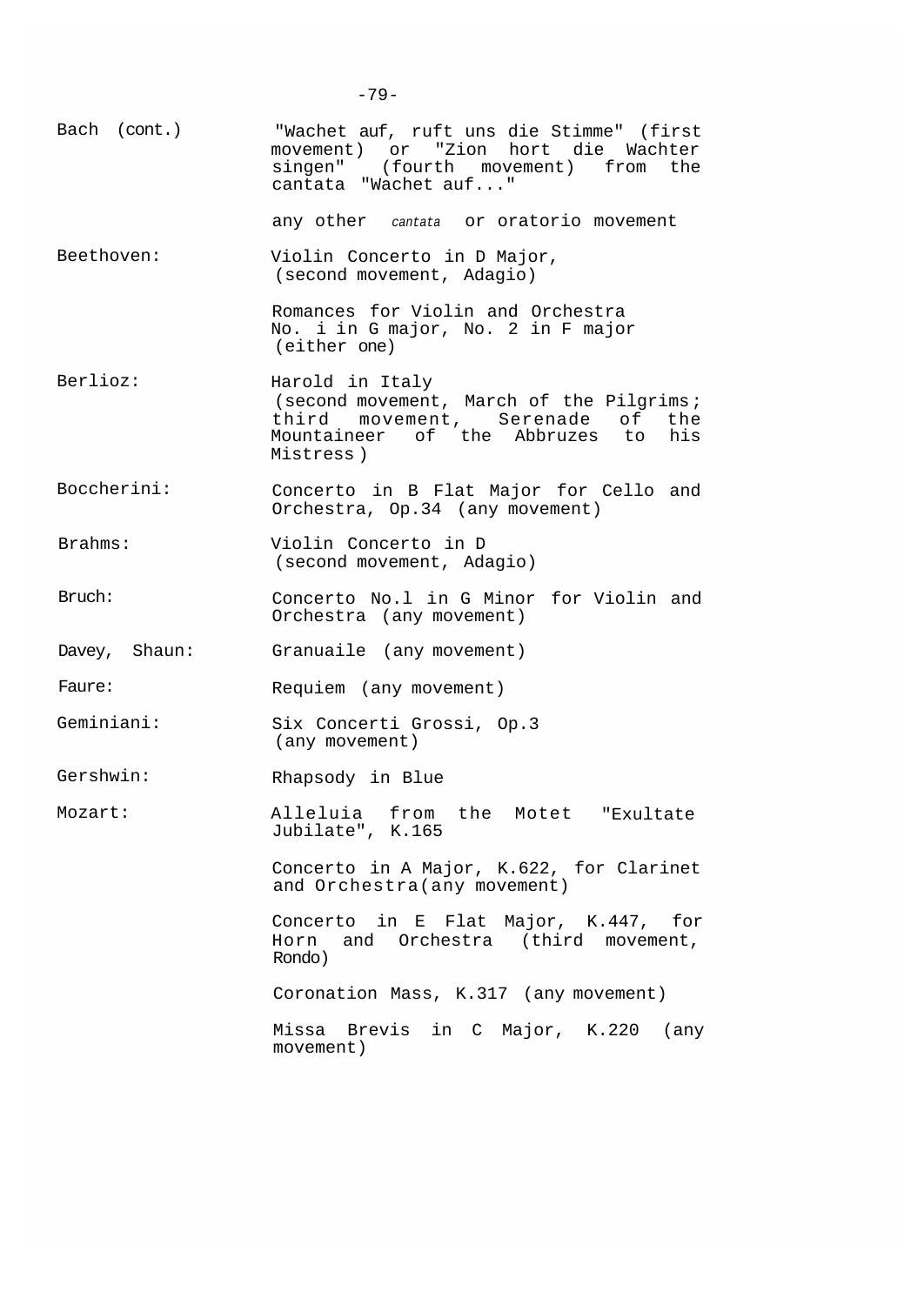"Wachet auf, ruft uns die Stimme" (first movement) or "Zion hort die Wachter singen" (fourth movement) from the

Bach (cont.)

Beethoven: Berlioz: Boccherini: Brahms: Bruch: Davey, Shaun: Faure: Geminiani: Gershwin: Mozart: cantata "Wachet auf..." any other *cantata* or oratorio movement Violin Concerto in D Major, (second movement, Adagio) Romances for Violin and Orchestra No. i in G major, No. 2 in F major (either one) Harold in Italy (second movement, March of the Pilgrims; third movement, Serenade of the Mountaineer of the Abbruzes to his Mistress ) Concerto in B Flat Major for Cello and Orchestra, Op.34 (any movement) Violin Concerto in D (second movement, Adagio) Concerto No.l in G Minor for Violin and Orchestra (any movement) Granuaile (any movement) Requiem (any movement) Six Concerti Grossi, Op.3 (any movement) Rhapsody in Blue Alleluia from the Motet "Exultate Jubilate", K.165 Concerto in A Major, K.622, for Clarinet and Orchestra(any movement) Concerto in E Flat Major, K.447, for Horn and Orchestra (third movement, Rondo) Coronation Mass, K.317 (any movement) Missa Brevis in C Major, K.220 (any movement)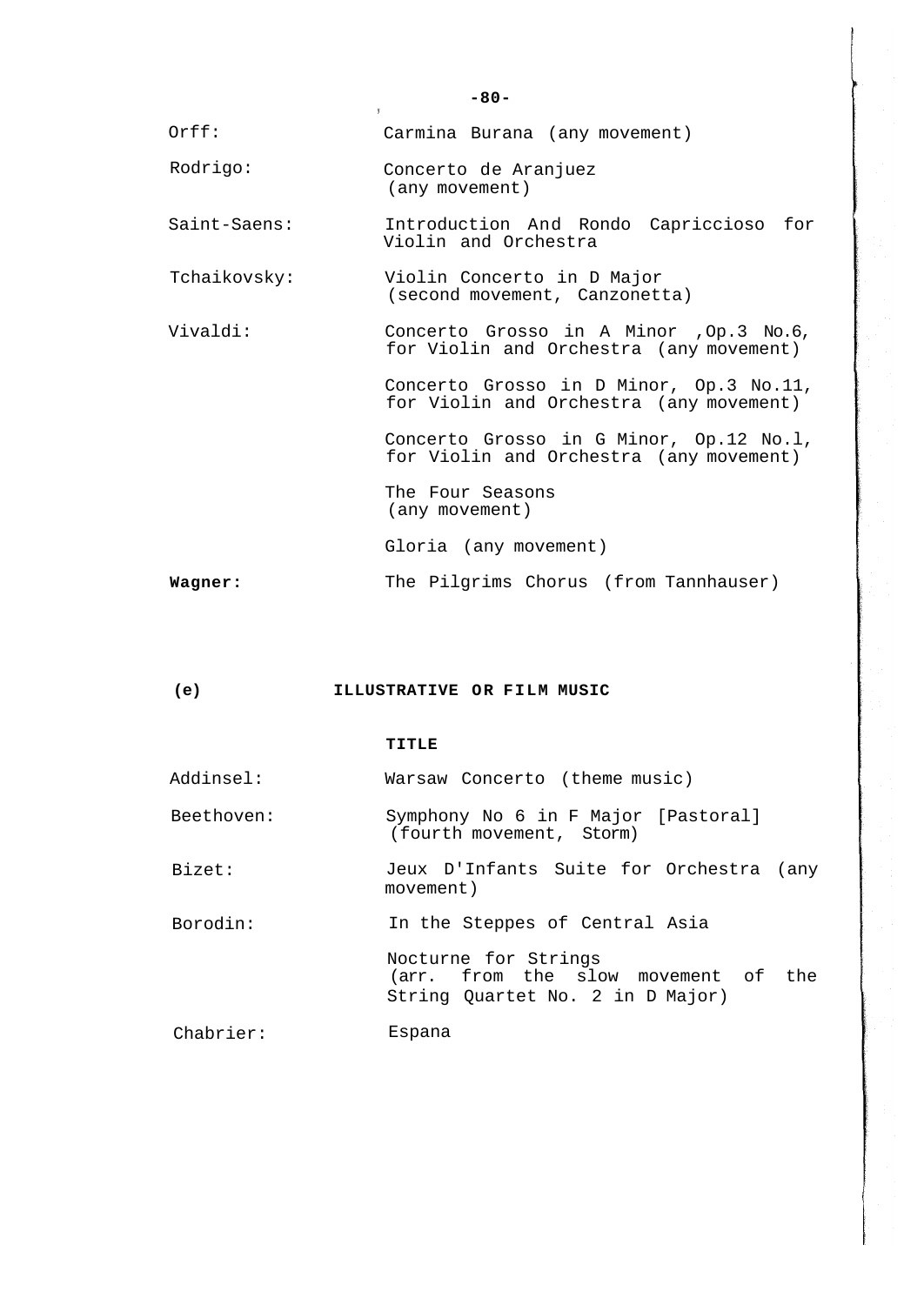| Orff:          | Carmina Burana (any movement)                                                      |
|----------------|------------------------------------------------------------------------------------|
| Rodrigo:       | Concerto de Aranjuez<br>(any movement)                                             |
| $Saint-Saens:$ | Introduction And Rondo Capriccioso for<br>Violin and Orchestra                     |
| Tchaikovsky:   | Violin Concerto in D Major<br>(second movement, Canzonetta)                        |
| Vivaldi:       | Concerto Grosso in A Minor , Op.3 No.6,<br>for Violin and Orchestra (any movement) |
|                | Concerto Grosso in D Minor, Op.3 No.11,<br>for Violin and Orchestra (any movement) |
|                | Concerto Grosso in G Minor, Op.12 No.1,<br>for Violin and Orchestra (any movement) |
|                | The Four Seasons<br>(any movement)                                                 |
|                | Gloria (any movement)                                                              |
| Wagner:        | The Pilgrims Chorus (from Tannhauser)                                              |

## **(e) ILLUSTRATIVE OR FILM MUSIC**

## **TITLE**

Addinsel: Warsaw Concerto (theme music)

- Beethoven: Symphony No 6 in F Major [Pastoral] (fourth movement, Storm)
- Bizet: Jeux D'Infants Suite for Orchestra (any movement)

Borodin: In the Steppes of Central Asia

> Nocturne for Strings (arr. from the slow movement of the String Quartet No. 2 in D Major)

Chabrier: Espana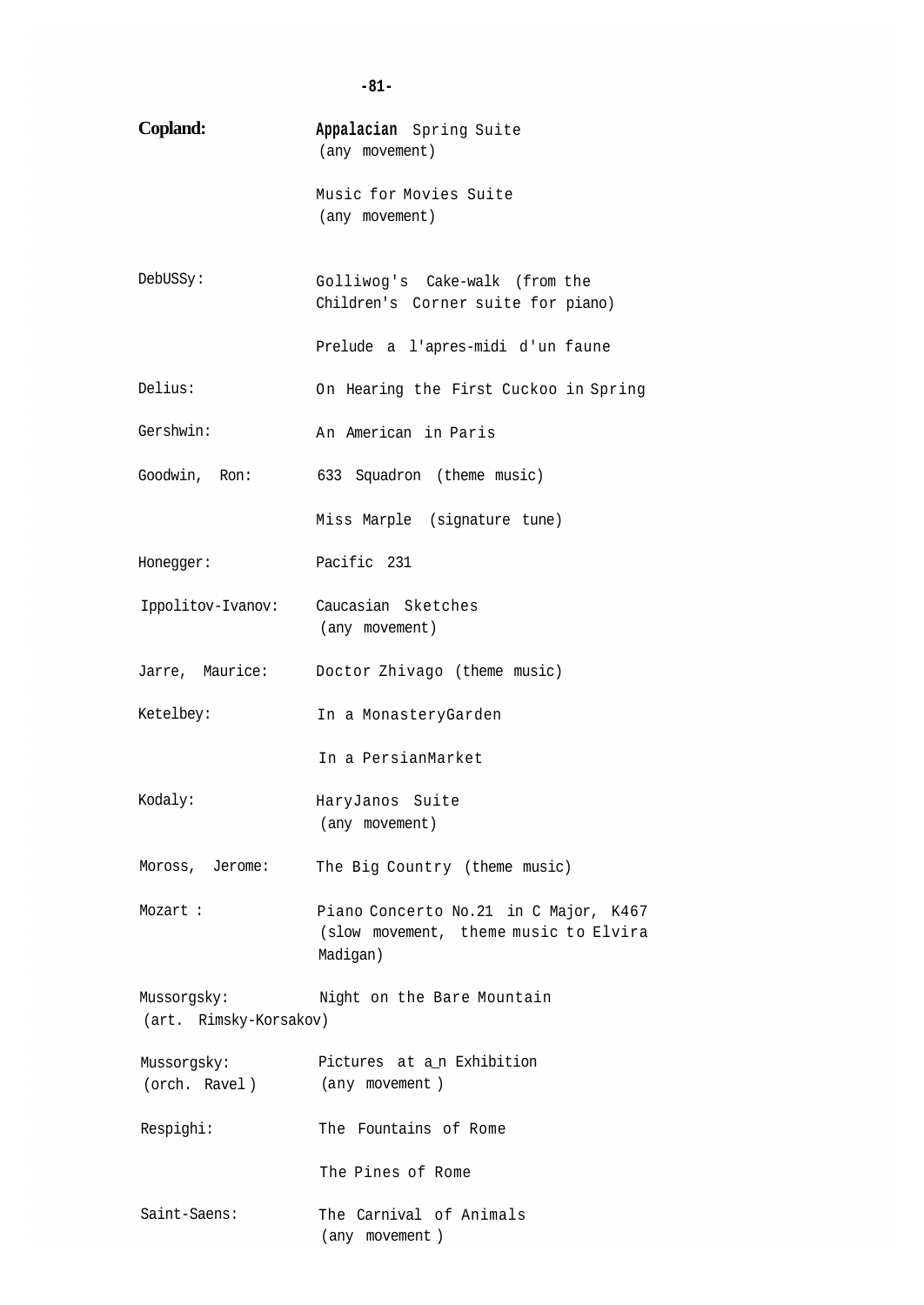| Copland:                              | Appalacian Spring Suite<br>(any movement)                                                  |
|---------------------------------------|--------------------------------------------------------------------------------------------|
|                                       | Music for Movies Suite<br>(any movement)                                                   |
| DebUSSy:                              | Golliwog's Cake-walk (from the<br>Children's Corner suite for piano)                       |
|                                       | Prelude a l'apres-midi d'un faune                                                          |
| Delius:                               | On Hearing the First Cuckoo in Spring                                                      |
| Gershwin:                             | An American in Paris                                                                       |
| Goodwin, Ron:                         | 633 Squadron (theme music)                                                                 |
|                                       | Miss Marple (signature tune)                                                               |
| Honegger:                             | Pacific 231                                                                                |
| Ippolitov-Ivanov: Caucasian Sketches  | (any movement)                                                                             |
| Jarre, Maurice:                       | Doctor Zhivago (theme music)                                                               |
| Ketelbey:                             | In a MonasteryGarden                                                                       |
|                                       | In a PersianMarket                                                                         |
| Kodaly:                               | HaryJanos Suite<br>(any movement)                                                          |
| Moross, Jerome:                       | The Big Country (theme music)                                                              |
| Mozart :                              | Piano Concerto No.21 in C Major, K467<br>(slow movement, theme music to Elvira<br>Madigan) |
| Mussorgsky:<br>(art. Rimsky-Korsakov) | Night on the Bare Mountain                                                                 |
| Mussorgsky:<br>(orch. Ravel)          | Pictures at a_n Exhibition<br>(any movement)                                               |
| Respighi:                             | The Fountains of Rome                                                                      |
|                                       | The Pines of Rome                                                                          |
| Saint-Saens:                          | The Carnival of Animals<br>(any movement)                                                  |

## **-81-**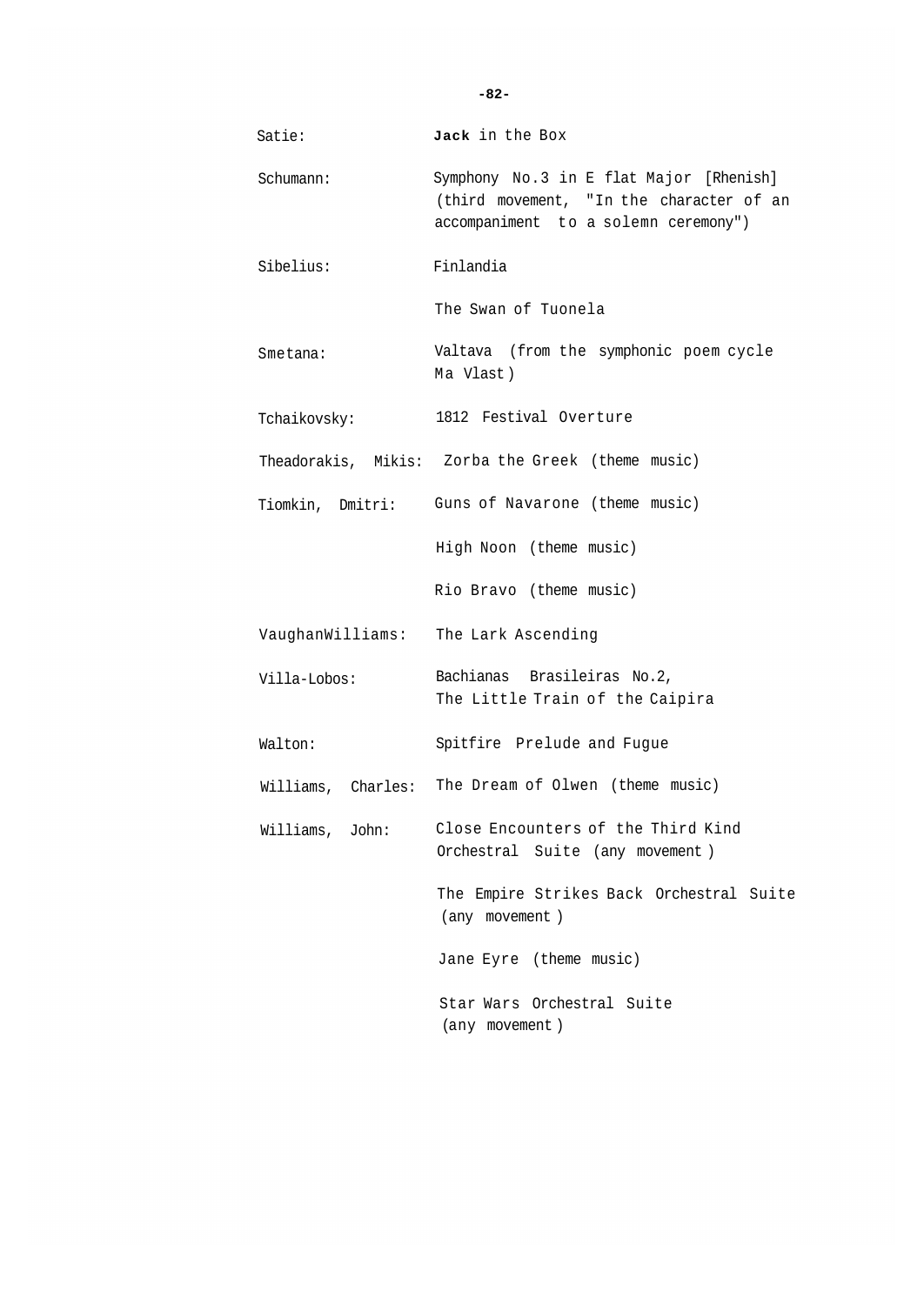| Satie:                              | Jack in the Box                                                                                                             |
|-------------------------------------|-----------------------------------------------------------------------------------------------------------------------------|
| Schumann:                           | Symphony No.3 in E flat Major [Rhenish]<br>(third movement, "In the character of an<br>accompaniment to a solemn ceremony") |
| Sibelius:                           | Finlandia                                                                                                                   |
|                                     | The Swan of Tuonela                                                                                                         |
| Smetana:                            | Valtava (from the symphonic poem cycle<br>Ma Vlast)                                                                         |
| Tchaikovsky:                        | 1812 Festival Overture                                                                                                      |
|                                     | Theadorakis, Mikis: Zorba the Greek (theme music)                                                                           |
|                                     | Tiomkin, Dmitri: Guns of Navarone (theme music)                                                                             |
|                                     | High Noon (theme music)                                                                                                     |
|                                     | Rio Bravo (theme music)                                                                                                     |
| VaughanWilliams: The Lark Ascending |                                                                                                                             |
| Villa-Lobos:                        | Bachianas Brasileiras No.2,<br>The Little Train of the Caipira                                                              |
| Walton:                             | Spitfire Prelude and Fugue                                                                                                  |
|                                     | Williams, Charles: The Dream of Olwen (theme music)                                                                         |
| Williams, John:                     | Close Encounters of the Third Kind<br>Orchestral Suite (any movement)                                                       |
|                                     | The Empire Strikes Back Orchestral Suite<br>(any movement)                                                                  |
|                                     | Jane Eyre (theme music)                                                                                                     |
|                                     | Star Wars Orchestral Suite<br>(any movement)                                                                                |

**-82-**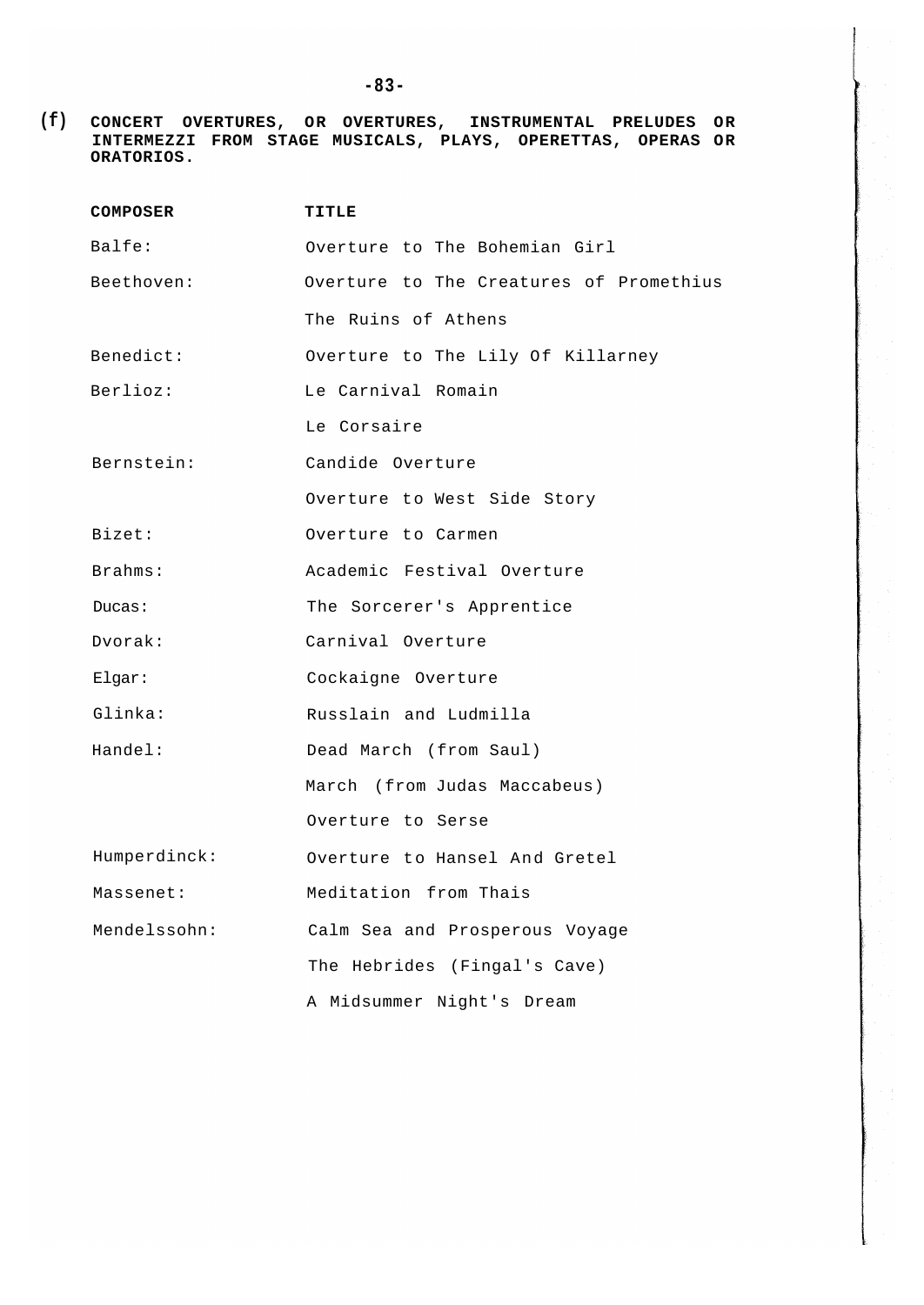**(f) CONCERT OVERTURES, OR OVERTURES, INSTRUMENTAL PRELUDES OR INTERMEZZI FROM STAGE MUSICALS, PLAYS, OPERETTAS, OPERAS OR ORATORIOS.**

| <b>COMPOSER</b>  | <b>TITLE</b>                            |
|------------------|-----------------------------------------|
| Balfe:           | Overture to The Bohemian Girl           |
| Beethoven:       | Overture to The Creatures of Promethius |
|                  | The Ruins of Athens                     |
| Benedict:        | Overture to The Lily Of Killarney       |
| Berlioz:         | Le Carnival Romain                      |
|                  | Le Corsaire                             |
| Bernstein:       | Candide Overture                        |
|                  | Overture to West Side Story             |
| Bizeet:          | Overture to Carmen                      |
| $Brahms$ :       | Academic Festival Overture              |
| Ducas:           | The Sorcerer's Apprentice               |
| $D\nu$ ora $k$ : | Carnival Overture                       |
| Elgar:           | Cockaigne Overture                      |
| Glinka:          | Russlain and Ludmilla                   |
| Handel:          | Dead March (from Saul)                  |
|                  | March (from Judas Maccabeus)            |
|                  | Overture to Serse                       |
| Humperdinck:     | Overture to Hansel And Gretel           |
| Massenet:        | Meditation from Thais                   |
| Mendelssohn:     | Calm Sea and Prosperous Voyage          |
|                  | The Hebrides (Fingal's Cave)            |
|                  | A Midsummer Night's Dream               |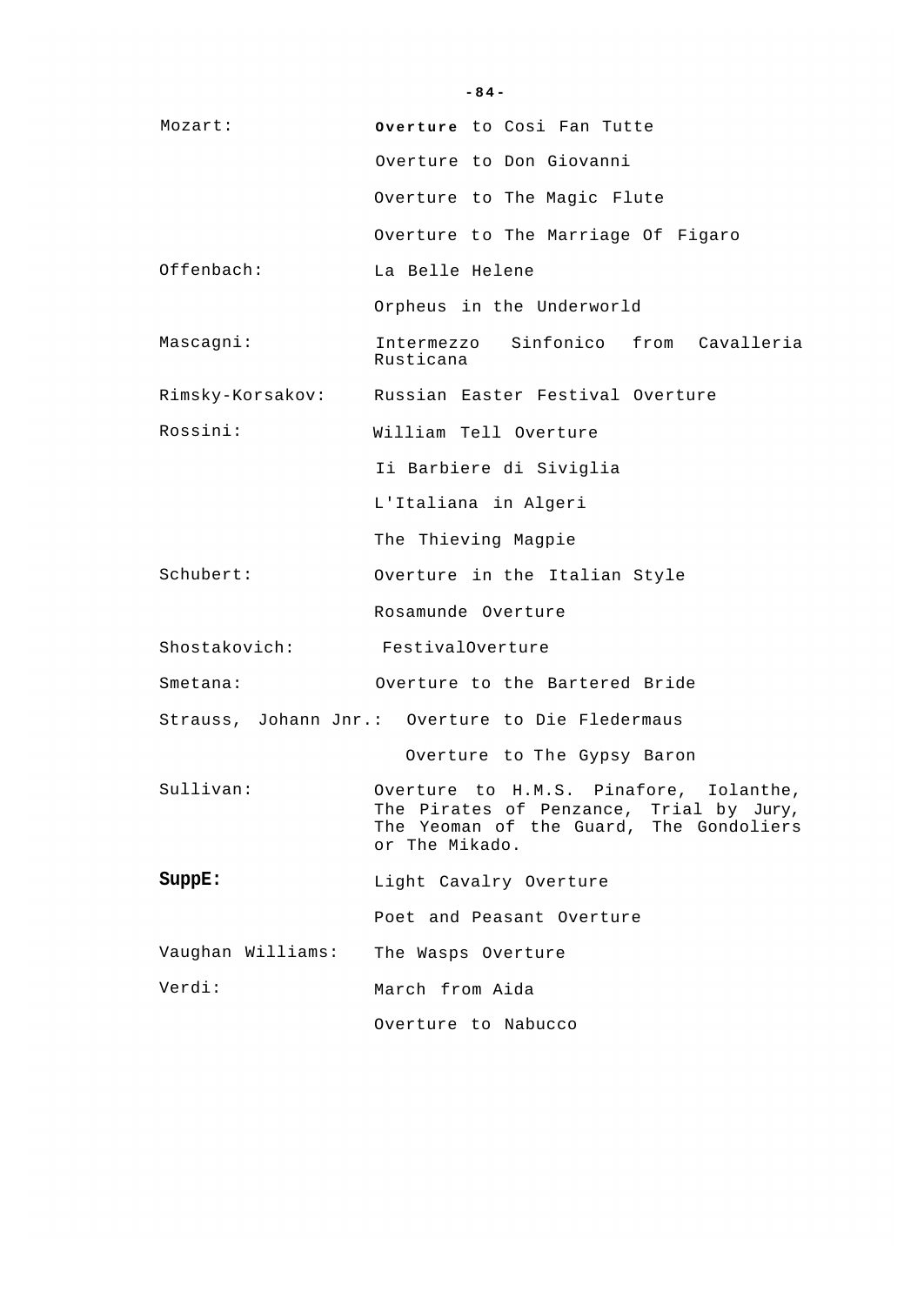| Mozart:           | Overture to Cosi Fan Tutte                                                                                                                     |
|-------------------|------------------------------------------------------------------------------------------------------------------------------------------------|
|                   | Overture to Don Giovanni                                                                                                                       |
|                   | Overture to The Magic Flute                                                                                                                    |
|                   | Overture to The Marriage Of Figaro                                                                                                             |
| Offenbach:        | La Belle Helene                                                                                                                                |
|                   | Orpheus in the Underworld                                                                                                                      |
| Mascagni:         | Intermezzo Sinfonico from Cavalleria<br>Rusticana                                                                                              |
|                   | Rimsky-Korsakov: Russian Easter Festival Overture                                                                                              |
| Rossini:          | William Tell Overture                                                                                                                          |
|                   | Ii Barbiere di Siviglia                                                                                                                        |
|                   | L'Italiana in Algeri                                                                                                                           |
|                   | The Thieving Magpie                                                                                                                            |
| Schubert:         | Overture in the Italian Style                                                                                                                  |
|                   | Rosamunde Overture                                                                                                                             |
| Shostakovich:     | FestivalOverture                                                                                                                               |
| Smetana:          | Overture to the Bartered Bride                                                                                                                 |
|                   | Strauss, Johann Jnr.: Overture to Die Fledermaus                                                                                               |
|                   | Overture to The Gypsy Baron                                                                                                                    |
| Sullivan:         | Overture to H.M.S. Pinafore, Iolanthe,<br>The Pirates of Penzance, Trial by Jury,<br>The Yeoman of the Guard, The Gondoliers<br>or The Mikado. |
| $SuppE$ :         | Light Cavalry Overture                                                                                                                         |
|                   | Poet and Peasant Overture                                                                                                                      |
| Vaughan Williams: | The Wasps Overture                                                                                                                             |
| Verdi:            | March from Aida                                                                                                                                |
|                   | Overture to Nabucco                                                                                                                            |

**-84-**